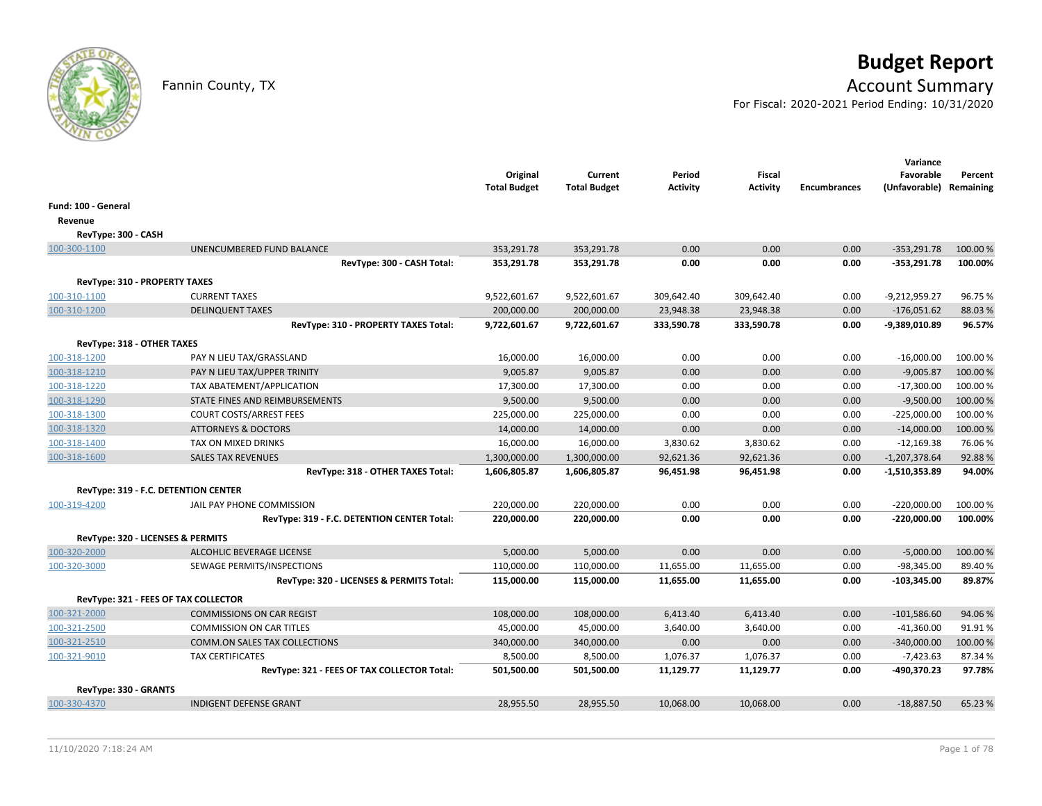

# **Budget Report**

## Fannin County, TX **Account Summary**

For Fiscal: 2020-2021 Period Ending: 10/31/2020

|                                      |                                             | Original<br><b>Total Budget</b> | Current<br><b>Total Budget</b> | Period<br>Activity | <b>Fiscal</b><br><b>Activity</b> | <b>Encumbrances</b> | Variance<br>Favorable<br>(Unfavorable) Remaining | Percent  |
|--------------------------------------|---------------------------------------------|---------------------------------|--------------------------------|--------------------|----------------------------------|---------------------|--------------------------------------------------|----------|
| Fund: 100 - General                  |                                             |                                 |                                |                    |                                  |                     |                                                  |          |
| Revenue                              |                                             |                                 |                                |                    |                                  |                     |                                                  |          |
| RevType: 300 - CASH                  |                                             |                                 |                                |                    |                                  |                     |                                                  |          |
| 100-300-1100                         | UNENCUMBERED FUND BALANCE                   | 353,291.78                      | 353,291.78                     | 0.00               | 0.00                             | 0.00                | $-353,291.78$                                    | 100.00 % |
|                                      | RevType: 300 - CASH Total:                  | 353,291.78                      | 353,291.78                     | 0.00               | 0.00                             | 0.00                | $-353,291.78$                                    | 100.00%  |
| RevType: 310 - PROPERTY TAXES        |                                             |                                 |                                |                    |                                  |                     |                                                  |          |
| 100-310-1100                         | <b>CURRENT TAXES</b>                        | 9,522,601.67                    | 9,522,601.67                   | 309,642.40         | 309,642.40                       | 0.00                | $-9,212,959.27$                                  | 96.75%   |
| 100-310-1200                         | <b>DELINQUENT TAXES</b>                     | 200,000.00                      | 200,000.00                     | 23,948.38          | 23,948.38                        | 0.00                | $-176,051.62$                                    | 88.03%   |
|                                      | RevType: 310 - PROPERTY TAXES Total:        | 9,722,601.67                    | 9,722,601.67                   | 333,590.78         | 333,590.78                       | 0.00                | -9,389,010.89                                    | 96.57%   |
| RevType: 318 - OTHER TAXES           |                                             |                                 |                                |                    |                                  |                     |                                                  |          |
| 100-318-1200                         | PAY N LIEU TAX/GRASSLAND                    | 16,000.00                       | 16,000.00                      | 0.00               | 0.00                             | 0.00                | $-16,000.00$                                     | 100.00 % |
| 100-318-1210                         | PAY N LIEU TAX/UPPER TRINITY                | 9,005.87                        | 9,005.87                       | 0.00               | 0.00                             | 0.00                | $-9,005.87$                                      | 100.00%  |
| 100-318-1220                         | TAX ABATEMENT/APPLICATION                   | 17,300.00                       | 17,300.00                      | 0.00               | 0.00                             | 0.00                | $-17,300.00$                                     | 100.00 % |
| 100-318-1290                         | STATE FINES AND REIMBURSEMENTS              | 9,500.00                        | 9,500.00                       | 0.00               | 0.00                             | 0.00                | $-9,500.00$                                      | 100.00 % |
| 100-318-1300                         | <b>COURT COSTS/ARREST FEES</b>              | 225,000.00                      | 225,000.00                     | 0.00               | 0.00                             | 0.00                | $-225,000.00$                                    | 100.00%  |
| 100-318-1320                         | <b>ATTORNEYS &amp; DOCTORS</b>              | 14,000.00                       | 14,000.00                      | 0.00               | 0.00                             | 0.00                | $-14,000.00$                                     | 100.00 % |
| 100-318-1400                         | TAX ON MIXED DRINKS                         | 16,000.00                       | 16,000.00                      | 3,830.62           | 3,830.62                         | 0.00                | $-12,169.38$                                     | 76.06%   |
| 100-318-1600                         | <b>SALES TAX REVENUES</b>                   | 1,300,000.00                    | 1,300,000.00                   | 92,621.36          | 92,621.36                        | 0.00                | $-1,207,378.64$                                  | 92.88%   |
|                                      | RevType: 318 - OTHER TAXES Total:           | 1,606,805.87                    | 1,606,805.87                   | 96,451.98          | 96,451.98                        | 0.00                | $-1,510,353.89$                                  | 94.00%   |
| RevType: 319 - F.C. DETENTION CENTER |                                             |                                 |                                |                    |                                  |                     |                                                  |          |
| 100-319-4200                         | JAIL PAY PHONE COMMISSION                   | 220,000.00                      | 220,000.00                     | 0.00               | 0.00                             | 0.00                | $-220,000.00$                                    | 100.00 % |
|                                      | RevType: 319 - F.C. DETENTION CENTER Total: | 220,000.00                      | 220,000.00                     | 0.00               | 0.00                             | 0.00                | $-220,000.00$                                    | 100.00%  |
| RevType: 320 - LICENSES & PERMITS    |                                             |                                 |                                |                    |                                  |                     |                                                  |          |
| 100-320-2000                         | ALCOHLIC BEVERAGE LICENSE                   | 5,000.00                        | 5,000.00                       | 0.00               | 0.00                             | 0.00                | $-5,000.00$                                      | 100.00 % |
| 100-320-3000                         | SEWAGE PERMITS/INSPECTIONS                  | 110,000.00                      | 110,000.00                     | 11,655.00          | 11,655.00                        | 0.00                | $-98,345.00$                                     | 89.40%   |
|                                      | RevType: 320 - LICENSES & PERMITS Total:    | 115,000.00                      | 115,000.00                     | 11,655.00          | 11,655.00                        | 0.00                | $-103,345.00$                                    | 89.87%   |
| RevType: 321 - FEES OF TAX COLLECTOR |                                             |                                 |                                |                    |                                  |                     |                                                  |          |
| 100-321-2000                         | <b>COMMISSIONS ON CAR REGIST</b>            | 108,000.00                      | 108,000.00                     | 6,413.40           | 6,413.40                         | 0.00                | $-101,586.60$                                    | 94.06%   |
| 100-321-2500                         | <b>COMMISSION ON CAR TITLES</b>             | 45,000.00                       | 45,000.00                      | 3,640.00           | 3,640.00                         | 0.00                | $-41,360.00$                                     | 91.91%   |
| 100-321-2510                         | COMM.ON SALES TAX COLLECTIONS               | 340,000.00                      | 340,000.00                     | 0.00               | 0.00                             | 0.00                | $-340,000.00$                                    | 100.00 % |
| 100-321-9010                         | <b>TAX CERTIFICATES</b>                     | 8,500.00                        | 8,500.00                       | 1,076.37           | 1,076.37                         | 0.00                | $-7,423.63$                                      | 87.34%   |
|                                      | RevType: 321 - FEES OF TAX COLLECTOR Total: | 501,500.00                      | 501,500.00                     | 11,129.77          | 11,129.77                        | 0.00                | -490,370.23                                      | 97.78%   |
| RevType: 330 - GRANTS                |                                             |                                 |                                |                    |                                  |                     |                                                  |          |
| 100-330-4370                         | <b>INDIGENT DEFENSE GRANT</b>               | 28,955.50                       | 28,955.50                      | 10,068.00          | 10,068.00                        | 0.00                | $-18,887.50$                                     | 65.23 %  |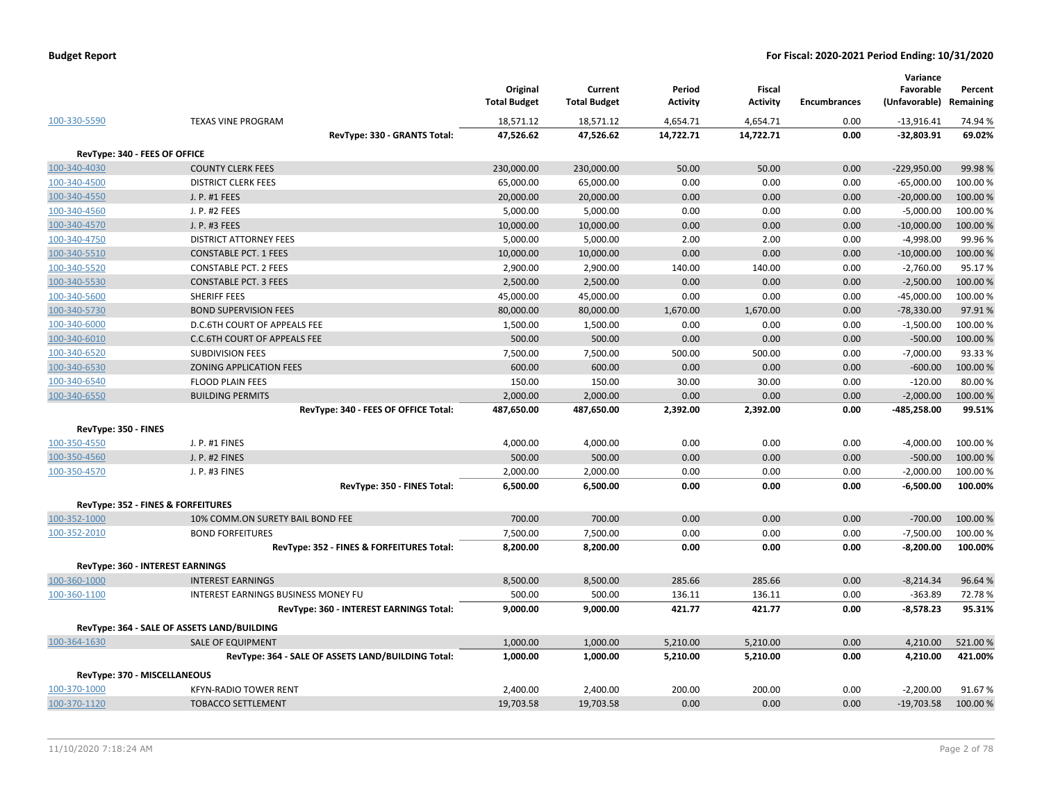| 100-330-5590                  | <b>TEXAS VINE PROGRAM</b>                          | Original<br><b>Total Budget</b><br>18,571.12 | Current<br><b>Total Budget</b> | Period<br><b>Activity</b> | <b>Fiscal</b><br>Activity<br>4,654.71 | <b>Encumbrances</b><br>0.00 | Variance<br>Favorable<br>(Unfavorable)<br>$-13,916.41$ | Percent<br>Remaining |
|-------------------------------|----------------------------------------------------|----------------------------------------------|--------------------------------|---------------------------|---------------------------------------|-----------------------------|--------------------------------------------------------|----------------------|
|                               |                                                    |                                              | 18,571.12                      | 4,654.71                  |                                       |                             |                                                        | 74.94 %              |
|                               | RevType: 330 - GRANTS Total:                       | 47,526.62                                    | 47,526.62                      | 14,722.71                 | 14,722.71                             | 0.00                        | $-32,803.91$                                           | 69.02%               |
| RevType: 340 - FEES OF OFFICE |                                                    |                                              |                                |                           |                                       |                             |                                                        |                      |
| 100-340-4030                  | <b>COUNTY CLERK FEES</b>                           | 230,000.00                                   | 230,000.00                     | 50.00                     | 50.00                                 | 0.00                        | $-229,950.00$                                          | 99.98%               |
| 100-340-4500                  | <b>DISTRICT CLERK FEES</b>                         | 65,000.00                                    | 65,000.00                      | 0.00                      | 0.00                                  | 0.00                        | $-65,000.00$                                           | 100.00 %             |
| 100-340-4550                  | J. P. #1 FEES                                      | 20,000.00                                    | 20,000.00                      | 0.00                      | 0.00                                  | 0.00                        | $-20,000.00$                                           | 100.00 %             |
| 100-340-4560                  | J. P. #2 FEES                                      | 5,000.00                                     | 5,000.00                       | 0.00                      | 0.00                                  | 0.00                        | $-5,000.00$                                            | 100.00 %             |
| 100-340-4570                  | J. P. #3 FEES                                      | 10,000.00                                    | 10,000.00                      | 0.00                      | 0.00                                  | 0.00                        | $-10,000.00$                                           | 100.00 %             |
| 100-340-4750                  | <b>DISTRICT ATTORNEY FEES</b>                      | 5,000.00                                     | 5,000.00                       | 2.00                      | 2.00                                  | 0.00                        | $-4,998.00$                                            | 99.96%               |
| 100-340-5510                  | <b>CONSTABLE PCT. 1 FEES</b>                       | 10,000.00                                    | 10,000.00                      | 0.00                      | 0.00                                  | 0.00                        | $-10,000.00$                                           | 100.00 %             |
| 100-340-5520                  | <b>CONSTABLE PCT. 2 FEES</b>                       | 2,900.00                                     | 2,900.00                       | 140.00                    | 140.00                                | 0.00                        | $-2,760.00$                                            | 95.17%               |
| 100-340-5530                  | <b>CONSTABLE PCT. 3 FEES</b>                       | 2,500.00                                     | 2,500.00                       | 0.00                      | 0.00                                  | 0.00                        | $-2,500.00$                                            | 100.00 %             |
| 100-340-5600                  | SHERIFF FEES                                       | 45,000.00                                    | 45,000.00                      | 0.00                      | 0.00                                  | 0.00                        | $-45,000.00$                                           | 100.00 %             |
| 100-340-5730                  | <b>BOND SUPERVISION FEES</b>                       | 80,000.00                                    | 80,000.00                      | 1,670.00                  | 1,670.00                              | 0.00                        | $-78,330.00$                                           | 97.91%               |
| 100-340-6000                  | D.C.6TH COURT OF APPEALS FEE                       | 1,500.00                                     | 1,500.00                       | 0.00                      | 0.00                                  | 0.00                        | $-1,500.00$                                            | 100.00%              |
| 100-340-6010                  | C.C.6TH COURT OF APPEALS FEE                       | 500.00                                       | 500.00                         | 0.00                      | 0.00                                  | 0.00                        | $-500.00$                                              | 100.00 %             |
| 100-340-6520                  | <b>SUBDIVISION FEES</b>                            | 7,500.00                                     | 7,500.00                       | 500.00                    | 500.00                                | 0.00                        | $-7,000.00$                                            | 93.33%               |
| 100-340-6530                  | ZONING APPLICATION FEES                            | 600.00                                       | 600.00                         | 0.00                      | 0.00                                  | 0.00                        | $-600.00$                                              | 100.00 %             |
| 100-340-6540                  | <b>FLOOD PLAIN FEES</b>                            | 150.00                                       | 150.00                         | 30.00                     | 30.00                                 | 0.00                        | $-120.00$                                              | 80.00 %              |
| 100-340-6550                  | <b>BUILDING PERMITS</b>                            | 2,000.00                                     | 2,000.00                       | 0.00                      | 0.00                                  | 0.00                        | $-2,000.00$                                            | 100.00 %             |
|                               | RevType: 340 - FEES OF OFFICE Total:               | 487,650.00                                   | 487,650.00                     | 2,392.00                  | 2,392.00                              | 0.00                        | -485,258.00                                            | 99.51%               |
| RevType: 350 - FINES          |                                                    |                                              |                                |                           |                                       |                             |                                                        |                      |
| 100-350-4550                  | J. P. #1 FINES                                     | 4,000.00                                     | 4,000.00                       | 0.00                      | 0.00                                  | 0.00                        | $-4,000.00$                                            | 100.00 %             |
| 100-350-4560                  | <b>J. P. #2 FINES</b>                              | 500.00                                       | 500.00                         | 0.00                      | 0.00                                  | 0.00                        | $-500.00$                                              | 100.00%              |
| 100-350-4570                  | J. P. #3 FINES                                     | 2,000.00                                     | 2,000.00                       | 0.00                      | 0.00                                  | 0.00                        | $-2,000.00$                                            | 100.00%              |
|                               | RevType: 350 - FINES Total:                        | 6,500.00                                     | 6,500.00                       | 0.00                      | 0.00                                  | 0.00                        | $-6,500.00$                                            | 100.00%              |
|                               | RevType: 352 - FINES & FORFEITURES                 |                                              |                                |                           |                                       |                             |                                                        |                      |
| 100-352-1000                  | 10% COMM.ON SURETY BAIL BOND FEE                   | 700.00                                       | 700.00                         | 0.00                      | 0.00                                  | 0.00                        | $-700.00$                                              | 100.00 %             |
| 100-352-2010                  | <b>BOND FORFEITURES</b>                            | 7,500.00                                     | 7,500.00                       | 0.00                      | 0.00                                  | 0.00                        | $-7,500.00$                                            | 100.00%              |
|                               | RevType: 352 - FINES & FORFEITURES Total:          | 8,200.00                                     | 8,200.00                       | 0.00                      | 0.00                                  | 0.00                        | $-8,200.00$                                            | 100.00%              |
|                               |                                                    |                                              |                                |                           |                                       |                             |                                                        |                      |
|                               | <b>RevType: 360 - INTEREST EARNINGS</b>            |                                              |                                |                           |                                       |                             |                                                        |                      |
| 100-360-1000                  | <b>INTEREST EARNINGS</b>                           | 8,500.00                                     | 8,500.00                       | 285.66                    | 285.66                                | 0.00                        | $-8,214.34$                                            | 96.64%               |
| 100-360-1100                  | INTEREST EARNINGS BUSINESS MONEY FU                | 500.00                                       | 500.00                         | 136.11                    | 136.11                                | 0.00                        | $-363.89$                                              | 72.78%               |
|                               | RevType: 360 - INTEREST EARNINGS Total:            | 9,000.00                                     | 9,000.00                       | 421.77                    | 421.77                                | 0.00                        | $-8,578.23$                                            | 95.31%               |
|                               | RevType: 364 - SALE OF ASSETS LAND/BUILDING        |                                              |                                |                           |                                       |                             |                                                        |                      |
| 100-364-1630                  | <b>SALE OF EQUIPMENT</b>                           | 1,000.00                                     | 1,000.00                       | 5,210.00                  | 5,210.00                              | 0.00                        | 4,210.00                                               | 521.00%              |
|                               | RevType: 364 - SALE OF ASSETS LAND/BUILDING Total: | 1,000.00                                     | 1,000.00                       | 5,210.00                  | 5,210.00                              | 0.00                        | 4,210.00                                               | 421.00%              |
| RevType: 370 - MISCELLANEOUS  |                                                    |                                              |                                |                           |                                       |                             |                                                        |                      |
| 100-370-1000                  | <b>KFYN-RADIO TOWER RENT</b>                       | 2,400.00                                     | 2,400.00                       | 200.00                    | 200.00                                | 0.00                        | $-2,200.00$                                            | 91.67%               |
| 100-370-1120                  | <b>TOBACCO SETTLEMENT</b>                          | 19,703.58                                    | 19,703.58                      | 0.00                      | 0.00                                  | 0.00                        | $-19,703.58$                                           | 100.00 %             |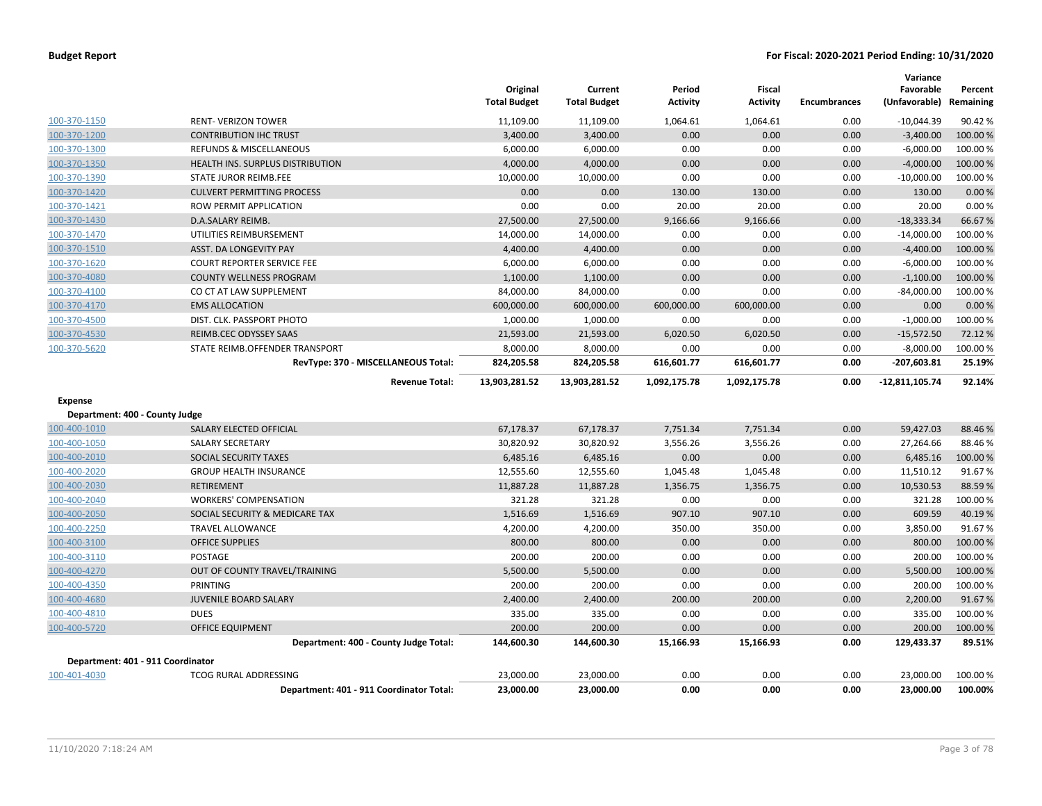| <b>Budget Report</b> |  |
|----------------------|--|
|----------------------|--|

|                                   |                                          | Original<br><b>Total Budget</b> | Current<br><b>Total Budget</b> | Period<br><b>Activity</b> | <b>Fiscal</b><br><b>Activity</b> | <b>Encumbrances</b> | Variance<br>Favorable<br>(Unfavorable) | Percent<br>Remaining |
|-----------------------------------|------------------------------------------|---------------------------------|--------------------------------|---------------------------|----------------------------------|---------------------|----------------------------------------|----------------------|
| 100-370-1150                      | <b>RENT-VERIZON TOWER</b>                | 11,109.00                       | 11,109.00                      | 1,064.61                  | 1,064.61                         | 0.00                | $-10,044.39$                           | 90.42%               |
| 100-370-1200                      | <b>CONTRIBUTION IHC TRUST</b>            | 3,400.00                        | 3,400.00                       | 0.00                      | 0.00                             | 0.00                | $-3,400.00$                            | 100.00%              |
| 100-370-1300                      | <b>REFUNDS &amp; MISCELLANEOUS</b>       | 6,000.00                        | 6,000.00                       | 0.00                      | 0.00                             | 0.00                | $-6,000.00$                            | 100.00 %             |
| 100-370-1350                      | HEALTH INS. SURPLUS DISTRIBUTION         | 4,000.00                        | 4,000.00                       | 0.00                      | 0.00                             | 0.00                | $-4,000.00$                            | 100.00%              |
| 100-370-1390                      | STATE JUROR REIMB.FEE                    | 10,000.00                       | 10,000.00                      | 0.00                      | 0.00                             | 0.00                | $-10,000.00$                           | 100.00%              |
| 100-370-1420                      | <b>CULVERT PERMITTING PROCESS</b>        | 0.00                            | 0.00                           | 130.00                    | 130.00                           | 0.00                | 130.00                                 | 0.00 %               |
| 100-370-1421                      | <b>ROW PERMIT APPLICATION</b>            | 0.00                            | 0.00                           | 20.00                     | 20.00                            | 0.00                | 20.00                                  | 0.00%                |
| 100-370-1430                      | D.A.SALARY REIMB.                        | 27,500.00                       | 27,500.00                      | 9,166.66                  | 9,166.66                         | 0.00                | $-18,333.34$                           | 66.67%               |
| 100-370-1470                      | UTILITIES REIMBURSEMENT                  | 14,000.00                       | 14,000.00                      | 0.00                      | 0.00                             | 0.00                | $-14,000.00$                           | 100.00 %             |
| 100-370-1510                      | <b>ASST. DA LONGEVITY PAY</b>            | 4,400.00                        | 4,400.00                       | 0.00                      | 0.00                             | 0.00                | $-4,400.00$                            | 100.00%              |
| 100-370-1620                      | <b>COURT REPORTER SERVICE FEE</b>        | 6,000.00                        | 6,000.00                       | 0.00                      | 0.00                             | 0.00                | $-6,000.00$                            | 100.00 %             |
| 100-370-4080                      | <b>COUNTY WELLNESS PROGRAM</b>           | 1,100.00                        | 1,100.00                       | 0.00                      | 0.00                             | 0.00                | $-1,100.00$                            | 100.00%              |
| 100-370-4100                      | CO CT AT LAW SUPPLEMENT                  | 84,000.00                       | 84,000.00                      | 0.00                      | 0.00                             | 0.00                | $-84,000.00$                           | 100.00 %             |
| 100-370-4170                      | <b>EMS ALLOCATION</b>                    | 600,000.00                      | 600,000.00                     | 600,000.00                | 600,000.00                       | 0.00                | 0.00                                   | 0.00%                |
| 100-370-4500                      | DIST. CLK. PASSPORT PHOTO                | 1,000.00                        | 1,000.00                       | 0.00                      | 0.00                             | 0.00                | $-1,000.00$                            | 100.00%              |
| 100-370-4530                      | REIMB.CEC ODYSSEY SAAS                   | 21,593.00                       | 21,593.00                      | 6,020.50                  | 6,020.50                         | 0.00                | $-15,572.50$                           | 72.12%               |
| 100-370-5620                      | STATE REIMB.OFFENDER TRANSPORT           | 8,000.00                        | 8,000.00                       | 0.00                      | 0.00                             | 0.00                | $-8,000.00$                            | 100.00%              |
|                                   | RevType: 370 - MISCELLANEOUS Total:      | 824,205.58                      | 824,205.58                     | 616,601.77                | 616,601.77                       | 0.00                | $-207,603.81$                          | 25.19%               |
|                                   | <b>Revenue Total:</b>                    | 13,903,281.52                   | 13,903,281.52                  | 1,092,175.78              | 1,092,175.78                     | 0.00                | $-12,811,105.74$                       | 92.14%               |
| Expense                           |                                          |                                 |                                |                           |                                  |                     |                                        |                      |
| Department: 400 - County Judge    |                                          |                                 |                                |                           |                                  |                     |                                        |                      |
| 100-400-1010                      | SALARY ELECTED OFFICIAL                  | 67,178.37                       | 67,178.37                      | 7,751.34                  | 7,751.34                         | 0.00                | 59,427.03                              | 88.46%               |
| 100-400-1050                      | <b>SALARY SECRETARY</b>                  | 30,820.92                       | 30,820.92                      | 3,556.26                  | 3,556.26                         | 0.00                | 27,264.66                              | 88.46%               |
| 100-400-2010                      | SOCIAL SECURITY TAXES                    | 6,485.16                        | 6,485.16                       | 0.00                      | 0.00                             | 0.00                | 6,485.16                               | 100.00 %             |
| 100-400-2020                      | <b>GROUP HEALTH INSURANCE</b>            | 12,555.60                       | 12,555.60                      | 1,045.48                  | 1,045.48                         | 0.00                | 11,510.12                              | 91.67%               |
| 100-400-2030                      | <b>RETIREMENT</b>                        | 11,887.28                       | 11,887.28                      | 1,356.75                  | 1,356.75                         | 0.00                | 10,530.53                              | 88.59%               |
| 100-400-2040                      | <b>WORKERS' COMPENSATION</b>             | 321.28                          | 321.28                         | 0.00                      | 0.00                             | 0.00                | 321.28                                 | 100.00 %             |
| 100-400-2050                      | SOCIAL SECURITY & MEDICARE TAX           | 1,516.69                        | 1,516.69                       | 907.10                    | 907.10                           | 0.00                | 609.59                                 | 40.19%               |
| 100-400-2250                      | <b>TRAVEL ALLOWANCE</b>                  | 4,200.00                        | 4,200.00                       | 350.00                    | 350.00                           | 0.00                | 3,850.00                               | 91.67%               |
| 100-400-3100                      | <b>OFFICE SUPPLIES</b>                   | 800.00                          | 800.00                         | 0.00                      | 0.00                             | 0.00                | 800.00                                 | 100.00%              |
| 100-400-3110                      | POSTAGE                                  | 200.00                          | 200.00                         | 0.00                      | 0.00                             | 0.00                | 200.00                                 | 100.00 %             |
| 100-400-4270                      | OUT OF COUNTY TRAVEL/TRAINING            | 5,500.00                        | 5,500.00                       | 0.00                      | 0.00                             | 0.00                | 5,500.00                               | 100.00%              |
| 100-400-4350                      | PRINTING                                 | 200.00                          | 200.00                         | 0.00                      | 0.00                             | 0.00                | 200.00                                 | 100.00 %             |
| 100-400-4680                      | JUVENILE BOARD SALARY                    | 2,400.00                        | 2,400.00                       | 200.00                    | 200.00                           | 0.00                | 2,200.00                               | 91.67%               |
| 100-400-4810                      | <b>DUES</b>                              | 335.00                          | 335.00                         | 0.00                      | 0.00                             | 0.00                | 335.00                                 | 100.00%              |
| 100-400-5720                      | <b>OFFICE EQUIPMENT</b>                  | 200.00                          | 200.00                         | 0.00                      | 0.00                             | 0.00                | 200.00                                 | 100.00 %             |
|                                   | Department: 400 - County Judge Total:    | 144,600.30                      | 144,600.30                     | 15,166.93                 | 15,166.93                        | 0.00                | 129,433.37                             | 89.51%               |
| Department: 401 - 911 Coordinator |                                          |                                 |                                |                           |                                  |                     |                                        |                      |
| 100-401-4030                      | <b>TCOG RURAL ADDRESSING</b>             | 23,000.00                       | 23,000.00                      | 0.00                      | 0.00                             | 0.00                | 23,000.00                              | 100.00 %             |
|                                   | Department: 401 - 911 Coordinator Total: | 23,000.00                       | 23,000.00                      | 0.00                      | 0.00                             | 0.00                | 23,000.00                              | 100.00%              |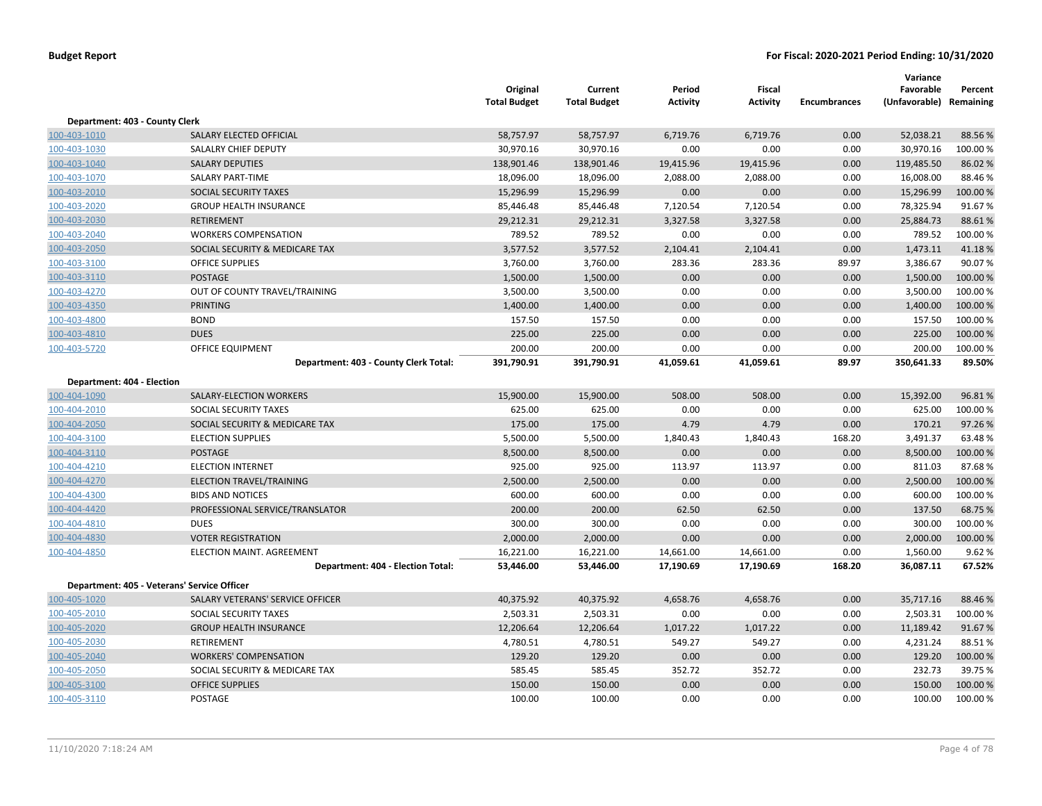|                                |                                             | Original<br><b>Total Budget</b> | Current<br><b>Total Budget</b> | Period<br><b>Activity</b> | Fiscal<br><b>Activity</b> | <b>Encumbrances</b> | Variance<br>Favorable<br>(Unfavorable) Remaining | Percent  |
|--------------------------------|---------------------------------------------|---------------------------------|--------------------------------|---------------------------|---------------------------|---------------------|--------------------------------------------------|----------|
| Department: 403 - County Clerk |                                             |                                 |                                |                           |                           |                     |                                                  |          |
| 100-403-1010                   | SALARY ELECTED OFFICIAL                     | 58,757.97                       | 58,757.97                      | 6,719.76                  | 6,719.76                  | 0.00                | 52,038.21                                        | 88.56%   |
| 100-403-1030                   | SALALRY CHIEF DEPUTY                        | 30,970.16                       | 30,970.16                      | 0.00                      | 0.00                      | 0.00                | 30,970.16                                        | 100.00%  |
| 100-403-1040                   | <b>SALARY DEPUTIES</b>                      | 138,901.46                      | 138,901.46                     | 19,415.96                 | 19,415.96                 | 0.00                | 119,485.50                                       | 86.02%   |
| 100-403-1070                   | <b>SALARY PART-TIME</b>                     | 18,096.00                       | 18,096.00                      | 2,088.00                  | 2,088.00                  | 0.00                | 16,008.00                                        | 88.46%   |
| 100-403-2010                   | SOCIAL SECURITY TAXES                       | 15,296.99                       | 15,296.99                      | 0.00                      | 0.00                      | 0.00                | 15,296.99                                        | 100.00 % |
| 100-403-2020                   | <b>GROUP HEALTH INSURANCE</b>               | 85,446.48                       | 85,446.48                      | 7,120.54                  | 7,120.54                  | 0.00                | 78,325.94                                        | 91.67%   |
| 100-403-2030                   | <b>RETIREMENT</b>                           | 29,212.31                       | 29,212.31                      | 3,327.58                  | 3,327.58                  | 0.00                | 25,884.73                                        | 88.61%   |
| 100-403-2040                   | <b>WORKERS COMPENSATION</b>                 | 789.52                          | 789.52                         | 0.00                      | 0.00                      | 0.00                | 789.52                                           | 100.00 % |
| 100-403-2050                   | SOCIAL SECURITY & MEDICARE TAX              | 3,577.52                        | 3,577.52                       | 2,104.41                  | 2,104.41                  | 0.00                | 1,473.11                                         | 41.18%   |
| 100-403-3100                   | <b>OFFICE SUPPLIES</b>                      | 3,760.00                        | 3,760.00                       | 283.36                    | 283.36                    | 89.97               | 3,386.67                                         | 90.07%   |
| 100-403-3110                   | <b>POSTAGE</b>                              | 1,500.00                        | 1,500.00                       | 0.00                      | 0.00                      | 0.00                | 1,500.00                                         | 100.00%  |
| 100-403-4270                   | OUT OF COUNTY TRAVEL/TRAINING               | 3,500.00                        | 3,500.00                       | 0.00                      | 0.00                      | 0.00                | 3,500.00                                         | 100.00%  |
| 100-403-4350                   | <b>PRINTING</b>                             | 1,400.00                        | 1,400.00                       | 0.00                      | 0.00                      | 0.00                | 1,400.00                                         | 100.00%  |
| 100-403-4800                   | <b>BOND</b>                                 | 157.50                          | 157.50                         | 0.00                      | 0.00                      | 0.00                | 157.50                                           | 100.00%  |
| 100-403-4810                   | <b>DUES</b>                                 | 225.00                          | 225.00                         | 0.00                      | 0.00                      | 0.00                | 225.00                                           | 100.00 % |
| 100-403-5720                   | <b>OFFICE EQUIPMENT</b>                     | 200.00                          | 200.00                         | 0.00                      | 0.00                      | 0.00                | 200.00                                           | 100.00%  |
|                                | Department: 403 - County Clerk Total:       | 391,790.91                      | 391,790.91                     | 41,059.61                 | 41,059.61                 | 89.97               | 350,641.33                                       | 89.50%   |
| Department: 404 - Election     |                                             |                                 |                                |                           |                           |                     |                                                  |          |
| 100-404-1090                   | SALARY-ELECTION WORKERS                     | 15,900.00                       | 15,900.00                      | 508.00                    | 508.00                    | 0.00                | 15,392.00                                        | 96.81%   |
| 100-404-2010                   | SOCIAL SECURITY TAXES                       | 625.00                          | 625.00                         | 0.00                      | 0.00                      | 0.00                | 625.00                                           | 100.00%  |
| 100-404-2050                   | SOCIAL SECURITY & MEDICARE TAX              | 175.00                          | 175.00                         | 4.79                      | 4.79                      | 0.00                | 170.21                                           | 97.26%   |
| 100-404-3100                   | <b>ELECTION SUPPLIES</b>                    | 5,500.00                        | 5,500.00                       | 1,840.43                  | 1,840.43                  | 168.20              | 3,491.37                                         | 63.48%   |
| 100-404-3110                   | <b>POSTAGE</b>                              | 8,500.00                        | 8,500.00                       | 0.00                      | 0.00                      | 0.00                | 8,500.00                                         | 100.00 % |
| 100-404-4210                   | <b>ELECTION INTERNET</b>                    | 925.00                          | 925.00                         | 113.97                    | 113.97                    | 0.00                | 811.03                                           | 87.68%   |
| 100-404-4270                   | <b>ELECTION TRAVEL/TRAINING</b>             | 2,500.00                        | 2,500.00                       | 0.00                      | 0.00                      | 0.00                | 2,500.00                                         | 100.00%  |
| 100-404-4300                   | <b>BIDS AND NOTICES</b>                     | 600.00                          | 600.00                         | 0.00                      | 0.00                      | 0.00                | 600.00                                           | 100.00%  |
| 100-404-4420                   | PROFESSIONAL SERVICE/TRANSLATOR             | 200.00                          | 200.00                         | 62.50                     | 62.50                     | 0.00                | 137.50                                           | 68.75 %  |
| 100-404-4810                   | <b>DUES</b>                                 | 300.00                          | 300.00                         | 0.00                      | 0.00                      | 0.00                | 300.00                                           | 100.00%  |
| 100-404-4830                   | <b>VOTER REGISTRATION</b>                   | 2,000.00                        | 2,000.00                       | 0.00                      | 0.00                      | 0.00                | 2,000.00                                         | 100.00%  |
| 100-404-4850                   | ELECTION MAINT. AGREEMENT                   | 16,221.00                       | 16,221.00                      | 14,661.00                 | 14,661.00                 | 0.00                | 1,560.00                                         | 9.62%    |
|                                | Department: 404 - Election Total:           | 53,446.00                       | 53,446.00                      | 17,190.69                 | 17,190.69                 | 168.20              | 36,087.11                                        | 67.52%   |
|                                | Department: 405 - Veterans' Service Officer |                                 |                                |                           |                           |                     |                                                  |          |
| 100-405-1020                   | SALARY VETERANS' SERVICE OFFICER            | 40,375.92                       | 40,375.92                      | 4,658.76                  | 4,658.76                  | 0.00                | 35,717.16                                        | 88.46 %  |
| 100-405-2010                   | SOCIAL SECURITY TAXES                       | 2,503.31                        | 2,503.31                       | 0.00                      | 0.00                      | 0.00                | 2,503.31                                         | 100.00%  |
| 100-405-2020                   | <b>GROUP HEALTH INSURANCE</b>               | 12,206.64                       | 12,206.64                      | 1,017.22                  | 1,017.22                  | 0.00                | 11,189.42                                        | 91.67%   |
| 100-405-2030                   | RETIREMENT                                  | 4,780.51                        | 4,780.51                       | 549.27                    | 549.27                    | 0.00                | 4,231.24                                         | 88.51%   |
| 100-405-2040                   | <b>WORKERS' COMPENSATION</b>                | 129.20                          | 129.20                         | 0.00                      | 0.00                      | 0.00                | 129.20                                           | 100.00%  |
| 100-405-2050                   | SOCIAL SECURITY & MEDICARE TAX              | 585.45                          | 585.45                         | 352.72                    | 352.72                    | 0.00                | 232.73                                           | 39.75 %  |
| 100-405-3100                   | <b>OFFICE SUPPLIES</b>                      | 150.00                          | 150.00                         | 0.00                      | 0.00                      | 0.00                | 150.00                                           | 100.00%  |
| 100-405-3110                   | <b>POSTAGE</b>                              | 100.00                          | 100.00                         | 0.00                      | 0.00                      | 0.00                | 100.00                                           | 100.00 % |
|                                |                                             |                                 |                                |                           |                           |                     |                                                  |          |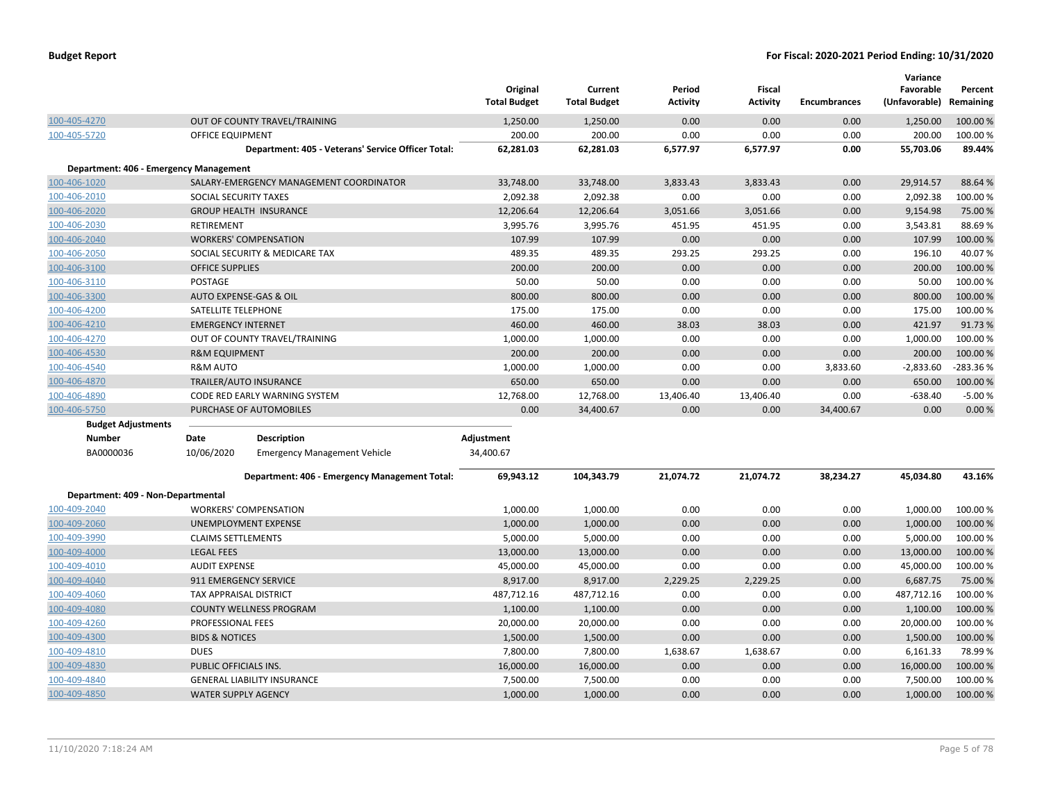|                                        |                            |                                                    | Original<br><b>Total Budget</b> | Current<br><b>Total Budget</b> | Period<br><b>Activity</b> | <b>Fiscal</b><br>Activity | <b>Encumbrances</b> | Variance<br>Favorable<br>(Unfavorable) | Percent<br>Remaining |
|----------------------------------------|----------------------------|----------------------------------------------------|---------------------------------|--------------------------------|---------------------------|---------------------------|---------------------|----------------------------------------|----------------------|
| 100-405-4270                           |                            | OUT OF COUNTY TRAVEL/TRAINING                      | 1,250.00                        | 1,250.00                       | 0.00                      | 0.00                      | 0.00                | 1,250.00                               | 100.00%              |
| 100-405-5720                           | OFFICE EQUIPMENT           |                                                    | 200.00                          | 200.00                         | 0.00                      | 0.00                      | 0.00                | 200.00                                 | 100.00 %             |
|                                        |                            | Department: 405 - Veterans' Service Officer Total: | 62,281.03                       | 62,281.03                      | 6,577.97                  | 6,577.97                  | 0.00                | 55,703.06                              | 89.44%               |
| Department: 406 - Emergency Management |                            |                                                    |                                 |                                |                           |                           |                     |                                        |                      |
| 100-406-1020                           |                            | SALARY-EMERGENCY MANAGEMENT COORDINATOR            | 33,748.00                       | 33,748.00                      | 3,833.43                  | 3,833.43                  | 0.00                | 29,914.57                              | 88.64 %              |
| 100-406-2010                           | SOCIAL SECURITY TAXES      |                                                    | 2,092.38                        | 2,092.38                       | 0.00                      | 0.00                      | 0.00                | 2,092.38                               | 100.00%              |
| 100-406-2020                           |                            | <b>GROUP HEALTH INSURANCE</b>                      | 12,206.64                       | 12,206.64                      | 3,051.66                  | 3,051.66                  | 0.00                | 9,154.98                               | 75.00 %              |
| 100-406-2030                           | RETIREMENT                 |                                                    | 3,995.76                        | 3,995.76                       | 451.95                    | 451.95                    | 0.00                | 3,543.81                               | 88.69%               |
| 100-406-2040                           |                            | <b>WORKERS' COMPENSATION</b>                       | 107.99                          | 107.99                         | 0.00                      | 0.00                      | 0.00                | 107.99                                 | 100.00 %             |
| 100-406-2050                           |                            | SOCIAL SECURITY & MEDICARE TAX                     | 489.35                          | 489.35                         | 293.25                    | 293.25                    | 0.00                | 196.10                                 | 40.07%               |
| 100-406-3100                           | <b>OFFICE SUPPLIES</b>     |                                                    | 200.00                          | 200.00                         | 0.00                      | 0.00                      | 0.00                | 200.00                                 | 100.00 %             |
| 100-406-3110                           | <b>POSTAGE</b>             |                                                    | 50.00                           | 50.00                          | 0.00                      | 0.00                      | 0.00                | 50.00                                  | 100.00%              |
| 100-406-3300                           |                            | AUTO EXPENSE-GAS & OIL                             | 800.00                          | 800.00                         | 0.00                      | 0.00                      | 0.00                | 800.00                                 | 100.00 %             |
| 100-406-4200                           | SATELLITE TELEPHONE        |                                                    | 175.00                          | 175.00                         | 0.00                      | 0.00                      | 0.00                | 175.00                                 | 100.00 %             |
| 100-406-4210                           | <b>EMERGENCY INTERNET</b>  |                                                    | 460.00                          | 460.00                         | 38.03                     | 38.03                     | 0.00                | 421.97                                 | 91.73%               |
| 100-406-4270                           |                            | OUT OF COUNTY TRAVEL/TRAINING                      | 1,000.00                        | 1,000.00                       | 0.00                      | 0.00                      | 0.00                | 1,000.00                               | 100.00 %             |
| 100-406-4530                           | <b>R&amp;M EQUIPMENT</b>   |                                                    | 200.00                          | 200.00                         | 0.00                      | 0.00                      | 0.00                | 200.00                                 | 100.00 %             |
| 100-406-4540                           | <b>R&amp;M AUTO</b>        |                                                    | 1,000.00                        | 1,000.00                       | 0.00                      | 0.00                      | 3,833.60            | $-2,833.60$                            | -283.36%             |
| 100-406-4870                           |                            | <b>TRAILER/AUTO INSURANCE</b>                      | 650.00                          | 650.00                         | 0.00                      | 0.00                      | 0.00                | 650.00                                 | 100.00 %             |
| 100-406-4890                           |                            | CODE RED EARLY WARNING SYSTEM                      | 12,768.00                       | 12,768.00                      | 13,406.40                 | 13,406.40                 | 0.00                | $-638.40$                              | $-5.00%$             |
| 100-406-5750                           |                            | PURCHASE OF AUTOMOBILES                            | 0.00                            | 34,400.67                      | 0.00                      | 0.00                      | 34,400.67           | 0.00                                   | 0.00%                |
| <b>Budget Adjustments</b>              |                            |                                                    |                                 |                                |                           |                           |                     |                                        |                      |
| <b>Number</b>                          | Date                       | <b>Description</b>                                 | Adjustment                      |                                |                           |                           |                     |                                        |                      |
| BA0000036                              | 10/06/2020                 | <b>Emergency Management Vehicle</b>                | 34,400.67                       |                                |                           |                           |                     |                                        |                      |
|                                        |                            | Department: 406 - Emergency Management Total:      | 69,943.12                       | 104,343.79                     | 21,074.72                 | 21,074.72                 | 38,234.27           | 45,034.80                              | 43.16%               |
| Department: 409 - Non-Departmental     |                            |                                                    |                                 |                                |                           |                           |                     |                                        |                      |
| 100-409-2040                           |                            | <b>WORKERS' COMPENSATION</b>                       | 1,000.00                        | 1,000.00                       | 0.00                      | 0.00                      | 0.00                | 1,000.00                               | 100.00 %             |
| 100-409-2060                           |                            | UNEMPLOYMENT EXPENSE                               | 1,000.00                        | 1,000.00                       | 0.00                      | 0.00                      | 0.00                | 1,000.00                               | 100.00 %             |
| 100-409-3990                           | <b>CLAIMS SETTLEMENTS</b>  |                                                    | 5,000.00                        | 5,000.00                       | 0.00                      | 0.00                      | 0.00                | 5,000.00                               | 100.00 %             |
| 100-409-4000                           | <b>LEGAL FEES</b>          |                                                    | 13,000.00                       | 13,000.00                      | 0.00                      | 0.00                      | 0.00                | 13,000.00                              | 100.00 %             |
| 100-409-4010                           | <b>AUDIT EXPENSE</b>       |                                                    | 45,000.00                       | 45,000.00                      | 0.00                      | 0.00                      | 0.00                | 45,000.00                              | 100.00 %             |
| 100-409-4040                           | 911 EMERGENCY SERVICE      |                                                    | 8,917.00                        | 8,917.00                       | 2,229.25                  | 2,229.25                  | 0.00                | 6,687.75                               | 75.00 %              |
| 100-409-4060                           | TAX APPRAISAL DISTRICT     |                                                    | 487,712.16                      | 487,712.16                     | 0.00                      | 0.00                      | 0.00                | 487,712.16                             | 100.00%              |
| 100-409-4080                           |                            | <b>COUNTY WELLNESS PROGRAM</b>                     | 1,100.00                        | 1,100.00                       | 0.00                      | 0.00                      | 0.00                | 1,100.00                               | 100.00 %             |
| 100-409-4260                           | PROFESSIONAL FEES          |                                                    | 20,000.00                       | 20,000.00                      | 0.00                      | 0.00                      | 0.00                | 20,000.00                              | 100.00 %             |
| 100-409-4300                           | <b>BIDS &amp; NOTICES</b>  |                                                    | 1,500.00                        | 1,500.00                       | 0.00                      | 0.00                      | 0.00                | 1,500.00                               | 100.00 %             |
| 100-409-4810                           | <b>DUES</b>                |                                                    | 7,800.00                        | 7,800.00                       | 1,638.67                  | 1,638.67                  | 0.00                | 6,161.33                               | 78.99%               |
| 100-409-4830                           | PUBLIC OFFICIALS INS.      |                                                    | 16,000.00                       | 16,000.00                      | 0.00                      | 0.00                      | 0.00                | 16,000.00                              | 100.00 %             |
| 100-409-4840                           |                            | <b>GENERAL LIABILITY INSURANCE</b>                 | 7,500.00                        | 7,500.00                       | 0.00                      | 0.00                      | 0.00                | 7,500.00                               | 100.00 %             |
| 100-409-4850                           | <b>WATER SUPPLY AGENCY</b> |                                                    | 1,000.00                        | 1,000.00                       | 0.00                      | 0.00                      | 0.00                | 1,000.00                               | 100.00 %             |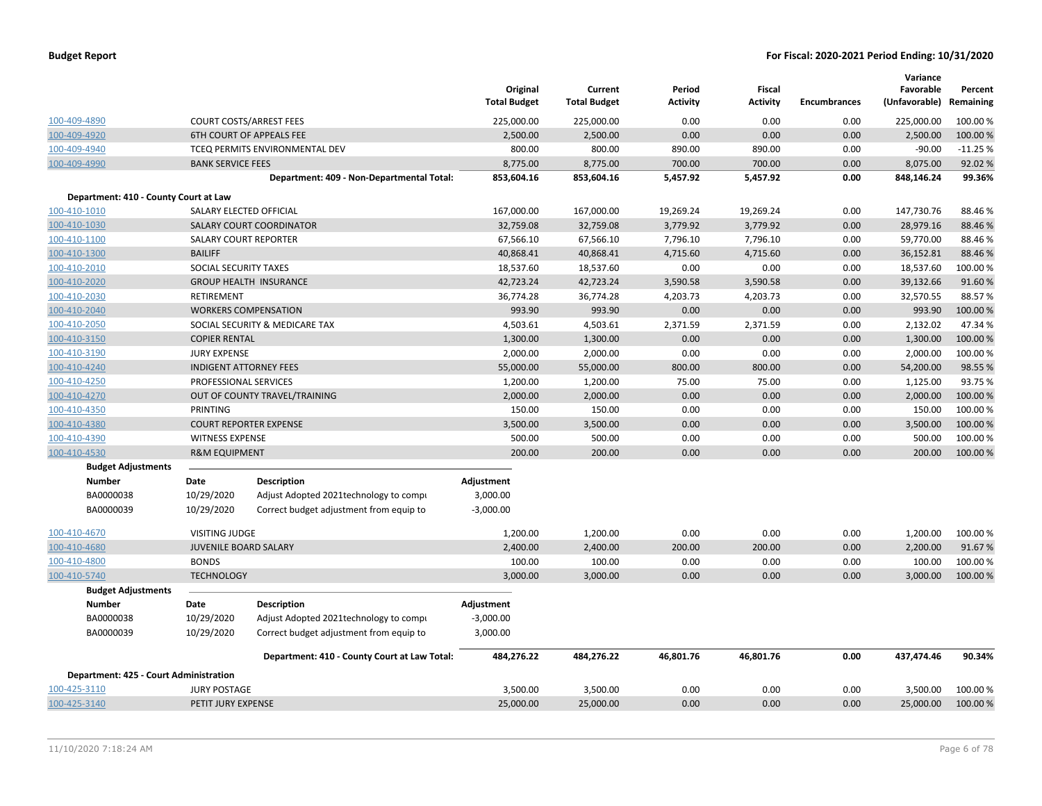|                                        |                          |                                              | Original<br><b>Total Budget</b> | Current<br><b>Total Budget</b> | Period<br>Activity | Fiscal<br><b>Activity</b> | Encumbrances | Variance<br>Favorable<br>(Unfavorable) Remaining | Percent   |
|----------------------------------------|--------------------------|----------------------------------------------|---------------------------------|--------------------------------|--------------------|---------------------------|--------------|--------------------------------------------------|-----------|
| 100-409-4890                           |                          | <b>COURT COSTS/ARREST FEES</b>               | 225,000.00                      | 225,000.00                     | 0.00               | 0.00                      | 0.00         | 225,000.00                                       | 100.00 %  |
| 100-409-4920                           |                          | <b>6TH COURT OF APPEALS FEE</b>              | 2,500.00                        | 2,500.00                       | 0.00               | 0.00                      | 0.00         | 2,500.00                                         | 100.00 %  |
| 100-409-4940                           |                          | TCEQ PERMITS ENVIRONMENTAL DEV               | 800.00                          | 800.00                         | 890.00             | 890.00                    | 0.00         | $-90.00$                                         | $-11.25%$ |
| 100-409-4990                           | <b>BANK SERVICE FEES</b> |                                              | 8,775.00                        | 8,775.00                       | 700.00             | 700.00                    | 0.00         | 8,075.00                                         | 92.02%    |
|                                        |                          | Department: 409 - Non-Departmental Total:    | 853,604.16                      | 853,604.16                     | 5,457.92           | 5,457.92                  | 0.00         | 848,146.24                                       | 99.36%    |
| Department: 410 - County Court at Law  |                          |                                              |                                 |                                |                    |                           |              |                                                  |           |
| 100-410-1010                           |                          | SALARY ELECTED OFFICIAL                      | 167,000.00                      | 167,000.00                     | 19,269.24          | 19,269.24                 | 0.00         | 147,730.76                                       | 88.46%    |
| 100-410-1030                           |                          | SALARY COURT COORDINATOR                     | 32,759.08                       | 32,759.08                      | 3,779.92           | 3,779.92                  | 0.00         | 28,979.16                                        | 88.46%    |
| 100-410-1100                           |                          | SALARY COURT REPORTER                        | 67,566.10                       | 67,566.10                      | 7,796.10           | 7,796.10                  | 0.00         | 59,770.00                                        | 88.46%    |
| 100-410-1300                           | <b>BAILIFF</b>           |                                              | 40,868.41                       | 40,868.41                      | 4,715.60           | 4,715.60                  | 0.00         | 36,152.81                                        | 88.46%    |
| 100-410-2010                           | SOCIAL SECURITY TAXES    |                                              | 18,537.60                       | 18,537.60                      | 0.00               | 0.00                      | 0.00         | 18,537.60                                        | 100.00%   |
| 100-410-2020                           |                          | <b>GROUP HEALTH INSURANCE</b>                | 42,723.24                       | 42,723.24                      | 3,590.58           | 3,590.58                  | 0.00         | 39,132.66                                        | 91.60%    |
| 100-410-2030                           | RETIREMENT               |                                              | 36,774.28                       | 36,774.28                      | 4,203.73           | 4,203.73                  | 0.00         | 32,570.55                                        | 88.57%    |
| 100-410-2040                           |                          | <b>WORKERS COMPENSATION</b>                  | 993.90                          | 993.90                         | 0.00               | 0.00                      | 0.00         | 993.90                                           | 100.00%   |
| 100-410-2050                           |                          | SOCIAL SECURITY & MEDICARE TAX               | 4,503.61                        | 4,503.61                       | 2,371.59           | 2,371.59                  | 0.00         | 2,132.02                                         | 47.34%    |
| 100-410-3150                           | <b>COPIER RENTAL</b>     |                                              | 1,300.00                        | 1,300.00                       | 0.00               | 0.00                      | 0.00         | 1,300.00                                         | 100.00%   |
| 100-410-3190                           | <b>JURY EXPENSE</b>      |                                              | 2,000.00                        | 2,000.00                       | 0.00               | 0.00                      | 0.00         | 2,000.00                                         | 100.00%   |
| 100-410-4240                           |                          | <b>INDIGENT ATTORNEY FEES</b>                | 55,000.00                       | 55,000.00                      | 800.00             | 800.00                    | 0.00         | 54,200.00                                        | 98.55%    |
| 100-410-4250                           | PROFESSIONAL SERVICES    |                                              | 1,200.00                        | 1,200.00                       | 75.00              | 75.00                     | 0.00         | 1,125.00                                         | 93.75%    |
| 100-410-4270                           |                          | OUT OF COUNTY TRAVEL/TRAINING                | 2,000.00                        | 2,000.00                       | 0.00               | 0.00                      | 0.00         | 2,000.00                                         | 100.00%   |
| 100-410-4350                           | PRINTING                 |                                              | 150.00                          | 150.00                         | 0.00               | 0.00                      | 0.00         | 150.00                                           | 100.00 %  |
| 100-410-4380                           |                          | <b>COURT REPORTER EXPENSE</b>                | 3,500.00                        | 3,500.00                       | 0.00               | 0.00                      | 0.00         | 3,500.00                                         | 100.00 %  |
| 100-410-4390                           | <b>WITNESS EXPENSE</b>   |                                              | 500.00                          | 500.00                         | 0.00               | 0.00                      | 0.00         | 500.00                                           | 100.00 %  |
| 100-410-4530                           | <b>R&amp;M EQUIPMENT</b> |                                              | 200.00                          | 200.00                         | 0.00               | 0.00                      | 0.00         | 200.00                                           | 100.00 %  |
| <b>Budget Adjustments</b>              |                          |                                              |                                 |                                |                    |                           |              |                                                  |           |
| <b>Number</b>                          | <b>Date</b>              | <b>Description</b>                           | Adjustment                      |                                |                    |                           |              |                                                  |           |
| BA0000038                              | 10/29/2020               | Adjust Adopted 2021technology to compi       | 3,000.00                        |                                |                    |                           |              |                                                  |           |
| BA0000039                              | 10/29/2020               | Correct budget adjustment from equip to      | $-3,000.00$                     |                                |                    |                           |              |                                                  |           |
| 100-410-4670                           | <b>VISITING JUDGE</b>    |                                              | 1,200.00                        | 1,200.00                       | 0.00               | 0.00                      | 0.00         | 1,200.00                                         | 100.00 %  |
| 100-410-4680                           |                          | <b>JUVENILE BOARD SALARY</b>                 | 2,400.00                        | 2,400.00                       | 200.00             | 200.00                    | 0.00         | 2,200.00                                         | 91.67%    |
| 100-410-4800                           | <b>BONDS</b>             |                                              | 100.00                          | 100.00                         | 0.00               | 0.00                      | 0.00         | 100.00                                           | 100.00%   |
| 100-410-5740                           | <b>TECHNOLOGY</b>        |                                              | 3,000.00                        | 3,000.00                       | 0.00               | 0.00                      | 0.00         | 3,000.00                                         | 100.00 %  |
| <b>Budget Adjustments</b>              |                          |                                              |                                 |                                |                    |                           |              |                                                  |           |
| <b>Number</b>                          | Date                     | <b>Description</b>                           | Adjustment                      |                                |                    |                           |              |                                                  |           |
| BA0000038                              | 10/29/2020               | Adjust Adopted 2021technology to compi       | $-3,000.00$                     |                                |                    |                           |              |                                                  |           |
| BA0000039                              | 10/29/2020               | Correct budget adjustment from equip to      | 3,000.00                        |                                |                    |                           |              |                                                  |           |
|                                        |                          | Department: 410 - County Court at Law Total: | 484,276.22                      | 484,276.22                     | 46,801.76          | 46,801.76                 | 0.00         | 437,474.46                                       | 90.34%    |
| Department: 425 - Court Administration |                          |                                              |                                 |                                |                    |                           |              |                                                  |           |
| 100-425-3110                           | <b>JURY POSTAGE</b>      |                                              | 3,500.00                        | 3,500.00                       | 0.00               | 0.00                      | 0.00         | 3,500.00                                         | 100.00 %  |
| 100-425-3140                           | PETIT JURY EXPENSE       |                                              | 25,000.00                       | 25,000.00                      | 0.00               | 0.00                      | 0.00         | 25,000.00                                        | 100.00%   |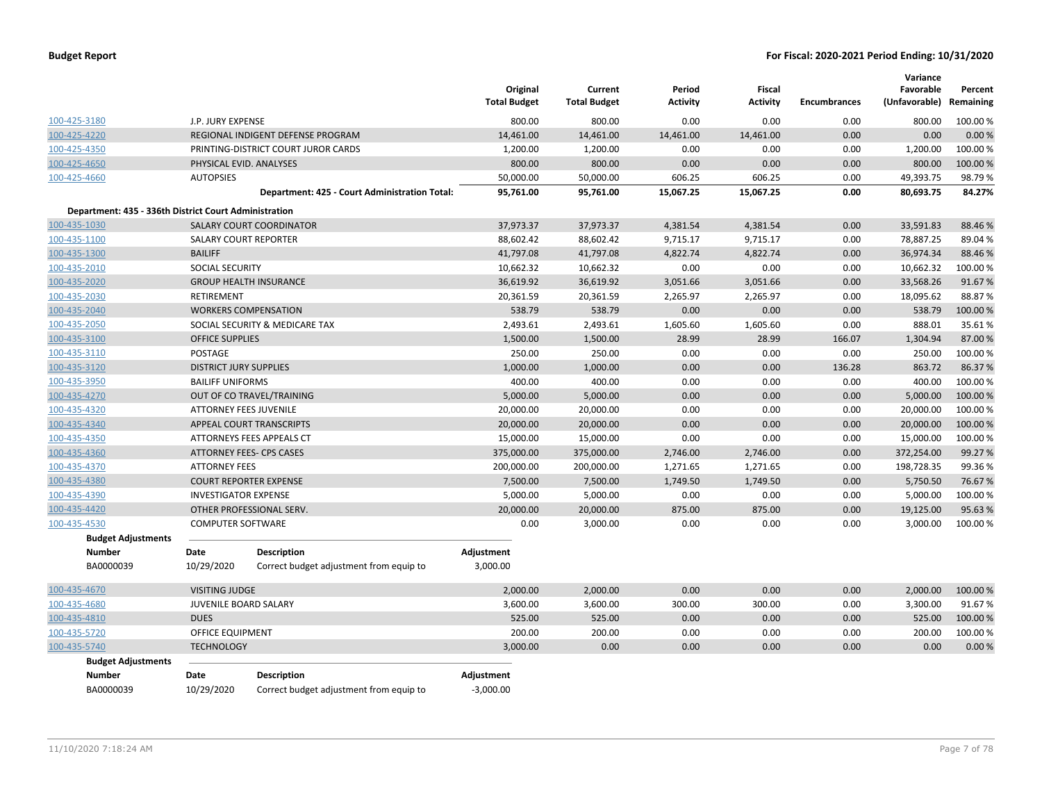|                                                       |                               |                                                               | Original<br><b>Total Budget</b> | Current<br><b>Total Budget</b> | Period<br><b>Activity</b> | <b>Fiscal</b><br><b>Activity</b> | <b>Encumbrances</b> | Variance<br>Favorable<br>(Unfavorable) | Percent<br>Remaining |
|-------------------------------------------------------|-------------------------------|---------------------------------------------------------------|---------------------------------|--------------------------------|---------------------------|----------------------------------|---------------------|----------------------------------------|----------------------|
| 100-425-3180                                          | J.P. JURY EXPENSE             |                                                               | 800.00                          | 800.00                         | 0.00                      | 0.00                             | 0.00                | 800.00                                 | 100.00%              |
| 100-425-4220                                          |                               | REGIONAL INDIGENT DEFENSE PROGRAM                             | 14,461.00                       | 14,461.00                      | 14,461.00                 | 14,461.00                        | 0.00                | 0.00                                   | 0.00%                |
| 100-425-4350                                          |                               | PRINTING-DISTRICT COURT JUROR CARDS                           | 1,200.00                        | 1,200.00                       | 0.00                      | 0.00                             | 0.00                | 1,200.00                               | 100.00%              |
| 100-425-4650                                          |                               | PHYSICAL EVID. ANALYSES                                       | 800.00                          | 800.00                         | 0.00                      | 0.00                             | 0.00                | 800.00                                 | 100.00%              |
| 100-425-4660                                          | <b>AUTOPSIES</b>              |                                                               | 50,000.00                       | 50,000.00                      | 606.25                    | 606.25                           | 0.00                | 49,393.75                              | 98.79%               |
|                                                       |                               | Department: 425 - Court Administration Total:                 | 95,761.00                       | 95,761.00                      | 15,067.25                 | 15,067.25                        | 0.00                | 80,693.75                              | 84.27%               |
| Department: 435 - 336th District Court Administration |                               |                                                               |                                 |                                |                           |                                  |                     |                                        |                      |
| 100-435-1030                                          |                               | <b>SALARY COURT COORDINATOR</b>                               | 37,973.37                       | 37,973.37                      | 4,381.54                  | 4,381.54                         | 0.00                | 33,591.83                              | 88.46%               |
| 100-435-1100                                          | <b>SALARY COURT REPORTER</b>  |                                                               | 88,602.42                       | 88,602.42                      | 9,715.17                  | 9,715.17                         | 0.00                | 78,887.25                              | 89.04%               |
| 100-435-1300                                          | <b>BAILIFF</b>                |                                                               | 41,797.08                       | 41,797.08                      | 4,822.74                  | 4,822.74                         | 0.00                | 36,974.34                              | 88.46%               |
| 100-435-2010                                          | SOCIAL SECURITY               |                                                               | 10,662.32                       | 10,662.32                      | 0.00                      | 0.00                             | 0.00                | 10,662.32                              | 100.00%              |
| 100-435-2020                                          |                               | <b>GROUP HEALTH INSURANCE</b>                                 | 36,619.92                       | 36,619.92                      | 3,051.66                  | 3,051.66                         | 0.00                | 33,568.26                              | 91.67%               |
| 100-435-2030                                          | <b>RETIREMENT</b>             |                                                               | 20,361.59                       | 20,361.59                      | 2,265.97                  | 2,265.97                         | 0.00                | 18,095.62                              | 88.87%               |
| 100-435-2040                                          |                               | <b>WORKERS COMPENSATION</b>                                   | 538.79                          | 538.79                         | 0.00                      | 0.00                             | 0.00                | 538.79                                 | 100.00%              |
| 100-435-2050                                          |                               | SOCIAL SECURITY & MEDICARE TAX                                | 2,493.61                        | 2,493.61                       | 1,605.60                  | 1,605.60                         | 0.00                | 888.01                                 | 35.61%               |
| 100-435-3100                                          | <b>OFFICE SUPPLIES</b>        |                                                               | 1,500.00                        | 1,500.00                       | 28.99                     | 28.99                            | 166.07              | 1,304.94                               | 87.00%               |
| 100-435-3110                                          | <b>POSTAGE</b>                |                                                               | 250.00                          | 250.00                         | 0.00                      | 0.00                             | 0.00                | 250.00                                 | 100.00%              |
| 100-435-3120                                          | <b>DISTRICT JURY SUPPLIES</b> |                                                               | 1,000.00                        | 1,000.00                       | 0.00                      | 0.00                             | 136.28              | 863.72                                 | 86.37%               |
| 100-435-3950                                          | <b>BAILIFF UNIFORMS</b>       |                                                               | 400.00                          | 400.00                         | 0.00                      | 0.00                             | 0.00                | 400.00                                 | 100.00%              |
| 100-435-4270                                          |                               | OUT OF CO TRAVEL/TRAINING                                     | 5,000.00                        | 5,000.00                       | 0.00                      | 0.00                             | 0.00                | 5,000.00                               | 100.00%              |
| 100-435-4320                                          | <b>ATTORNEY FEES JUVENILE</b> |                                                               | 20,000.00                       | 20,000.00                      | 0.00                      | 0.00                             | 0.00                | 20,000.00                              | 100.00%              |
| 100-435-4340                                          |                               | APPEAL COURT TRANSCRIPTS                                      | 20,000.00                       | 20,000.00                      | 0.00                      | 0.00                             | 0.00                | 20,000.00                              | 100.00%              |
| 100-435-4350                                          |                               | ATTORNEYS FEES APPEALS CT                                     | 15,000.00                       | 15,000.00                      | 0.00                      | 0.00                             | 0.00                | 15,000.00                              | 100.00%              |
| 100-435-4360                                          |                               | ATTORNEY FEES- CPS CASES                                      | 375,000.00                      | 375,000.00                     | 2,746.00                  | 2,746.00                         | 0.00                | 372,254.00                             | 99.27%               |
| 100-435-4370                                          | <b>ATTORNEY FEES</b>          |                                                               | 200,000.00                      | 200,000.00                     | 1,271.65                  | 1,271.65                         | 0.00                | 198,728.35                             | 99.36%               |
| 100-435-4380                                          |                               | <b>COURT REPORTER EXPENSE</b>                                 | 7,500.00                        | 7,500.00                       | 1,749.50                  | 1,749.50                         | 0.00                | 5,750.50                               | 76.67%               |
| 100-435-4390                                          | <b>INVESTIGATOR EXPENSE</b>   |                                                               | 5,000.00                        | 5,000.00                       | 0.00                      | 0.00                             | 0.00                | 5,000.00                               | 100.00 %             |
| 100-435-4420                                          |                               | OTHER PROFESSIONAL SERV.                                      | 20,000.00                       | 20,000.00                      | 875.00                    | 875.00                           | 0.00                | 19,125.00                              | 95.63%               |
| 100-435-4530                                          | <b>COMPUTER SOFTWARE</b>      |                                                               | 0.00                            | 3,000.00                       | 0.00                      | 0.00                             | 0.00                | 3,000.00                               | 100.00%              |
| <b>Budget Adjustments</b>                             |                               |                                                               |                                 |                                |                           |                                  |                     |                                        |                      |
| <b>Number</b><br>BA0000039                            | Date<br>10/29/2020            | <b>Description</b><br>Correct budget adjustment from equip to | Adjustment<br>3,000.00          |                                |                           |                                  |                     |                                        |                      |
| 100-435-4670                                          | VISITING JUDGE                |                                                               | 2,000.00                        | 2,000.00                       | 0.00                      | 0.00                             | 0.00                | 2,000.00                               | 100.00 %             |
| 100-435-4680                                          | <b>JUVENILE BOARD SALARY</b>  |                                                               | 3,600.00                        | 3,600.00                       | 300.00                    | 300.00                           | 0.00                | 3,300.00                               | 91.67%               |
| 100-435-4810                                          | <b>DUES</b>                   |                                                               | 525.00                          | 525.00                         | 0.00                      | 0.00                             | 0.00                | 525.00                                 | 100.00 %             |
| 100-435-5720                                          | <b>OFFICE EQUIPMENT</b>       |                                                               | 200.00                          | 200.00                         | 0.00                      | 0.00                             | 0.00                | 200.00                                 | 100.00 %             |
| 100-435-5740                                          | <b>TECHNOLOGY</b>             |                                                               | 3,000.00                        | 0.00                           | 0.00                      | 0.00                             | 0.00                | 0.00                                   | 0.00%                |
| <b>Budget Adjustments</b>                             |                               |                                                               |                                 |                                |                           |                                  |                     |                                        |                      |
| <b>Number</b>                                         | <b>Date</b>                   | <b>Description</b>                                            | Adjustment                      |                                |                           |                                  |                     |                                        |                      |
| BA0000039                                             | 10/29/2020                    | Correct budget adjustment from equip to                       | $-3,000.00$                     |                                |                           |                                  |                     |                                        |                      |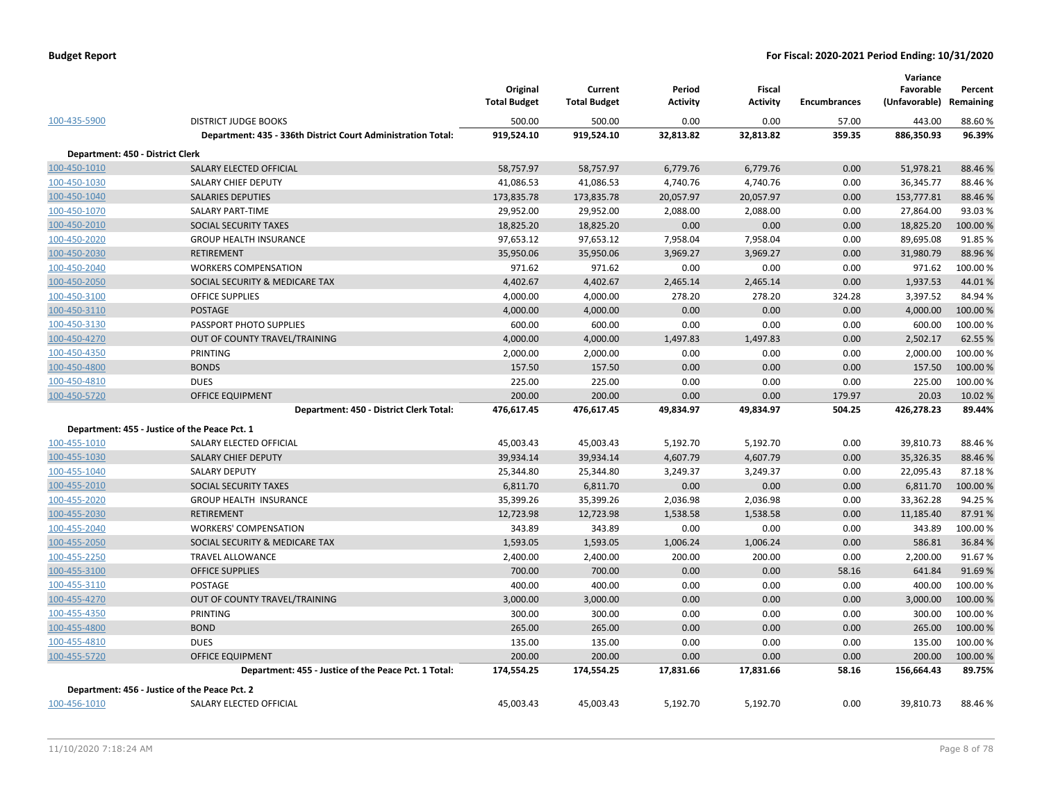|                                  |                                                              | Original<br><b>Total Budget</b> | Current<br><b>Total Budget</b> | Period<br>Activity | Fiscal<br><b>Activity</b> | <b>Encumbrances</b> | Variance<br>Favorable<br>(Unfavorable) | Percent<br>Remaining |
|----------------------------------|--------------------------------------------------------------|---------------------------------|--------------------------------|--------------------|---------------------------|---------------------|----------------------------------------|----------------------|
| 100-435-5900                     | <b>DISTRICT JUDGE BOOKS</b>                                  | 500.00                          | 500.00                         | 0.00               | 0.00                      | 57.00               | 443.00                                 | 88.60%               |
|                                  | Department: 435 - 336th District Court Administration Total: | 919,524.10                      | 919,524.10                     | 32,813.82          | 32,813.82                 | 359.35              | 886,350.93                             | 96.39%               |
| Department: 450 - District Clerk |                                                              |                                 |                                |                    |                           |                     |                                        |                      |
| 100-450-1010                     | SALARY ELECTED OFFICIAL                                      | 58,757.97                       | 58,757.97                      | 6,779.76           | 6,779.76                  | 0.00                | 51,978.21                              | 88.46%               |
| 100-450-1030                     | <b>SALARY CHIEF DEPUTY</b>                                   | 41,086.53                       | 41,086.53                      | 4,740.76           | 4,740.76                  | 0.00                | 36,345.77                              | 88.46%               |
| 100-450-1040                     | <b>SALARIES DEPUTIES</b>                                     | 173,835.78                      | 173,835.78                     | 20,057.97          | 20,057.97                 | 0.00                | 153,777.81                             | 88.46%               |
| 100-450-1070                     | <b>SALARY PART-TIME</b>                                      | 29,952.00                       | 29,952.00                      | 2,088.00           | 2,088.00                  | 0.00                | 27,864.00                              | 93.03%               |
| 100-450-2010                     | SOCIAL SECURITY TAXES                                        | 18,825.20                       | 18,825.20                      | 0.00               | 0.00                      | 0.00                | 18,825.20                              | 100.00 %             |
| 100-450-2020                     | <b>GROUP HEALTH INSURANCE</b>                                | 97,653.12                       | 97,653.12                      | 7,958.04           | 7,958.04                  | 0.00                | 89,695.08                              | 91.85%               |
| 100-450-2030                     | RETIREMENT                                                   | 35,950.06                       | 35,950.06                      | 3,969.27           | 3,969.27                  | 0.00                | 31,980.79                              | 88.96%               |
| 100-450-2040                     | <b>WORKERS COMPENSATION</b>                                  | 971.62                          | 971.62                         | 0.00               | 0.00                      | 0.00                | 971.62                                 | 100.00 %             |
| 100-450-2050                     | SOCIAL SECURITY & MEDICARE TAX                               | 4,402.67                        | 4,402.67                       | 2,465.14           | 2,465.14                  | 0.00                | 1,937.53                               | 44.01%               |
| 100-450-3100                     | <b>OFFICE SUPPLIES</b>                                       | 4,000.00                        | 4,000.00                       | 278.20             | 278.20                    | 324.28              | 3,397.52                               | 84.94%               |
| 100-450-3110                     | <b>POSTAGE</b>                                               | 4,000.00                        | 4,000.00                       | 0.00               | 0.00                      | 0.00                | 4,000.00                               | 100.00 %             |
| 100-450-3130                     | PASSPORT PHOTO SUPPLIES                                      | 600.00                          | 600.00                         | 0.00               | 0.00                      | 0.00                | 600.00                                 | 100.00 %             |
| 100-450-4270                     | OUT OF COUNTY TRAVEL/TRAINING                                | 4,000.00                        | 4,000.00                       | 1,497.83           | 1,497.83                  | 0.00                | 2,502.17                               | 62.55%               |
| 100-450-4350                     | PRINTING                                                     | 2,000.00                        | 2,000.00                       | 0.00               | 0.00                      | 0.00                | 2,000.00                               | 100.00 %             |
| 100-450-4800                     | <b>BONDS</b>                                                 | 157.50                          | 157.50                         | 0.00               | 0.00                      | 0.00                | 157.50                                 | 100.00 %             |
| 100-450-4810                     | <b>DUES</b>                                                  | 225.00                          | 225.00                         | 0.00               | 0.00                      | 0.00                | 225.00                                 | 100.00%              |
| 100-450-5720                     | <b>OFFICE EQUIPMENT</b>                                      | 200.00                          | 200.00                         | 0.00               | 0.00                      | 179.97              | 20.03                                  | 10.02 %              |
|                                  | Department: 450 - District Clerk Total:                      | 476,617.45                      | 476,617.45                     | 49,834.97          | 49,834.97                 | 504.25              | 426,278.23                             | 89.44%               |
|                                  | Department: 455 - Justice of the Peace Pct. 1                |                                 |                                |                    |                           |                     |                                        |                      |
| 100-455-1010                     | SALARY ELECTED OFFICIAL                                      | 45,003.43                       | 45,003.43                      | 5,192.70           | 5,192.70                  | 0.00                | 39,810.73                              | 88.46%               |
| 100-455-1030                     | SALARY CHIEF DEPUTY                                          | 39,934.14                       | 39,934.14                      | 4,607.79           | 4,607.79                  | 0.00                | 35,326.35                              | 88.46%               |
| 100-455-1040                     | <b>SALARY DEPUTY</b>                                         | 25,344.80                       | 25,344.80                      | 3,249.37           | 3,249.37                  | 0.00                | 22,095.43                              | 87.18%               |
| 100-455-2010                     | SOCIAL SECURITY TAXES                                        | 6,811.70                        | 6,811.70                       | 0.00               | 0.00                      | 0.00                | 6,811.70                               | 100.00 %             |
| 100-455-2020                     | GROUP HEALTH INSURANCE                                       | 35,399.26                       | 35,399.26                      | 2,036.98           | 2,036.98                  | 0.00                | 33,362.28                              | 94.25 %              |
| 100-455-2030                     | RETIREMENT                                                   | 12,723.98                       | 12,723.98                      | 1,538.58           | 1,538.58                  | 0.00                | 11,185.40                              | 87.91%               |
| 100-455-2040                     | <b>WORKERS' COMPENSATION</b>                                 | 343.89                          | 343.89                         | 0.00               | 0.00                      | 0.00                | 343.89                                 | 100.00%              |
| 100-455-2050                     | SOCIAL SECURITY & MEDICARE TAX                               | 1,593.05                        | 1,593.05                       | 1,006.24           | 1,006.24                  | 0.00                | 586.81                                 | 36.84 %              |
| 100-455-2250                     | <b>TRAVEL ALLOWANCE</b>                                      | 2,400.00                        | 2,400.00                       | 200.00             | 200.00                    | 0.00                | 2,200.00                               | 91.67%               |
| 100-455-3100                     | <b>OFFICE SUPPLIES</b>                                       | 700.00                          | 700.00                         | 0.00               | 0.00                      | 58.16               | 641.84                                 | 91.69%               |
| 100-455-3110                     | POSTAGE                                                      | 400.00                          | 400.00                         | 0.00               | 0.00                      | 0.00                | 400.00                                 | 100.00%              |
| 100-455-4270                     | OUT OF COUNTY TRAVEL/TRAINING                                | 3,000.00                        | 3,000.00                       | 0.00               | 0.00                      | 0.00                | 3,000.00                               | 100.00 %             |
| 100-455-4350                     | PRINTING                                                     | 300.00                          | 300.00                         | 0.00               | 0.00                      | 0.00                | 300.00                                 | 100.00 %             |
| 100-455-4800                     | <b>BOND</b>                                                  | 265.00                          | 265.00                         | 0.00               | 0.00                      | 0.00                | 265.00                                 | 100.00 %             |
| 100-455-4810                     | <b>DUES</b>                                                  | 135.00                          | 135.00                         | 0.00               | 0.00                      | 0.00                | 135.00                                 | 100.00 %             |
| 100-455-5720                     | <b>OFFICE EQUIPMENT</b>                                      | 200.00                          | 200.00                         | 0.00               | 0.00                      | 0.00                | 200.00                                 | 100.00 %             |
|                                  | Department: 455 - Justice of the Peace Pct. 1 Total:         | 174,554.25                      | 174,554.25                     | 17,831.66          | 17,831.66                 | 58.16               | 156,664.43                             | 89.75%               |
|                                  | Department: 456 - Justice of the Peace Pct. 2                |                                 |                                |                    |                           |                     |                                        |                      |
| 100-456-1010                     | SALARY ELECTED OFFICIAL                                      | 45,003.43                       | 45,003.43                      | 5,192.70           | 5,192.70                  | 0.00                | 39,810.73                              | 88.46%               |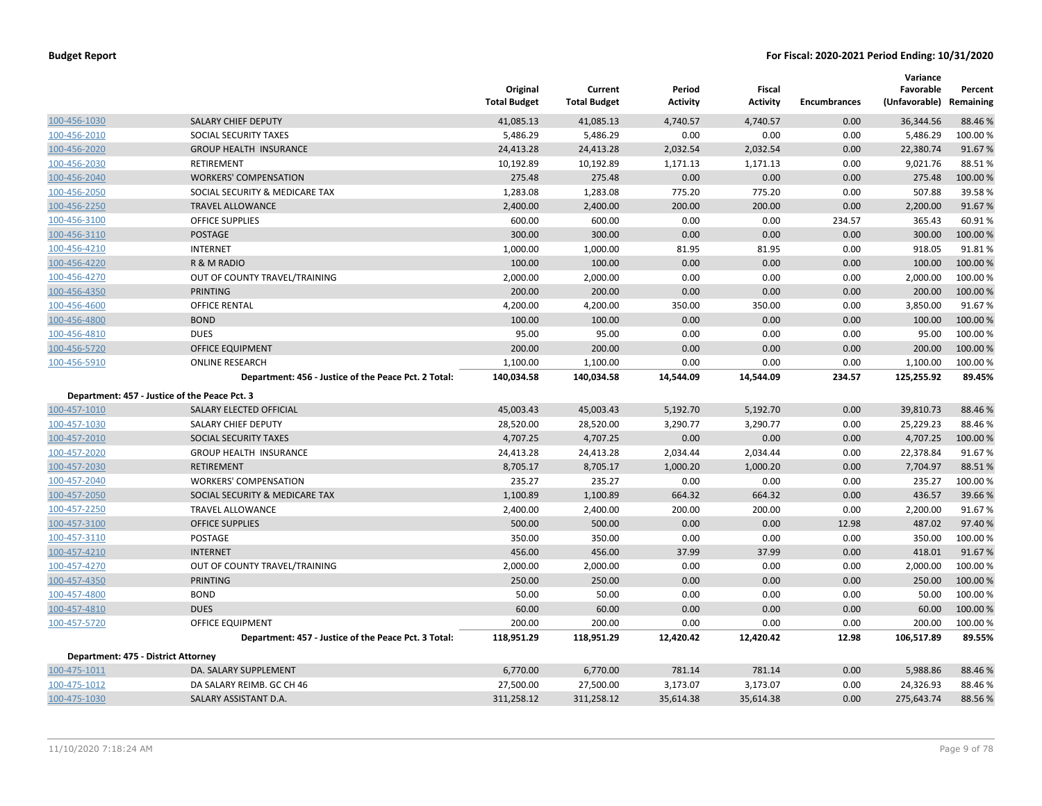|                                     |                                                      | Original<br><b>Total Budget</b> | Current<br><b>Total Budget</b> | Period<br><b>Activity</b> | Fiscal<br><b>Activity</b> | <b>Encumbrances</b> | Variance<br>Favorable<br>(Unfavorable) Remaining | Percent  |
|-------------------------------------|------------------------------------------------------|---------------------------------|--------------------------------|---------------------------|---------------------------|---------------------|--------------------------------------------------|----------|
| 100-456-1030                        | SALARY CHIEF DEPUTY                                  | 41,085.13                       | 41,085.13                      | 4,740.57                  | 4,740.57                  | 0.00                | 36,344.56                                        | 88.46 %  |
| 100-456-2010                        | <b>SOCIAL SECURITY TAXES</b>                         | 5,486.29                        | 5,486.29                       | 0.00                      | 0.00                      | 0.00                | 5,486.29                                         | 100.00%  |
| 100-456-2020                        | <b>GROUP HEALTH INSURANCE</b>                        | 24,413.28                       | 24,413.28                      | 2,032.54                  | 2,032.54                  | 0.00                | 22,380.74                                        | 91.67%   |
| 100-456-2030                        | RETIREMENT                                           | 10,192.89                       | 10,192.89                      | 1,171.13                  | 1,171.13                  | 0.00                | 9,021.76                                         | 88.51%   |
| 100-456-2040                        | <b>WORKERS' COMPENSATION</b>                         | 275.48                          | 275.48                         | 0.00                      | 0.00                      | 0.00                | 275.48                                           | 100.00 % |
| 100-456-2050                        | SOCIAL SECURITY & MEDICARE TAX                       | 1,283.08                        | 1,283.08                       | 775.20                    | 775.20                    | 0.00                | 507.88                                           | 39.58%   |
| 100-456-2250                        | <b>TRAVEL ALLOWANCE</b>                              | 2,400.00                        | 2,400.00                       | 200.00                    | 200.00                    | 0.00                | 2,200.00                                         | 91.67%   |
| 100-456-3100                        | <b>OFFICE SUPPLIES</b>                               | 600.00                          | 600.00                         | 0.00                      | 0.00                      | 234.57              | 365.43                                           | 60.91%   |
| 100-456-3110                        | <b>POSTAGE</b>                                       | 300.00                          | 300.00                         | 0.00                      | 0.00                      | 0.00                | 300.00                                           | 100.00 % |
| 100-456-4210                        | <b>INTERNET</b>                                      | 1,000.00                        | 1,000.00                       | 81.95                     | 81.95                     | 0.00                | 918.05                                           | 91.81%   |
| 100-456-4220                        | R & M RADIO                                          | 100.00                          | 100.00                         | 0.00                      | 0.00                      | 0.00                | 100.00                                           | 100.00 % |
| 100-456-4270                        | OUT OF COUNTY TRAVEL/TRAINING                        | 2,000.00                        | 2,000.00                       | 0.00                      | 0.00                      | 0.00                | 2,000.00                                         | 100.00 % |
| 100-456-4350                        | <b>PRINTING</b>                                      | 200.00                          | 200.00                         | 0.00                      | 0.00                      | 0.00                | 200.00                                           | 100.00 % |
| 100-456-4600                        | <b>OFFICE RENTAL</b>                                 | 4,200.00                        | 4,200.00                       | 350.00                    | 350.00                    | 0.00                | 3,850.00                                         | 91.67%   |
| 100-456-4800                        | <b>BOND</b>                                          | 100.00                          | 100.00                         | 0.00                      | 0.00                      | 0.00                | 100.00                                           | 100.00 % |
| 100-456-4810                        | <b>DUES</b>                                          | 95.00                           | 95.00                          | 0.00                      | 0.00                      | 0.00                | 95.00                                            | 100.00%  |
| 100-456-5720                        | <b>OFFICE EQUIPMENT</b>                              | 200.00                          | 200.00                         | 0.00                      | 0.00                      | 0.00                | 200.00                                           | 100.00 % |
| 100-456-5910                        | <b>ONLINE RESEARCH</b>                               | 1,100.00                        | 1,100.00                       | 0.00                      | 0.00                      | 0.00                | 1,100.00                                         | 100.00 % |
|                                     | Department: 456 - Justice of the Peace Pct. 2 Total: | 140,034.58                      | 140,034.58                     | 14,544.09                 | 14,544.09                 | 234.57              | 125,255.92                                       | 89.45%   |
|                                     | Department: 457 - Justice of the Peace Pct. 3        |                                 |                                |                           |                           |                     |                                                  |          |
| 100-457-1010                        | SALARY ELECTED OFFICIAL                              | 45,003.43                       | 45,003.43                      | 5,192.70                  | 5,192.70                  | 0.00                | 39,810.73                                        | 88.46 %  |
| 100-457-1030                        | SALARY CHIEF DEPUTY                                  | 28,520.00                       | 28,520.00                      | 3,290.77                  | 3,290.77                  | 0.00                | 25,229.23                                        | 88.46%   |
| 100-457-2010                        | SOCIAL SECURITY TAXES                                | 4,707.25                        | 4,707.25                       | 0.00                      | 0.00                      | 0.00                | 4,707.25                                         | 100.00 % |
| 100-457-2020                        | <b>GROUP HEALTH INSURANCE</b>                        | 24,413.28                       | 24,413.28                      | 2,034.44                  | 2,034.44                  | 0.00                | 22,378.84                                        | 91.67%   |
| 100-457-2030                        | <b>RETIREMENT</b>                                    | 8,705.17                        | 8,705.17                       | 1,000.20                  | 1,000.20                  | 0.00                | 7,704.97                                         | 88.51%   |
| 100-457-2040                        | <b>WORKERS' COMPENSATION</b>                         | 235.27                          | 235.27                         | 0.00                      | 0.00                      | 0.00                | 235.27                                           | 100.00%  |
| 100-457-2050                        | SOCIAL SECURITY & MEDICARE TAX                       | 1,100.89                        | 1,100.89                       | 664.32                    | 664.32                    | 0.00                | 436.57                                           | 39.66 %  |
| 100-457-2250                        | <b>TRAVEL ALLOWANCE</b>                              | 2,400.00                        | 2,400.00                       | 200.00                    | 200.00                    | 0.00                | 2,200.00                                         | 91.67%   |
| 100-457-3100                        | <b>OFFICE SUPPLIES</b>                               | 500.00                          | 500.00                         | 0.00                      | 0.00                      | 12.98               | 487.02                                           | 97.40 %  |
| 100-457-3110                        | <b>POSTAGE</b>                                       | 350.00                          | 350.00                         | 0.00                      | 0.00                      | 0.00                | 350.00                                           | 100.00%  |
| 100-457-4210                        | <b>INTERNET</b>                                      | 456.00                          | 456.00                         | 37.99                     | 37.99                     | 0.00                | 418.01                                           | 91.67%   |
| 100-457-4270                        | OUT OF COUNTY TRAVEL/TRAINING                        | 2,000.00                        | 2,000.00                       | 0.00                      | 0.00                      | 0.00                | 2,000.00                                         | 100.00%  |
| 100-457-4350                        | <b>PRINTING</b>                                      | 250.00                          | 250.00                         | 0.00                      | 0.00                      | 0.00                | 250.00                                           | 100.00 % |
| 100-457-4800                        | <b>BOND</b>                                          | 50.00                           | 50.00                          | 0.00                      | 0.00                      | 0.00                | 50.00                                            | 100.00%  |
| 100-457-4810                        | <b>DUES</b>                                          | 60.00                           | 60.00                          | 0.00                      | 0.00                      | 0.00                | 60.00                                            | 100.00 % |
| 100-457-5720                        | OFFICE EQUIPMENT                                     | 200.00                          | 200.00                         | 0.00                      | 0.00                      | 0.00                | 200.00                                           | 100.00%  |
|                                     | Department: 457 - Justice of the Peace Pct. 3 Total: | 118,951.29                      | 118,951.29                     | 12,420.42                 | 12,420.42                 | 12.98               | 106,517.89                                       | 89.55%   |
| Department: 475 - District Attorney |                                                      |                                 |                                |                           |                           |                     |                                                  |          |
| 100-475-1011                        | DA. SALARY SUPPLEMENT                                | 6,770.00                        | 6,770.00                       | 781.14                    | 781.14                    | 0.00                | 5,988.86                                         | 88.46 %  |
| 100-475-1012                        | DA SALARY REIMB. GC CH 46                            | 27,500.00                       | 27,500.00                      | 3,173.07                  | 3,173.07                  | 0.00                | 24,326.93                                        | 88.46%   |
| 100-475-1030                        | SALARY ASSISTANT D.A.                                | 311,258.12                      | 311,258.12                     | 35,614.38                 | 35,614.38                 | 0.00                | 275,643.74                                       | 88.56%   |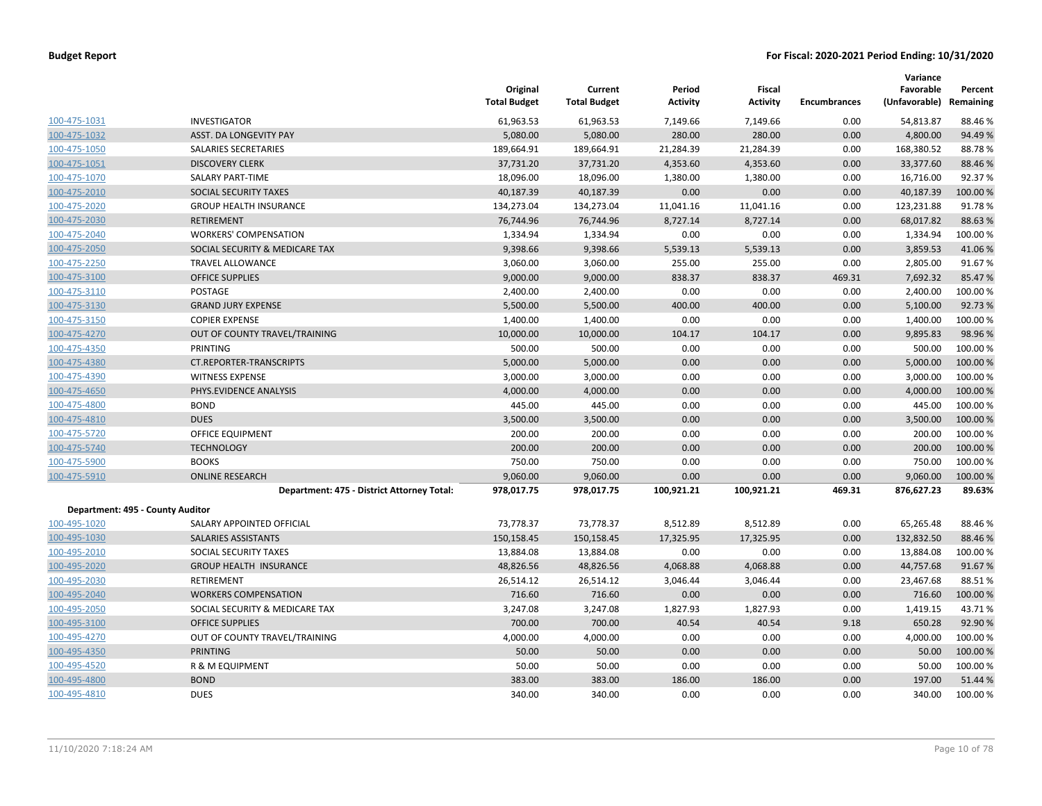|                                  |                                            | Original<br><b>Total Budget</b> | Current<br><b>Total Budget</b> | Period<br><b>Activity</b> | Fiscal<br><b>Activity</b> | Encumbrances | Variance<br>Favorable<br>(Unfavorable) | Percent<br>Remaining |
|----------------------------------|--------------------------------------------|---------------------------------|--------------------------------|---------------------------|---------------------------|--------------|----------------------------------------|----------------------|
| 100-475-1031                     | <b>INVESTIGATOR</b>                        | 61,963.53                       | 61,963.53                      | 7,149.66                  | 7,149.66                  | 0.00         | 54,813.87                              | 88.46%               |
| 100-475-1032                     | ASST. DA LONGEVITY PAY                     | 5,080.00                        | 5,080.00                       | 280.00                    | 280.00                    | 0.00         | 4,800.00                               | 94.49%               |
| 100-475-1050                     | SALARIES SECRETARIES                       | 189,664.91                      | 189,664.91                     | 21,284.39                 | 21,284.39                 | 0.00         | 168,380.52                             | 88.78%               |
| 100-475-1051                     | <b>DISCOVERY CLERK</b>                     | 37,731.20                       | 37,731.20                      | 4,353.60                  | 4,353.60                  | 0.00         | 33,377.60                              | 88.46%               |
| 100-475-1070                     | <b>SALARY PART-TIME</b>                    | 18,096.00                       | 18,096.00                      | 1,380.00                  | 1,380.00                  | 0.00         | 16,716.00                              | 92.37%               |
| 100-475-2010                     | SOCIAL SECURITY TAXES                      | 40,187.39                       | 40,187.39                      | 0.00                      | 0.00                      | 0.00         | 40,187.39                              | 100.00%              |
| 100-475-2020                     | <b>GROUP HEALTH INSURANCE</b>              | 134,273.04                      | 134,273.04                     | 11,041.16                 | 11,041.16                 | 0.00         | 123,231.88                             | 91.78%               |
| 100-475-2030                     | <b>RETIREMENT</b>                          | 76,744.96                       | 76,744.96                      | 8,727.14                  | 8,727.14                  | 0.00         | 68,017.82                              | 88.63%               |
| 100-475-2040                     | <b>WORKERS' COMPENSATION</b>               | 1,334.94                        | 1,334.94                       | 0.00                      | 0.00                      | 0.00         | 1,334.94                               | 100.00%              |
| 100-475-2050                     | SOCIAL SECURITY & MEDICARE TAX             | 9,398.66                        | 9,398.66                       | 5,539.13                  | 5,539.13                  | 0.00         | 3,859.53                               | 41.06%               |
| 100-475-2250                     | <b>TRAVEL ALLOWANCE</b>                    | 3,060.00                        | 3,060.00                       | 255.00                    | 255.00                    | 0.00         | 2,805.00                               | 91.67%               |
| 100-475-3100                     | <b>OFFICE SUPPLIES</b>                     | 9,000.00                        | 9,000.00                       | 838.37                    | 838.37                    | 469.31       | 7,692.32                               | 85.47%               |
| 100-475-3110                     | POSTAGE                                    | 2,400.00                        | 2,400.00                       | 0.00                      | 0.00                      | 0.00         | 2,400.00                               | 100.00 %             |
| 100-475-3130                     | <b>GRAND JURY EXPENSE</b>                  | 5,500.00                        | 5,500.00                       | 400.00                    | 400.00                    | 0.00         | 5,100.00                               | 92.73%               |
| 100-475-3150                     | <b>COPIER EXPENSE</b>                      | 1,400.00                        | 1,400.00                       | 0.00                      | 0.00                      | 0.00         | 1,400.00                               | 100.00%              |
| 100-475-4270                     | OUT OF COUNTY TRAVEL/TRAINING              | 10,000.00                       | 10,000.00                      | 104.17                    | 104.17                    | 0.00         | 9,895.83                               | 98.96%               |
| 100-475-4350                     | PRINTING                                   | 500.00                          | 500.00                         | 0.00                      | 0.00                      | 0.00         | 500.00                                 | 100.00 %             |
| 100-475-4380                     | CT.REPORTER-TRANSCRIPTS                    | 5,000.00                        | 5,000.00                       | 0.00                      | 0.00                      | 0.00         | 5,000.00                               | 100.00 %             |
| 100-475-4390                     | <b>WITNESS EXPENSE</b>                     | 3,000.00                        | 3,000.00                       | 0.00                      | 0.00                      | 0.00         | 3,000.00                               | 100.00%              |
| 100-475-4650                     | PHYS.EVIDENCE ANALYSIS                     | 4,000.00                        | 4,000.00                       | 0.00                      | 0.00                      | 0.00         | 4,000.00                               | 100.00 %             |
| 100-475-4800                     | <b>BOND</b>                                | 445.00                          | 445.00                         | 0.00                      | 0.00                      | 0.00         | 445.00                                 | 100.00%              |
| 100-475-4810                     | <b>DUES</b>                                | 3,500.00                        | 3,500.00                       | 0.00                      | 0.00                      | 0.00         | 3,500.00                               | 100.00 %             |
| 100-475-5720                     | <b>OFFICE EQUIPMENT</b>                    | 200.00                          | 200.00                         | 0.00                      | 0.00                      | 0.00         | 200.00                                 | 100.00 %             |
| 100-475-5740                     | <b>TECHNOLOGY</b>                          | 200.00                          | 200.00                         | 0.00                      | 0.00                      | 0.00         | 200.00                                 | 100.00%              |
| 100-475-5900                     | <b>BOOKS</b>                               | 750.00                          | 750.00                         | 0.00                      | 0.00                      | 0.00         | 750.00                                 | 100.00%              |
| 100-475-5910                     | <b>ONLINE RESEARCH</b>                     | 9,060.00                        | 9,060.00                       | 0.00                      | 0.00                      | 0.00         | 9,060.00                               | 100.00%              |
|                                  | Department: 475 - District Attorney Total: | 978,017.75                      | 978,017.75                     | 100,921.21                | 100,921.21                | 469.31       | 876,627.23                             | 89.63%               |
| Department: 495 - County Auditor |                                            |                                 |                                |                           |                           |              |                                        |                      |
| 100-495-1020                     | SALARY APPOINTED OFFICIAL                  | 73,778.37                       | 73,778.37                      | 8,512.89                  | 8,512.89                  | 0.00         | 65,265.48                              | 88.46%               |
| 100-495-1030                     | <b>SALARIES ASSISTANTS</b>                 | 150,158.45                      | 150,158.45                     | 17,325.95                 | 17,325.95                 | 0.00         | 132,832.50                             | 88.46%               |
| 100-495-2010                     | SOCIAL SECURITY TAXES                      | 13,884.08                       | 13,884.08                      | 0.00                      | 0.00                      | 0.00         | 13,884.08                              | 100.00%              |
| 100-495-2020                     | <b>GROUP HEALTH INSURANCE</b>              | 48,826.56                       | 48,826.56                      | 4,068.88                  | 4,068.88                  | 0.00         | 44,757.68                              | 91.67%               |
| 100-495-2030                     | <b>RETIREMENT</b>                          | 26,514.12                       | 26,514.12                      | 3,046.44                  | 3,046.44                  | 0.00         | 23,467.68                              | 88.51%               |
| 100-495-2040                     | <b>WORKERS COMPENSATION</b>                | 716.60                          | 716.60                         | 0.00                      | 0.00                      | 0.00         | 716.60                                 | 100.00%              |
| 100-495-2050                     | SOCIAL SECURITY & MEDICARE TAX             | 3,247.08                        | 3,247.08                       | 1,827.93                  | 1,827.93                  | 0.00         | 1,419.15                               | 43.71%               |
| 100-495-3100                     | <b>OFFICE SUPPLIES</b>                     | 700.00                          | 700.00                         | 40.54                     | 40.54                     | 9.18         | 650.28                                 | 92.90%               |
| 100-495-4270                     | OUT OF COUNTY TRAVEL/TRAINING              | 4,000.00                        | 4,000.00                       | 0.00                      | 0.00                      | 0.00         | 4,000.00                               | 100.00 %             |
| 100-495-4350                     | <b>PRINTING</b>                            | 50.00                           | 50.00                          | 0.00                      | 0.00                      | 0.00         | 50.00                                  | 100.00 %             |
| 100-495-4520                     | R & M EQUIPMENT                            | 50.00                           | 50.00                          | 0.00                      | 0.00                      | 0.00         | 50.00                                  | 100.00 %             |
| 100-495-4800                     | <b>BOND</b>                                | 383.00                          | 383.00                         | 186.00                    | 186.00                    | 0.00         | 197.00                                 | 51.44 %              |
| 100-495-4810                     | <b>DUES</b>                                | 340.00                          | 340.00                         | 0.00                      | 0.00                      | 0.00         | 340.00                                 | 100.00 %             |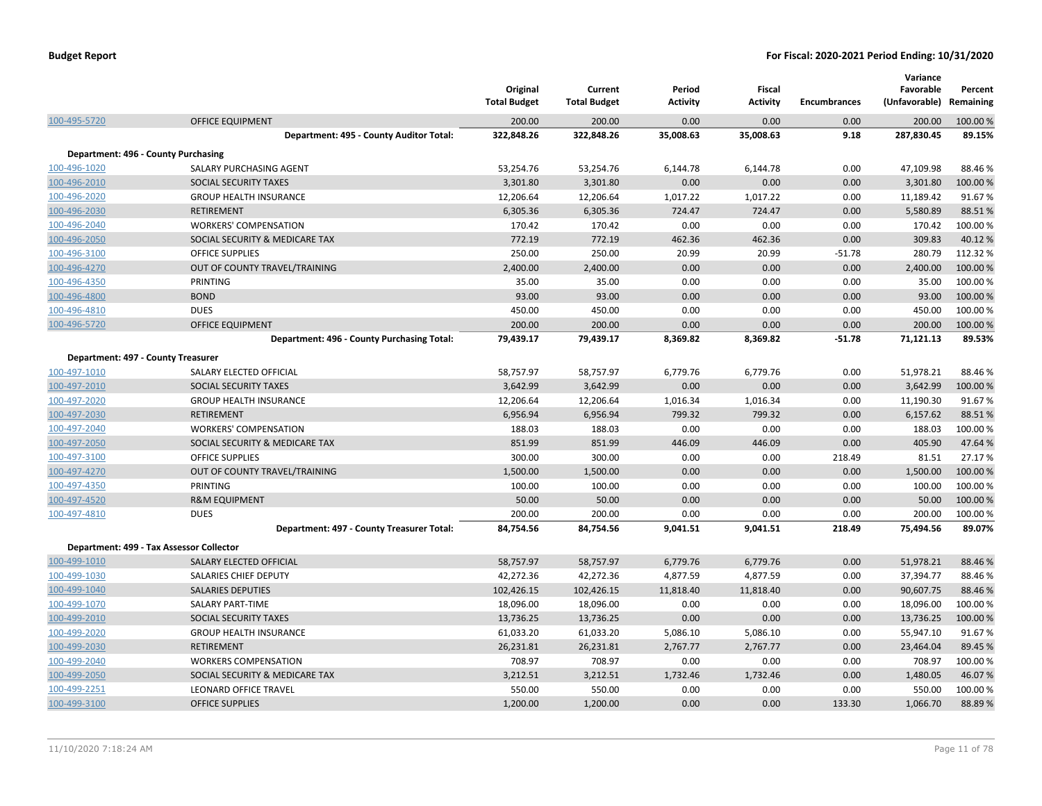|                                    |                                            | Original<br><b>Total Budget</b> | Current<br><b>Total Budget</b> | Period<br><b>Activity</b> | Fiscal<br><b>Activity</b> | <b>Encumbrances</b> | Variance<br>Favorable<br>(Unfavorable) | Percent<br>Remaining |
|------------------------------------|--------------------------------------------|---------------------------------|--------------------------------|---------------------------|---------------------------|---------------------|----------------------------------------|----------------------|
| 100-495-5720                       | <b>OFFICE EQUIPMENT</b>                    | 200.00                          | 200.00                         | 0.00                      | 0.00                      | 0.00                | 200.00                                 | 100.00%              |
|                                    | Department: 495 - County Auditor Total:    | 322,848.26                      | 322,848.26                     | 35,008.63                 | 35,008.63                 | 9.18                | 287,830.45                             | 89.15%               |
|                                    | Department: 496 - County Purchasing        |                                 |                                |                           |                           |                     |                                        |                      |
| 100-496-1020                       | SALARY PURCHASING AGENT                    | 53,254.76                       | 53,254.76                      | 6,144.78                  | 6,144.78                  | 0.00                | 47,109.98                              | 88.46%               |
| 100-496-2010                       | SOCIAL SECURITY TAXES                      | 3,301.80                        | 3,301.80                       | 0.00                      | 0.00                      | 0.00                | 3,301.80                               | 100.00%              |
| 100-496-2020                       | <b>GROUP HEALTH INSURANCE</b>              | 12,206.64                       | 12,206.64                      | 1,017.22                  | 1,017.22                  | 0.00                | 11,189.42                              | 91.67%               |
| 100-496-2030                       | <b>RETIREMENT</b>                          | 6,305.36                        | 6,305.36                       | 724.47                    | 724.47                    | 0.00                | 5,580.89                               | 88.51%               |
| 100-496-2040                       | <b>WORKERS' COMPENSATION</b>               | 170.42                          | 170.42                         | 0.00                      | 0.00                      | 0.00                | 170.42                                 | 100.00%              |
| 100-496-2050                       | SOCIAL SECURITY & MEDICARE TAX             | 772.19                          | 772.19                         | 462.36                    | 462.36                    | 0.00                | 309.83                                 | 40.12%               |
| 100-496-3100                       | <b>OFFICE SUPPLIES</b>                     | 250.00                          | 250.00                         | 20.99                     | 20.99                     | $-51.78$            | 280.79                                 | 112.32%              |
| 100-496-4270                       | OUT OF COUNTY TRAVEL/TRAINING              | 2,400.00                        | 2,400.00                       | 0.00                      | 0.00                      | 0.00                | 2,400.00                               | 100.00%              |
| 100-496-4350                       | PRINTING                                   | 35.00                           | 35.00                          | 0.00                      | 0.00                      | 0.00                | 35.00                                  | 100.00 %             |
| 100-496-4800                       | <b>BOND</b>                                | 93.00                           | 93.00                          | 0.00                      | 0.00                      | 0.00                | 93.00                                  | 100.00 %             |
| 100-496-4810                       | <b>DUES</b>                                | 450.00                          | 450.00                         | 0.00                      | 0.00                      | 0.00                | 450.00                                 | 100.00%              |
| 100-496-5720                       | <b>OFFICE EQUIPMENT</b>                    | 200.00                          | 200.00                         | 0.00                      | 0.00                      | 0.00                | 200.00                                 | 100.00 %             |
|                                    | Department: 496 - County Purchasing Total: | 79,439.17                       | 79,439.17                      | 8,369.82                  | 8,369.82                  | $-51.78$            | 71,121.13                              | 89.53%               |
| Department: 497 - County Treasurer |                                            |                                 |                                |                           |                           |                     |                                        |                      |
| 100-497-1010                       | SALARY ELECTED OFFICIAL                    | 58,757.97                       | 58,757.97                      | 6,779.76                  | 6,779.76                  | 0.00                | 51,978.21                              | 88.46%               |
| 100-497-2010                       | SOCIAL SECURITY TAXES                      | 3,642.99                        | 3,642.99                       | 0.00                      | 0.00                      | 0.00                | 3,642.99                               | 100.00%              |
| 100-497-2020                       | <b>GROUP HEALTH INSURANCE</b>              | 12,206.64                       | 12,206.64                      | 1,016.34                  | 1,016.34                  | 0.00                | 11,190.30                              | 91.67%               |
| 100-497-2030                       | <b>RETIREMENT</b>                          | 6,956.94                        | 6,956.94                       | 799.32                    | 799.32                    | 0.00                | 6,157.62                               | 88.51%               |
| 100-497-2040                       | <b>WORKERS' COMPENSATION</b>               | 188.03                          | 188.03                         | 0.00                      | 0.00                      | 0.00                | 188.03                                 | 100.00%              |
| 100-497-2050                       | SOCIAL SECURITY & MEDICARE TAX             | 851.99                          | 851.99                         | 446.09                    | 446.09                    | 0.00                | 405.90                                 | 47.64%               |
| 100-497-3100                       | <b>OFFICE SUPPLIES</b>                     | 300.00                          | 300.00                         | 0.00                      | 0.00                      | 218.49              | 81.51                                  | 27.17%               |
| 100-497-4270                       | OUT OF COUNTY TRAVEL/TRAINING              | 1,500.00                        | 1,500.00                       | 0.00                      | 0.00                      | 0.00                | 1,500.00                               | 100.00 %             |
| 100-497-4350                       | <b>PRINTING</b>                            | 100.00                          | 100.00                         | 0.00                      | 0.00                      | 0.00                | 100.00                                 | 100.00%              |
| 100-497-4520                       | <b>R&amp;M EQUIPMENT</b>                   | 50.00                           | 50.00                          | 0.00                      | 0.00                      | 0.00                | 50.00                                  | 100.00 %             |
| 100-497-4810                       | <b>DUES</b>                                | 200.00                          | 200.00                         | 0.00                      | 0.00                      | 0.00                | 200.00                                 | 100.00 %             |
|                                    | Department: 497 - County Treasurer Total:  | 84,754.56                       | 84,754.56                      | 9,041.51                  | 9,041.51                  | 218.49              | 75,494.56                              | 89.07%               |
|                                    | Department: 499 - Tax Assessor Collector   |                                 |                                |                           |                           |                     |                                        |                      |
| 100-499-1010                       | SALARY ELECTED OFFICIAL                    | 58,757.97                       | 58,757.97                      | 6,779.76                  | 6,779.76                  | 0.00                | 51,978.21                              | 88.46%               |
| 100-499-1030                       | SALARIES CHIEF DEPUTY                      | 42,272.36                       | 42,272.36                      | 4,877.59                  | 4,877.59                  | 0.00                | 37,394.77                              | 88.46%               |
| 100-499-1040                       | <b>SALARIES DEPUTIES</b>                   | 102,426.15                      | 102,426.15                     | 11,818.40                 | 11,818.40                 | 0.00                | 90,607.75                              | 88.46%               |
| 100-499-1070                       | <b>SALARY PART-TIME</b>                    | 18,096.00                       | 18,096.00                      | 0.00                      | 0.00                      | 0.00                | 18,096.00                              | 100.00%              |
| 100-499-2010                       | SOCIAL SECURITY TAXES                      | 13,736.25                       | 13,736.25                      | 0.00                      | 0.00                      | 0.00                | 13,736.25                              | 100.00 %             |
| 100-499-2020                       | <b>GROUP HEALTH INSURANCE</b>              | 61,033.20                       | 61,033.20                      | 5,086.10                  | 5,086.10                  | 0.00                | 55,947.10                              | 91.67%               |
| 100-499-2030                       | <b>RETIREMENT</b>                          | 26,231.81                       | 26,231.81                      | 2,767.77                  | 2,767.77                  | 0.00                | 23,464.04                              | 89.45%               |
| 100-499-2040                       | <b>WORKERS COMPENSATION</b>                | 708.97                          | 708.97                         | 0.00                      | 0.00                      | 0.00                | 708.97                                 | 100.00%              |
| 100-499-2050                       | SOCIAL SECURITY & MEDICARE TAX             | 3,212.51                        | 3,212.51                       | 1,732.46                  | 1,732.46                  | 0.00                | 1,480.05                               | 46.07%               |
| 100-499-2251                       | LEONARD OFFICE TRAVEL                      | 550.00                          | 550.00                         | 0.00                      | 0.00                      | 0.00                | 550.00                                 | 100.00%              |
| 100-499-3100                       | <b>OFFICE SUPPLIES</b>                     | 1,200.00                        | 1,200.00                       | 0.00                      | 0.00                      | 133.30              | 1,066.70                               | 88.89%               |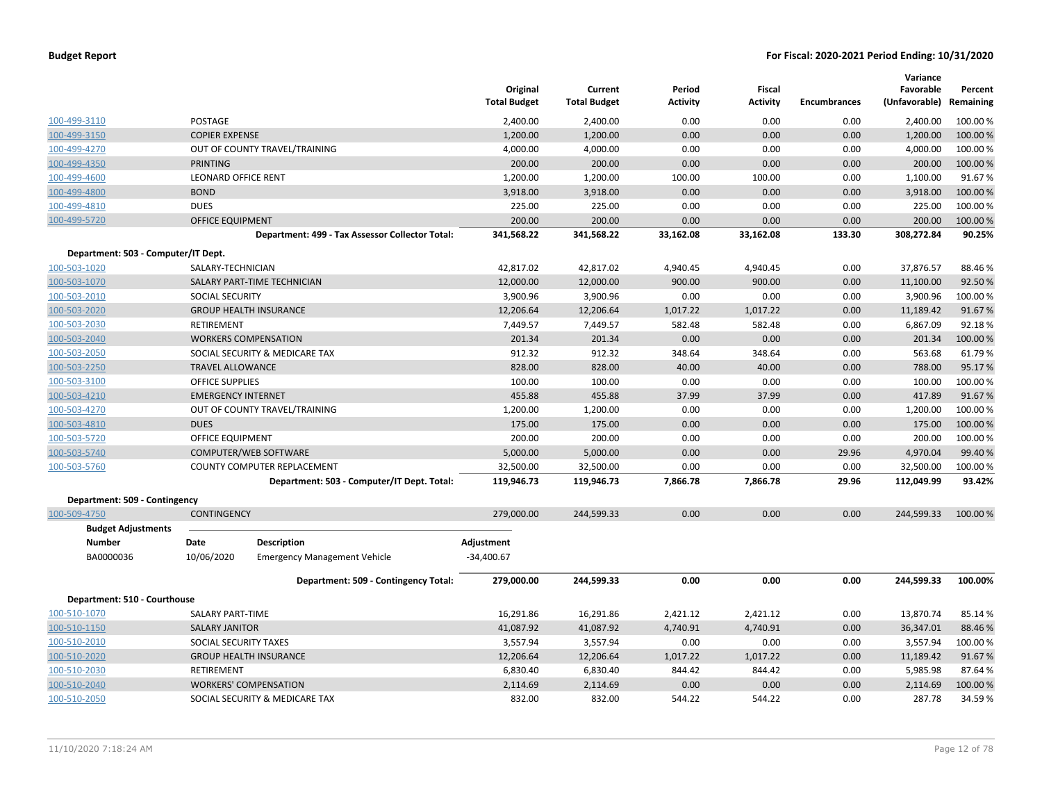|                                     |                              |                                                 | Original<br><b>Total Budget</b> | Current<br><b>Total Budget</b> | Period<br><b>Activity</b> | <b>Fiscal</b><br><b>Activity</b> | <b>Encumbrances</b> | Variance<br>Favorable<br>(Unfavorable) | Percent<br>Remaining |
|-------------------------------------|------------------------------|-------------------------------------------------|---------------------------------|--------------------------------|---------------------------|----------------------------------|---------------------|----------------------------------------|----------------------|
| 100-499-3110                        | POSTAGE                      |                                                 | 2,400.00                        | 2,400.00                       | 0.00                      | 0.00                             | 0.00                | 2,400.00                               | 100.00%              |
| 100-499-3150                        | <b>COPIER EXPENSE</b>        |                                                 | 1,200.00                        | 1,200.00                       | 0.00                      | 0.00                             | 0.00                | 1,200.00                               | 100.00 %             |
| 100-499-4270                        |                              | OUT OF COUNTY TRAVEL/TRAINING                   | 4,000.00                        | 4,000.00                       | 0.00                      | 0.00                             | 0.00                | 4,000.00                               | 100.00 %             |
| 100-499-4350                        | <b>PRINTING</b>              |                                                 | 200.00                          | 200.00                         | 0.00                      | 0.00                             | 0.00                | 200.00                                 | 100.00 %             |
| 100-499-4600                        | <b>LEONARD OFFICE RENT</b>   |                                                 | 1,200.00                        | 1,200.00                       | 100.00                    | 100.00                           | 0.00                | 1,100.00                               | 91.67%               |
| 100-499-4800                        | <b>BOND</b>                  |                                                 | 3,918.00                        | 3,918.00                       | 0.00                      | 0.00                             | 0.00                | 3,918.00                               | 100.00 %             |
| 100-499-4810                        | <b>DUES</b>                  |                                                 | 225.00                          | 225.00                         | 0.00                      | 0.00                             | 0.00                | 225.00                                 | 100.00%              |
| 100-499-5720                        | <b>OFFICE EQUIPMENT</b>      |                                                 | 200.00                          | 200.00                         | 0.00                      | 0.00                             | 0.00                | 200.00                                 | 100.00 %             |
|                                     |                              | Department: 499 - Tax Assessor Collector Total: | 341,568.22                      | 341,568.22                     | 33,162.08                 | 33,162.08                        | 133.30              | 308,272.84                             | 90.25%               |
| Department: 503 - Computer/IT Dept. |                              |                                                 |                                 |                                |                           |                                  |                     |                                        |                      |
| 100-503-1020                        | SALARY-TECHNICIAN            |                                                 | 42,817.02                       | 42,817.02                      | 4,940.45                  | 4,940.45                         | 0.00                | 37,876.57                              | 88.46%               |
| 100-503-1070                        |                              | SALARY PART-TIME TECHNICIAN                     | 12,000.00                       | 12,000.00                      | 900.00                    | 900.00                           | 0.00                | 11,100.00                              | 92.50%               |
| 100-503-2010                        | <b>SOCIAL SECURITY</b>       |                                                 | 3,900.96                        | 3,900.96                       | 0.00                      | 0.00                             | 0.00                | 3,900.96                               | 100.00 %             |
| 100-503-2020                        |                              | <b>GROUP HEALTH INSURANCE</b>                   | 12,206.64                       | 12,206.64                      | 1,017.22                  | 1,017.22                         | 0.00                | 11,189.42                              | 91.67%               |
| 100-503-2030                        | RETIREMENT                   |                                                 | 7,449.57                        | 7,449.57                       | 582.48                    | 582.48                           | 0.00                | 6,867.09                               | 92.18%               |
| 100-503-2040                        | <b>WORKERS COMPENSATION</b>  |                                                 | 201.34                          | 201.34                         | 0.00                      | 0.00                             | 0.00                | 201.34                                 | 100.00%              |
| 100-503-2050                        |                              | SOCIAL SECURITY & MEDICARE TAX                  | 912.32                          | 912.32                         | 348.64                    | 348.64                           | 0.00                | 563.68                                 | 61.79%               |
| 100-503-2250                        | <b>TRAVEL ALLOWANCE</b>      |                                                 | 828.00                          | 828.00                         | 40.00                     | 40.00                            | 0.00                | 788.00                                 | 95.17%               |
| 100-503-3100                        | <b>OFFICE SUPPLIES</b>       |                                                 | 100.00                          | 100.00                         | 0.00                      | 0.00                             | 0.00                | 100.00                                 | 100.00%              |
| 100-503-4210                        | <b>EMERGENCY INTERNET</b>    |                                                 | 455.88                          | 455.88                         | 37.99                     | 37.99                            | 0.00                | 417.89                                 | 91.67%               |
| 100-503-4270                        |                              | OUT OF COUNTY TRAVEL/TRAINING                   | 1,200.00                        | 1,200.00                       | 0.00                      | 0.00                             | 0.00                | 1,200.00                               | 100.00%              |
| 100-503-4810                        | <b>DUES</b>                  |                                                 | 175.00                          | 175.00                         | 0.00                      | 0.00                             | 0.00                | 175.00                                 | 100.00%              |
| 100-503-5720                        | OFFICE EQUIPMENT             |                                                 | 200.00                          | 200.00                         | 0.00                      | 0.00                             | 0.00                | 200.00                                 | 100.00 %             |
| 100-503-5740                        |                              | COMPUTER/WEB SOFTWARE                           | 5,000.00                        | 5,000.00                       | 0.00                      | 0.00                             | 29.96               | 4,970.04                               | 99.40%               |
| 100-503-5760                        |                              | COUNTY COMPUTER REPLACEMENT                     | 32,500.00                       | 32,500.00                      | 0.00                      | 0.00                             | 0.00                | 32,500.00                              | 100.00%              |
|                                     |                              | Department: 503 - Computer/IT Dept. Total:      | 119,946.73                      | 119,946.73                     | 7,866.78                  | 7,866.78                         | 29.96               | 112,049.99                             | 93.42%               |
| Department: 509 - Contingency       |                              |                                                 |                                 |                                |                           |                                  |                     |                                        |                      |
| 100-509-4750                        | <b>CONTINGENCY</b>           |                                                 | 279,000.00                      | 244,599.33                     | 0.00                      | 0.00                             | 0.00                | 244,599.33                             | 100.00 %             |
| <b>Budget Adjustments</b>           |                              |                                                 |                                 |                                |                           |                                  |                     |                                        |                      |
| Number                              | Date                         | Description                                     | Adjustment                      |                                |                           |                                  |                     |                                        |                      |
| BA0000036                           | 10/06/2020                   | <b>Emergency Management Vehicle</b>             | $-34,400.67$                    |                                |                           |                                  |                     |                                        |                      |
|                                     |                              | Department: 509 - Contingency Total:            | 279,000.00                      | 244,599.33                     | 0.00                      | 0.00                             | 0.00                | 244,599.33                             | 100.00%              |
| Department: 510 - Courthouse        |                              |                                                 |                                 |                                |                           |                                  |                     |                                        |                      |
| 100-510-1070                        | SALARY PART-TIME             |                                                 | 16,291.86                       | 16,291.86                      | 2,421.12                  | 2,421.12                         | 0.00                | 13,870.74                              | 85.14 %              |
| 100-510-1150                        | <b>SALARY JANITOR</b>        |                                                 | 41,087.92                       | 41,087.92                      | 4,740.91                  | 4,740.91                         | 0.00                | 36,347.01                              | 88.46%               |
| 100-510-2010                        | SOCIAL SECURITY TAXES        |                                                 | 3,557.94                        | 3,557.94                       | 0.00                      | 0.00                             | 0.00                | 3,557.94                               | 100.00%              |
| 100-510-2020                        |                              | <b>GROUP HEALTH INSURANCE</b>                   | 12,206.64                       | 12,206.64                      | 1,017.22                  | 1,017.22                         | 0.00                | 11,189.42                              | 91.67%               |
| 100-510-2030                        | <b>RETIREMENT</b>            |                                                 | 6,830.40                        | 6,830.40                       | 844.42                    | 844.42                           | 0.00                | 5,985.98                               | 87.64%               |
| 100-510-2040                        | <b>WORKERS' COMPENSATION</b> |                                                 | 2,114.69                        | 2,114.69                       | 0.00                      | 0.00                             | 0.00                | 2,114.69                               | 100.00%              |
| 100-510-2050                        |                              | SOCIAL SECURITY & MEDICARE TAX                  | 832.00                          | 832.00                         | 544.22                    | 544.22                           | 0.00                | 287.78                                 | 34.59%               |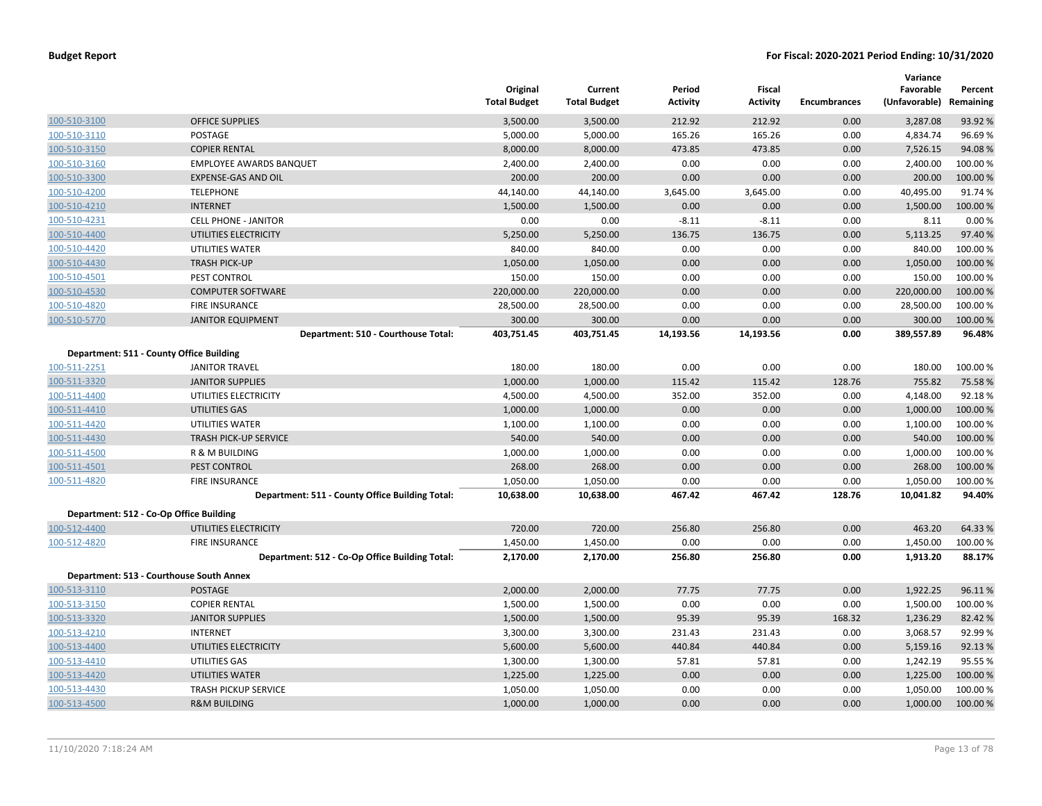|              |                                                            | Original<br><b>Total Budget</b> | Current<br><b>Total Budget</b> | Period<br><b>Activity</b> | Fiscal<br><b>Activity</b> | <b>Encumbrances</b> | Variance<br>Favorable<br>(Unfavorable) | Percent<br>Remaining |
|--------------|------------------------------------------------------------|---------------------------------|--------------------------------|---------------------------|---------------------------|---------------------|----------------------------------------|----------------------|
| 100-510-3100 | <b>OFFICE SUPPLIES</b>                                     | 3,500.00                        | 3,500.00                       | 212.92                    | 212.92                    | 0.00                | 3,287.08                               | 93.92%               |
| 100-510-3110 | POSTAGE                                                    | 5,000.00                        | 5,000.00                       | 165.26                    | 165.26                    | 0.00                | 4,834.74                               | 96.69%               |
| 100-510-3150 | <b>COPIER RENTAL</b>                                       | 8,000.00                        | 8,000.00                       | 473.85                    | 473.85                    | 0.00                | 7,526.15                               | 94.08%               |
| 100-510-3160 | <b>EMPLOYEE AWARDS BANQUET</b>                             | 2,400.00                        | 2,400.00                       | 0.00                      | 0.00                      | 0.00                | 2,400.00                               | 100.00%              |
| 100-510-3300 | <b>EXPENSE-GAS AND OIL</b>                                 | 200.00                          | 200.00                         | 0.00                      | 0.00                      | 0.00                | 200.00                                 | 100.00%              |
| 100-510-4200 | <b>TELEPHONE</b>                                           | 44,140.00                       | 44,140.00                      | 3,645.00                  | 3,645.00                  | 0.00                | 40,495.00                              | 91.74%               |
| 100-510-4210 | <b>INTERNET</b>                                            | 1,500.00                        | 1,500.00                       | 0.00                      | 0.00                      | 0.00                | 1,500.00                               | 100.00 %             |
| 100-510-4231 | <b>CELL PHONE - JANITOR</b>                                | 0.00                            | 0.00                           | $-8.11$                   | $-8.11$                   | 0.00                | 8.11                                   | 0.00%                |
| 100-510-4400 | UTILITIES ELECTRICITY                                      | 5,250.00                        | 5,250.00                       | 136.75                    | 136.75                    | 0.00                | 5,113.25                               | 97.40%               |
| 100-510-4420 | UTILITIES WATER                                            | 840.00                          | 840.00                         | 0.00                      | 0.00                      | 0.00                | 840.00                                 | 100.00%              |
| 100-510-4430 | <b>TRASH PICK-UP</b>                                       | 1,050.00                        | 1,050.00                       | 0.00                      | 0.00                      | 0.00                | 1,050.00                               | 100.00 %             |
| 100-510-4501 | PEST CONTROL                                               | 150.00                          | 150.00                         | 0.00                      | 0.00                      | 0.00                | 150.00                                 | 100.00%              |
| 100-510-4530 | <b>COMPUTER SOFTWARE</b>                                   | 220,000.00                      | 220,000.00                     | 0.00                      | 0.00                      | 0.00                | 220,000.00                             | 100.00%              |
| 100-510-4820 | FIRE INSURANCE                                             | 28,500.00                       | 28,500.00                      | 0.00                      | 0.00                      | 0.00                | 28,500.00                              | 100.00%              |
| 100-510-5770 | <b>JANITOR EQUIPMENT</b>                                   | 300.00                          | 300.00                         | 0.00                      | 0.00                      | 0.00                | 300.00                                 | 100.00 %             |
|              | Department: 510 - Courthouse Total:                        | 403,751.45                      | 403,751.45                     | 14,193.56                 | 14,193.56                 | 0.00                | 389,557.89                             | 96.48%               |
|              | Department: 511 - County Office Building                   |                                 |                                |                           |                           |                     |                                        |                      |
| 100-511-2251 | <b>JANITOR TRAVEL</b>                                      | 180.00                          | 180.00                         | 0.00                      | 0.00                      | 0.00                | 180.00                                 | 100.00%              |
| 100-511-3320 | <b>JANITOR SUPPLIES</b>                                    | 1,000.00                        | 1,000.00                       | 115.42                    | 115.42                    | 128.76              | 755.82                                 | 75.58%               |
| 100-511-4400 | UTILITIES ELECTRICITY                                      | 4,500.00                        | 4,500.00                       | 352.00                    | 352.00                    | 0.00                | 4,148.00                               | 92.18%               |
| 100-511-4410 | UTILITIES GAS                                              | 1,000.00                        | 1,000.00                       | 0.00                      | 0.00                      | 0.00                | 1,000.00                               | 100.00 %             |
| 100-511-4420 | UTILITIES WATER                                            | 1,100.00                        | 1,100.00                       | 0.00                      | 0.00                      | 0.00                | 1,100.00                               | 100.00%              |
| 100-511-4430 | <b>TRASH PICK-UP SERVICE</b>                               | 540.00                          | 540.00                         | 0.00                      | 0.00                      | 0.00                | 540.00                                 | 100.00%              |
| 100-511-4500 | R & M BUILDING                                             | 1,000.00                        | 1,000.00                       | 0.00                      | 0.00                      | 0.00                | 1,000.00                               | 100.00%              |
| 100-511-4501 | PEST CONTROL                                               | 268.00                          | 268.00                         | 0.00                      | 0.00                      | 0.00                | 268.00                                 | 100.00%              |
| 100-511-4820 | <b>FIRE INSURANCE</b>                                      | 1,050.00                        | 1,050.00                       | 0.00                      | 0.00                      | 0.00                | 1,050.00                               | 100.00%              |
|              | Department: 511 - County Office Building Total:            | 10,638.00                       | 10,638.00                      | 467.42                    | 467.42                    | 128.76              | 10,041.82                              | 94.40%               |
|              | Department: 512 - Co-Op Office Building                    |                                 |                                |                           |                           |                     |                                        |                      |
| 100-512-4400 | UTILITIES ELECTRICITY                                      | 720.00                          | 720.00                         | 256.80                    | 256.80                    | 0.00                | 463.20                                 | 64.33 %              |
| 100-512-4820 | <b>FIRE INSURANCE</b>                                      | 1,450.00                        | 1,450.00                       | 0.00                      | 0.00                      | 0.00                | 1,450.00                               | 100.00%              |
|              | Department: 512 - Co-Op Office Building Total:             | 2,170.00                        | 2,170.00                       | 256.80                    | 256.80                    | 0.00                | 1,913.20                               | 88.17%               |
|              |                                                            |                                 |                                |                           |                           |                     |                                        |                      |
|              | Department: 513 - Courthouse South Annex<br><b>POSTAGE</b> | 2,000.00                        |                                | 77.75                     | 77.75                     | 0.00                | 1,922.25                               | 96.11%               |
| 100-513-3110 |                                                            |                                 | 2,000.00                       |                           |                           |                     |                                        |                      |
| 100-513-3150 | <b>COPIER RENTAL</b>                                       | 1,500.00                        | 1,500.00                       | 0.00                      | 0.00                      | 0.00                | 1,500.00                               | 100.00%              |
| 100-513-3320 | <b>JANITOR SUPPLIES</b>                                    | 1,500.00                        | 1,500.00                       | 95.39                     | 95.39                     | 168.32              | 1,236.29                               | 82.42 %              |
| 100-513-4210 | <b>INTERNET</b>                                            | 3,300.00                        | 3,300.00                       | 231.43                    | 231.43                    | 0.00                | 3,068.57                               | 92.99%               |
| 100-513-4400 | UTILITIES ELECTRICITY                                      | 5,600.00                        | 5,600.00                       | 440.84                    | 440.84                    | 0.00                | 5,159.16                               | 92.13 %              |
| 100-513-4410 | UTILITIES GAS                                              | 1,300.00                        | 1,300.00                       | 57.81                     | 57.81                     | 0.00                | 1,242.19                               | 95.55 %              |
| 100-513-4420 | <b>UTILITIES WATER</b>                                     | 1,225.00<br>1,050.00            | 1,225.00<br>1,050.00           | 0.00                      | 0.00<br>0.00              | 0.00                | 1,225.00<br>1,050.00                   | 100.00 %             |
| 100-513-4430 | <b>TRASH PICKUP SERVICE</b>                                |                                 |                                | 0.00                      |                           | 0.00                |                                        | 100.00%              |
| 100-513-4500 | <b>R&amp;M BUILDING</b>                                    | 1,000.00                        | 1,000.00                       | 0.00                      | 0.00                      | 0.00                | 1,000.00                               | 100.00 %             |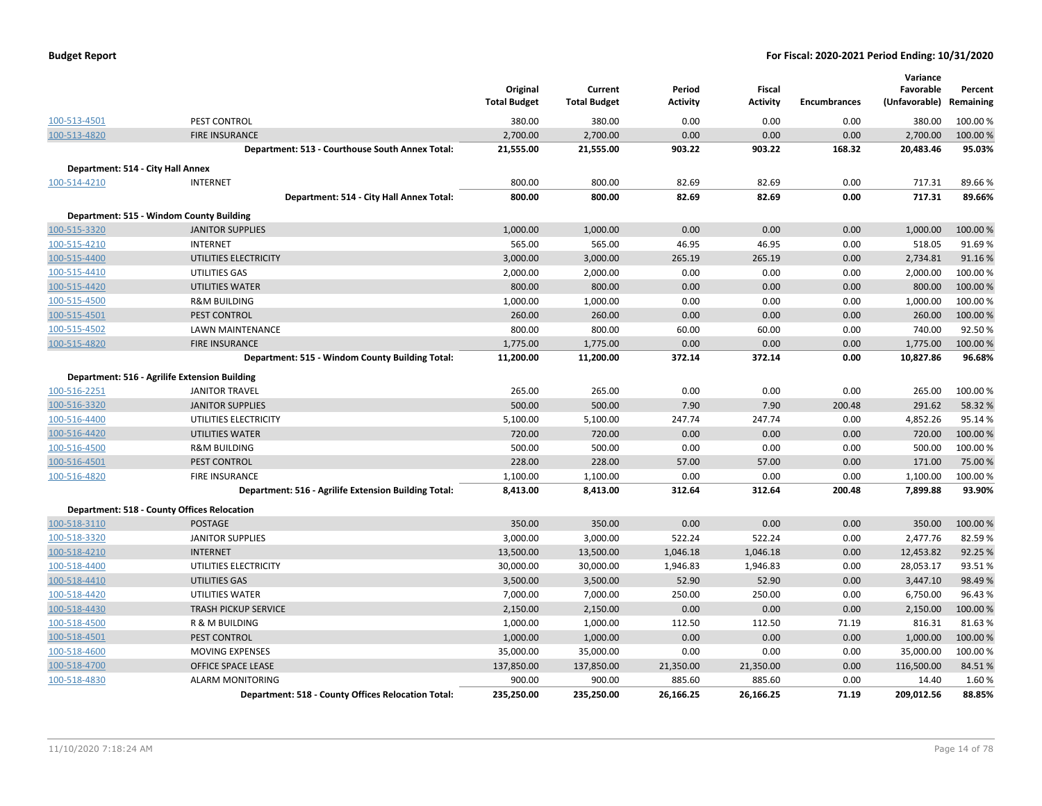| <b>Budget Report</b> |  |  |
|----------------------|--|--|
|----------------------|--|--|

|                                   |                                                      | Original<br><b>Total Budget</b> | Current<br><b>Total Budget</b> | Period<br><b>Activity</b> | Fiscal<br>Activity | <b>Encumbrances</b> | Variance<br>Favorable<br>(Unfavorable) Remaining | Percent  |
|-----------------------------------|------------------------------------------------------|---------------------------------|--------------------------------|---------------------------|--------------------|---------------------|--------------------------------------------------|----------|
| 100-513-4501                      | PEST CONTROL                                         | 380.00                          | 380.00                         | 0.00                      | 0.00               | 0.00                | 380.00                                           | 100.00 % |
| 100-513-4820                      | <b>FIRE INSURANCE</b>                                | 2,700.00                        | 2,700.00                       | 0.00                      | 0.00               | 0.00                | 2,700.00                                         | 100.00 % |
|                                   | Department: 513 - Courthouse South Annex Total:      | 21,555.00                       | 21,555.00                      | 903.22                    | 903.22             | 168.32              | 20,483.46                                        | 95.03%   |
| Department: 514 - City Hall Annex |                                                      |                                 |                                |                           |                    |                     |                                                  |          |
| 100-514-4210                      | <b>INTERNET</b>                                      | 800.00                          | 800.00                         | 82.69                     | 82.69              | 0.00                | 717.31                                           | 89.66%   |
|                                   | Department: 514 - City Hall Annex Total:             | 800.00                          | 800.00                         | 82.69                     | 82.69              | 0.00                | 717.31                                           | 89.66%   |
|                                   | Department: 515 - Windom County Building             |                                 |                                |                           |                    |                     |                                                  |          |
| 100-515-3320                      | <b>JANITOR SUPPLIES</b>                              | 1,000.00                        | 1,000.00                       | 0.00                      | 0.00               | 0.00                | 1,000.00                                         | 100.00%  |
| 100-515-4210                      | <b>INTERNET</b>                                      | 565.00                          | 565.00                         | 46.95                     | 46.95              | 0.00                | 518.05                                           | 91.69%   |
| 100-515-4400                      | UTILITIES ELECTRICITY                                | 3,000.00                        | 3,000.00                       | 265.19                    | 265.19             | 0.00                | 2,734.81                                         | 91.16%   |
| 100-515-4410                      | UTILITIES GAS                                        | 2,000.00                        | 2,000.00                       | 0.00                      | 0.00               | 0.00                | 2,000.00                                         | 100.00%  |
| 100-515-4420                      | <b>UTILITIES WATER</b>                               | 800.00                          | 800.00                         | 0.00                      | 0.00               | 0.00                | 800.00                                           | 100.00 % |
| 100-515-4500                      | <b>R&amp;M BUILDING</b>                              | 1,000.00                        | 1,000.00                       | 0.00                      | 0.00               | 0.00                | 1,000.00                                         | 100.00%  |
| 100-515-4501                      | PEST CONTROL                                         | 260.00                          | 260.00                         | 0.00                      | 0.00               | 0.00                | 260.00                                           | 100.00%  |
| 100-515-4502                      | LAWN MAINTENANCE                                     | 800.00                          | 800.00                         | 60.00                     | 60.00              | 0.00                | 740.00                                           | 92.50%   |
| 100-515-4820                      | <b>FIRE INSURANCE</b>                                | 1,775.00                        | 1,775.00                       | 0.00                      | 0.00               | 0.00                | 1,775.00                                         | 100.00 % |
|                                   | Department: 515 - Windom County Building Total:      | 11,200.00                       | 11,200.00                      | 372.14                    | 372.14             | 0.00                | 10,827.86                                        | 96.68%   |
|                                   | Department: 516 - Agrilife Extension Building        |                                 |                                |                           |                    |                     |                                                  |          |
| 100-516-2251                      | <b>JANITOR TRAVEL</b>                                | 265.00                          | 265.00                         | 0.00                      | 0.00               | 0.00                | 265.00                                           | 100.00%  |
| 100-516-3320                      | <b>JANITOR SUPPLIES</b>                              | 500.00                          | 500.00                         | 7.90                      | 7.90               | 200.48              | 291.62                                           | 58.32 %  |
| 100-516-4400                      | UTILITIES ELECTRICITY                                | 5,100.00                        | 5,100.00                       | 247.74                    | 247.74             | 0.00                | 4,852.26                                         | 95.14%   |
| 100-516-4420                      | <b>UTILITIES WATER</b>                               | 720.00                          | 720.00                         | 0.00                      | 0.00               | 0.00                | 720.00                                           | 100.00 % |
| 100-516-4500                      | <b>R&amp;M BUILDING</b>                              | 500.00                          | 500.00                         | 0.00                      | 0.00               | 0.00                | 500.00                                           | 100.00%  |
| 100-516-4501                      | PEST CONTROL                                         | 228.00                          | 228.00                         | 57.00                     | 57.00              | 0.00                | 171.00                                           | 75.00 %  |
| 100-516-4820                      | FIRE INSURANCE                                       | 1,100.00                        | 1,100.00                       | 0.00                      | 0.00               | 0.00                | 1,100.00                                         | 100.00%  |
|                                   | Department: 516 - Agrilife Extension Building Total: | 8,413.00                        | 8,413.00                       | 312.64                    | 312.64             | 200.48              | 7,899.88                                         | 93.90%   |
|                                   | <b>Department: 518 - County Offices Relocation</b>   |                                 |                                |                           |                    |                     |                                                  |          |
| 100-518-3110                      | <b>POSTAGE</b>                                       | 350.00                          | 350.00                         | 0.00                      | 0.00               | 0.00                | 350.00                                           | 100.00 % |
| 100-518-3320                      | <b>JANITOR SUPPLIES</b>                              | 3,000.00                        | 3,000.00                       | 522.24                    | 522.24             | 0.00                | 2,477.76                                         | 82.59%   |
| 100-518-4210                      | <b>INTERNET</b>                                      | 13,500.00                       | 13,500.00                      | 1,046.18                  | 1,046.18           | 0.00                | 12,453.82                                        | 92.25 %  |
| 100-518-4400                      | UTILITIES ELECTRICITY                                | 30,000.00                       | 30,000.00                      | 1,946.83                  | 1,946.83           | 0.00                | 28,053.17                                        | 93.51%   |
| 100-518-4410                      | <b>UTILITIES GAS</b>                                 | 3,500.00                        | 3,500.00                       | 52.90                     | 52.90              | 0.00                | 3,447.10                                         | 98.49%   |
| 100-518-4420                      | UTILITIES WATER                                      | 7,000.00                        | 7,000.00                       | 250.00                    | 250.00             | 0.00                | 6,750.00                                         | 96.43%   |
| 100-518-4430                      | <b>TRASH PICKUP SERVICE</b>                          | 2,150.00                        | 2,150.00                       | 0.00                      | 0.00               | 0.00                | 2,150.00                                         | 100.00 % |
| 100-518-4500                      | R & M BUILDING                                       | 1,000.00                        | 1,000.00                       | 112.50                    | 112.50             | 71.19               | 816.31                                           | 81.63%   |
| 100-518-4501                      | PEST CONTROL                                         | 1,000.00                        | 1,000.00                       | 0.00                      | 0.00               | 0.00                | 1,000.00                                         | 100.00 % |
| 100-518-4600                      | <b>MOVING EXPENSES</b>                               | 35,000.00                       | 35,000.00                      | 0.00                      | 0.00               | 0.00                | 35,000.00                                        | 100.00%  |
| 100-518-4700                      | <b>OFFICE SPACE LEASE</b>                            | 137,850.00                      | 137,850.00                     | 21,350.00                 | 21,350.00          | 0.00                | 116,500.00                                       | 84.51%   |
| 100-518-4830                      | <b>ALARM MONITORING</b>                              | 900.00                          | 900.00                         | 885.60                    | 885.60             | 0.00                | 14.40                                            | 1.60%    |
|                                   | Department: 518 - County Offices Relocation Total:   | 235,250.00                      | 235,250.00                     | 26,166.25                 | 26,166.25          | 71.19               | 209,012.56                                       | 88.85%   |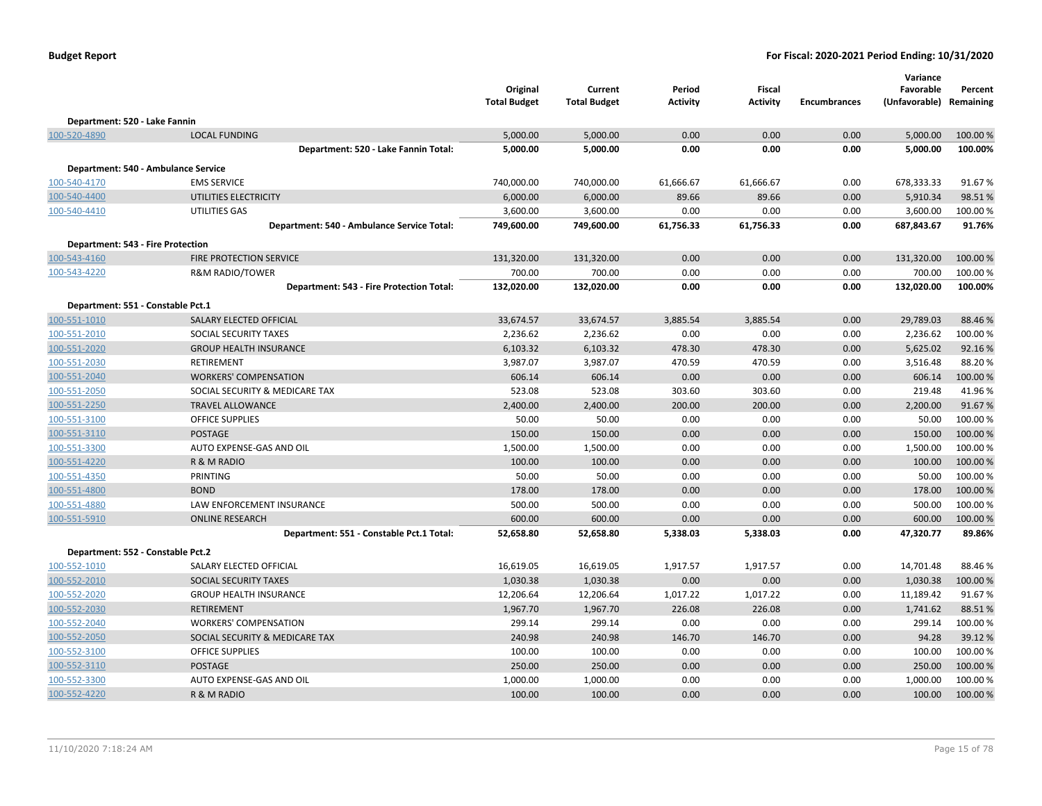|                                          |                                            | Original<br><b>Total Budget</b> | Current<br><b>Total Budget</b> | Period<br>Activity | <b>Fiscal</b><br><b>Activity</b> | <b>Encumbrances</b> | Variance<br>Favorable<br>(Unfavorable) Remaining | Percent  |
|------------------------------------------|--------------------------------------------|---------------------------------|--------------------------------|--------------------|----------------------------------|---------------------|--------------------------------------------------|----------|
| Department: 520 - Lake Fannin            |                                            |                                 |                                |                    |                                  |                     |                                                  |          |
| 100-520-4890                             | <b>LOCAL FUNDING</b>                       | 5,000.00                        | 5,000.00                       | 0.00               | 0.00                             | 0.00                | 5,000.00                                         | 100.00%  |
|                                          | Department: 520 - Lake Fannin Total:       | 5,000.00                        | 5,000.00                       | 0.00               | 0.00                             | 0.00                | 5,000.00                                         | 100.00%  |
|                                          | Department: 540 - Ambulance Service        |                                 |                                |                    |                                  |                     |                                                  |          |
| 100-540-4170                             | <b>EMS SERVICE</b>                         | 740,000.00                      | 740,000.00                     | 61,666.67          | 61,666.67                        | 0.00                | 678,333.33                                       | 91.67%   |
| 100-540-4400                             | UTILITIES ELECTRICITY                      | 6,000.00                        | 6,000.00                       | 89.66              | 89.66                            | 0.00                | 5,910.34                                         | 98.51%   |
| 100-540-4410                             | UTILITIES GAS                              | 3,600.00                        | 3,600.00                       | 0.00               | 0.00                             | 0.00                | 3,600.00                                         | 100.00%  |
|                                          | Department: 540 - Ambulance Service Total: | 749,600.00                      | 749,600.00                     | 61,756.33          | 61,756.33                        | 0.00                | 687,843.67                                       | 91.76%   |
|                                          |                                            |                                 |                                |                    |                                  |                     |                                                  |          |
| <b>Department: 543 - Fire Protection</b> |                                            |                                 |                                |                    |                                  |                     |                                                  |          |
| 100-543-4160                             | FIRE PROTECTION SERVICE                    | 131,320.00                      | 131,320.00                     | 0.00               | 0.00                             | 0.00                | 131,320.00                                       | 100.00 % |
| 100-543-4220                             | <b>R&amp;M RADIO/TOWER</b>                 | 700.00                          | 700.00                         | 0.00               | 0.00                             | 0.00                | 700.00                                           | 100.00 % |
|                                          | Department: 543 - Fire Protection Total:   | 132,020.00                      | 132,020.00                     | 0.00               | 0.00                             | 0.00                | 132,020.00                                       | 100.00%  |
| Department: 551 - Constable Pct.1        |                                            |                                 |                                |                    |                                  |                     |                                                  |          |
| 100-551-1010                             | SALARY ELECTED OFFICIAL                    | 33,674.57                       | 33,674.57                      | 3,885.54           | 3,885.54                         | 0.00                | 29,789.03                                        | 88.46%   |
| 100-551-2010                             | SOCIAL SECURITY TAXES                      | 2,236.62                        | 2,236.62                       | 0.00               | 0.00                             | 0.00                | 2,236.62                                         | 100.00%  |
| 100-551-2020                             | <b>GROUP HEALTH INSURANCE</b>              | 6,103.32                        | 6,103.32                       | 478.30             | 478.30                           | 0.00                | 5,625.02                                         | 92.16%   |
| 100-551-2030                             | <b>RETIREMENT</b>                          | 3,987.07                        | 3,987.07                       | 470.59             | 470.59                           | 0.00                | 3,516.48                                         | 88.20%   |
| 100-551-2040                             | <b>WORKERS' COMPENSATION</b>               | 606.14                          | 606.14                         | 0.00               | 0.00                             | 0.00                | 606.14                                           | 100.00 % |
| 100-551-2050                             | SOCIAL SECURITY & MEDICARE TAX             | 523.08                          | 523.08                         | 303.60             | 303.60                           | 0.00                | 219.48                                           | 41.96%   |
| 100-551-2250                             | <b>TRAVEL ALLOWANCE</b>                    | 2,400.00                        | 2,400.00                       | 200.00             | 200.00                           | 0.00                | 2,200.00                                         | 91.67%   |
| 100-551-3100                             | <b>OFFICE SUPPLIES</b>                     | 50.00                           | 50.00                          | 0.00               | 0.00                             | 0.00                | 50.00                                            | 100.00%  |
| 100-551-3110                             | <b>POSTAGE</b>                             | 150.00                          | 150.00                         | 0.00               | 0.00                             | 0.00                | 150.00                                           | 100.00%  |
| 100-551-3300                             | AUTO EXPENSE-GAS AND OIL                   | 1,500.00                        | 1,500.00                       | 0.00               | 0.00                             | 0.00                | 1,500.00                                         | 100.00 % |
| 100-551-4220                             | R & M RADIO                                | 100.00                          | 100.00                         | 0.00               | 0.00                             | 0.00                | 100.00                                           | 100.00 % |
| 100-551-4350                             | PRINTING                                   | 50.00                           | 50.00                          | 0.00               | 0.00                             | 0.00                | 50.00                                            | 100.00%  |
| 100-551-4800                             | <b>BOND</b>                                | 178.00                          | 178.00                         | 0.00               | 0.00                             | 0.00                | 178.00                                           | 100.00 % |
| 100-551-4880                             | LAW ENFORCEMENT INSURANCE                  | 500.00                          | 500.00                         | 0.00               | 0.00                             | 0.00                | 500.00                                           | 100.00 % |
| 100-551-5910                             | <b>ONLINE RESEARCH</b>                     | 600.00                          | 600.00                         | 0.00               | 0.00                             | 0.00                | 600.00                                           | 100.00%  |
|                                          | Department: 551 - Constable Pct.1 Total:   | 52,658.80                       | 52,658.80                      | 5,338.03           | 5,338.03                         | 0.00                | 47,320.77                                        | 89.86%   |
| Department: 552 - Constable Pct.2        |                                            |                                 |                                |                    |                                  |                     |                                                  |          |
| 100-552-1010                             | SALARY ELECTED OFFICIAL                    | 16,619.05                       | 16,619.05                      | 1,917.57           | 1,917.57                         | 0.00                | 14,701.48                                        | 88.46%   |
| 100-552-2010                             | SOCIAL SECURITY TAXES                      | 1,030.38                        | 1,030.38                       | 0.00               | 0.00                             | 0.00                | 1,030.38                                         | 100.00 % |
| 100-552-2020                             | <b>GROUP HEALTH INSURANCE</b>              | 12,206.64                       | 12,206.64                      | 1,017.22           | 1,017.22                         | 0.00                | 11,189.42                                        | 91.67%   |
| 100-552-2030                             | <b>RETIREMENT</b>                          | 1,967.70                        | 1,967.70                       | 226.08             | 226.08                           | 0.00                | 1,741.62                                         | 88.51%   |
| 100-552-2040                             | <b>WORKERS' COMPENSATION</b>               | 299.14                          | 299.14                         | 0.00               | 0.00                             | 0.00                | 299.14                                           | 100.00 % |
| 100-552-2050                             | SOCIAL SECURITY & MEDICARE TAX             | 240.98                          | 240.98                         | 146.70             | 146.70                           | 0.00                | 94.28                                            | 39.12 %  |
| 100-552-3100                             | <b>OFFICE SUPPLIES</b>                     | 100.00                          | 100.00                         | 0.00               | 0.00                             | 0.00                | 100.00                                           | 100.00%  |
| 100-552-3110                             | <b>POSTAGE</b>                             | 250.00                          | 250.00                         | 0.00               | 0.00                             | 0.00                | 250.00                                           | 100.00%  |
| 100-552-3300                             | AUTO EXPENSE-GAS AND OIL                   | 1,000.00                        | 1,000.00                       | 0.00               | 0.00                             | 0.00                | 1,000.00                                         | 100.00%  |
| 100-552-4220                             | R & M RADIO                                | 100.00                          | 100.00                         | 0.00               | 0.00                             | 0.00                | 100.00                                           | 100.00%  |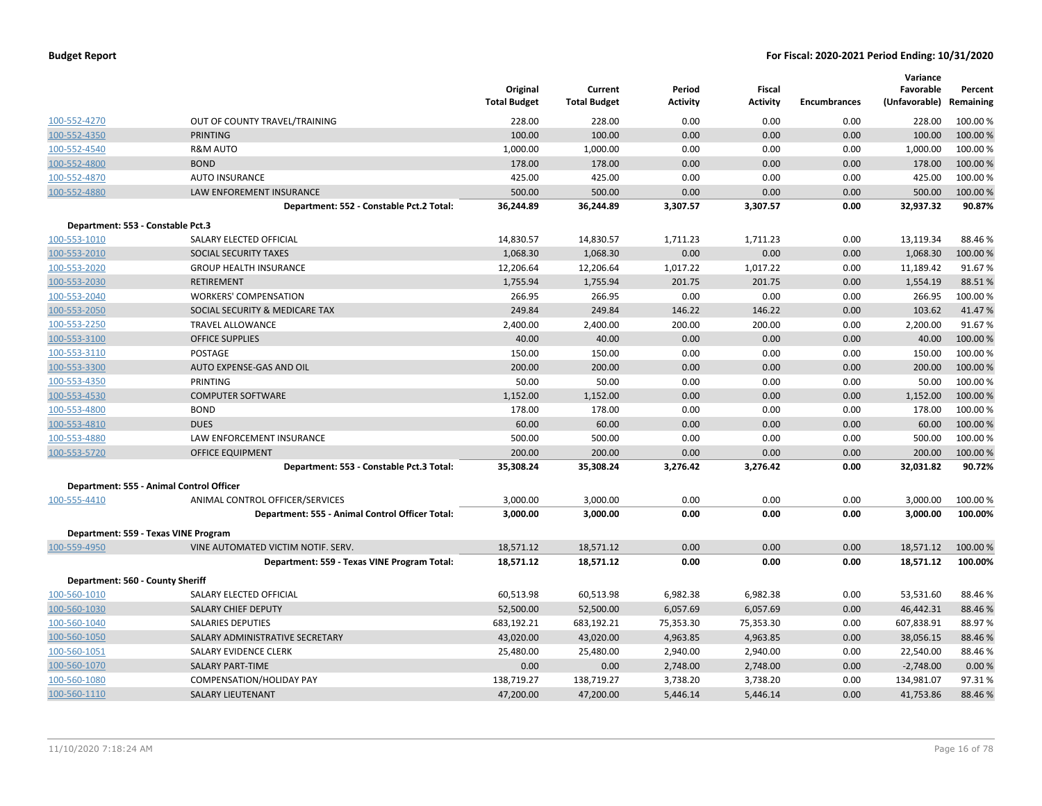|                                   |                                                 | Original<br><b>Total Budget</b> | Current<br><b>Total Budget</b> | Period<br><b>Activity</b> | Fiscal<br>Activity | <b>Encumbrances</b> | Variance<br>Favorable<br>(Unfavorable) | Percent<br>Remaining |
|-----------------------------------|-------------------------------------------------|---------------------------------|--------------------------------|---------------------------|--------------------|---------------------|----------------------------------------|----------------------|
| 100-552-4270                      | OUT OF COUNTY TRAVEL/TRAINING                   | 228.00                          | 228.00                         | 0.00                      | 0.00               | 0.00                | 228.00                                 | 100.00 %             |
| 100-552-4350                      | <b>PRINTING</b>                                 | 100.00                          | 100.00                         | 0.00                      | 0.00               | 0.00                | 100.00                                 | 100.00 %             |
| 100-552-4540                      | <b>R&amp;M AUTO</b>                             | 1,000.00                        | 1,000.00                       | 0.00                      | 0.00               | 0.00                | 1,000.00                               | 100.00%              |
| 100-552-4800                      | <b>BOND</b>                                     | 178.00                          | 178.00                         | 0.00                      | 0.00               | 0.00                | 178.00                                 | 100.00%              |
| 100-552-4870                      | <b>AUTO INSURANCE</b>                           | 425.00                          | 425.00                         | 0.00                      | 0.00               | 0.00                | 425.00                                 | 100.00%              |
| 100-552-4880                      | <b>LAW ENFOREMENT INSURANCE</b>                 | 500.00                          | 500.00                         | 0.00                      | 0.00               | 0.00                | 500.00                                 | 100.00 %             |
|                                   | Department: 552 - Constable Pct.2 Total:        | 36,244.89                       | 36,244.89                      | 3,307.57                  | 3,307.57           | 0.00                | 32,937.32                              | 90.87%               |
| Department: 553 - Constable Pct.3 |                                                 |                                 |                                |                           |                    |                     |                                        |                      |
| 100-553-1010                      | SALARY ELECTED OFFICIAL                         | 14,830.57                       | 14,830.57                      | 1,711.23                  | 1,711.23           | 0.00                | 13,119.34                              | 88.46%               |
| 100-553-2010                      | SOCIAL SECURITY TAXES                           | 1,068.30                        | 1,068.30                       | 0.00                      | 0.00               | 0.00                | 1,068.30                               | 100.00 %             |
| 100-553-2020                      | <b>GROUP HEALTH INSURANCE</b>                   | 12,206.64                       | 12,206.64                      | 1,017.22                  | 1,017.22           | 0.00                | 11,189.42                              | 91.67%               |
| 100-553-2030                      | <b>RETIREMENT</b>                               | 1,755.94                        | 1,755.94                       | 201.75                    | 201.75             | 0.00                | 1,554.19                               | 88.51%               |
| 100-553-2040                      | <b>WORKERS' COMPENSATION</b>                    | 266.95                          | 266.95                         | 0.00                      | 0.00               | 0.00                | 266.95                                 | 100.00%              |
| 100-553-2050                      | SOCIAL SECURITY & MEDICARE TAX                  | 249.84                          | 249.84                         | 146.22                    | 146.22             | 0.00                | 103.62                                 | 41.47%               |
| 100-553-2250                      | <b>TRAVEL ALLOWANCE</b>                         | 2,400.00                        | 2,400.00                       | 200.00                    | 200.00             | 0.00                | 2,200.00                               | 91.67%               |
| 100-553-3100                      | <b>OFFICE SUPPLIES</b>                          | 40.00                           | 40.00                          | 0.00                      | 0.00               | 0.00                | 40.00                                  | 100.00%              |
| 100-553-3110                      | POSTAGE                                         | 150.00                          | 150.00                         | 0.00                      | 0.00               | 0.00                | 150.00                                 | 100.00%              |
| 100-553-3300                      | AUTO EXPENSE-GAS AND OIL                        | 200.00                          | 200.00                         | 0.00                      | 0.00               | 0.00                | 200.00                                 | 100.00%              |
| 100-553-4350                      | PRINTING                                        | 50.00                           | 50.00                          | 0.00                      | 0.00               | 0.00                | 50.00                                  | 100.00 %             |
| 100-553-4530                      | <b>COMPUTER SOFTWARE</b>                        | 1,152.00                        | 1,152.00                       | 0.00                      | 0.00               | 0.00                | 1,152.00                               | 100.00%              |
| 100-553-4800                      | <b>BOND</b>                                     | 178.00                          | 178.00                         | 0.00                      | 0.00               | 0.00                | 178.00                                 | 100.00 %             |
| 100-553-4810                      | <b>DUES</b>                                     | 60.00                           | 60.00                          | 0.00                      | 0.00               | 0.00                | 60.00                                  | 100.00%              |
| 100-553-4880                      | LAW ENFORCEMENT INSURANCE                       | 500.00                          | 500.00                         | 0.00                      | 0.00               | 0.00                | 500.00                                 | 100.00%              |
| 100-553-5720                      | OFFICE EQUIPMENT                                | 200.00                          | 200.00                         | 0.00                      | 0.00               | 0.00                | 200.00                                 | 100.00 %             |
|                                   | Department: 553 - Constable Pct.3 Total:        | 35,308.24                       | 35,308.24                      | 3,276.42                  | 3,276.42           | 0.00                | 32,031.82                              | 90.72%               |
|                                   | Department: 555 - Animal Control Officer        |                                 |                                |                           |                    |                     |                                        |                      |
| 100-555-4410                      | ANIMAL CONTROL OFFICER/SERVICES                 | 3,000.00                        | 3,000.00                       | 0.00                      | 0.00               | 0.00                | 3,000.00                               | 100.00%              |
|                                   | Department: 555 - Animal Control Officer Total: | 3,000.00                        | 3,000.00                       | 0.00                      | 0.00               | 0.00                | 3,000.00                               | 100.00%              |
|                                   | Department: 559 - Texas VINE Program            |                                 |                                |                           |                    |                     |                                        |                      |
| 100-559-4950                      | VINE AUTOMATED VICTIM NOTIF. SERV.              | 18,571.12                       | 18,571.12                      | 0.00                      | 0.00               | 0.00                | 18,571.12                              | 100.00 %             |
|                                   | Department: 559 - Texas VINE Program Total:     | 18,571.12                       | 18,571.12                      | 0.00                      | 0.00               | 0.00                | 18,571.12                              | 100.00%              |
| Department: 560 - County Sheriff  |                                                 |                                 |                                |                           |                    |                     |                                        |                      |
| 100-560-1010                      | SALARY ELECTED OFFICIAL                         | 60,513.98                       | 60,513.98                      | 6,982.38                  | 6,982.38           | 0.00                | 53,531.60                              | 88.46%               |
| 100-560-1030                      | SALARY CHIEF DEPUTY                             | 52,500.00                       | 52,500.00                      | 6,057.69                  | 6,057.69           | 0.00                | 46,442.31                              | 88.46%               |
| 100-560-1040                      | <b>SALARIES DEPUTIES</b>                        | 683,192.21                      | 683,192.21                     | 75,353.30                 | 75,353.30          | 0.00                | 607,838.91                             | 88.97%               |
| 100-560-1050                      | SALARY ADMINISTRATIVE SECRETARY                 | 43,020.00                       | 43,020.00                      | 4,963.85                  | 4,963.85           | 0.00                | 38,056.15                              | 88.46%               |
| 100-560-1051                      | SALARY EVIDENCE CLERK                           | 25,480.00                       | 25,480.00                      | 2,940.00                  | 2,940.00           | 0.00                | 22,540.00                              | 88.46%               |
| 100-560-1070                      | <b>SALARY PART-TIME</b>                         | 0.00                            | 0.00                           | 2,748.00                  | 2,748.00           | 0.00                | $-2,748.00$                            | 0.00%                |
| 100-560-1080                      | COMPENSATION/HOLIDAY PAY                        | 138,719.27                      | 138,719.27                     | 3,738.20                  | 3,738.20           | 0.00                | 134,981.07                             | 97.31%               |
| 100-560-1110                      | <b>SALARY LIEUTENANT</b>                        | 47,200.00                       | 47,200.00                      | 5,446.14                  | 5,446.14           | 0.00                | 41,753.86                              | 88.46%               |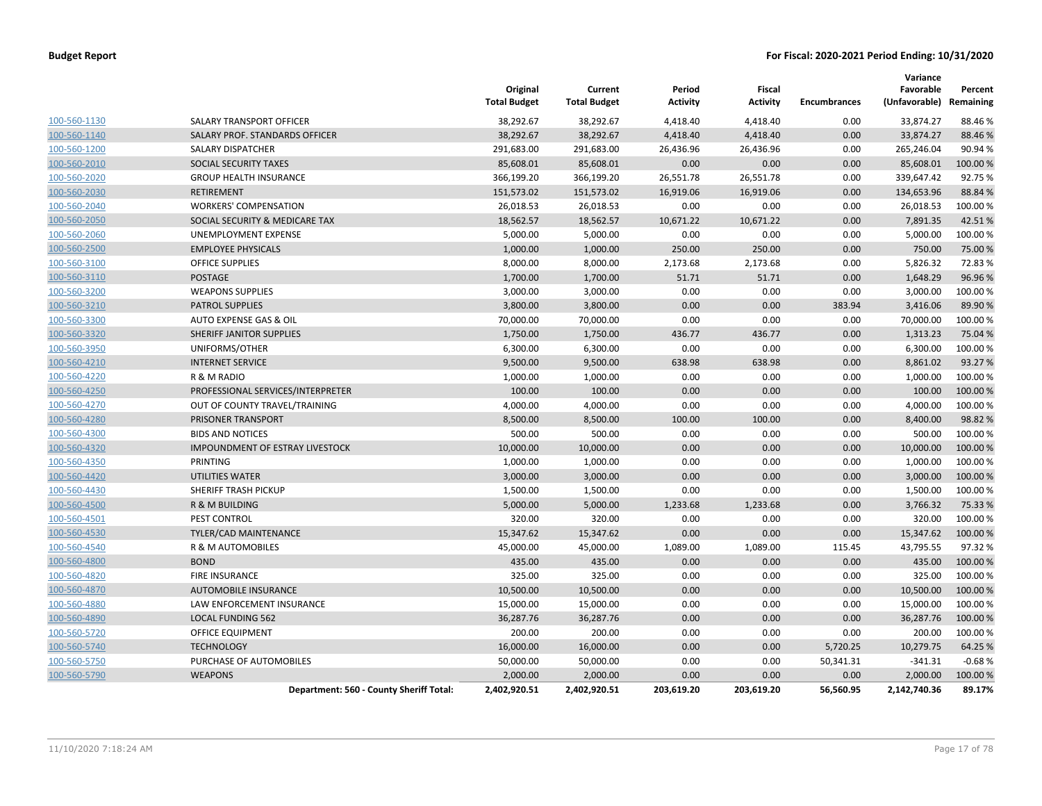|              |                                         | Original<br><b>Total Budget</b> | Current<br><b>Total Budget</b> | Period<br><b>Activity</b> | Fiscal<br><b>Activity</b> | Encumbrances | Variance<br>Favorable<br>(Unfavorable) Remaining | Percent  |
|--------------|-----------------------------------------|---------------------------------|--------------------------------|---------------------------|---------------------------|--------------|--------------------------------------------------|----------|
| 100-560-1130 | SALARY TRANSPORT OFFICER                | 38,292.67                       | 38,292.67                      | 4,418.40                  | 4,418.40                  | 0.00         | 33,874.27                                        | 88.46%   |
| 100-560-1140 | SALARY PROF. STANDARDS OFFICER          | 38,292.67                       | 38,292.67                      | 4,418.40                  | 4,418.40                  | 0.00         | 33,874.27                                        | 88.46%   |
| 100-560-1200 | SALARY DISPATCHER                       | 291,683.00                      | 291,683.00                     | 26,436.96                 | 26,436.96                 | 0.00         | 265,246.04                                       | 90.94 %  |
| 100-560-2010 | SOCIAL SECURITY TAXES                   | 85,608.01                       | 85,608.01                      | 0.00                      | 0.00                      | 0.00         | 85,608.01                                        | 100.00%  |
| 100-560-2020 | <b>GROUP HEALTH INSURANCE</b>           | 366,199.20                      | 366,199.20                     | 26,551.78                 | 26,551.78                 | 0.00         | 339,647.42                                       | 92.75 %  |
| 100-560-2030 | <b>RETIREMENT</b>                       | 151,573.02                      | 151,573.02                     | 16,919.06                 | 16,919.06                 | 0.00         | 134,653.96                                       | 88.84%   |
| 100-560-2040 | <b>WORKERS' COMPENSATION</b>            | 26,018.53                       | 26,018.53                      | 0.00                      | 0.00                      | 0.00         | 26,018.53                                        | 100.00%  |
| 100-560-2050 | SOCIAL SECURITY & MEDICARE TAX          | 18,562.57                       | 18,562.57                      | 10,671.22                 | 10,671.22                 | 0.00         | 7,891.35                                         | 42.51%   |
| 100-560-2060 | UNEMPLOYMENT EXPENSE                    | 5,000.00                        | 5,000.00                       | 0.00                      | 0.00                      | 0.00         | 5,000.00                                         | 100.00%  |
| 100-560-2500 | <b>EMPLOYEE PHYSICALS</b>               | 1,000.00                        | 1,000.00                       | 250.00                    | 250.00                    | 0.00         | 750.00                                           | 75.00 %  |
| 100-560-3100 | <b>OFFICE SUPPLIES</b>                  | 8,000.00                        | 8,000.00                       | 2,173.68                  | 2,173.68                  | 0.00         | 5,826.32                                         | 72.83%   |
| 100-560-3110 | <b>POSTAGE</b>                          | 1,700.00                        | 1,700.00                       | 51.71                     | 51.71                     | 0.00         | 1,648.29                                         | 96.96%   |
| 100-560-3200 | <b>WEAPONS SUPPLIES</b>                 | 3,000.00                        | 3,000.00                       | 0.00                      | 0.00                      | 0.00         | 3,000.00                                         | 100.00%  |
| 100-560-3210 | <b>PATROL SUPPLIES</b>                  | 3,800.00                        | 3,800.00                       | 0.00                      | 0.00                      | 383.94       | 3,416.06                                         | 89.90%   |
| 100-560-3300 | AUTO EXPENSE GAS & OIL                  | 70,000.00                       | 70,000.00                      | 0.00                      | 0.00                      | 0.00         | 70,000.00                                        | 100.00 % |
| 100-560-3320 | SHERIFF JANITOR SUPPLIES                | 1,750.00                        | 1,750.00                       | 436.77                    | 436.77                    | 0.00         | 1,313.23                                         | 75.04 %  |
| 100-560-3950 | UNIFORMS/OTHER                          | 6,300.00                        | 6,300.00                       | 0.00                      | 0.00                      | 0.00         | 6,300.00                                         | 100.00 % |
| 100-560-4210 | <b>INTERNET SERVICE</b>                 | 9,500.00                        | 9,500.00                       | 638.98                    | 638.98                    | 0.00         | 8,861.02                                         | 93.27%   |
| 100-560-4220 | R & M RADIO                             | 1,000.00                        | 1,000.00                       | 0.00                      | 0.00                      | 0.00         | 1,000.00                                         | 100.00 % |
| 100-560-4250 | PROFESSIONAL SERVICES/INTERPRETER       | 100.00                          | 100.00                         | 0.00                      | 0.00                      | 0.00         | 100.00                                           | 100.00%  |
| 100-560-4270 | OUT OF COUNTY TRAVEL/TRAINING           | 4,000.00                        | 4,000.00                       | 0.00                      | 0.00                      | 0.00         | 4,000.00                                         | 100.00 % |
| 100-560-4280 | <b>PRISONER TRANSPORT</b>               | 8,500.00                        | 8,500.00                       | 100.00                    | 100.00                    | 0.00         | 8,400.00                                         | 98.82%   |
| 100-560-4300 | <b>BIDS AND NOTICES</b>                 | 500.00                          | 500.00                         | 0.00                      | 0.00                      | 0.00         | 500.00                                           | 100.00 % |
| 100-560-4320 | <b>IMPOUNDMENT OF ESTRAY LIVESTOCK</b>  | 10,000.00                       | 10,000.00                      | 0.00                      | 0.00                      | 0.00         | 10,000.00                                        | 100.00%  |
| 100-560-4350 | PRINTING                                | 1,000.00                        | 1,000.00                       | 0.00                      | 0.00                      | 0.00         | 1,000.00                                         | 100.00 % |
| 100-560-4420 | UTILITIES WATER                         | 3,000.00                        | 3,000.00                       | 0.00                      | 0.00                      | 0.00         | 3,000.00                                         | 100.00 % |
| 100-560-4430 | SHERIFF TRASH PICKUP                    | 1,500.00                        | 1,500.00                       | 0.00                      | 0.00                      | 0.00         | 1,500.00                                         | 100.00%  |
| 100-560-4500 | <b>R &amp; M BUILDING</b>               | 5,000.00                        | 5,000.00                       | 1,233.68                  | 1,233.68                  | 0.00         | 3,766.32                                         | 75.33 %  |
| 100-560-4501 | PEST CONTROL                            | 320.00                          | 320.00                         | 0.00                      | 0.00                      | 0.00         | 320.00                                           | 100.00 % |
| 100-560-4530 | TYLER/CAD MAINTENANCE                   | 15,347.62                       | 15,347.62                      | 0.00                      | 0.00                      | 0.00         | 15,347.62                                        | 100.00 % |
| 100-560-4540 | R & M AUTOMOBILES                       | 45,000.00                       | 45,000.00                      | 1,089.00                  | 1,089.00                  | 115.45       | 43,795.55                                        | 97.32%   |
| 100-560-4800 | <b>BOND</b>                             | 435.00                          | 435.00                         | 0.00                      | 0.00                      | 0.00         | 435.00                                           | 100.00 % |
| 100-560-4820 | <b>FIRE INSURANCE</b>                   | 325.00                          | 325.00                         | 0.00                      | 0.00                      | 0.00         | 325.00                                           | 100.00%  |
| 100-560-4870 | <b>AUTOMOBILE INSURANCE</b>             | 10,500.00                       | 10,500.00                      | 0.00                      | 0.00                      | 0.00         | 10,500.00                                        | 100.00 % |
| 100-560-4880 | LAW ENFORCEMENT INSURANCE               | 15,000.00                       | 15,000.00                      | 0.00                      | 0.00                      | 0.00         | 15,000.00                                        | 100.00 % |
| 100-560-4890 | <b>LOCAL FUNDING 562</b>                | 36,287.76                       | 36,287.76                      | 0.00                      | 0.00                      | 0.00         | 36,287.76                                        | 100.00 % |
| 100-560-5720 | OFFICE EQUIPMENT                        | 200.00                          | 200.00                         | 0.00                      | 0.00                      | 0.00         | 200.00                                           | 100.00 % |
| 100-560-5740 | <b>TECHNOLOGY</b>                       | 16,000.00                       | 16,000.00                      | 0.00                      | 0.00                      | 5,720.25     | 10,279.75                                        | 64.25 %  |
| 100-560-5750 | PURCHASE OF AUTOMOBILES                 | 50,000.00                       | 50,000.00                      | 0.00                      | 0.00                      | 50,341.31    | $-341.31$                                        | $-0.68%$ |
| 100-560-5790 | <b>WEAPONS</b>                          | 2,000.00                        | 2,000.00                       | 0.00                      | 0.00                      | 0.00         | 2,000.00                                         | 100.00%  |
|              | Department: 560 - County Sheriff Total: | 2,402,920.51                    | 2,402,920.51                   | 203,619.20                | 203,619.20                | 56,560.95    | 2,142,740.36                                     | 89.17%   |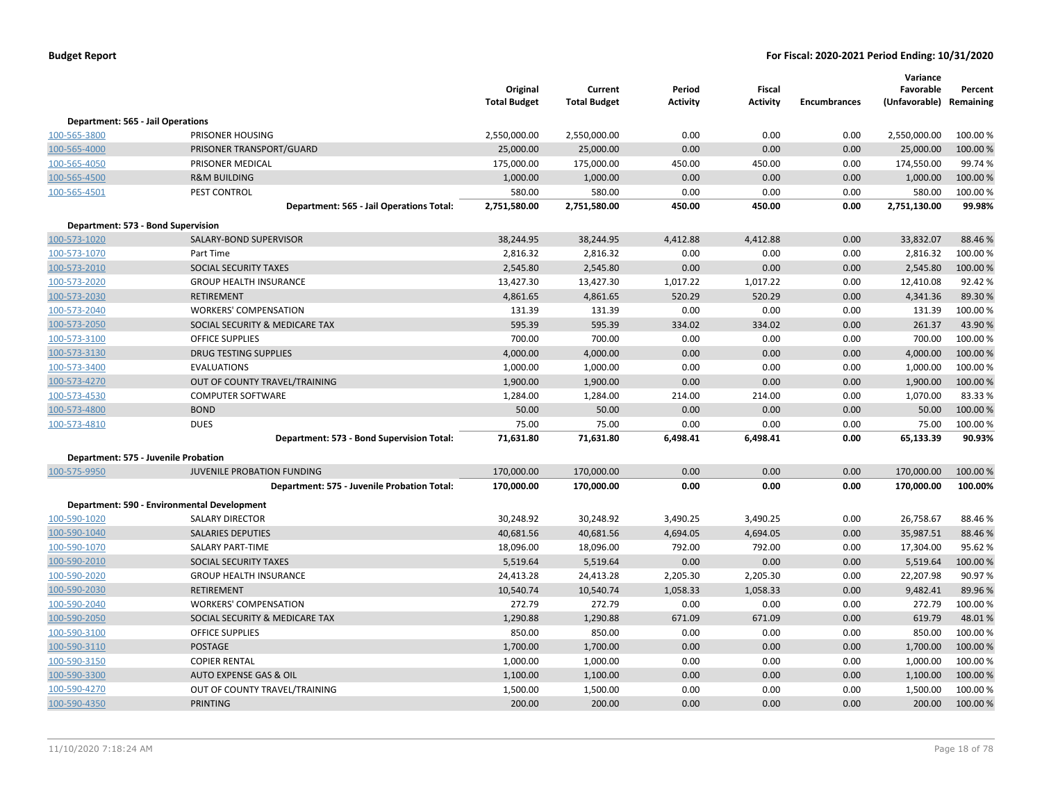|                                          |                                             | Original<br><b>Total Budget</b> | Current<br><b>Total Budget</b> | Period<br><b>Activity</b> | Fiscal<br><b>Activity</b> | <b>Encumbrances</b> | Variance<br>Favorable<br>(Unfavorable) | Percent<br>Remaining |
|------------------------------------------|---------------------------------------------|---------------------------------|--------------------------------|---------------------------|---------------------------|---------------------|----------------------------------------|----------------------|
| <b>Department: 565 - Jail Operations</b> |                                             |                                 |                                |                           |                           |                     |                                        |                      |
| 100-565-3800                             | PRISONER HOUSING                            | 2,550,000.00                    | 2,550,000.00                   | 0.00                      | 0.00                      | 0.00                | 2,550,000.00                           | 100.00%              |
| 100-565-4000                             | PRISONER TRANSPORT/GUARD                    | 25,000.00                       | 25,000.00                      | 0.00                      | 0.00                      | 0.00                | 25,000.00                              | 100.00%              |
| 100-565-4050                             | PRISONER MEDICAL                            | 175,000.00                      | 175,000.00                     | 450.00                    | 450.00                    | 0.00                | 174,550.00                             | 99.74%               |
| 100-565-4500                             | <b>R&amp;M BUILDING</b>                     | 1,000.00                        | 1,000.00                       | 0.00                      | 0.00                      | 0.00                | 1,000.00                               | 100.00%              |
| 100-565-4501                             | PEST CONTROL                                | 580.00                          | 580.00                         | 0.00                      | 0.00                      | 0.00                | 580.00                                 | 100.00%              |
|                                          | Department: 565 - Jail Operations Total:    | 2,751,580.00                    | 2,751,580.00                   | 450.00                    | 450.00                    | 0.00                | 2,751,130.00                           | 99.98%               |
| Department: 573 - Bond Supervision       |                                             |                                 |                                |                           |                           |                     |                                        |                      |
| 100-573-1020                             | SALARY-BOND SUPERVISOR                      | 38,244.95                       | 38,244.95                      | 4,412.88                  | 4,412.88                  | 0.00                | 33,832.07                              | 88.46%               |
| 100-573-1070                             | Part Time                                   | 2,816.32                        | 2,816.32                       | 0.00                      | 0.00                      | 0.00                | 2,816.32                               | 100.00%              |
| 100-573-2010                             | SOCIAL SECURITY TAXES                       | 2,545.80                        | 2,545.80                       | 0.00                      | 0.00                      | 0.00                | 2,545.80                               | 100.00%              |
| 100-573-2020                             | <b>GROUP HEALTH INSURANCE</b>               | 13,427.30                       | 13,427.30                      | 1,017.22                  | 1,017.22                  | 0.00                | 12,410.08                              | 92.42%               |
| 100-573-2030                             | <b>RETIREMENT</b>                           | 4,861.65                        | 4,861.65                       | 520.29                    | 520.29                    | 0.00                | 4,341.36                               | 89.30%               |
| 100-573-2040                             | <b>WORKERS' COMPENSATION</b>                | 131.39                          | 131.39                         | 0.00                      | 0.00                      | 0.00                | 131.39                                 | 100.00%              |
| 100-573-2050                             | SOCIAL SECURITY & MEDICARE TAX              | 595.39                          | 595.39                         | 334.02                    | 334.02                    | 0.00                | 261.37                                 | 43.90%               |
| 100-573-3100                             | <b>OFFICE SUPPLIES</b>                      | 700.00                          | 700.00                         | 0.00                      | 0.00                      | 0.00                | 700.00                                 | 100.00%              |
| 100-573-3130                             | <b>DRUG TESTING SUPPLIES</b>                | 4,000.00                        | 4,000.00                       | 0.00                      | 0.00                      | 0.00                | 4,000.00                               | 100.00 %             |
| 100-573-3400                             | <b>EVALUATIONS</b>                          | 1,000.00                        | 1,000.00                       | 0.00                      | 0.00                      | 0.00                | 1,000.00                               | 100.00 %             |
| 100-573-4270                             | OUT OF COUNTY TRAVEL/TRAINING               | 1,900.00                        | 1,900.00                       | 0.00                      | 0.00                      | 0.00                | 1,900.00                               | 100.00%              |
| 100-573-4530                             | <b>COMPUTER SOFTWARE</b>                    | 1,284.00                        | 1,284.00                       | 214.00                    | 214.00                    | 0.00                | 1,070.00                               | 83.33 %              |
| 100-573-4800                             | <b>BOND</b>                                 | 50.00                           | 50.00                          | 0.00                      | 0.00                      | 0.00                | 50.00                                  | 100.00%              |
| 100-573-4810                             | <b>DUES</b>                                 | 75.00                           | 75.00                          | 0.00                      | 0.00                      | 0.00                | 75.00                                  | 100.00%              |
|                                          | Department: 573 - Bond Supervision Total:   | 71,631.80                       | 71,631.80                      | 6,498.41                  | 6,498.41                  | 0.00                | 65,133.39                              | 90.93%               |
|                                          | Department: 575 - Juvenile Probation        |                                 |                                |                           |                           |                     |                                        |                      |
| 100-575-9950                             | JUVENILE PROBATION FUNDING                  | 170,000.00                      | 170,000.00                     | 0.00                      | 0.00                      | 0.00                | 170,000.00                             | 100.00 %             |
|                                          | Department: 575 - Juvenile Probation Total: | 170,000.00                      | 170,000.00                     | 0.00                      | 0.00                      | 0.00                | 170,000.00                             | 100.00%              |
|                                          | Department: 590 - Environmental Development |                                 |                                |                           |                           |                     |                                        |                      |
| 100-590-1020                             | <b>SALARY DIRECTOR</b>                      | 30,248.92                       | 30,248.92                      | 3,490.25                  | 3,490.25                  | 0.00                | 26,758.67                              | 88.46%               |
| 100-590-1040                             | <b>SALARIES DEPUTIES</b>                    | 40,681.56                       | 40,681.56                      | 4,694.05                  | 4,694.05                  | 0.00                | 35,987.51                              | 88.46%               |
| 100-590-1070                             | <b>SALARY PART-TIME</b>                     | 18,096.00                       | 18,096.00                      | 792.00                    | 792.00                    | 0.00                | 17,304.00                              | 95.62%               |
| 100-590-2010                             | SOCIAL SECURITY TAXES                       | 5,519.64                        | 5,519.64                       | 0.00                      | 0.00                      | 0.00                | 5,519.64                               | 100.00%              |
| 100-590-2020                             | <b>GROUP HEALTH INSURANCE</b>               | 24,413.28                       | 24,413.28                      | 2,205.30                  | 2,205.30                  | 0.00                | 22,207.98                              | 90.97%               |
| 100-590-2030                             | <b>RETIREMENT</b>                           | 10,540.74                       | 10,540.74                      | 1,058.33                  | 1,058.33                  | 0.00                | 9,482.41                               | 89.96%               |
| 100-590-2040                             | <b>WORKERS' COMPENSATION</b>                | 272.79                          | 272.79                         | 0.00                      | 0.00                      | 0.00                | 272.79                                 | 100.00%              |
| 100-590-2050                             | SOCIAL SECURITY & MEDICARE TAX              | 1,290.88                        | 1,290.88                       | 671.09                    | 671.09                    | 0.00                | 619.79                                 | 48.01%               |
| 100-590-3100                             | <b>OFFICE SUPPLIES</b>                      | 850.00                          | 850.00                         | 0.00                      | 0.00                      | 0.00                | 850.00                                 | 100.00%              |
| 100-590-3110                             | <b>POSTAGE</b>                              | 1,700.00                        | 1,700.00                       | 0.00                      | 0.00                      | 0.00                | 1,700.00                               | 100.00 %             |
| 100-590-3150                             | <b>COPIER RENTAL</b>                        | 1,000.00                        | 1,000.00                       | 0.00                      | 0.00                      | 0.00                | 1,000.00                               | 100.00%              |
| 100-590-3300                             | <b>AUTO EXPENSE GAS &amp; OIL</b>           | 1,100.00                        | 1,100.00                       | 0.00                      | 0.00                      | 0.00                | 1,100.00                               | 100.00%              |
| 100-590-4270                             | OUT OF COUNTY TRAVEL/TRAINING               | 1,500.00                        | 1,500.00                       | 0.00                      | 0.00                      | 0.00                | 1,500.00                               | 100.00%              |
| 100-590-4350                             | <b>PRINTING</b>                             | 200.00                          | 200.00                         | 0.00                      | 0.00                      | 0.00                | 200.00                                 | 100.00 %             |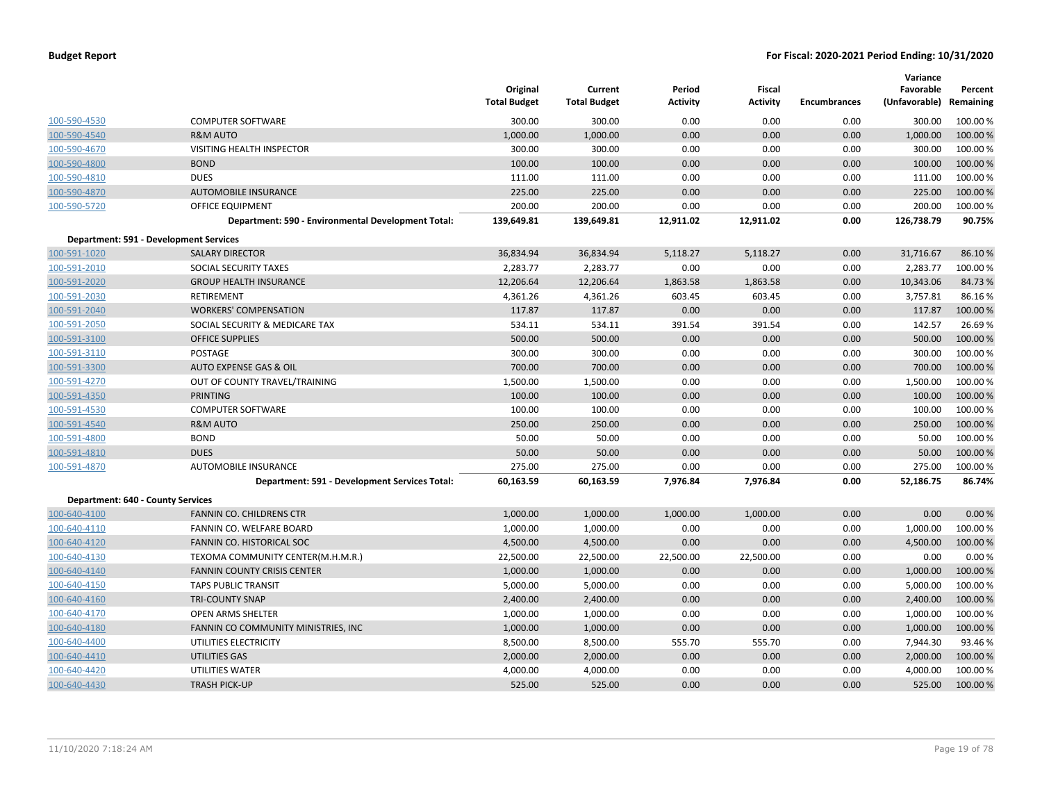|                                   |                                                    | Original<br><b>Total Budget</b> | Current<br><b>Total Budget</b> | Period<br>Activity | <b>Fiscal</b><br><b>Activity</b> | <b>Encumbrances</b> | Variance<br>Favorable<br>(Unfavorable) | Percent<br>Remaining |
|-----------------------------------|----------------------------------------------------|---------------------------------|--------------------------------|--------------------|----------------------------------|---------------------|----------------------------------------|----------------------|
| 100-590-4530                      | <b>COMPUTER SOFTWARE</b>                           | 300.00                          | 300.00                         | 0.00               | 0.00                             | 0.00                | 300.00                                 | 100.00 %             |
| 100-590-4540                      | <b>R&amp;M AUTO</b>                                | 1,000.00                        | 1,000.00                       | 0.00               | 0.00                             | 0.00                | 1,000.00                               | 100.00%              |
| 100-590-4670                      | VISITING HEALTH INSPECTOR                          | 300.00                          | 300.00                         | 0.00               | 0.00                             | 0.00                | 300.00                                 | 100.00 %             |
| 100-590-4800                      | <b>BOND</b>                                        | 100.00                          | 100.00                         | 0.00               | 0.00                             | 0.00                | 100.00                                 | 100.00 %             |
| 100-590-4810                      | <b>DUES</b>                                        | 111.00                          | 111.00                         | 0.00               | 0.00                             | 0.00                | 111.00                                 | 100.00%              |
| 100-590-4870                      | <b>AUTOMOBILE INSURANCE</b>                        | 225.00                          | 225.00                         | 0.00               | 0.00                             | 0.00                | 225.00                                 | 100.00 %             |
| 100-590-5720                      | <b>OFFICE EQUIPMENT</b>                            | 200.00                          | 200.00                         | 0.00               | 0.00                             | 0.00                | 200.00                                 | 100.00%              |
|                                   | Department: 590 - Environmental Development Total: | 139,649.81                      | 139,649.81                     | 12,911.02          | 12,911.02                        | 0.00                | 126,738.79                             | 90.75%               |
|                                   | <b>Department: 591 - Development Services</b>      |                                 |                                |                    |                                  |                     |                                        |                      |
| 100-591-1020                      | <b>SALARY DIRECTOR</b>                             | 36,834.94                       | 36,834.94                      | 5,118.27           | 5,118.27                         | 0.00                | 31,716.67                              | 86.10%               |
| 100-591-2010                      | SOCIAL SECURITY TAXES                              | 2,283.77                        | 2,283.77                       | 0.00               | 0.00                             | 0.00                | 2,283.77                               | 100.00%              |
| 100-591-2020                      | <b>GROUP HEALTH INSURANCE</b>                      | 12,206.64                       | 12,206.64                      | 1,863.58           | 1,863.58                         | 0.00                | 10,343.06                              | 84.73%               |
| 100-591-2030                      | RETIREMENT                                         | 4,361.26                        | 4,361.26                       | 603.45             | 603.45                           | 0.00                | 3,757.81                               | 86.16%               |
| 100-591-2040                      | <b>WORKERS' COMPENSATION</b>                       | 117.87                          | 117.87                         | 0.00               | 0.00                             | 0.00                | 117.87                                 | 100.00 %             |
| 100-591-2050                      | SOCIAL SECURITY & MEDICARE TAX                     | 534.11                          | 534.11                         | 391.54             | 391.54                           | 0.00                | 142.57                                 | 26.69%               |
| 100-591-3100                      | <b>OFFICE SUPPLIES</b>                             | 500.00                          | 500.00                         | 0.00               | 0.00                             | 0.00                | 500.00                                 | 100.00%              |
| 100-591-3110                      | POSTAGE                                            | 300.00                          | 300.00                         | 0.00               | 0.00                             | 0.00                | 300.00                                 | 100.00 %             |
| 100-591-3300                      | <b>AUTO EXPENSE GAS &amp; OIL</b>                  | 700.00                          | 700.00                         | 0.00               | 0.00                             | 0.00                | 700.00                                 | 100.00 %             |
| 100-591-4270                      | OUT OF COUNTY TRAVEL/TRAINING                      | 1,500.00                        | 1,500.00                       | 0.00               | 0.00                             | 0.00                | 1,500.00                               | 100.00%              |
| 100-591-4350                      | <b>PRINTING</b>                                    | 100.00                          | 100.00                         | 0.00               | 0.00                             | 0.00                | 100.00                                 | 100.00 %             |
| 100-591-4530                      | <b>COMPUTER SOFTWARE</b>                           | 100.00                          | 100.00                         | 0.00               | 0.00                             | 0.00                | 100.00                                 | 100.00%              |
| 100-591-4540                      | <b>R&amp;M AUTO</b>                                | 250.00                          | 250.00                         | 0.00               | 0.00                             | 0.00                | 250.00                                 | 100.00 %             |
| 100-591-4800                      | <b>BOND</b>                                        | 50.00                           | 50.00                          | 0.00               | 0.00                             | 0.00                | 50.00                                  | 100.00 %             |
| 100-591-4810                      | <b>DUES</b>                                        | 50.00                           | 50.00                          | 0.00               | 0.00                             | 0.00                | 50.00                                  | 100.00%              |
| 100-591-4870                      | AUTOMOBILE INSURANCE                               | 275.00                          | 275.00                         | 0.00               | 0.00                             | 0.00                | 275.00                                 | 100.00 %             |
|                                   | Department: 591 - Development Services Total:      | 60,163.59                       | 60,163.59                      | 7,976.84           | 7,976.84                         | 0.00                | 52,186.75                              | 86.74%               |
| Department: 640 - County Services |                                                    |                                 |                                |                    |                                  |                     |                                        |                      |
| 100-640-4100                      | FANNIN CO. CHILDRENS CTR                           | 1,000.00                        | 1,000.00                       | 1,000.00           | 1,000.00                         | 0.00                | 0.00                                   | 0.00%                |
| 100-640-4110                      | FANNIN CO. WELFARE BOARD                           | 1,000.00                        | 1,000.00                       | 0.00               | 0.00                             | 0.00                | 1,000.00                               | 100.00 %             |
| 100-640-4120                      | FANNIN CO. HISTORICAL SOC                          | 4,500.00                        | 4,500.00                       | 0.00               | 0.00                             | 0.00                | 4,500.00                               | 100.00%              |
| 100-640-4130                      | TEXOMA COMMUNITY CENTER(M.H.M.R.)                  | 22,500.00                       | 22,500.00                      | 22,500.00          | 22,500.00                        | 0.00                | 0.00                                   | 0.00%                |
| 100-640-4140                      | <b>FANNIN COUNTY CRISIS CENTER</b>                 | 1,000.00                        | 1,000.00                       | 0.00               | 0.00                             | 0.00                | 1,000.00                               | 100.00%              |
| 100-640-4150                      | <b>TAPS PUBLIC TRANSIT</b>                         | 5,000.00                        | 5,000.00                       | 0.00               | 0.00                             | 0.00                | 5,000.00                               | 100.00 %             |
| 100-640-4160                      | <b>TRI-COUNTY SNAP</b>                             | 2,400.00                        | 2,400.00                       | 0.00               | 0.00                             | 0.00                | 2,400.00                               | 100.00%              |
| 100-640-4170                      | <b>OPEN ARMS SHELTER</b>                           | 1,000.00                        | 1,000.00                       | 0.00               | 0.00                             | 0.00                | 1,000.00                               | 100.00 %             |
| 100-640-4180                      | FANNIN CO COMMUNITY MINISTRIES, INC                | 1,000.00                        | 1,000.00                       | 0.00               | 0.00                             | 0.00                | 1,000.00                               | 100.00 %             |
| 100-640-4400                      | UTILITIES ELECTRICITY                              | 8,500.00                        | 8,500.00                       | 555.70             | 555.70                           | 0.00                | 7,944.30                               | 93.46%               |
| 100-640-4410                      | <b>UTILITIES GAS</b>                               | 2,000.00                        | 2,000.00                       | 0.00               | 0.00                             | 0.00                | 2,000.00                               | 100.00%              |
| 100-640-4420                      | UTILITIES WATER                                    | 4,000.00                        | 4,000.00                       | 0.00               | 0.00                             | 0.00                | 4,000.00                               | 100.00%              |
| 100-640-4430                      | <b>TRASH PICK-UP</b>                               | 525.00                          | 525.00                         | 0.00               | 0.00                             | 0.00                | 525.00                                 | 100.00 %             |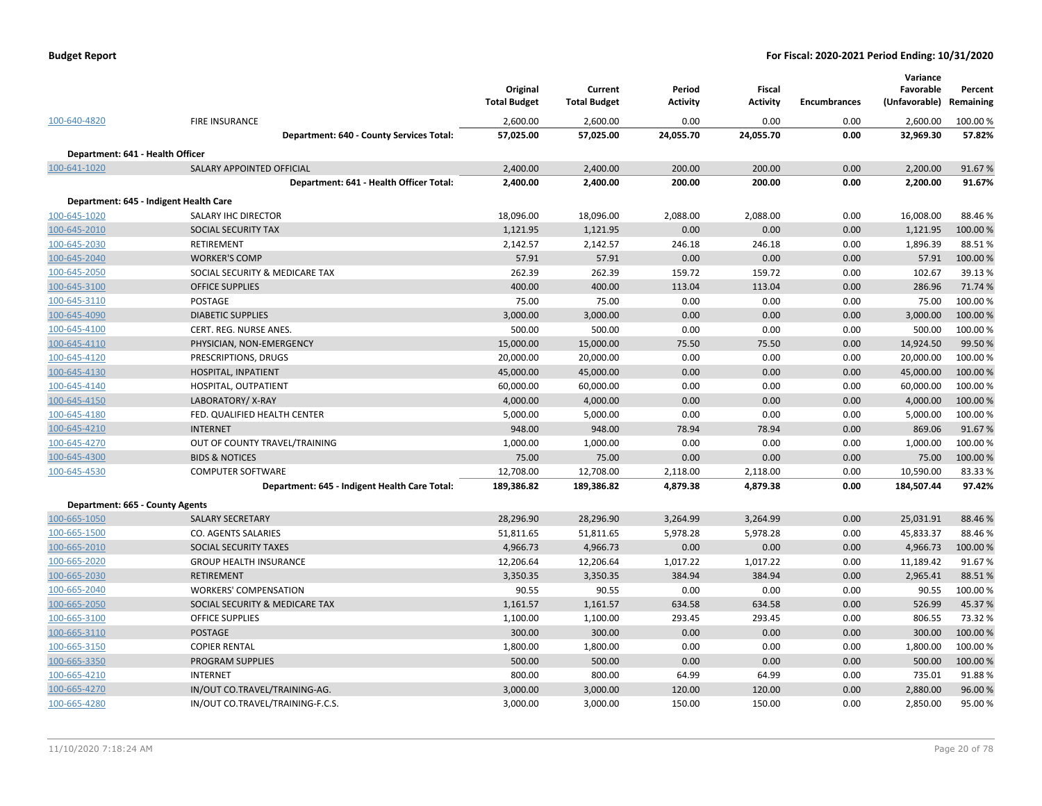| <b>Budget Report</b> |  |
|----------------------|--|
|----------------------|--|

|                                  |                                                                   | Original<br><b>Total Budget</b> | Current<br><b>Total Budget</b> | Period<br><b>Activity</b> | Fiscal<br><b>Activity</b> | <b>Encumbrances</b> | Variance<br>Favorable<br>(Unfavorable) | Percent<br>Remaining |
|----------------------------------|-------------------------------------------------------------------|---------------------------------|--------------------------------|---------------------------|---------------------------|---------------------|----------------------------------------|----------------------|
| 100-640-4820                     | <b>FIRE INSURANCE</b>                                             | 2,600.00                        | 2,600.00                       | 0.00                      | 0.00                      | 0.00                | 2,600.00                               | 100.00 %             |
|                                  | Department: 640 - County Services Total:                          | 57,025.00                       | 57,025.00                      | 24,055.70                 | 24,055.70                 | 0.00                | 32,969.30                              | 57.82%               |
| Department: 641 - Health Officer |                                                                   |                                 |                                |                           |                           |                     |                                        |                      |
| 100-641-1020                     | SALARY APPOINTED OFFICIAL                                         | 2,400.00                        | 2,400.00                       | 200.00                    | 200.00                    | 0.00                | 2,200.00                               | 91.67%               |
|                                  | Department: 641 - Health Officer Total:                           | 2,400.00                        | 2,400.00                       | 200.00                    | 200.00                    | 0.00                | 2,200.00                               | 91.67%               |
|                                  | Department: 645 - Indigent Health Care                            |                                 |                                |                           |                           |                     |                                        |                      |
| 100-645-1020                     | SALARY IHC DIRECTOR                                               | 18,096.00                       | 18,096.00                      | 2,088.00                  | 2,088.00                  | 0.00                | 16,008.00                              | 88.46%               |
| 100-645-2010                     | SOCIAL SECURITY TAX                                               | 1,121.95                        | 1,121.95                       | 0.00                      | 0.00                      | 0.00                | 1,121.95                               | 100.00%              |
| 100-645-2030                     | RETIREMENT                                                        | 2,142.57                        | 2,142.57                       | 246.18                    | 246.18                    | 0.00                | 1,896.39                               | 88.51%               |
| 100-645-2040                     | <b>WORKER'S COMP</b>                                              | 57.91                           | 57.91                          | 0.00                      | 0.00                      | 0.00                | 57.91                                  | 100.00%              |
| 100-645-2050                     | SOCIAL SECURITY & MEDICARE TAX                                    | 262.39                          | 262.39                         | 159.72                    | 159.72                    | 0.00                | 102.67                                 | 39.13%               |
| 100-645-3100                     | <b>OFFICE SUPPLIES</b>                                            | 400.00                          | 400.00                         | 113.04                    | 113.04                    | 0.00                | 286.96                                 | 71.74 %              |
| 100-645-3110                     | POSTAGE                                                           | 75.00                           | 75.00                          | 0.00                      | 0.00                      | 0.00                | 75.00                                  | 100.00%              |
| 100-645-4090                     | <b>DIABETIC SUPPLIES</b>                                          | 3,000.00                        | 3,000.00                       | 0.00                      | 0.00                      | 0.00                | 3,000.00                               | 100.00 %             |
| 100-645-4100                     | CERT. REG. NURSE ANES.                                            | 500.00                          | 500.00                         | 0.00                      | 0.00                      | 0.00                | 500.00                                 | 100.00%              |
| 100-645-4110                     | PHYSICIAN, NON-EMERGENCY                                          | 15,000.00                       | 15,000.00                      | 75.50                     | 75.50                     | 0.00                | 14,924.50                              | 99.50 %              |
| 100-645-4120                     | PRESCRIPTIONS, DRUGS                                              | 20,000.00                       | 20,000.00                      | 0.00                      | 0.00                      | 0.00                | 20,000.00                              | 100.00 %             |
| 100-645-4130                     | HOSPITAL, INPATIENT                                               | 45,000.00                       | 45,000.00                      | 0.00                      | 0.00                      | 0.00                | 45,000.00                              | 100.00 %             |
| 100-645-4140                     | HOSPITAL, OUTPATIENT                                              | 60,000.00                       | 60,000.00                      | 0.00                      | 0.00                      | 0.00                | 60,000.00                              | 100.00 %             |
| 100-645-4150                     | LABORATORY/X-RAY                                                  | 4,000.00                        | 4,000.00                       | 0.00                      | 0.00                      | 0.00                | 4,000.00                               | 100.00 %             |
| 100-645-4180                     | FED. QUALIFIED HEALTH CENTER                                      | 5,000.00                        | 5,000.00                       | 0.00                      | 0.00                      | 0.00                | 5,000.00                               | 100.00 %             |
| 100-645-4210                     | <b>INTERNET</b>                                                   | 948.00                          | 948.00                         | 78.94                     | 78.94                     | 0.00                | 869.06                                 | 91.67%               |
| 100-645-4270                     | OUT OF COUNTY TRAVEL/TRAINING                                     | 1,000.00                        | 1,000.00                       | 0.00                      | 0.00                      | 0.00                | 1,000.00                               | 100.00 %             |
| 100-645-4300                     | <b>BIDS &amp; NOTICES</b>                                         | 75.00                           | 75.00                          | 0.00                      | 0.00                      | 0.00                | 75.00                                  | 100.00 %             |
| 100-645-4530                     | <b>COMPUTER SOFTWARE</b>                                          | 12,708.00                       | 12,708.00                      | 2,118.00                  | 2,118.00                  | 0.00                | 10,590.00                              | 83.33%               |
|                                  | Department: 645 - Indigent Health Care Total:                     | 189,386.82                      | 189,386.82                     | 4,879.38                  | 4,879.38                  | 0.00                | 184,507.44                             | 97.42%               |
| Department: 665 - County Agents  |                                                                   |                                 |                                |                           |                           |                     |                                        |                      |
| 100-665-1050                     | <b>SALARY SECRETARY</b>                                           | 28,296.90                       | 28,296.90                      | 3,264.99                  | 3,264.99                  | 0.00                | 25,031.91                              | 88.46%               |
| 100-665-1500                     | CO. AGENTS SALARIES                                               | 51,811.65                       | 51,811.65                      | 5,978.28                  | 5,978.28                  | 0.00                | 45,833.37                              | 88.46%               |
| 100-665-2010                     | <b>SOCIAL SECURITY TAXES</b>                                      | 4,966.73                        | 4,966.73                       | 0.00                      | 0.00                      | 0.00                | 4,966.73                               | 100.00%              |
| 100-665-2020                     | <b>GROUP HEALTH INSURANCE</b>                                     | 12,206.64                       | 12,206.64                      | 1,017.22                  | 1,017.22                  | 0.00                | 11,189.42                              | 91.67%               |
| 100-665-2030                     | <b>RETIREMENT</b>                                                 | 3,350.35                        | 3,350.35                       | 384.94                    | 384.94                    | 0.00                | 2,965.41                               | 88.51%               |
| 100-665-2040                     | <b>WORKERS' COMPENSATION</b>                                      | 90.55                           | 90.55                          | 0.00                      | 0.00                      | 0.00                | 90.55                                  | 100.00 %             |
| 100-665-2050                     | SOCIAL SECURITY & MEDICARE TAX                                    | 1,161.57                        | 1,161.57                       | 634.58                    | 634.58                    | 0.00                | 526.99                                 | 45.37%               |
| 100-665-3100                     | <b>OFFICE SUPPLIES</b>                                            | 1,100.00                        | 1,100.00                       | 293.45                    | 293.45                    | 0.00                | 806.55                                 | 73.32 %              |
| 100-665-3110                     | <b>POSTAGE</b>                                                    | 300.00                          | 300.00                         | 0.00                      | 0.00                      | 0.00                | 300.00                                 | 100.00 %             |
| 100-665-3150                     | <b>COPIER RENTAL</b>                                              | 1,800.00                        | 1,800.00                       | 0.00                      | 0.00                      | 0.00                | 1,800.00                               | 100.00 %             |
| 100-665-3350                     | <b>PROGRAM SUPPLIES</b>                                           | 500.00                          | 500.00                         | 0.00                      | 0.00                      | 0.00                | 500.00                                 | 100.00 %             |
| 100-665-4210                     | <b>INTERNET</b>                                                   | 800.00                          | 800.00                         | 64.99                     | 64.99                     | 0.00<br>0.00        | 735.01                                 | 91.88%               |
| 100-665-4270<br>100-665-4280     | IN/OUT CO.TRAVEL/TRAINING-AG.<br>IN/OUT CO.TRAVEL/TRAINING-F.C.S. | 3,000.00<br>3,000.00            | 3,000.00<br>3,000.00           | 120.00<br>150.00          | 120.00<br>150.00          | 0.00                | 2,880.00<br>2,850.00                   | 96.00%<br>95.00%     |
|                                  |                                                                   |                                 |                                |                           |                           |                     |                                        |                      |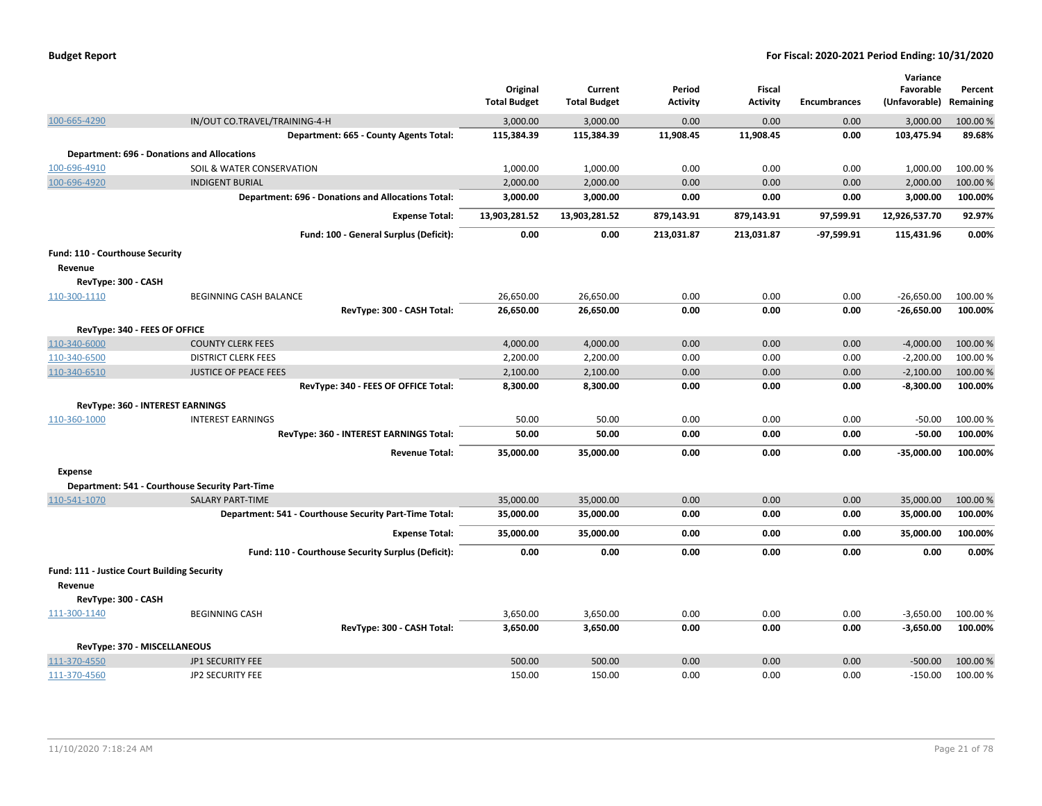| <b>Budget Report</b> |  |
|----------------------|--|
|----------------------|--|

|                                                    |                                                           |                        |                        |                 |                 |                     | Variance               |                    |
|----------------------------------------------------|-----------------------------------------------------------|------------------------|------------------------|-----------------|-----------------|---------------------|------------------------|--------------------|
|                                                    |                                                           | Original               | Current                | Period          | <b>Fiscal</b>   |                     | Favorable              | Percent            |
|                                                    |                                                           | <b>Total Budget</b>    | <b>Total Budget</b>    | <b>Activity</b> | <b>Activity</b> | <b>Encumbrances</b> | (Unfavorable)          | Remaining          |
| 100-665-4290                                       | IN/OUT CO.TRAVEL/TRAINING-4-H                             | 3,000.00               | 3,000.00               | 0.00            | 0.00            | 0.00                | 3,000.00               | 100.00 %           |
|                                                    | Department: 665 - County Agents Total:                    | 115,384.39             | 115,384.39             | 11,908.45       | 11,908.45       | 0.00                | 103,475.94             | 89.68%             |
| <b>Department: 696 - Donations and Allocations</b> |                                                           |                        |                        |                 |                 |                     |                        |                    |
| 100-696-4910                                       | SOIL & WATER CONSERVATION                                 | 1,000.00               | 1,000.00               | 0.00            | 0.00            | 0.00                | 1,000.00               | 100.00%            |
| 100-696-4920                                       | <b>INDIGENT BURIAL</b>                                    | 2,000.00               | 2,000.00               | 0.00            | 0.00            | 0.00                | 2,000.00               | 100.00 %           |
|                                                    | <b>Department: 696 - Donations and Allocations Total:</b> | 3,000.00               | 3,000.00               | 0.00            | 0.00            | 0.00                | 3,000.00               | 100.00%            |
|                                                    | <b>Expense Total:</b>                                     | 13,903,281.52          | 13,903,281.52          | 879,143.91      | 879,143.91      | 97,599.91           | 12,926,537.70          | 92.97%             |
|                                                    | Fund: 100 - General Surplus (Deficit):                    | 0.00                   | 0.00                   | 213,031.87      | 213,031.87      | $-97.599.91$        | 115,431.96             | 0.00%              |
| Fund: 110 - Courthouse Security                    |                                                           |                        |                        |                 |                 |                     |                        |                    |
| Revenue                                            |                                                           |                        |                        |                 |                 |                     |                        |                    |
| RevType: 300 - CASH                                |                                                           |                        |                        |                 |                 |                     |                        |                    |
| 110-300-1110                                       | <b>BEGINNING CASH BALANCE</b>                             | 26,650.00              | 26,650.00              | 0.00            | 0.00            | 0.00                | $-26,650.00$           | 100.00%            |
|                                                    | RevType: 300 - CASH Total:                                | 26,650.00              | 26,650.00              | 0.00            | 0.00            | 0.00                | $-26,650.00$           | 100.00%            |
| RevType: 340 - FEES OF OFFICE                      |                                                           |                        |                        |                 |                 |                     |                        |                    |
| 110-340-6000                                       | <b>COUNTY CLERK FEES</b>                                  | 4,000.00               | 4,000.00               | 0.00            | 0.00            | 0.00                | $-4,000.00$            | 100.00%            |
| 110-340-6500                                       | <b>DISTRICT CLERK FEES</b>                                | 2,200.00               | 2,200.00               | 0.00            | 0.00            | 0.00                | $-2,200.00$            | 100.00%            |
| 110-340-6510                                       | <b>JUSTICE OF PEACE FEES</b>                              | 2,100.00               | 2,100.00               | 0.00            | 0.00            | 0.00                | $-2,100.00$            | 100.00%            |
|                                                    | RevType: 340 - FEES OF OFFICE Total:                      | 8,300.00               | 8,300.00               | 0.00            | 0.00            | 0.00                | $-8,300.00$            | 100.00%            |
| RevType: 360 - INTEREST EARNINGS                   |                                                           |                        |                        |                 |                 |                     |                        |                    |
| 110-360-1000                                       | <b>INTEREST EARNINGS</b>                                  | 50.00                  | 50.00                  | 0.00            | 0.00            | 0.00                | $-50.00$               | 100.00%            |
|                                                    | RevType: 360 - INTEREST EARNINGS Total:                   | 50.00                  | 50.00                  | 0.00            | 0.00            | 0.00                | $-50.00$               | 100.00%            |
|                                                    | <b>Revenue Total:</b>                                     | 35,000.00              | 35,000.00              | 0.00            | 0.00            | 0.00                | $-35,000.00$           | 100.00%            |
|                                                    |                                                           |                        |                        |                 |                 |                     |                        |                    |
| <b>Expense</b>                                     |                                                           |                        |                        |                 |                 |                     |                        |                    |
| Department: 541 - Courthouse Security Part-Time    | <b>SALARY PART-TIME</b>                                   |                        |                        |                 |                 |                     |                        |                    |
| 110-541-1070                                       | Department: 541 - Courthouse Security Part-Time Total:    | 35,000.00<br>35,000.00 | 35,000.00<br>35,000.00 | 0.00<br>0.00    | 0.00<br>0.00    | 0.00<br>0.00        | 35,000.00<br>35,000.00 | 100.00%<br>100.00% |
|                                                    |                                                           |                        |                        |                 |                 |                     |                        |                    |
|                                                    | <b>Expense Total:</b>                                     | 35,000.00              | 35,000.00              | 0.00            | 0.00            | 0.00                | 35,000.00              | 100.00%            |
|                                                    | Fund: 110 - Courthouse Security Surplus (Deficit):        | 0.00                   | 0.00                   | 0.00            | 0.00            | 0.00                | 0.00                   | 0.00%              |
| Fund: 111 - Justice Court Building Security        |                                                           |                        |                        |                 |                 |                     |                        |                    |
| Revenue                                            |                                                           |                        |                        |                 |                 |                     |                        |                    |
| RevType: 300 - CASH                                |                                                           |                        |                        |                 |                 |                     |                        |                    |
| 111-300-1140                                       | <b>BEGINNING CASH</b>                                     | 3,650.00               | 3,650.00               | 0.00            | 0.00            | 0.00                | $-3,650.00$            | 100.00%            |
|                                                    | RevType: 300 - CASH Total:                                | 3,650.00               | 3,650.00               | 0.00            | 0.00            | 0.00                | $-3,650.00$            | 100.00%            |
| RevType: 370 - MISCELLANEOUS                       |                                                           |                        |                        |                 |                 |                     |                        |                    |
| 111-370-4550                                       | JP1 SECURITY FEE                                          | 500.00                 | 500.00                 | 0.00            | 0.00            | 0.00                | $-500.00$              | 100.00%            |
| 111-370-4560                                       | <b>JP2 SECURITY FEE</b>                                   | 150.00                 | 150.00                 | 0.00            | 0.00            | 0.00                | $-150.00$              | 100.00%            |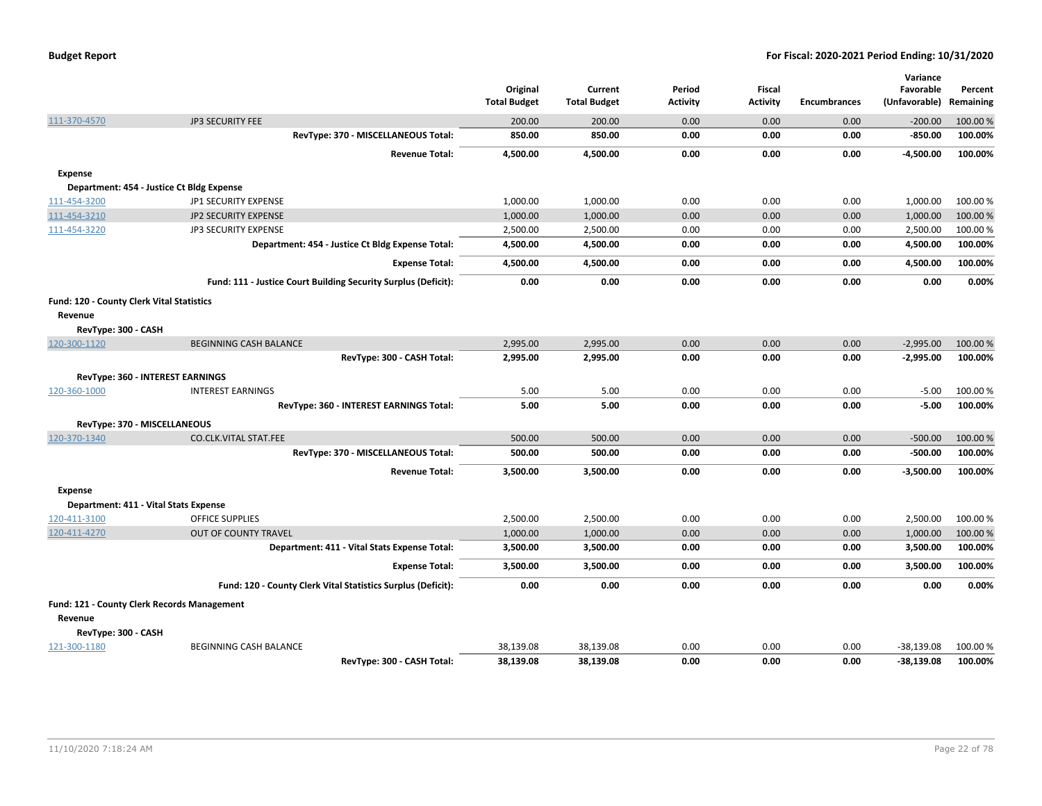|                                           |                                                                | Original<br><b>Total Budget</b> | Current<br><b>Total Budget</b> | Period<br><b>Activity</b> | <b>Fiscal</b><br><b>Activity</b> | <b>Encumbrances</b> | Variance<br>Favorable<br>(Unfavorable) Remaining | Percent  |
|-------------------------------------------|----------------------------------------------------------------|---------------------------------|--------------------------------|---------------------------|----------------------------------|---------------------|--------------------------------------------------|----------|
| 111-370-4570                              | <b>JP3 SECURITY FEE</b>                                        | 200.00                          | 200.00                         | 0.00                      | 0.00                             | 0.00                | $-200.00$                                        | 100.00 % |
|                                           | RevType: 370 - MISCELLANEOUS Total:                            | 850.00                          | 850.00                         | 0.00                      | 0.00                             | 0.00                | $-850.00$                                        | 100.00%  |
|                                           | <b>Revenue Total:</b>                                          | 4,500.00                        | 4,500.00                       | 0.00                      | 0.00                             | 0.00                | $-4,500.00$                                      | 100.00%  |
| <b>Expense</b>                            |                                                                |                                 |                                |                           |                                  |                     |                                                  |          |
|                                           | Department: 454 - Justice Ct Bldg Expense                      |                                 |                                |                           |                                  |                     |                                                  |          |
| 111-454-3200                              | JP1 SECURITY EXPENSE                                           | 1,000.00                        | 1,000.00                       | 0.00                      | 0.00                             | 0.00                | 1,000.00                                         | 100.00 % |
| 111-454-3210                              | JP2 SECURITY EXPENSE                                           | 1,000.00                        | 1,000.00                       | 0.00                      | 0.00                             | 0.00                | 1,000.00                                         | 100.00 % |
| 111-454-3220                              | JP3 SECURITY EXPENSE                                           | 2,500.00                        | 2,500.00                       | 0.00                      | 0.00                             | 0.00                | 2,500.00                                         | 100.00%  |
|                                           | Department: 454 - Justice Ct Bldg Expense Total:               | 4,500.00                        | 4,500.00                       | 0.00                      | 0.00                             | 0.00                | 4,500.00                                         | 100.00%  |
|                                           | <b>Expense Total:</b>                                          | 4,500.00                        | 4,500.00                       | 0.00                      | 0.00                             | 0.00                | 4,500.00                                         | 100.00%  |
|                                           | Fund: 111 - Justice Court Building Security Surplus (Deficit): | 0.00                            | 0.00                           | 0.00                      | 0.00                             | 0.00                | 0.00                                             | 0.00%    |
| Fund: 120 - County Clerk Vital Statistics |                                                                |                                 |                                |                           |                                  |                     |                                                  |          |
| Revenue                                   |                                                                |                                 |                                |                           |                                  |                     |                                                  |          |
| RevType: 300 - CASH                       |                                                                |                                 |                                |                           |                                  |                     |                                                  |          |
| 120-300-1120                              | <b>BEGINNING CASH BALANCE</b>                                  | 2,995.00                        | 2,995.00                       | 0.00                      | 0.00                             | 0.00                | $-2,995.00$                                      | 100.00 % |
|                                           | RevType: 300 - CASH Total:                                     | 2,995.00                        | 2,995.00                       | 0.00                      | 0.00                             | 0.00                | $-2,995.00$                                      | 100.00%  |
|                                           | RevType: 360 - INTEREST EARNINGS                               |                                 |                                |                           |                                  |                     |                                                  |          |
| 120-360-1000                              | <b>INTEREST EARNINGS</b>                                       | 5.00                            | 5.00                           | 0.00                      | 0.00                             | 0.00                | $-5.00$                                          | 100.00%  |
|                                           | RevType: 360 - INTEREST EARNINGS Total:                        | 5.00                            | 5.00                           | 0.00                      | 0.00                             | 0.00                | $-5.00$                                          | 100.00%  |
|                                           | RevType: 370 - MISCELLANEOUS                                   |                                 |                                |                           |                                  |                     |                                                  |          |
| 120-370-1340                              | <b>CO.CLK.VITAL STAT.FEE</b>                                   | 500.00                          | 500.00                         | 0.00                      | 0.00                             | 0.00                | $-500.00$                                        | 100.00 % |
|                                           | RevType: 370 - MISCELLANEOUS Total:                            | 500.00                          | 500.00                         | 0.00                      | 0.00                             | 0.00                | $-500.00$                                        | 100.00%  |
|                                           | <b>Revenue Total:</b>                                          | 3,500.00                        | 3,500.00                       | 0.00                      | 0.00                             | 0.00                | $-3,500.00$                                      | 100.00%  |
| Expense                                   |                                                                |                                 |                                |                           |                                  |                     |                                                  |          |
|                                           | Department: 411 - Vital Stats Expense                          |                                 |                                |                           |                                  |                     |                                                  |          |
| 120-411-3100                              | <b>OFFICE SUPPLIES</b>                                         | 2,500.00                        | 2,500.00                       | 0.00                      | 0.00                             | 0.00                | 2,500.00                                         | 100.00%  |
| 120-411-4270                              | <b>OUT OF COUNTY TRAVEL</b>                                    | 1,000.00                        | 1,000.00                       | 0.00                      | 0.00                             | 0.00                | 1,000.00                                         | 100.00 % |
|                                           | Department: 411 - Vital Stats Expense Total:                   | 3,500.00                        | 3,500.00                       | 0.00                      | 0.00                             | 0.00                | 3,500.00                                         | 100.00%  |
|                                           | <b>Expense Total:</b>                                          | 3,500.00                        | 3,500.00                       | 0.00                      | 0.00                             | 0.00                | 3,500.00                                         | 100.00%  |
|                                           | Fund: 120 - County Clerk Vital Statistics Surplus (Deficit):   | 0.00                            | 0.00                           | 0.00                      | 0.00                             | 0.00                | 0.00                                             | 0.00%    |
|                                           | <b>Fund: 121 - County Clerk Records Management</b>             |                                 |                                |                           |                                  |                     |                                                  |          |
| Revenue                                   |                                                                |                                 |                                |                           |                                  |                     |                                                  |          |
| RevType: 300 - CASH                       |                                                                |                                 |                                |                           |                                  |                     |                                                  |          |
| 121-300-1180                              | <b>BEGINNING CASH BALANCE</b>                                  | 38.139.08                       | 38,139.08                      | 0.00                      | 0.00                             | 0.00                | $-38,139.08$                                     | 100.00%  |
|                                           | RevTvpe: 300 - CASH Total:                                     | 38.139.08                       | 38.139.08                      | 0.00                      | 0.00                             | 0.00                | $-38.139.08$                                     | 100.00%  |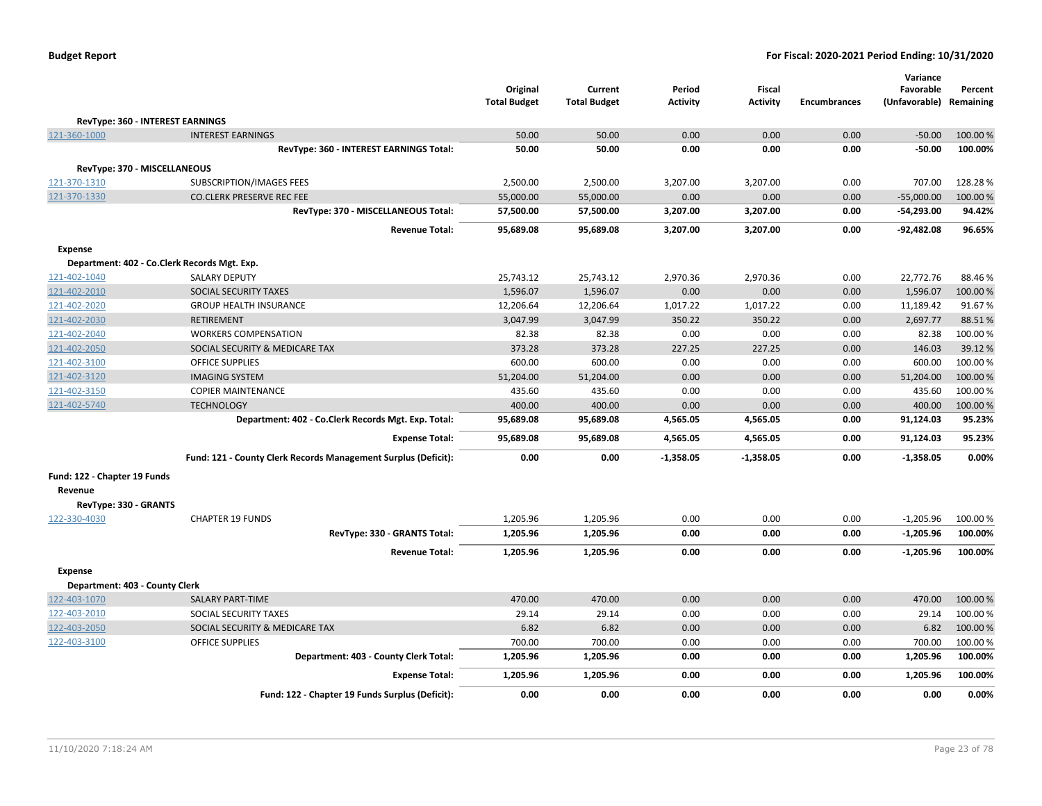|                                |                                                                | Original<br><b>Total Budget</b> | Current<br><b>Total Budget</b> | Period<br><b>Activity</b> | <b>Fiscal</b><br><b>Activity</b> | <b>Encumbrances</b> | Variance<br>Favorable<br>(Unfavorable) Remaining | Percent  |
|--------------------------------|----------------------------------------------------------------|---------------------------------|--------------------------------|---------------------------|----------------------------------|---------------------|--------------------------------------------------|----------|
|                                | RevType: 360 - INTEREST EARNINGS                               |                                 |                                |                           |                                  |                     |                                                  |          |
| 121-360-1000                   | <b>INTEREST EARNINGS</b>                                       | 50.00                           | 50.00                          | 0.00                      | 0.00                             | 0.00                | $-50.00$                                         | 100.00 % |
|                                | RevType: 360 - INTEREST EARNINGS Total:                        | 50.00                           | 50.00                          | 0.00                      | 0.00                             | 0.00                | $-50.00$                                         | 100.00%  |
| RevType: 370 - MISCELLANEOUS   |                                                                |                                 |                                |                           |                                  |                     |                                                  |          |
| 121-370-1310                   | SUBSCRIPTION/IMAGES FEES                                       | 2,500.00                        | 2,500.00                       | 3,207.00                  | 3,207.00                         | 0.00                | 707.00                                           | 128.28%  |
| 121-370-1330                   | <b>CO.CLERK PRESERVE REC FEE</b>                               | 55,000.00                       | 55,000.00                      | 0.00                      | 0.00                             | 0.00                | $-55,000.00$                                     | 100.00 % |
|                                | RevType: 370 - MISCELLANEOUS Total:                            | 57,500.00                       | 57,500.00                      | 3,207.00                  | 3,207.00                         | 0.00                | -54,293.00                                       | 94.42%   |
|                                | <b>Revenue Total:</b>                                          | 95,689.08                       | 95,689.08                      | 3,207.00                  | 3,207.00                         | 0.00                | -92,482.08                                       | 96.65%   |
| <b>Expense</b>                 |                                                                |                                 |                                |                           |                                  |                     |                                                  |          |
|                                | Department: 402 - Co.Clerk Records Mgt. Exp.                   |                                 |                                |                           |                                  |                     |                                                  |          |
| 121-402-1040                   | <b>SALARY DEPUTY</b>                                           | 25,743.12                       | 25,743.12                      | 2,970.36                  | 2,970.36                         | 0.00                | 22,772.76                                        | 88.46%   |
| 121-402-2010                   | SOCIAL SECURITY TAXES                                          | 1,596.07                        | 1,596.07                       | 0.00                      | 0.00                             | 0.00                | 1,596.07                                         | 100.00%  |
| 121-402-2020                   | <b>GROUP HEALTH INSURANCE</b>                                  | 12,206.64                       | 12,206.64                      | 1,017.22                  | 1,017.22                         | 0.00                | 11,189.42                                        | 91.67%   |
| 121-402-2030                   | <b>RETIREMENT</b>                                              | 3,047.99                        | 3,047.99                       | 350.22                    | 350.22                           | 0.00                | 2,697.77                                         | 88.51%   |
| 121-402-2040                   | <b>WORKERS COMPENSATION</b>                                    | 82.38                           | 82.38                          | 0.00                      | 0.00                             | 0.00                | 82.38                                            | 100.00%  |
| 121-402-2050                   | SOCIAL SECURITY & MEDICARE TAX                                 | 373.28                          | 373.28                         | 227.25                    | 227.25                           | 0.00                | 146.03                                           | 39.12 %  |
| 121-402-3100                   | <b>OFFICE SUPPLIES</b>                                         | 600.00                          | 600.00                         | 0.00                      | 0.00                             | 0.00                | 600.00                                           | 100.00 % |
| 121-402-3120                   | <b>IMAGING SYSTEM</b>                                          | 51,204.00                       | 51,204.00                      | 0.00                      | 0.00                             | 0.00                | 51,204.00                                        | 100.00 % |
| 121-402-3150                   | <b>COPIER MAINTENANCE</b>                                      | 435.60                          | 435.60                         | 0.00                      | 0.00                             | 0.00                | 435.60                                           | 100.00 % |
| 121-402-5740                   | <b>TECHNOLOGY</b>                                              | 400.00                          | 400.00                         | 0.00                      | 0.00                             | 0.00                | 400.00                                           | 100.00 % |
|                                | Department: 402 - Co.Clerk Records Mgt. Exp. Total:            | 95,689.08                       | 95,689.08                      | 4,565.05                  | 4,565.05                         | 0.00                | 91,124.03                                        | 95.23%   |
|                                | <b>Expense Total:</b>                                          | 95,689.08                       | 95,689.08                      | 4,565.05                  | 4,565.05                         | 0.00                | 91,124.03                                        | 95.23%   |
|                                | Fund: 121 - County Clerk Records Management Surplus (Deficit): | 0.00                            | 0.00                           | $-1,358.05$               | $-1,358.05$                      | 0.00                | $-1,358.05$                                      | 0.00%    |
| Fund: 122 - Chapter 19 Funds   |                                                                |                                 |                                |                           |                                  |                     |                                                  |          |
| Revenue                        |                                                                |                                 |                                |                           |                                  |                     |                                                  |          |
| RevType: 330 - GRANTS          |                                                                |                                 |                                |                           |                                  |                     |                                                  |          |
| 122-330-4030                   | <b>CHAPTER 19 FUNDS</b>                                        | 1,205.96                        | 1,205.96                       | 0.00                      | 0.00                             | 0.00                | $-1,205.96$                                      | 100.00 % |
|                                | RevType: 330 - GRANTS Total:                                   | 1,205.96                        | 1,205.96                       | 0.00                      | 0.00                             | 0.00                | $-1,205.96$                                      | 100.00%  |
|                                | <b>Revenue Total:</b>                                          | 1,205.96                        | 1,205.96                       | 0.00                      | 0.00                             | 0.00                | $-1,205.96$                                      | 100.00%  |
| <b>Expense</b>                 |                                                                |                                 |                                |                           |                                  |                     |                                                  |          |
| Department: 403 - County Clerk |                                                                |                                 |                                |                           |                                  |                     |                                                  |          |
| 122-403-1070                   | <b>SALARY PART-TIME</b>                                        | 470.00                          | 470.00                         | 0.00                      | 0.00                             | 0.00                | 470.00                                           | 100.00 % |
| 122-403-2010                   | SOCIAL SECURITY TAXES                                          | 29.14                           | 29.14                          | 0.00                      | 0.00                             | 0.00                | 29.14                                            | 100.00%  |
| 122-403-2050                   | SOCIAL SECURITY & MEDICARE TAX                                 | 6.82                            | 6.82                           | 0.00                      | 0.00                             | 0.00                | 6.82                                             | 100.00 % |
| 122-403-3100                   | <b>OFFICE SUPPLIES</b>                                         | 700.00                          | 700.00                         | 0.00                      | 0.00                             | 0.00                | 700.00                                           | 100.00 % |
|                                | Department: 403 - County Clerk Total:                          | 1,205.96                        | 1,205.96                       | 0.00                      | 0.00                             | 0.00                | 1,205.96                                         | 100.00%  |
|                                | <b>Expense Total:</b>                                          | 1,205.96                        | 1,205.96                       | 0.00                      | 0.00                             | 0.00                | 1,205.96                                         | 100.00%  |
|                                | Fund: 122 - Chapter 19 Funds Surplus (Deficit):                | 0.00                            | 0.00                           | 0.00                      | 0.00                             | 0.00                | 0.00                                             | 0.00%    |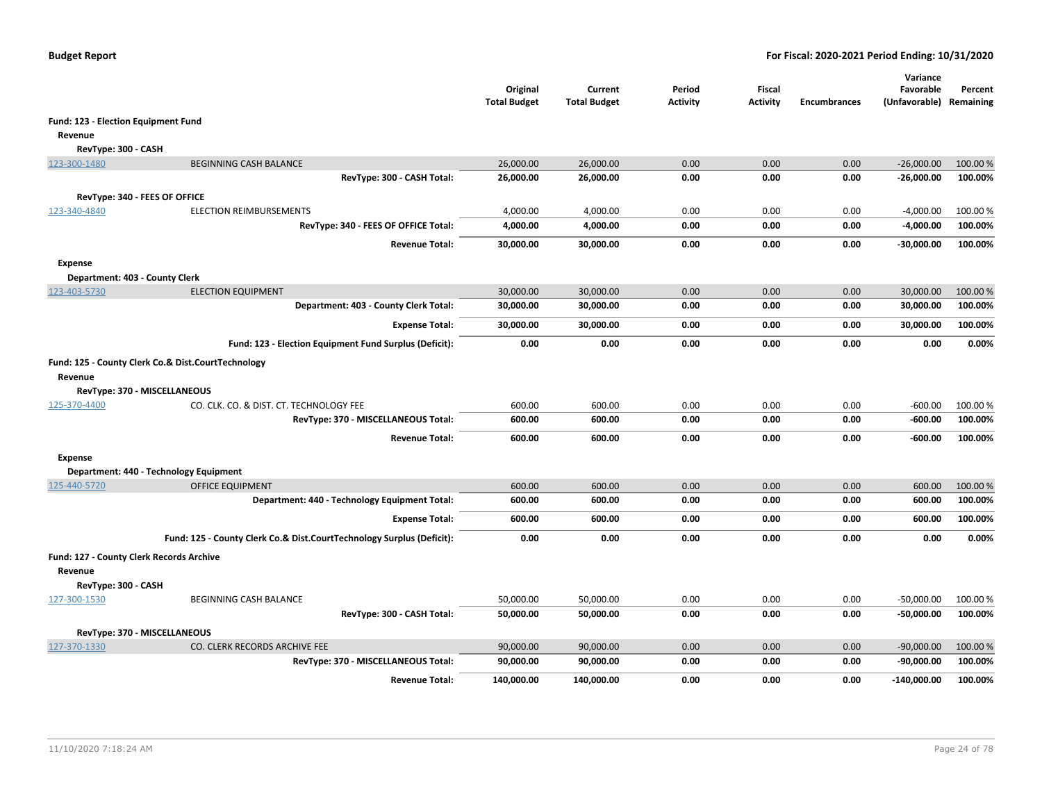|                                          |                                                                       | Original<br><b>Total Budget</b> | Current<br><b>Total Budget</b> | Period<br><b>Activity</b> | Fiscal<br><b>Activity</b> | <b>Encumbrances</b> | Variance<br>Favorable<br>(Unfavorable) Remaining | Percent  |
|------------------------------------------|-----------------------------------------------------------------------|---------------------------------|--------------------------------|---------------------------|---------------------------|---------------------|--------------------------------------------------|----------|
| Fund: 123 - Election Equipment Fund      |                                                                       |                                 |                                |                           |                           |                     |                                                  |          |
| Revenue                                  |                                                                       |                                 |                                |                           |                           |                     |                                                  |          |
| RevType: 300 - CASH                      |                                                                       |                                 |                                |                           |                           |                     |                                                  |          |
| 123-300-1480                             | <b>BEGINNING CASH BALANCE</b>                                         | 26,000.00                       | 26,000.00                      | 0.00                      | 0.00                      | 0.00                | $-26,000.00$                                     | 100.00 % |
|                                          | RevType: 300 - CASH Total:                                            | 26,000.00                       | 26,000.00                      | 0.00                      | 0.00                      | 0.00                | $-26,000.00$                                     | 100.00%  |
| RevType: 340 - FEES OF OFFICE            |                                                                       |                                 |                                |                           |                           |                     |                                                  |          |
| 123-340-4840                             | <b>ELECTION REIMBURSEMENTS</b>                                        | 4,000.00                        | 4,000.00                       | 0.00                      | 0.00                      | 0.00                | $-4,000.00$                                      | 100.00 % |
|                                          | RevType: 340 - FEES OF OFFICE Total:                                  | 4,000.00                        | 4,000.00                       | 0.00                      | 0.00                      | 0.00                | $-4,000.00$                                      | 100.00%  |
|                                          | <b>Revenue Total:</b>                                                 | 30,000.00                       | 30,000.00                      | 0.00                      | 0.00                      | 0.00                | -30,000.00                                       | 100.00%  |
| <b>Expense</b>                           |                                                                       |                                 |                                |                           |                           |                     |                                                  |          |
| Department: 403 - County Clerk           |                                                                       |                                 |                                |                           |                           |                     |                                                  |          |
| 123-403-5730                             | <b>ELECTION EQUIPMENT</b>                                             | 30,000.00                       | 30,000.00                      | 0.00                      | 0.00                      | 0.00                | 30,000.00                                        | 100.00 % |
|                                          | Department: 403 - County Clerk Total:                                 | 30,000.00                       | 30,000.00                      | 0.00                      | 0.00                      | 0.00                | 30,000.00                                        | 100.00%  |
|                                          | <b>Expense Total:</b>                                                 | 30,000.00                       | 30,000.00                      | 0.00                      | 0.00                      | 0.00                | 30,000.00                                        | 100.00%  |
|                                          | Fund: 123 - Election Equipment Fund Surplus (Deficit):                | 0.00                            | 0.00                           | 0.00                      | 0.00                      | 0.00                | 0.00                                             | 0.00%    |
|                                          | Fund: 125 - County Clerk Co.& Dist.CourtTechnology                    |                                 |                                |                           |                           |                     |                                                  |          |
| Revenue                                  |                                                                       |                                 |                                |                           |                           |                     |                                                  |          |
| RevType: 370 - MISCELLANEOUS             |                                                                       |                                 |                                |                           |                           |                     |                                                  |          |
| 125-370-4400                             | CO. CLK. CO. & DIST. CT. TECHNOLOGY FEE                               | 600.00                          | 600.00                         | 0.00                      | 0.00                      | 0.00                | $-600.00$                                        | 100.00%  |
|                                          | RevType: 370 - MISCELLANEOUS Total:                                   | 600.00                          | 600.00                         | 0.00                      | 0.00                      | 0.00                | $-600.00$                                        | 100.00%  |
|                                          | <b>Revenue Total:</b>                                                 | 600.00                          | 600.00                         | 0.00                      | 0.00                      | 0.00                | $-600.00$                                        | 100.00%  |
| <b>Expense</b>                           |                                                                       |                                 |                                |                           |                           |                     |                                                  |          |
|                                          | Department: 440 - Technology Equipment                                |                                 |                                |                           |                           |                     |                                                  |          |
| 125-440-5720                             | <b>OFFICE EQUIPMENT</b>                                               | 600.00                          | 600.00                         | 0.00                      | 0.00                      | 0.00                | 600.00                                           | 100.00 % |
|                                          | Department: 440 - Technology Equipment Total:                         | 600.00                          | 600.00                         | 0.00                      | 0.00                      | 0.00                | 600.00                                           | 100.00%  |
|                                          | <b>Expense Total:</b>                                                 | 600.00                          | 600.00                         | 0.00                      | 0.00                      | 0.00                | 600.00                                           | 100.00%  |
|                                          | Fund: 125 - County Clerk Co.& Dist.CourtTechnology Surplus (Deficit): | 0.00                            | 0.00                           | 0.00                      | 0.00                      | 0.00                | 0.00                                             | 0.00%    |
| Fund: 127 - County Clerk Records Archive |                                                                       |                                 |                                |                           |                           |                     |                                                  |          |
| Revenue                                  |                                                                       |                                 |                                |                           |                           |                     |                                                  |          |
| RevType: 300 - CASH                      |                                                                       |                                 |                                |                           |                           |                     |                                                  |          |
| 127-300-1530                             | BEGINNING CASH BALANCE                                                | 50,000.00                       | 50,000.00                      | 0.00                      | 0.00                      | 0.00                | $-50,000.00$                                     | 100.00 % |
|                                          | RevType: 300 - CASH Total:                                            | 50,000.00                       | 50,000.00                      | 0.00                      | 0.00                      | 0.00                | $-50,000.00$                                     | 100.00%  |
| RevType: 370 - MISCELLANEOUS             |                                                                       |                                 |                                |                           |                           |                     |                                                  |          |
| 127-370-1330                             | CO. CLERK RECORDS ARCHIVE FEE                                         | 90,000.00                       | 90,000.00                      | 0.00                      | 0.00                      | 0.00                | $-90,000.00$                                     | 100.00 % |
|                                          | RevType: 370 - MISCELLANEOUS Total:                                   | 90,000.00                       | 90,000.00                      | 0.00                      | 0.00                      | 0.00                | $-90,000.00$                                     | 100.00%  |
|                                          | <b>Revenue Total:</b>                                                 | 140,000.00                      | 140.000.00                     | 0.00                      | 0.00                      | 0.00                | $-140.000.00$                                    | 100.00%  |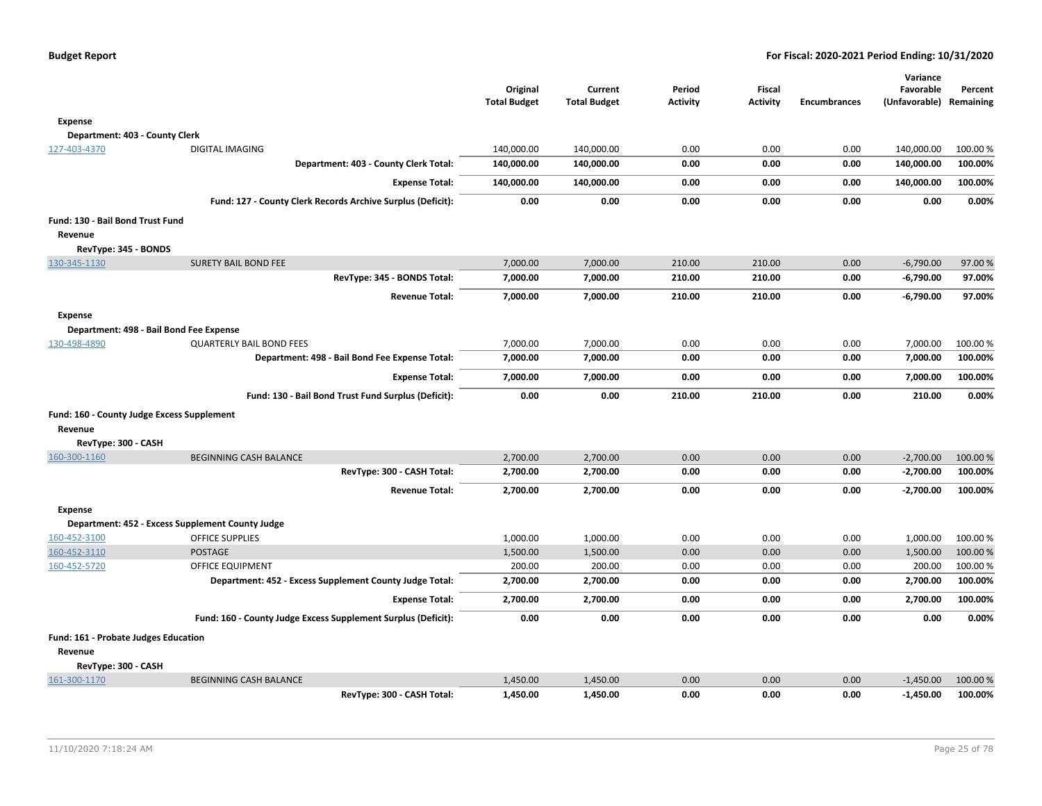|                                            |                                                               | Original<br><b>Total Budget</b> | Current<br><b>Total Budget</b> | Period<br><b>Activity</b> | <b>Fiscal</b><br><b>Activity</b> | <b>Encumbrances</b> | Variance<br>Favorable<br>(Unfavorable) | Percent<br>Remaining |
|--------------------------------------------|---------------------------------------------------------------|---------------------------------|--------------------------------|---------------------------|----------------------------------|---------------------|----------------------------------------|----------------------|
| Expense                                    |                                                               |                                 |                                |                           |                                  |                     |                                        |                      |
| Department: 403 - County Clerk             |                                                               |                                 |                                |                           |                                  |                     |                                        |                      |
| 127-403-4370                               | <b>DIGITAL IMAGING</b>                                        | 140,000.00                      | 140,000.00                     | 0.00                      | 0.00                             | 0.00                | 140,000.00                             | 100.00%              |
|                                            | Department: 403 - County Clerk Total:                         | 140,000.00                      | 140,000.00                     | 0.00                      | 0.00                             | 0.00                | 140,000.00                             | 100.00%              |
|                                            | <b>Expense Total:</b>                                         | 140,000.00                      | 140,000.00                     | 0.00                      | 0.00                             | 0.00                | 140,000.00                             | 100.00%              |
|                                            | Fund: 127 - County Clerk Records Archive Surplus (Deficit):   | 0.00                            | 0.00                           | 0.00                      | 0.00                             | 0.00                | 0.00                                   | 0.00%                |
| Fund: 130 - Bail Bond Trust Fund           |                                                               |                                 |                                |                           |                                  |                     |                                        |                      |
| Revenue                                    |                                                               |                                 |                                |                           |                                  |                     |                                        |                      |
| RevType: 345 - BONDS                       |                                                               |                                 |                                |                           |                                  |                     |                                        |                      |
| 130-345-1130                               | <b>SURETY BAIL BOND FEE</b>                                   | 7,000.00                        | 7,000.00                       | 210.00                    | 210.00                           | 0.00                | $-6,790.00$                            | 97.00%               |
|                                            | RevType: 345 - BONDS Total:                                   | 7,000.00                        | 7,000.00                       | 210.00                    | 210.00                           | 0.00                | $-6,790.00$                            | 97.00%               |
|                                            | <b>Revenue Total:</b>                                         | 7,000.00                        | 7,000.00                       | 210.00                    | 210.00                           | 0.00                | $-6,790.00$                            | 97.00%               |
| <b>Expense</b>                             |                                                               |                                 |                                |                           |                                  |                     |                                        |                      |
|                                            | Department: 498 - Bail Bond Fee Expense                       |                                 |                                |                           |                                  |                     |                                        |                      |
| 130-498-4890                               | <b>QUARTERLY BAIL BOND FEES</b>                               | 7,000.00                        | 7,000.00                       | 0.00                      | 0.00                             | 0.00                | 7,000.00                               | 100.00 %             |
|                                            | Department: 498 - Bail Bond Fee Expense Total:                | 7,000.00                        | 7,000.00                       | 0.00                      | 0.00                             | 0.00                | 7,000.00                               | 100.00%              |
|                                            | <b>Expense Total:</b>                                         | 7,000.00                        | 7,000.00                       | 0.00                      | 0.00                             | 0.00                | 7,000.00                               | 100.00%              |
|                                            | Fund: 130 - Bail Bond Trust Fund Surplus (Deficit):           | 0.00                            | 0.00                           | 210.00                    | 210.00                           | 0.00                | 210.00                                 | 0.00%                |
| Fund: 160 - County Judge Excess Supplement |                                                               |                                 |                                |                           |                                  |                     |                                        |                      |
| Revenue                                    |                                                               |                                 |                                |                           |                                  |                     |                                        |                      |
| RevType: 300 - CASH                        |                                                               |                                 |                                |                           |                                  |                     |                                        |                      |
| 160-300-1160                               | <b>BEGINNING CASH BALANCE</b>                                 | 2,700.00                        | 2,700.00                       | 0.00                      | 0.00                             | 0.00                | $-2,700.00$                            | 100.00 %             |
|                                            | RevType: 300 - CASH Total:                                    | 2,700.00                        | 2,700.00                       | 0.00                      | 0.00                             | 0.00                | $-2,700.00$                            | 100.00%              |
|                                            | <b>Revenue Total:</b>                                         | 2,700.00                        | 2,700.00                       | 0.00                      | 0.00                             | 0.00                | $-2,700.00$                            | 100.00%              |
| <b>Expense</b>                             |                                                               |                                 |                                |                           |                                  |                     |                                        |                      |
|                                            | Department: 452 - Excess Supplement County Judge              |                                 |                                |                           |                                  |                     |                                        |                      |
| 160-452-3100                               | <b>OFFICE SUPPLIES</b>                                        | 1,000.00                        | 1,000.00                       | 0.00                      | 0.00                             | 0.00                | 1,000.00                               | 100.00 %             |
| 160-452-3110                               | <b>POSTAGE</b>                                                | 1,500.00                        | 1,500.00                       | 0.00                      | 0.00                             | 0.00                | 1,500.00                               | 100.00 %             |
| 160-452-5720                               | OFFICE EQUIPMENT                                              | 200.00                          | 200.00                         | 0.00                      | 0.00                             | 0.00                | 200.00                                 | 100.00%              |
|                                            | Department: 452 - Excess Supplement County Judge Total:       | 2,700.00                        | 2,700.00                       | 0.00                      | 0.00                             | 0.00                | 2,700.00                               | 100.00%              |
|                                            | <b>Expense Total:</b>                                         | 2,700.00                        | 2,700.00                       | 0.00                      | 0.00                             | 0.00                | 2,700.00                               | 100.00%              |
|                                            | Fund: 160 - County Judge Excess Supplement Surplus (Deficit): | 0.00                            | 0.00                           | 0.00                      | 0.00                             | 0.00                | 0.00                                   | 0.00%                |
| Fund: 161 - Probate Judges Education       |                                                               |                                 |                                |                           |                                  |                     |                                        |                      |
| Revenue<br>RevType: 300 - CASH             |                                                               |                                 |                                |                           |                                  |                     |                                        |                      |
| 161-300-1170                               | <b>BEGINNING CASH BALANCE</b>                                 | 1,450.00                        | 1,450.00                       | 0.00                      | 0.00                             | 0.00                | $-1,450.00$                            | 100.00 %             |
|                                            | RevType: 300 - CASH Total:                                    | 1,450.00                        | 1,450.00                       | 0.00                      | 0.00                             | 0.00                | $-1,450.00$                            | 100.00%              |
|                                            |                                                               |                                 |                                |                           |                                  |                     |                                        |                      |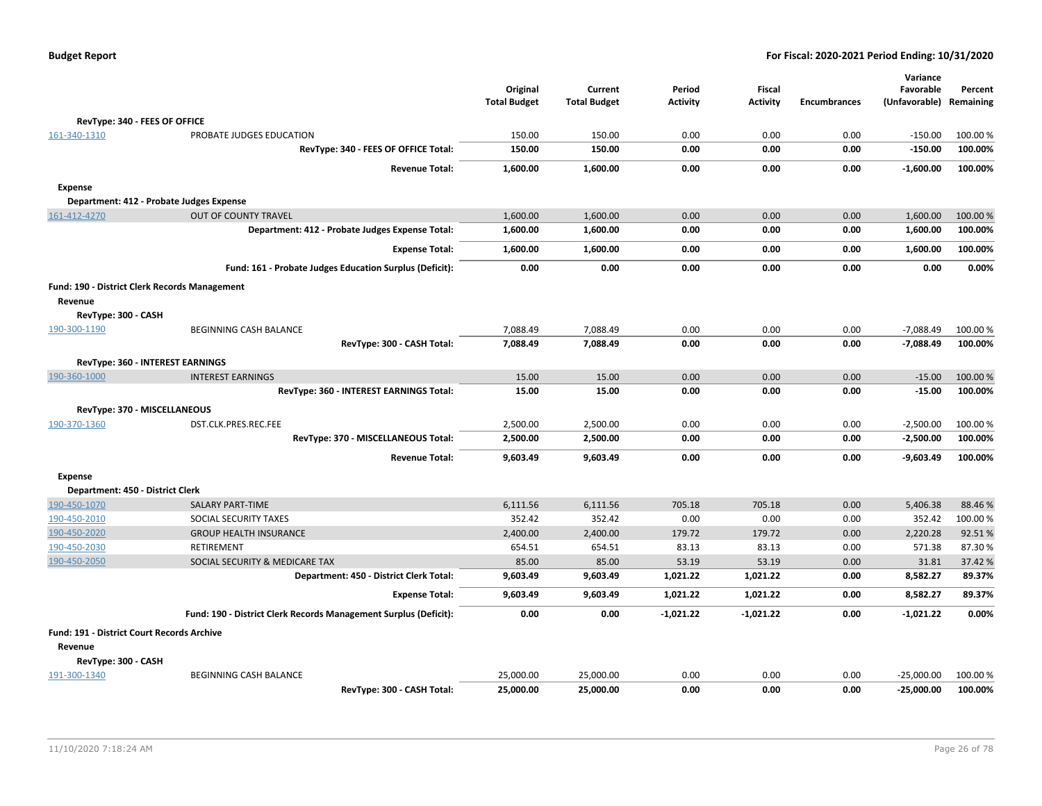|                                               |                                                                  | Original            | Current             | Period          | Fiscal          |                     | Variance<br>Favorable   | Percent  |
|-----------------------------------------------|------------------------------------------------------------------|---------------------|---------------------|-----------------|-----------------|---------------------|-------------------------|----------|
|                                               |                                                                  | <b>Total Budget</b> | <b>Total Budget</b> | <b>Activity</b> | <b>Activity</b> | <b>Encumbrances</b> | (Unfavorable) Remaining |          |
| RevType: 340 - FEES OF OFFICE                 |                                                                  |                     |                     |                 |                 |                     |                         |          |
| 161-340-1310                                  | PROBATE JUDGES EDUCATION                                         | 150.00              | 150.00              | 0.00            | 0.00            | 0.00                | $-150.00$               | 100.00 % |
|                                               | RevType: 340 - FEES OF OFFICE Total:                             | 150.00              | 150.00              | 0.00            | 0.00            | 0.00                | $-150.00$               | 100.00%  |
|                                               | <b>Revenue Total:</b>                                            | 1,600.00            | 1,600.00            | 0.00            | 0.00            | 0.00                | $-1,600.00$             | 100.00%  |
| Expense                                       |                                                                  |                     |                     |                 |                 |                     |                         |          |
| Department: 412 - Probate Judges Expense      |                                                                  |                     |                     |                 |                 |                     |                         |          |
| 161-412-4270                                  | <b>OUT OF COUNTY TRAVEL</b>                                      | 1,600.00            | 1,600.00            | 0.00            | 0.00            | 0.00                | 1,600.00                | 100.00%  |
|                                               | Department: 412 - Probate Judges Expense Total:                  | 1,600.00            | 1,600.00            | 0.00            | 0.00            | 0.00                | 1,600.00                | 100.00%  |
|                                               | <b>Expense Total:</b>                                            | 1,600.00            | 1,600.00            | 0.00            | 0.00            | 0.00                | 1,600.00                | 100.00%  |
|                                               | Fund: 161 - Probate Judges Education Surplus (Deficit):          | 0.00                | 0.00                | 0.00            | 0.00            | 0.00                | 0.00                    | 0.00%    |
| Fund: 190 - District Clerk Records Management |                                                                  |                     |                     |                 |                 |                     |                         |          |
| Revenue                                       |                                                                  |                     |                     |                 |                 |                     |                         |          |
| RevType: 300 - CASH                           |                                                                  |                     |                     |                 |                 |                     |                         |          |
| 190-300-1190                                  | BEGINNING CASH BALANCE                                           | 7,088.49            | 7,088.49            | 0.00            | 0.00            | 0.00                | $-7,088.49$             | 100.00 % |
|                                               | RevType: 300 - CASH Total:                                       | 7,088.49            | 7,088.49            | 0.00            | 0.00            | 0.00                | $-7,088.49$             | 100.00%  |
| RevType: 360 - INTEREST EARNINGS              |                                                                  |                     |                     |                 |                 |                     |                         |          |
| 190-360-1000                                  | <b>INTEREST EARNINGS</b>                                         | 15.00               | 15.00               | 0.00            | 0.00            | 0.00                | $-15.00$                | 100.00 % |
|                                               | RevType: 360 - INTEREST EARNINGS Total:                          | 15.00               | 15.00               | 0.00            | 0.00            | 0.00                | $-15.00$                | 100.00%  |
| RevType: 370 - MISCELLANEOUS                  |                                                                  |                     |                     |                 |                 |                     |                         |          |
| 190-370-1360                                  | DST.CLK.PRES.REC.FEE                                             | 2,500.00            | 2,500.00            | 0.00            | 0.00            | 0.00                | $-2,500.00$             | 100.00%  |
|                                               | RevType: 370 - MISCELLANEOUS Total:                              | 2,500.00            | 2,500.00            | 0.00            | 0.00            | 0.00                | $-2,500.00$             | 100.00%  |
|                                               | <b>Revenue Total:</b>                                            | 9,603.49            | 9,603.49            | 0.00            | 0.00            | 0.00                | $-9,603.49$             | 100.00%  |
| <b>Expense</b>                                |                                                                  |                     |                     |                 |                 |                     |                         |          |
| Department: 450 - District Clerk              |                                                                  |                     |                     |                 |                 |                     |                         |          |
| 190-450-1070                                  | <b>SALARY PART-TIME</b>                                          | 6,111.56            | 6,111.56            | 705.18          | 705.18          | 0.00                | 5.406.38                | 88.46%   |
| 190-450-2010                                  | SOCIAL SECURITY TAXES                                            | 352.42              | 352.42              | 0.00            | 0.00            | 0.00                | 352.42                  | 100.00%  |
| 190-450-2020                                  | <b>GROUP HEALTH INSURANCE</b>                                    | 2,400.00            | 2,400.00            | 179.72          | 179.72          | 0.00                | 2,220.28                | 92.51%   |
| 190-450-2030                                  | <b>RETIREMENT</b>                                                | 654.51              | 654.51              | 83.13           | 83.13           | 0.00                | 571.38                  | 87.30%   |
| 190-450-2050                                  | SOCIAL SECURITY & MEDICARE TAX                                   | 85.00               | 85.00               | 53.19           | 53.19           | 0.00                | 31.81                   | 37.42 %  |
|                                               | Department: 450 - District Clerk Total:                          | 9,603.49            | 9,603.49            | 1,021.22        | 1,021.22        | 0.00                | 8,582.27                | 89.37%   |
|                                               | <b>Expense Total:</b>                                            | 9,603.49            | 9,603.49            | 1,021.22        | 1,021.22        | 0.00                | 8,582.27                | 89.37%   |
|                                               | Fund: 190 - District Clerk Records Management Surplus (Deficit): | 0.00                | 0.00                | $-1,021.22$     | $-1,021.22$     | 0.00                | $-1,021.22$             | 0.00%    |
| Fund: 191 - District Court Records Archive    |                                                                  |                     |                     |                 |                 |                     |                         |          |
| Revenue                                       |                                                                  |                     |                     |                 |                 |                     |                         |          |
| RevType: 300 - CASH                           |                                                                  |                     |                     |                 |                 |                     |                         |          |
| 191-300-1340                                  | BEGINNING CASH BALANCE                                           | 25,000.00           | 25,000.00           | 0.00            | 0.00            | 0.00                | $-25,000.00$            | 100.00%  |
|                                               | RevType: 300 - CASH Total:                                       | 25,000.00           | 25,000.00           | 0.00            | 0.00            | 0.00                | $-25,000.00$            | 100.00%  |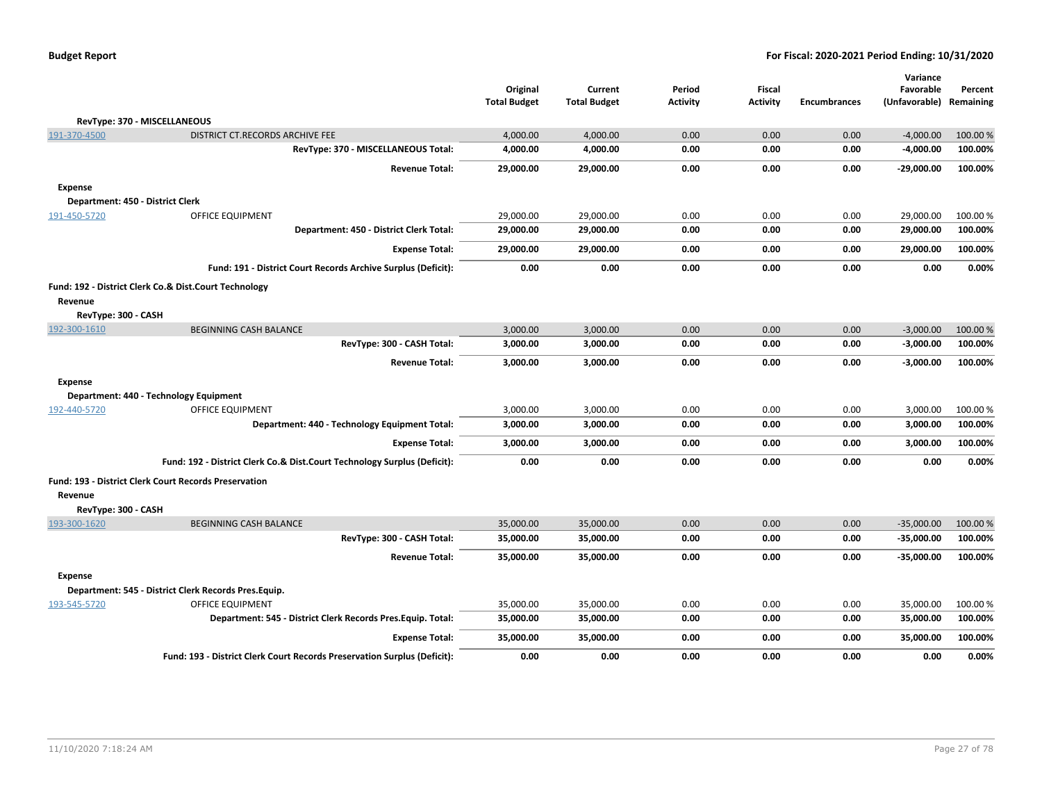|                                  |                                                                          | Original<br><b>Total Budget</b> | Current<br><b>Total Budget</b> | Period<br><b>Activity</b> | Fiscal<br><b>Activity</b> | <b>Encumbrances</b> | Variance<br>Favorable<br>(Unfavorable) | Percent<br>Remaining |
|----------------------------------|--------------------------------------------------------------------------|---------------------------------|--------------------------------|---------------------------|---------------------------|---------------------|----------------------------------------|----------------------|
|                                  | RevType: 370 - MISCELLANEOUS                                             |                                 |                                |                           |                           |                     |                                        |                      |
| 191-370-4500                     | DISTRICT CT.RECORDS ARCHIVE FEE                                          | 4,000.00                        | 4,000.00                       | 0.00                      | 0.00                      | 0.00                | $-4,000.00$                            | 100.00 %             |
|                                  | RevType: 370 - MISCELLANEOUS Total:                                      | 4,000.00                        | 4,000.00                       | 0.00                      | 0.00                      | 0.00                | $-4,000.00$                            | 100.00%              |
|                                  | <b>Revenue Total:</b>                                                    | 29,000.00                       | 29,000.00                      | 0.00                      | 0.00                      | 0.00                | $-29,000.00$                           | 100.00%              |
| <b>Expense</b>                   |                                                                          |                                 |                                |                           |                           |                     |                                        |                      |
| Department: 450 - District Clerk |                                                                          |                                 |                                |                           |                           |                     |                                        |                      |
| 191-450-5720                     | OFFICE EQUIPMENT                                                         | 29,000.00                       | 29,000.00                      | 0.00                      | 0.00                      | 0.00                | 29,000.00                              | 100.00%              |
|                                  | Department: 450 - District Clerk Total:                                  | 29,000.00                       | 29,000.00                      | 0.00                      | 0.00                      | 0.00                | 29,000.00                              | 100.00%              |
|                                  | <b>Expense Total:</b>                                                    | 29,000.00                       | 29,000.00                      | 0.00                      | 0.00                      | 0.00                | 29,000.00                              | 100.00%              |
|                                  | Fund: 191 - District Court Records Archive Surplus (Deficit):            | 0.00                            | 0.00                           | 0.00                      | 0.00                      | 0.00                | 0.00                                   | 0.00%                |
|                                  | Fund: 192 - District Clerk Co.& Dist.Court Technology                    |                                 |                                |                           |                           |                     |                                        |                      |
| Revenue                          |                                                                          |                                 |                                |                           |                           |                     |                                        |                      |
| RevType: 300 - CASH              |                                                                          |                                 |                                |                           |                           |                     |                                        |                      |
| 192-300-1610                     | <b>BEGINNING CASH BALANCE</b>                                            | 3,000.00                        | 3,000.00                       | 0.00                      | 0.00                      | 0.00                | $-3,000.00$                            | 100.00%              |
|                                  | RevType: 300 - CASH Total:                                               | 3,000.00                        | 3,000.00                       | 0.00                      | 0.00                      | 0.00                | $-3,000.00$                            | 100.00%              |
|                                  | <b>Revenue Total:</b>                                                    | 3,000.00                        | 3,000.00                       | 0.00                      | 0.00                      | 0.00                | $-3,000.00$                            | 100.00%              |
| <b>Expense</b>                   |                                                                          |                                 |                                |                           |                           |                     |                                        |                      |
|                                  | Department: 440 - Technology Equipment                                   |                                 |                                |                           |                           |                     |                                        |                      |
| 192-440-5720                     | <b>OFFICE EQUIPMENT</b>                                                  | 3,000.00                        | 3,000.00                       | 0.00                      | 0.00                      | 0.00                | 3,000.00                               | 100.00%              |
|                                  | Department: 440 - Technology Equipment Total:                            | 3,000.00                        | 3,000.00                       | 0.00                      | 0.00                      | 0.00                | 3,000.00                               | 100.00%              |
|                                  | <b>Expense Total:</b>                                                    | 3,000.00                        | 3,000.00                       | 0.00                      | 0.00                      | 0.00                | 3,000.00                               | 100.00%              |
|                                  | Fund: 192 - District Clerk Co.& Dist.Court Technology Surplus (Deficit): | 0.00                            | 0.00                           | 0.00                      | 0.00                      | 0.00                | 0.00                                   | 0.00%                |
|                                  | <b>Fund: 193 - District Clerk Court Records Preservation</b>             |                                 |                                |                           |                           |                     |                                        |                      |
| Revenue                          |                                                                          |                                 |                                |                           |                           |                     |                                        |                      |
| RevType: 300 - CASH              |                                                                          |                                 |                                |                           |                           |                     |                                        |                      |
| 193-300-1620                     | <b>BEGINNING CASH BALANCE</b>                                            | 35,000.00                       | 35,000.00                      | 0.00                      | 0.00                      | 0.00                | $-35,000.00$                           | 100.00%              |
|                                  | RevType: 300 - CASH Total:                                               | 35,000.00                       | 35,000.00                      | 0.00                      | 0.00                      | 0.00                | $-35,000.00$                           | 100.00%              |
|                                  | <b>Revenue Total:</b>                                                    | 35,000.00                       | 35,000.00                      | 0.00                      | 0.00                      | 0.00                | $-35,000.00$                           | 100.00%              |
| <b>Expense</b>                   |                                                                          |                                 |                                |                           |                           |                     |                                        |                      |
|                                  | Department: 545 - District Clerk Records Pres.Equip.                     |                                 |                                |                           |                           |                     |                                        |                      |
| 193-545-5720                     | <b>OFFICE EQUIPMENT</b>                                                  | 35,000.00                       | 35,000.00                      | 0.00                      | 0.00                      | 0.00                | 35,000.00                              | 100.00 %             |
|                                  | Department: 545 - District Clerk Records Pres.Equip. Total:              | 35,000.00                       | 35,000.00                      | 0.00                      | 0.00                      | 0.00                | 35,000.00                              | 100.00%              |
|                                  | <b>Expense Total:</b>                                                    | 35,000.00                       | 35,000.00                      | 0.00                      | 0.00                      | 0.00                | 35,000.00                              | 100.00%              |
|                                  | Fund: 193 - District Clerk Court Records Preservation Surplus (Deficit): | 0.00                            | 0.00                           | 0.00                      | 0.00                      | 0.00                | 0.00                                   | 0.00%                |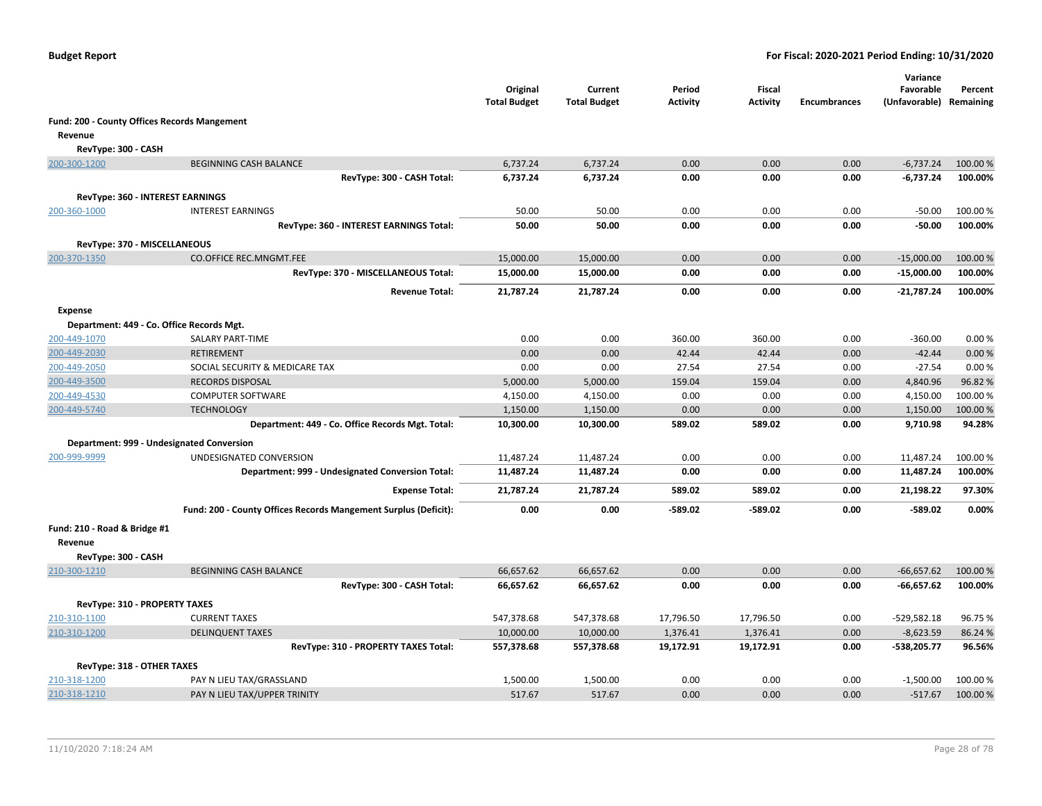|                               |                                                                 | Original<br><b>Total Budget</b> | Current<br><b>Total Budget</b> | Period<br>Activity | Fiscal<br>Activity | <b>Encumbrances</b> | Variance<br>Favorable<br>(Unfavorable) Remaining | Percent  |
|-------------------------------|-----------------------------------------------------------------|---------------------------------|--------------------------------|--------------------|--------------------|---------------------|--------------------------------------------------|----------|
|                               | Fund: 200 - County Offices Records Mangement                    |                                 |                                |                    |                    |                     |                                                  |          |
| Revenue                       |                                                                 |                                 |                                |                    |                    |                     |                                                  |          |
| RevType: 300 - CASH           |                                                                 |                                 |                                |                    |                    |                     |                                                  |          |
| 200-300-1200                  | <b>BEGINNING CASH BALANCE</b>                                   | 6,737.24                        | 6,737.24                       | 0.00               | 0.00               | 0.00                | $-6,737.24$                                      | 100.00 % |
|                               | RevType: 300 - CASH Total:                                      | 6,737.24                        | 6,737.24                       | 0.00               | 0.00               | 0.00                | $-6,737.24$                                      | 100.00%  |
|                               |                                                                 |                                 |                                |                    |                    |                     |                                                  |          |
| 200-360-1000                  | RevType: 360 - INTEREST EARNINGS<br><b>INTEREST EARNINGS</b>    | 50.00                           | 50.00                          | 0.00               | 0.00               | 0.00                | $-50.00$                                         | 100.00 % |
|                               | RevType: 360 - INTEREST EARNINGS Total:                         | 50.00                           | 50.00                          | 0.00               | 0.00               | 0.00                | $-50.00$                                         | 100.00%  |
|                               |                                                                 |                                 |                                |                    |                    |                     |                                                  |          |
| RevType: 370 - MISCELLANEOUS  |                                                                 |                                 |                                |                    |                    |                     |                                                  |          |
| 200-370-1350                  | <b>CO.OFFICE REC.MNGMT.FEE</b>                                  | 15,000.00                       | 15,000.00                      | 0.00               | 0.00               | 0.00                | $-15,000.00$                                     | 100.00%  |
|                               | RevType: 370 - MISCELLANEOUS Total:                             | 15,000.00                       | 15,000.00                      | 0.00               | 0.00               | 0.00                | $-15,000.00$                                     | 100.00%  |
|                               | <b>Revenue Total:</b>                                           | 21,787.24                       | 21,787.24                      | 0.00               | 0.00               | 0.00                | $-21,787.24$                                     | 100.00%  |
| <b>Expense</b>                |                                                                 |                                 |                                |                    |                    |                     |                                                  |          |
|                               | Department: 449 - Co. Office Records Mgt.                       |                                 |                                |                    |                    |                     |                                                  |          |
| 200-449-1070                  | SALARY PART-TIME                                                | 0.00                            | 0.00                           | 360.00             | 360.00             | 0.00                | $-360.00$                                        | 0.00%    |
| 200-449-2030                  | <b>RETIREMENT</b>                                               | 0.00                            | 0.00                           | 42.44              | 42.44              | 0.00                | $-42.44$                                         | 0.00%    |
| 200-449-2050                  | SOCIAL SECURITY & MEDICARE TAX                                  | 0.00                            | 0.00                           | 27.54              | 27.54              | 0.00                | $-27.54$                                         | 0.00%    |
| 200-449-3500                  | <b>RECORDS DISPOSAL</b>                                         | 5,000.00                        | 5,000.00                       | 159.04             | 159.04             | 0.00                | 4,840.96                                         | 96.82%   |
| 200-449-4530                  | <b>COMPUTER SOFTWARE</b>                                        | 4,150.00                        | 4,150.00                       | 0.00               | 0.00               | 0.00                | 4,150.00                                         | 100.00 % |
| 200-449-5740                  | <b>TECHNOLOGY</b>                                               | 1,150.00                        | 1,150.00                       | 0.00               | 0.00               | 0.00                | 1,150.00                                         | 100.00 % |
|                               | Department: 449 - Co. Office Records Mgt. Total:                | 10,300.00                       | 10,300.00                      | 589.02             | 589.02             | 0.00                | 9,710.98                                         | 94.28%   |
|                               | Department: 999 - Undesignated Conversion                       |                                 |                                |                    |                    |                     |                                                  |          |
| 200-999-9999                  | UNDESIGNATED CONVERSION                                         | 11,487.24                       | 11,487.24                      | 0.00               | 0.00               | 0.00                | 11,487.24                                        | 100.00%  |
|                               | Department: 999 - Undesignated Conversion Total:                | 11,487.24                       | 11,487.24                      | 0.00               | 0.00               | 0.00                | 11,487.24                                        | 100.00%  |
|                               | <b>Expense Total:</b>                                           | 21,787.24                       | 21,787.24                      | 589.02             | 589.02             | 0.00                | 21,198.22                                        | 97.30%   |
|                               | Fund: 200 - County Offices Records Mangement Surplus (Deficit): | 0.00                            | 0.00                           | -589.02            | $-589.02$          | 0.00                | $-589.02$                                        | 0.00%    |
| Fund: 210 - Road & Bridge #1  |                                                                 |                                 |                                |                    |                    |                     |                                                  |          |
| Revenue                       |                                                                 |                                 |                                |                    |                    |                     |                                                  |          |
| RevType: 300 - CASH           |                                                                 |                                 |                                |                    |                    |                     |                                                  |          |
| 210-300-1210                  | <b>BEGINNING CASH BALANCE</b>                                   | 66,657.62                       | 66,657.62                      | 0.00               | 0.00               | 0.00                | $-66,657.62$                                     | 100.00 % |
|                               | RevType: 300 - CASH Total:                                      | 66,657.62                       | 66,657.62                      | 0.00               | 0.00               | 0.00                | $-66,657.62$                                     | 100.00%  |
| RevType: 310 - PROPERTY TAXES |                                                                 |                                 |                                |                    |                    |                     |                                                  |          |
| 210-310-1100                  | <b>CURRENT TAXES</b>                                            | 547,378.68                      | 547,378.68                     | 17,796.50          | 17,796.50          | 0.00                | $-529,582.18$                                    | 96.75%   |
| 210-310-1200                  | <b>DELINQUENT TAXES</b>                                         | 10,000.00                       | 10,000.00                      | 1,376.41           | 1,376.41           | 0.00                | $-8,623.59$                                      | 86.24 %  |
|                               | RevType: 310 - PROPERTY TAXES Total:                            | 557,378.68                      | 557,378.68                     | 19,172.91          | 19,172.91          | 0.00                | -538,205.77                                      | 96.56%   |
| RevType: 318 - OTHER TAXES    |                                                                 |                                 |                                |                    |                    |                     |                                                  |          |
| 210-318-1200                  | PAY N LIEU TAX/GRASSLAND                                        | 1,500.00                        | 1,500.00                       | 0.00               | 0.00               | 0.00                | $-1,500.00$                                      | 100.00 % |
| 210-318-1210                  | PAY N LIEU TAX/UPPER TRINITY                                    | 517.67                          | 517.67                         | 0.00               | 0.00               | 0.00                | $-517.67$                                        | 100.00 % |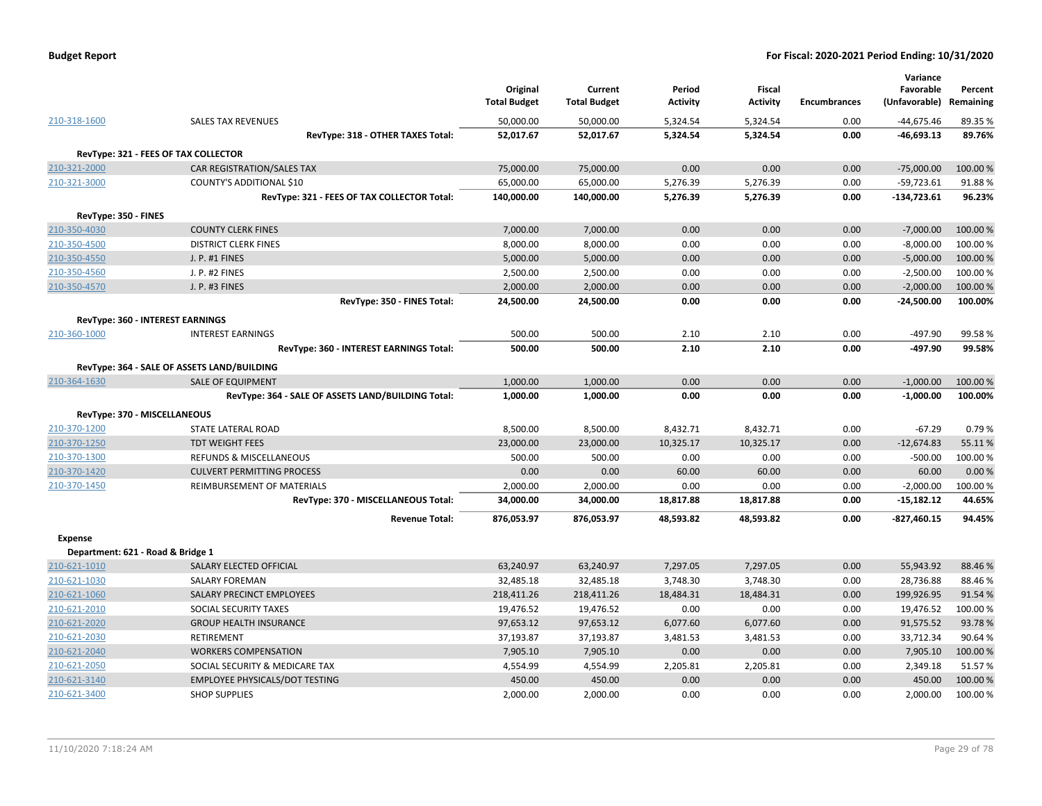| <b>Budget Report</b> |  |
|----------------------|--|
|----------------------|--|

|                      |                                                    | Original            | Current             | Period          | Fiscal          |                     | Variance<br>Favorable | Percent   |
|----------------------|----------------------------------------------------|---------------------|---------------------|-----------------|-----------------|---------------------|-----------------------|-----------|
|                      |                                                    | <b>Total Budget</b> | <b>Total Budget</b> | <b>Activity</b> | <b>Activity</b> | <b>Encumbrances</b> | (Unfavorable)         | Remaining |
| 210-318-1600         | <b>SALES TAX REVENUES</b>                          | 50,000.00           | 50,000.00           | 5,324.54        | 5,324.54        | 0.00                | $-44,675.46$          | 89.35%    |
|                      | RevType: 318 - OTHER TAXES Total:                  | 52,017.67           | 52,017.67           | 5,324.54        | 5,324.54        | 0.00                | $-46,693.13$          | 89.76%    |
|                      | RevType: 321 - FEES OF TAX COLLECTOR               |                     |                     |                 |                 |                     |                       |           |
| 210-321-2000         | <b>CAR REGISTRATION/SALES TAX</b>                  | 75,000.00           | 75,000.00           | 0.00            | 0.00            | 0.00                | $-75,000.00$          | 100.00%   |
| 210-321-3000         | <b>COUNTY'S ADDITIONAL \$10</b>                    | 65,000.00           | 65,000.00           | 5,276.39        | 5,276.39        | 0.00                | $-59,723.61$          | 91.88%    |
|                      | RevType: 321 - FEES OF TAX COLLECTOR Total:        | 140,000.00          | 140,000.00          | 5,276.39        | 5,276.39        | 0.00                | $-134,723.61$         | 96.23%    |
| RevType: 350 - FINES |                                                    |                     |                     |                 |                 |                     |                       |           |
| 210-350-4030         | <b>COUNTY CLERK FINES</b>                          | 7,000.00            | 7,000.00            | 0.00            | 0.00            | 0.00                | $-7,000.00$           | 100.00 %  |
| 210-350-4500         | <b>DISTRICT CLERK FINES</b>                        | 8,000.00            | 8,000.00            | 0.00            | 0.00            | 0.00                | $-8,000.00$           | 100.00 %  |
| 210-350-4550         | J. P. #1 FINES                                     | 5,000.00            | 5,000.00            | 0.00            | 0.00            | 0.00                | $-5,000.00$           | 100.00 %  |
| 210-350-4560         | J. P. #2 FINES                                     | 2,500.00            | 2,500.00            | 0.00            | 0.00            | 0.00                | $-2,500.00$           | 100.00 %  |
| 210-350-4570         | J. P. #3 FINES                                     | 2,000.00            | 2,000.00            | 0.00            | 0.00            | 0.00                | $-2,000.00$           | 100.00 %  |
|                      | RevType: 350 - FINES Total:                        | 24,500.00           | 24,500.00           | 0.00            | 0.00            | 0.00                | $-24,500.00$          | 100.00%   |
|                      | <b>RevType: 360 - INTEREST EARNINGS</b>            |                     |                     |                 |                 |                     |                       |           |
| 210-360-1000         | <b>INTEREST EARNINGS</b>                           | 500.00              | 500.00              | 2.10            | 2.10            | 0.00                | $-497.90$             | 99.58%    |
|                      | RevType: 360 - INTEREST EARNINGS Total:            | 500.00              | 500.00              | 2.10            | 2.10            | 0.00                | $-497.90$             | 99.58%    |
|                      | RevType: 364 - SALE OF ASSETS LAND/BUILDING        |                     |                     |                 |                 |                     |                       |           |
| 210-364-1630         | <b>SALE OF EQUIPMENT</b>                           | 1,000.00            | 1,000.00            | 0.00            | 0.00            | 0.00                | $-1,000.00$           | 100.00 %  |
|                      | RevType: 364 - SALE OF ASSETS LAND/BUILDING Total: | 1,000.00            | 1,000.00            | 0.00            | 0.00            | 0.00                | $-1,000.00$           | 100.00%   |
|                      | RevType: 370 - MISCELLANEOUS                       |                     |                     |                 |                 |                     |                       |           |
| 210-370-1200         | STATE LATERAL ROAD                                 | 8,500.00            | 8,500.00            | 8,432.71        | 8,432.71        | 0.00                | $-67.29$              | 0.79%     |
| 210-370-1250         | <b>TDT WEIGHT FEES</b>                             | 23,000.00           | 23,000.00           | 10,325.17       | 10,325.17       | 0.00                | $-12,674.83$          | 55.11%    |
| 210-370-1300         | <b>REFUNDS &amp; MISCELLANEOUS</b>                 | 500.00              | 500.00              | 0.00            | 0.00            | 0.00                | $-500.00$             | 100.00%   |
| 210-370-1420         | <b>CULVERT PERMITTING PROCESS</b>                  | 0.00                | 0.00                | 60.00           | 60.00           | 0.00                | 60.00                 | 0.00%     |
| 210-370-1450         | REIMBURSEMENT OF MATERIALS                         | 2,000.00            | 2,000.00            | 0.00            | 0.00            | 0.00                | $-2,000.00$           | 100.00%   |
|                      | RevType: 370 - MISCELLANEOUS Total:                | 34,000.00           | 34,000.00           | 18,817.88       | 18,817.88       | 0.00                | $-15,182.12$          | 44.65%    |
|                      | <b>Revenue Total:</b>                              | 876,053.97          | 876,053.97          | 48,593.82       | 48,593.82       | 0.00                | $-827,460.15$         | 94.45%    |
| <b>Expense</b>       |                                                    |                     |                     |                 |                 |                     |                       |           |
|                      | Department: 621 - Road & Bridge 1                  |                     |                     |                 |                 |                     |                       |           |
| 210-621-1010         | SALARY ELECTED OFFICIAL                            | 63,240.97           | 63,240.97           | 7,297.05        | 7,297.05        | 0.00                | 55,943.92             | 88.46%    |
| 210-621-1030         | <b>SALARY FOREMAN</b>                              | 32,485.18           | 32,485.18           | 3,748.30        | 3,748.30        | 0.00                | 28,736.88             | 88.46%    |
| 210-621-1060         | SALARY PRECINCT EMPLOYEES                          | 218,411.26          | 218,411.26          | 18,484.31       | 18,484.31       | 0.00                | 199,926.95            | 91.54%    |
| 210-621-2010         | SOCIAL SECURITY TAXES                              | 19,476.52           | 19,476.52           | 0.00            | 0.00            | 0.00                | 19,476.52             | 100.00%   |
| 210-621-2020         | <b>GROUP HEALTH INSURANCE</b>                      | 97,653.12           | 97,653.12           | 6,077.60        | 6,077.60        | 0.00                | 91,575.52             | 93.78%    |
| 210-621-2030         | RETIREMENT                                         | 37,193.87           | 37,193.87           | 3,481.53        | 3,481.53        | 0.00                | 33,712.34             | 90.64%    |
| 210-621-2040         | <b>WORKERS COMPENSATION</b>                        | 7,905.10            | 7,905.10            | 0.00            | 0.00            | 0.00                | 7,905.10              | 100.00 %  |
| 210-621-2050         | SOCIAL SECURITY & MEDICARE TAX                     | 4,554.99            | 4,554.99            | 2,205.81        | 2,205.81        | 0.00                | 2,349.18              | 51.57%    |
| 210-621-3140         | <b>EMPLOYEE PHYSICALS/DOT TESTING</b>              | 450.00              | 450.00              | 0.00            | 0.00            | 0.00                | 450.00                | 100.00%   |
| 210-621-3400         | <b>SHOP SUPPLIES</b>                               | 2,000.00            | 2,000.00            | 0.00            | 0.00            | 0.00                | 2,000.00              | 100.00%   |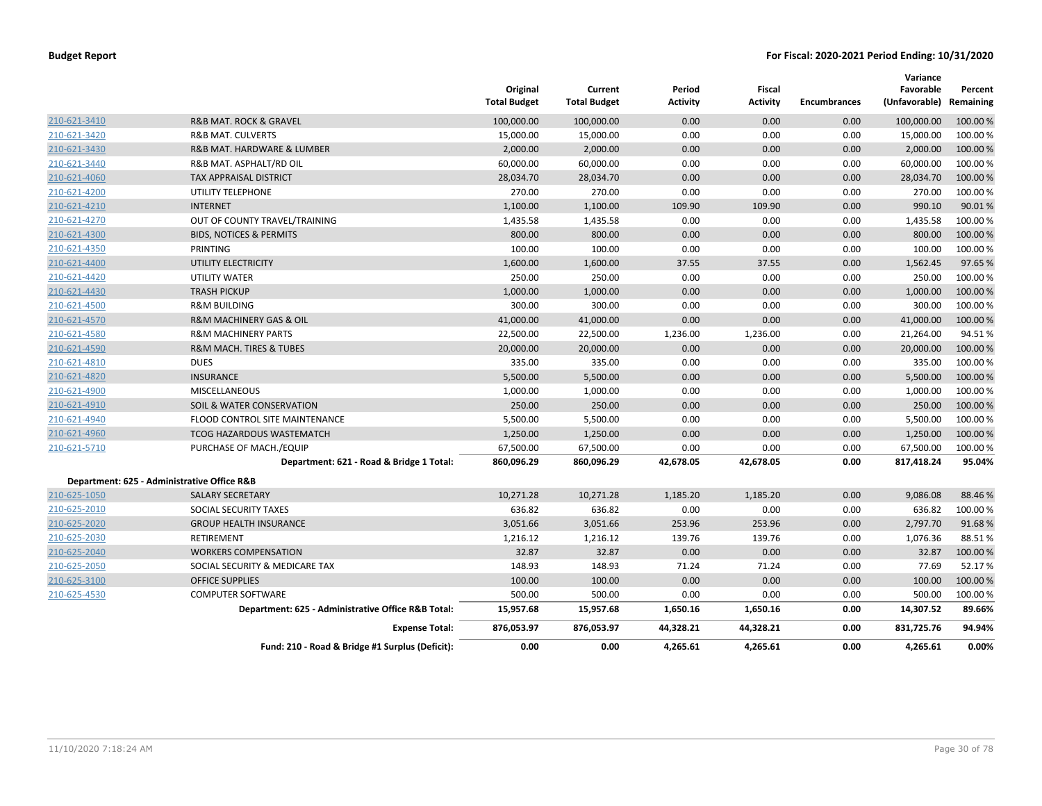|              |                                                    | Original<br><b>Total Budget</b> | Current<br><b>Total Budget</b> | Period<br>Activity | <b>Fiscal</b><br><b>Activity</b> | <b>Encumbrances</b> | Variance<br>Favorable<br>(Unfavorable) | Percent<br>Remaining |
|--------------|----------------------------------------------------|---------------------------------|--------------------------------|--------------------|----------------------------------|---------------------|----------------------------------------|----------------------|
| 210-621-3410 | R&B MAT. ROCK & GRAVEL                             | 100,000.00                      | 100,000.00                     | 0.00               | 0.00                             | 0.00                | 100,000.00                             | 100.00 %             |
| 210-621-3420 | <b>R&amp;B MAT. CULVERTS</b>                       | 15,000.00                       | 15,000.00                      | 0.00               | 0.00                             | 0.00                | 15,000.00                              | 100.00 %             |
| 210-621-3430 | R&B MAT. HARDWARE & LUMBER                         | 2,000.00                        | 2,000.00                       | 0.00               | 0.00                             | 0.00                | 2,000.00                               | 100.00%              |
| 210-621-3440 | R&B MAT. ASPHALT/RD OIL                            | 60,000.00                       | 60,000.00                      | 0.00               | 0.00                             | 0.00                | 60,000.00                              | 100.00 %             |
| 210-621-4060 | <b>TAX APPRAISAL DISTRICT</b>                      | 28,034.70                       | 28,034.70                      | 0.00               | 0.00                             | 0.00                | 28,034.70                              | 100.00 %             |
| 210-621-4200 | UTILITY TELEPHONE                                  | 270.00                          | 270.00                         | 0.00               | 0.00                             | 0.00                | 270.00                                 | 100.00 %             |
| 210-621-4210 | <b>INTERNET</b>                                    | 1,100.00                        | 1,100.00                       | 109.90             | 109.90                           | 0.00                | 990.10                                 | 90.01%               |
| 210-621-4270 | OUT OF COUNTY TRAVEL/TRAINING                      | 1,435.58                        | 1,435.58                       | 0.00               | 0.00                             | 0.00                | 1,435.58                               | 100.00 %             |
| 210-621-4300 | <b>BIDS, NOTICES &amp; PERMITS</b>                 | 800.00                          | 800.00                         | 0.00               | 0.00                             | 0.00                | 800.00                                 | 100.00 %             |
| 210-621-4350 | PRINTING                                           | 100.00                          | 100.00                         | 0.00               | 0.00                             | 0.00                | 100.00                                 | 100.00%              |
| 210-621-4400 | UTILITY ELECTRICITY                                | 1,600.00                        | 1,600.00                       | 37.55              | 37.55                            | 0.00                | 1,562.45                               | 97.65%               |
| 210-621-4420 | <b>UTILITY WATER</b>                               | 250.00                          | 250.00                         | 0.00               | 0.00                             | 0.00                | 250.00                                 | 100.00 %             |
| 210-621-4430 | <b>TRASH PICKUP</b>                                | 1,000.00                        | 1,000.00                       | 0.00               | 0.00                             | 0.00                | 1,000.00                               | 100.00 %             |
| 210-621-4500 | <b>R&amp;M BUILDING</b>                            | 300.00                          | 300.00                         | 0.00               | 0.00                             | 0.00                | 300.00                                 | 100.00%              |
| 210-621-4570 | <b>R&amp;M MACHINERY GAS &amp; OIL</b>             | 41,000.00                       | 41,000.00                      | 0.00               | 0.00                             | 0.00                | 41,000.00                              | 100.00 %             |
| 210-621-4580 | <b>R&amp;M MACHINERY PARTS</b>                     | 22,500.00                       | 22,500.00                      | 1,236.00           | 1,236.00                         | 0.00                | 21,264.00                              | 94.51%               |
| 210-621-4590 | <b>R&amp;M MACH. TIRES &amp; TUBES</b>             | 20,000.00                       | 20,000.00                      | 0.00               | 0.00                             | 0.00                | 20,000.00                              | 100.00 %             |
| 210-621-4810 | <b>DUES</b>                                        | 335.00                          | 335.00                         | 0.00               | 0.00                             | 0.00                | 335.00                                 | 100.00 %             |
| 210-621-4820 | <b>INSURANCE</b>                                   | 5,500.00                        | 5,500.00                       | 0.00               | 0.00                             | 0.00                | 5,500.00                               | 100.00 %             |
| 210-621-4900 | <b>MISCELLANEOUS</b>                               | 1,000.00                        | 1,000.00                       | 0.00               | 0.00                             | 0.00                | 1,000.00                               | 100.00%              |
| 210-621-4910 | SOIL & WATER CONSERVATION                          | 250.00                          | 250.00                         | 0.00               | 0.00                             | 0.00                | 250.00                                 | 100.00 %             |
| 210-621-4940 | FLOOD CONTROL SITE MAINTENANCE                     | 5,500.00                        | 5,500.00                       | 0.00               | 0.00                             | 0.00                | 5,500.00                               | 100.00%              |
| 210-621-4960 | <b>TCOG HAZARDOUS WASTEMATCH</b>                   | 1,250.00                        | 1,250.00                       | 0.00               | 0.00                             | 0.00                | 1,250.00                               | 100.00 %             |
| 210-621-5710 | PURCHASE OF MACH./EQUIP                            | 67,500.00                       | 67,500.00                      | 0.00               | 0.00                             | 0.00                | 67,500.00                              | 100.00%              |
|              | Department: 621 - Road & Bridge 1 Total:           | 860,096.29                      | 860,096.29                     | 42,678.05          | 42,678.05                        | 0.00                | 817,418.24                             | 95.04%               |
|              | Department: 625 - Administrative Office R&B        |                                 |                                |                    |                                  |                     |                                        |                      |
| 210-625-1050 | <b>SALARY SECRETARY</b>                            | 10,271.28                       | 10,271.28                      | 1,185.20           | 1,185.20                         | 0.00                | 9,086.08                               | 88.46%               |
| 210-625-2010 | SOCIAL SECURITY TAXES                              | 636.82                          | 636.82                         | 0.00               | 0.00                             | 0.00                | 636.82                                 | 100.00%              |
| 210-625-2020 | <b>GROUP HEALTH INSURANCE</b>                      | 3,051.66                        | 3,051.66                       | 253.96             | 253.96                           | 0.00                | 2,797.70                               | 91.68%               |
| 210-625-2030 | RETIREMENT                                         | 1,216.12                        | 1,216.12                       | 139.76             | 139.76                           | 0.00                | 1,076.36                               | 88.51%               |
| 210-625-2040 | <b>WORKERS COMPENSATION</b>                        | 32.87                           | 32.87                          | 0.00               | 0.00                             | 0.00                | 32.87                                  | 100.00%              |
| 210-625-2050 | SOCIAL SECURITY & MEDICARE TAX                     | 148.93                          | 148.93                         | 71.24              | 71.24                            | 0.00                | 77.69                                  | 52.17%               |
| 210-625-3100 | <b>OFFICE SUPPLIES</b>                             | 100.00                          | 100.00                         | 0.00               | 0.00                             | 0.00                | 100.00                                 | 100.00 %             |
| 210-625-4530 | <b>COMPUTER SOFTWARE</b>                           | 500.00                          | 500.00                         | 0.00               | 0.00                             | 0.00                | 500.00                                 | 100.00 %             |
|              | Department: 625 - Administrative Office R&B Total: | 15,957.68                       | 15,957.68                      | 1,650.16           | 1,650.16                         | 0.00                | 14,307.52                              | 89.66%               |
|              | <b>Expense Total:</b>                              | 876,053.97                      | 876,053.97                     | 44,328.21          | 44,328.21                        | 0.00                | 831,725.76                             | 94.94%               |
|              | Fund: 210 - Road & Bridge #1 Surplus (Deficit):    | 0.00                            | 0.00                           | 4,265.61           | 4,265.61                         | 0.00                | 4,265.61                               | 0.00%                |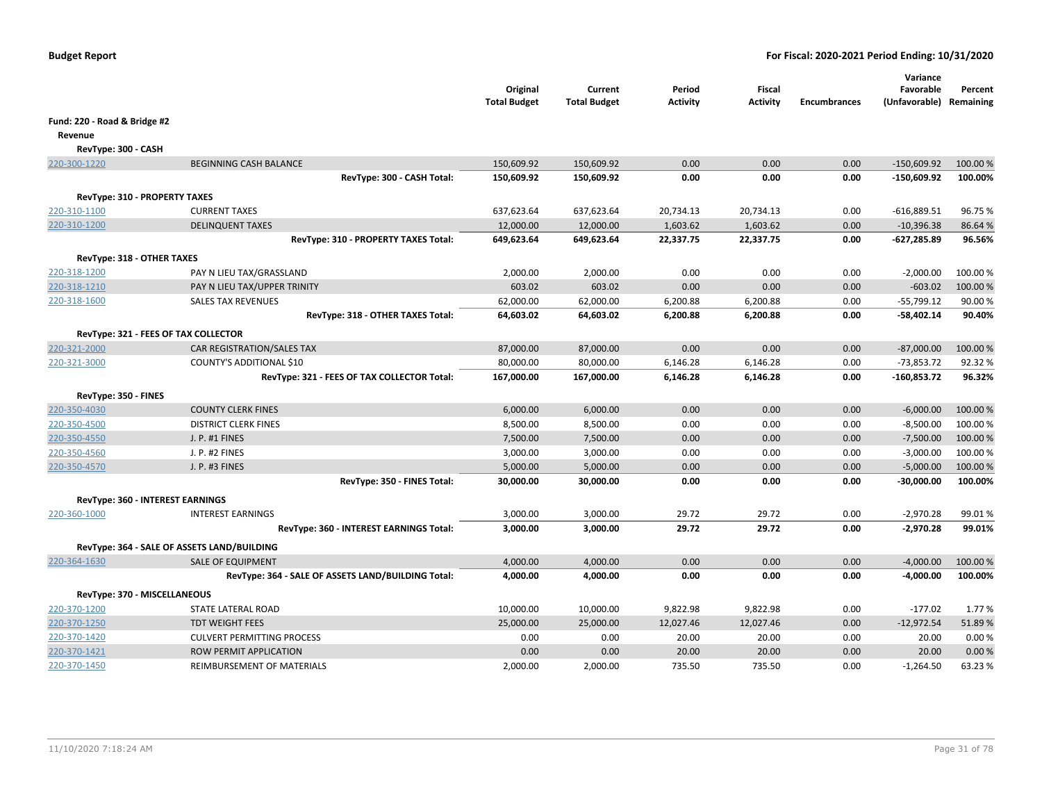|                              |                                                       | Original<br><b>Total Budget</b> | Current<br><b>Total Budget</b> | Period<br><b>Activity</b> | Fiscal<br><b>Activity</b> | <b>Encumbrances</b> | Variance<br>Favorable<br>(Unfavorable) Remaining | Percent           |
|------------------------------|-------------------------------------------------------|---------------------------------|--------------------------------|---------------------------|---------------------------|---------------------|--------------------------------------------------|-------------------|
| Fund: 220 - Road & Bridge #2 |                                                       |                                 |                                |                           |                           |                     |                                                  |                   |
| Revenue                      |                                                       |                                 |                                |                           |                           |                     |                                                  |                   |
|                              | RevType: 300 - CASH                                   |                                 |                                |                           |                           |                     |                                                  |                   |
| 220-300-1220                 | <b>BEGINNING CASH BALANCE</b>                         | 150,609.92                      | 150,609.92                     | 0.00                      | 0.00                      | 0.00                | $-150,609.92$                                    | 100.00 %          |
|                              | RevType: 300 - CASH Total:                            | 150,609.92                      | 150,609.92                     | 0.00                      | 0.00                      | 0.00                | $-150,609.92$                                    | 100.00%           |
|                              |                                                       |                                 |                                |                           |                           |                     |                                                  |                   |
|                              | RevType: 310 - PROPERTY TAXES<br><b>CURRENT TAXES</b> |                                 |                                |                           |                           |                     |                                                  |                   |
| 220-310-1100<br>220-310-1200 | <b>DELINQUENT TAXES</b>                               | 637,623.64<br>12,000.00         | 637,623.64<br>12,000.00        | 20,734.13<br>1,603.62     | 20,734.13<br>1,603.62     | 0.00<br>0.00        | $-616,889.51$<br>$-10,396.38$                    | 96.75 %<br>86.64% |
|                              | RevType: 310 - PROPERTY TAXES Total:                  | 649,623.64                      | 649,623.64                     | 22,337.75                 | 22,337.75                 | 0.00                | $-627,285.89$                                    | 96.56%            |
|                              |                                                       |                                 |                                |                           |                           |                     |                                                  |                   |
|                              | RevType: 318 - OTHER TAXES                            |                                 |                                |                           |                           |                     |                                                  |                   |
| 220-318-1200                 | PAY N LIEU TAX/GRASSLAND                              | 2,000.00                        | 2,000.00                       | 0.00                      | 0.00                      | 0.00                | $-2,000.00$                                      | 100.00%           |
| 220-318-1210                 | PAY N LIEU TAX/UPPER TRINITY                          | 603.02                          | 603.02                         | 0.00                      | 0.00                      | 0.00                | $-603.02$                                        | 100.00 %          |
| 220-318-1600                 | <b>SALES TAX REVENUES</b>                             | 62,000.00                       | 62,000.00                      | 6,200.88                  | 6,200.88                  | 0.00                | $-55,799.12$                                     | 90.00 %           |
|                              | RevType: 318 - OTHER TAXES Total:                     | 64,603.02                       | 64,603.02                      | 6,200.88                  | 6,200.88                  | 0.00                | $-58,402.14$                                     | 90.40%            |
|                              | RevType: 321 - FEES OF TAX COLLECTOR                  |                                 |                                |                           |                           |                     |                                                  |                   |
| 220-321-2000                 | CAR REGISTRATION/SALES TAX                            | 87,000.00                       | 87,000.00                      | 0.00                      | 0.00                      | 0.00                | $-87,000.00$                                     | 100.00%           |
| 220-321-3000                 | COUNTY'S ADDITIONAL \$10                              | 80,000.00                       | 80,000.00                      | 6,146.28                  | 6,146.28                  | 0.00                | $-73,853.72$                                     | 92.32%            |
|                              | RevType: 321 - FEES OF TAX COLLECTOR Total:           | 167,000.00                      | 167,000.00                     | 6,146.28                  | 6,146.28                  | 0.00                | -160,853.72                                      | 96.32%            |
|                              | RevType: 350 - FINES                                  |                                 |                                |                           |                           |                     |                                                  |                   |
| 220-350-4030                 | <b>COUNTY CLERK FINES</b>                             | 6,000.00                        | 6,000.00                       | 0.00                      | 0.00                      | 0.00                | $-6,000.00$                                      | 100.00%           |
| 220-350-4500                 | <b>DISTRICT CLERK FINES</b>                           | 8,500.00                        | 8,500.00                       | 0.00                      | 0.00                      | 0.00                | $-8,500.00$                                      | 100.00%           |
| 220-350-4550                 | J. P. #1 FINES                                        | 7,500.00                        | 7,500.00                       | 0.00                      | 0.00                      | 0.00                | $-7,500.00$                                      | 100.00%           |
| 220-350-4560                 | J. P. #2 FINES                                        | 3,000.00                        | 3,000.00                       | 0.00                      | 0.00                      | 0.00                | $-3,000.00$                                      | 100.00%           |
| 220-350-4570                 | J. P. #3 FINES                                        | 5,000.00                        | 5,000.00                       | 0.00                      | 0.00                      | 0.00                | $-5,000.00$                                      | 100.00 %          |
|                              | RevType: 350 - FINES Total:                           | 30,000.00                       | 30,000.00                      | 0.00                      | 0.00                      | 0.00                | $-30,000.00$                                     | 100.00%           |
|                              | RevType: 360 - INTEREST EARNINGS                      |                                 |                                |                           |                           |                     |                                                  |                   |
| 220-360-1000                 | <b>INTEREST EARNINGS</b>                              | 3,000.00                        | 3,000.00                       | 29.72                     | 29.72                     | 0.00                | $-2,970.28$                                      | 99.01%            |
|                              | RevType: 360 - INTEREST EARNINGS Total:               | 3,000.00                        | 3,000.00                       | 29.72                     | 29.72                     | 0.00                | $-2,970.28$                                      | 99.01%            |
|                              | RevType: 364 - SALE OF ASSETS LAND/BUILDING           |                                 |                                |                           |                           |                     |                                                  |                   |
| 220-364-1630                 | <b>SALE OF EQUIPMENT</b>                              | 4,000.00                        | 4,000.00                       | 0.00                      | 0.00                      | 0.00                | $-4,000.00$                                      | 100.00 %          |
|                              | RevType: 364 - SALE OF ASSETS LAND/BUILDING Total:    | 4,000.00                        | 4,000.00                       | 0.00                      | 0.00                      | 0.00                | $-4,000.00$                                      | 100.00%           |
|                              |                                                       |                                 |                                |                           |                           |                     |                                                  |                   |
|                              | RevType: 370 - MISCELLANEOUS<br>STATE LATERAL ROAD    |                                 |                                | 9,822.98                  | 9,822.98                  | 0.00                | $-177.02$                                        | 1.77%             |
| 220-370-1200<br>220-370-1250 | <b>TDT WEIGHT FEES</b>                                | 10,000.00<br>25,000.00          | 10,000.00<br>25,000.00         | 12,027.46                 | 12,027.46                 | 0.00                | $-12,972.54$                                     | 51.89%            |
| 220-370-1420                 | <b>CULVERT PERMITTING PROCESS</b>                     | 0.00                            | 0.00                           | 20.00                     | 20.00                     | 0.00                | 20.00                                            | 0.00%             |
| 220-370-1421                 | ROW PERMIT APPLICATION                                | 0.00                            | 0.00                           | 20.00                     | 20.00                     | 0.00                | 20.00                                            | 0.00%             |
| 220-370-1450                 | REIMBURSEMENT OF MATERIALS                            | 2,000.00                        | 2,000.00                       | 735.50                    | 735.50                    | 0.00                | $-1,264.50$                                      | 63.23 %           |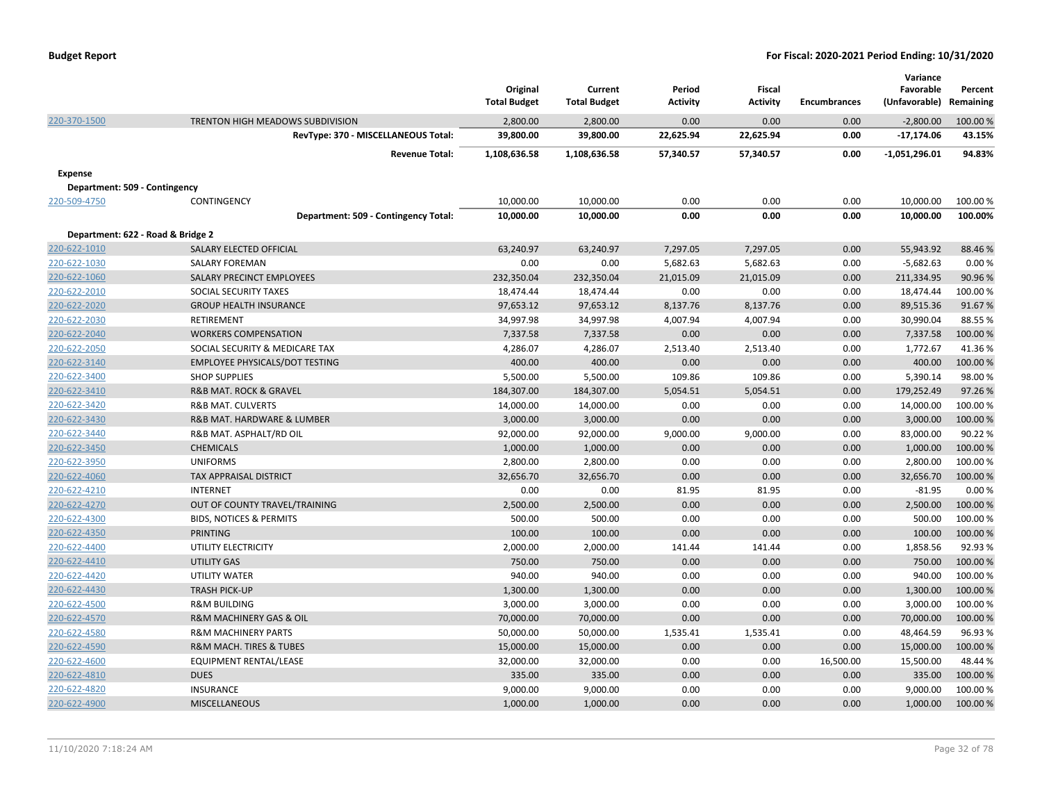|                                   |                                        | Original<br><b>Total Budget</b> | Current<br><b>Total Budget</b> | Period<br><b>Activity</b> | Fiscal<br><b>Activity</b> | <b>Encumbrances</b> | Variance<br>Favorable<br>(Unfavorable) Remaining | Percent  |
|-----------------------------------|----------------------------------------|---------------------------------|--------------------------------|---------------------------|---------------------------|---------------------|--------------------------------------------------|----------|
| 220-370-1500                      | TRENTON HIGH MEADOWS SUBDIVISION       | 2,800.00                        | 2,800.00                       | 0.00                      | 0.00                      | 0.00                | $-2,800.00$                                      | 100.00 % |
|                                   | RevType: 370 - MISCELLANEOUS Total:    | 39,800.00                       | 39,800.00                      | 22,625.94                 | 22,625.94                 | 0.00                | $-17,174.06$                                     | 43.15%   |
|                                   | <b>Revenue Total:</b>                  | 1,108,636.58                    | 1,108,636.58                   | 57,340.57                 | 57,340.57                 | 0.00                | $-1,051,296.01$                                  | 94.83%   |
| <b>Expense</b>                    |                                        |                                 |                                |                           |                           |                     |                                                  |          |
| Department: 509 - Contingency     |                                        |                                 |                                |                           |                           |                     |                                                  |          |
| 220-509-4750                      | CONTINGENCY                            | 10,000.00                       | 10,000.00                      | 0.00                      | 0.00                      | 0.00                | 10,000.00                                        | 100.00 % |
|                                   | Department: 509 - Contingency Total:   | 10,000.00                       | 10,000.00                      | 0.00                      | 0.00                      | 0.00                | 10,000.00                                        | 100.00%  |
| Department: 622 - Road & Bridge 2 |                                        |                                 |                                |                           |                           |                     |                                                  |          |
| 220-622-1010                      | SALARY ELECTED OFFICIAL                | 63,240.97                       | 63,240.97                      | 7,297.05                  | 7,297.05                  | 0.00                | 55,943.92                                        | 88.46%   |
| 220-622-1030                      | <b>SALARY FOREMAN</b>                  | 0.00                            | 0.00                           | 5,682.63                  | 5,682.63                  | 0.00                | $-5,682.63$                                      | 0.00%    |
| 220-622-1060                      | SALARY PRECINCT EMPLOYEES              | 232,350.04                      | 232,350.04                     | 21,015.09                 | 21,015.09                 | 0.00                | 211,334.95                                       | 90.96 %  |
| 220-622-2010                      | SOCIAL SECURITY TAXES                  | 18,474.44                       | 18,474.44                      | 0.00                      | 0.00                      | 0.00                | 18,474.44                                        | 100.00%  |
| 220-622-2020                      | <b>GROUP HEALTH INSURANCE</b>          | 97,653.12                       | 97,653.12                      | 8,137.76                  | 8,137.76                  | 0.00                | 89,515.36                                        | 91.67%   |
| 220-622-2030                      | RETIREMENT                             | 34,997.98                       | 34,997.98                      | 4,007.94                  | 4,007.94                  | 0.00                | 30,990.04                                        | 88.55 %  |
| 220-622-2040                      | <b>WORKERS COMPENSATION</b>            | 7,337.58                        | 7,337.58                       | 0.00                      | 0.00                      | 0.00                | 7,337.58                                         | 100.00%  |
| 220-622-2050                      | SOCIAL SECURITY & MEDICARE TAX         | 4,286.07                        | 4,286.07                       | 2,513.40                  | 2,513.40                  | 0.00                | 1,772.67                                         | 41.36%   |
| 220-622-3140                      | <b>EMPLOYEE PHYSICALS/DOT TESTING</b>  | 400.00                          | 400.00                         | 0.00                      | 0.00                      | 0.00                | 400.00                                           | 100.00 % |
| 220-622-3400                      | <b>SHOP SUPPLIES</b>                   | 5,500.00                        | 5,500.00                       | 109.86                    | 109.86                    | 0.00                | 5,390.14                                         | 98.00%   |
| 220-622-3410                      | <b>R&amp;B MAT. ROCK &amp; GRAVEL</b>  | 184,307.00                      | 184,307.00                     | 5,054.51                  | 5,054.51                  | 0.00                | 179,252.49                                       | 97.26%   |
| 220-622-3420                      | <b>R&amp;B MAT. CULVERTS</b>           | 14,000.00                       | 14,000.00                      | 0.00                      | 0.00                      | 0.00                | 14,000.00                                        | 100.00%  |
| 220-622-3430                      | R&B MAT. HARDWARE & LUMBER             | 3,000.00                        | 3,000.00                       | 0.00                      | 0.00                      | 0.00                | 3,000.00                                         | 100.00%  |
| 220-622-3440                      | R&B MAT. ASPHALT/RD OIL                | 92,000.00                       | 92,000.00                      | 9,000.00                  | 9,000.00                  | 0.00                | 83,000.00                                        | 90.22%   |
| 220-622-3450                      | <b>CHEMICALS</b>                       | 1,000.00                        | 1,000.00                       | 0.00                      | 0.00                      | 0.00                | 1,000.00                                         | 100.00 % |
| 220-622-3950                      | <b>UNIFORMS</b>                        | 2,800.00                        | 2,800.00                       | 0.00                      | 0.00                      | 0.00                | 2,800.00                                         | 100.00 % |
| 220-622-4060                      | <b>TAX APPRAISAL DISTRICT</b>          | 32,656.70                       | 32,656.70                      | 0.00                      | 0.00                      | 0.00                | 32,656.70                                        | 100.00%  |
| 220-622-4210                      | <b>INTERNET</b>                        | 0.00                            | 0.00                           | 81.95                     | 81.95                     | 0.00                | $-81.95$                                         | 0.00%    |
| 220-622-4270                      | OUT OF COUNTY TRAVEL/TRAINING          | 2,500.00                        | 2,500.00                       | 0.00                      | 0.00                      | 0.00                | 2,500.00                                         | 100.00%  |
| 220-622-4300                      | <b>BIDS, NOTICES &amp; PERMITS</b>     | 500.00                          | 500.00                         | 0.00                      | 0.00                      | 0.00                | 500.00                                           | 100.00%  |
| 220-622-4350                      | <b>PRINTING</b>                        | 100.00                          | 100.00                         | 0.00                      | 0.00                      | 0.00                | 100.00                                           | 100.00 % |
| 220-622-4400                      | UTILITY ELECTRICITY                    | 2,000.00                        | 2,000.00                       | 141.44                    | 141.44                    | 0.00                | 1,858.56                                         | 92.93%   |
| 220-622-4410                      | <b>UTILITY GAS</b>                     | 750.00                          | 750.00                         | 0.00                      | 0.00                      | 0.00                | 750.00                                           | 100.00 % |
| 220-622-4420                      | <b>UTILITY WATER</b>                   | 940.00                          | 940.00                         | 0.00                      | 0.00                      | 0.00                | 940.00                                           | 100.00%  |
| 220-622-4430                      | <b>TRASH PICK-UP</b>                   | 1,300.00                        | 1,300.00                       | 0.00                      | 0.00                      | 0.00                | 1,300.00                                         | 100.00 % |
| 220-622-4500                      | <b>R&amp;M BUILDING</b>                | 3,000.00                        | 3,000.00                       | 0.00                      | 0.00                      | 0.00                | 3,000.00                                         | 100.00%  |
| 220-622-4570                      | R&M MACHINERY GAS & OIL                | 70,000.00                       | 70,000.00                      | 0.00                      | 0.00                      | 0.00                | 70,000.00                                        | 100.00 % |
| 220-622-4580                      | <b>R&amp;M MACHINERY PARTS</b>         | 50,000.00                       | 50,000.00                      | 1,535.41                  | 1,535.41                  | 0.00                | 48,464.59                                        | 96.93%   |
| 220-622-4590                      | <b>R&amp;M MACH. TIRES &amp; TUBES</b> | 15,000.00                       | 15,000.00                      | 0.00                      | 0.00                      | 0.00                | 15,000.00                                        | 100.00 % |
| 220-622-4600                      | EQUIPMENT RENTAL/LEASE                 | 32,000.00                       | 32,000.00                      | 0.00                      | 0.00                      | 16,500.00           | 15,500.00                                        | 48.44 %  |
| 220-622-4810                      | <b>DUES</b>                            | 335.00                          | 335.00                         | 0.00                      | 0.00                      | 0.00                | 335.00                                           | 100.00%  |
| 220-622-4820                      | <b>INSURANCE</b>                       | 9,000.00                        | 9,000.00                       | 0.00                      | 0.00                      | 0.00                | 9,000.00                                         | 100.00%  |
| 220-622-4900                      | <b>MISCELLANEOUS</b>                   | 1,000.00                        | 1,000.00                       | 0.00                      | 0.00                      | 0.00                | 1,000.00                                         | 100.00 % |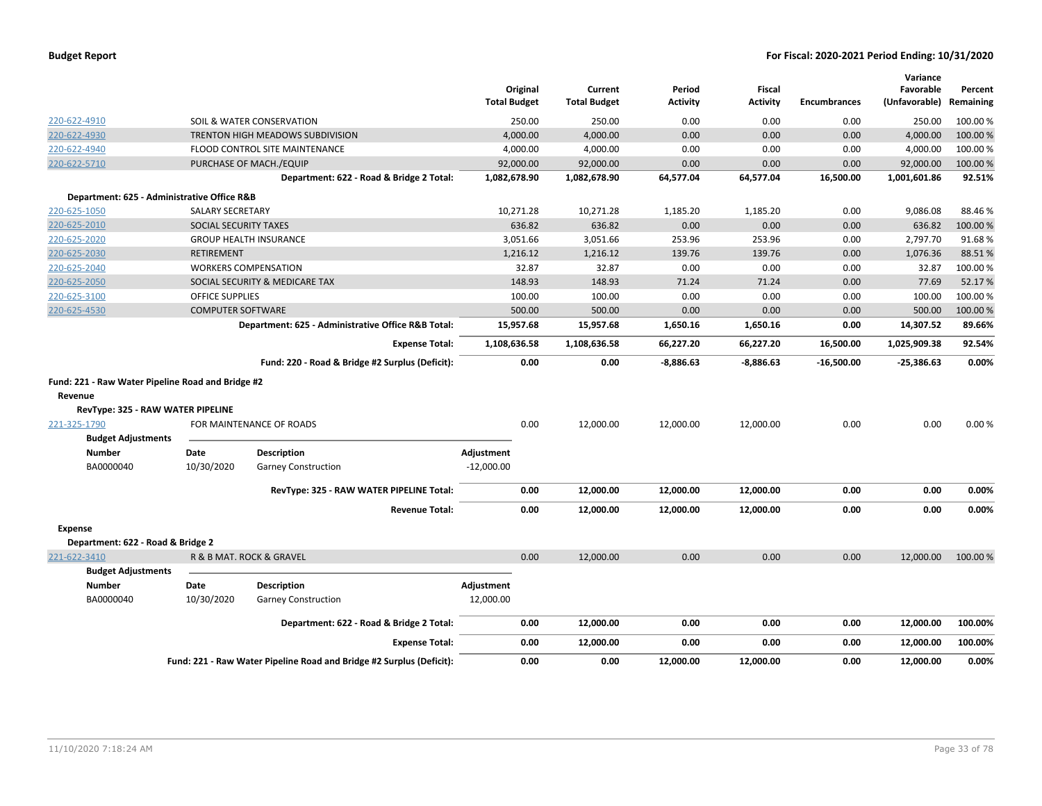|                                                                                                                   |                              |                                                    | <b>Total Budget</b> | Original  | Current<br><b>Total Budget</b> | Period<br><b>Activity</b> | <b>Fiscal</b><br><b>Activity</b> | <b>Encumbrances</b> | Variance<br>Favorable<br>(Unfavorable) | Percent<br>Remaining |
|-------------------------------------------------------------------------------------------------------------------|------------------------------|----------------------------------------------------|---------------------|-----------|--------------------------------|---------------------------|----------------------------------|---------------------|----------------------------------------|----------------------|
| 220-622-4910                                                                                                      |                              | SOIL & WATER CONSERVATION                          |                     | 250.00    | 250.00                         | 0.00                      | 0.00                             | 0.00                | 250.00                                 | 100.00 %             |
| 220-622-4930                                                                                                      |                              | <b>TRENTON HIGH MEADOWS SUBDIVISION</b>            |                     | 4,000.00  | 4,000.00                       | 0.00                      | 0.00                             | 0.00                | 4,000.00                               | 100.00 %             |
| 220-622-4940                                                                                                      |                              | FLOOD CONTROL SITE MAINTENANCE                     |                     | 4,000.00  | 4,000.00                       | 0.00                      | 0.00                             | 0.00                | 4,000.00                               | 100.00%              |
| 220-622-5710                                                                                                      |                              | PURCHASE OF MACH./EQUIP                            |                     | 92,000.00 | 92,000.00                      | 0.00                      | 0.00                             | 0.00                | 92,000.00                              | 100.00 %             |
|                                                                                                                   |                              | Department: 622 - Road & Bridge 2 Total:           | 1,082,678.90        |           | 1,082,678.90                   | 64,577.04                 | 64,577.04                        | 16,500.00           | 1,001,601.86                           | 92.51%               |
| Department: 625 - Administrative Office R&B                                                                       |                              |                                                    |                     |           |                                |                           |                                  |                     |                                        |                      |
| 220-625-1050                                                                                                      | <b>SALARY SECRETARY</b>      |                                                    |                     | 10,271.28 | 10,271.28                      | 1,185.20                  | 1,185.20                         | 0.00                | 9,086.08                               | 88.46%               |
| 220-625-2010                                                                                                      | <b>SOCIAL SECURITY TAXES</b> |                                                    |                     | 636.82    | 636.82                         | 0.00                      | 0.00                             | 0.00                | 636.82                                 | 100.00%              |
| 220-625-2020                                                                                                      |                              | <b>GROUP HEALTH INSURANCE</b>                      |                     | 3,051.66  | 3,051.66                       | 253.96                    | 253.96                           | 0.00                | 2,797.70                               | 91.68%               |
| 220-625-2030                                                                                                      | <b>RETIREMENT</b>            |                                                    |                     | 1,216.12  | 1,216.12                       | 139.76                    | 139.76                           | 0.00                | 1,076.36                               | 88.51%               |
| 220-625-2040                                                                                                      |                              | <b>WORKERS COMPENSATION</b>                        |                     | 32.87     | 32.87                          | 0.00                      | 0.00                             | 0.00                | 32.87                                  | 100.00%              |
| 220-625-2050                                                                                                      |                              | SOCIAL SECURITY & MEDICARE TAX                     |                     | 148.93    | 148.93                         | 71.24                     | 71.24                            | 0.00                | 77.69                                  | 52.17%               |
| 220-625-3100                                                                                                      | <b>OFFICE SUPPLIES</b>       |                                                    |                     | 100.00    | 100.00                         | 0.00                      | 0.00                             | 0.00                | 100.00                                 | 100.00 %             |
| 220-625-4530                                                                                                      | <b>COMPUTER SOFTWARE</b>     |                                                    |                     | 500.00    | 500.00                         | 0.00                      | 0.00                             | 0.00                | 500.00                                 | 100.00 %             |
|                                                                                                                   |                              | Department: 625 - Administrative Office R&B Total: |                     | 15,957.68 | 15,957.68                      | 1,650.16                  | 1,650.16                         | 0.00                | 14,307.52                              | 89.66%               |
|                                                                                                                   |                              | <b>Expense Total:</b>                              | 1,108,636.58        |           | 1,108,636.58                   | 66,227.20                 | 66,227.20                        | 16,500.00           | 1,025,909.38                           | 92.54%               |
|                                                                                                                   |                              | Fund: 220 - Road & Bridge #2 Surplus (Deficit):    |                     | 0.00      | 0.00                           | $-8,886.63$               | $-8,886.63$                      | $-16,500.00$        | $-25,386.63$                           | 0.00%                |
| Fund: 221 - Raw Water Pipeline Road and Bridge #2<br>Revenue<br>RevType: 325 - RAW WATER PIPELINE<br>221-325-1790 |                              | FOR MAINTENANCE OF ROADS                           |                     | 0.00      | 12,000.00                      | 12,000.00                 | 12,000.00                        | 0.00                | 0.00                                   | 0.00%                |
| <b>Budget Adjustments</b>                                                                                         |                              |                                                    |                     |           |                                |                           |                                  |                     |                                        |                      |
| <b>Number</b>                                                                                                     | Date                         | <b>Description</b>                                 | Adjustment          |           |                                |                           |                                  |                     |                                        |                      |
| BA0000040                                                                                                         | 10/30/2020                   | <b>Garney Construction</b>                         | $-12,000.00$        |           |                                |                           |                                  |                     |                                        |                      |
|                                                                                                                   |                              | RevType: 325 - RAW WATER PIPELINE Total:           |                     | 0.00      | 12,000.00                      | 12,000.00                 | 12,000.00                        | 0.00                | 0.00                                   | 0.00%                |
|                                                                                                                   |                              | <b>Revenue Total:</b>                              |                     | 0.00      | 12,000.00                      | 12,000.00                 | 12,000.00                        | 0.00                | 0.00                                   | 0.00%                |
| <b>Expense</b>                                                                                                    |                              |                                                    |                     |           |                                |                           |                                  |                     |                                        |                      |
| Department: 622 - Road & Bridge 2                                                                                 |                              |                                                    |                     |           |                                |                           |                                  |                     |                                        |                      |
| 221-622-3410                                                                                                      |                              | R & B MAT. ROCK & GRAVEL                           |                     | 0.00      | 12,000.00                      | 0.00                      | 0.00                             | 0.00                | 12,000.00                              | 100.00 %             |
| <b>Budget Adjustments</b>                                                                                         |                              |                                                    |                     |           |                                |                           |                                  |                     |                                        |                      |
| <b>Number</b>                                                                                                     | Date                         | <b>Description</b>                                 | Adjustment          |           |                                |                           |                                  |                     |                                        |                      |
| BA0000040                                                                                                         | 10/30/2020                   | <b>Garney Construction</b>                         | 12,000.00           |           |                                |                           |                                  |                     |                                        |                      |
|                                                                                                                   |                              | Department: 622 - Road & Bridge 2 Total:           |                     | 0.00      | 12,000.00                      | 0.00                      | 0.00                             | 0.00                | 12,000.00                              | 100.00%              |
|                                                                                                                   |                              | <b>Expense Total:</b>                              |                     | 0.00      | 12,000.00                      | 0.00                      | 0.00                             | 0.00                | 12,000.00                              | 100.00%              |
| Fund: 221 - Raw Water Pipeline Road and Bridge #2 Surplus (Deficit):                                              |                              |                                                    |                     | 0.00      | 0.00                           | 12.000.00                 | 12.000.00                        | 0.00                | 12.000.00                              | 0.00%                |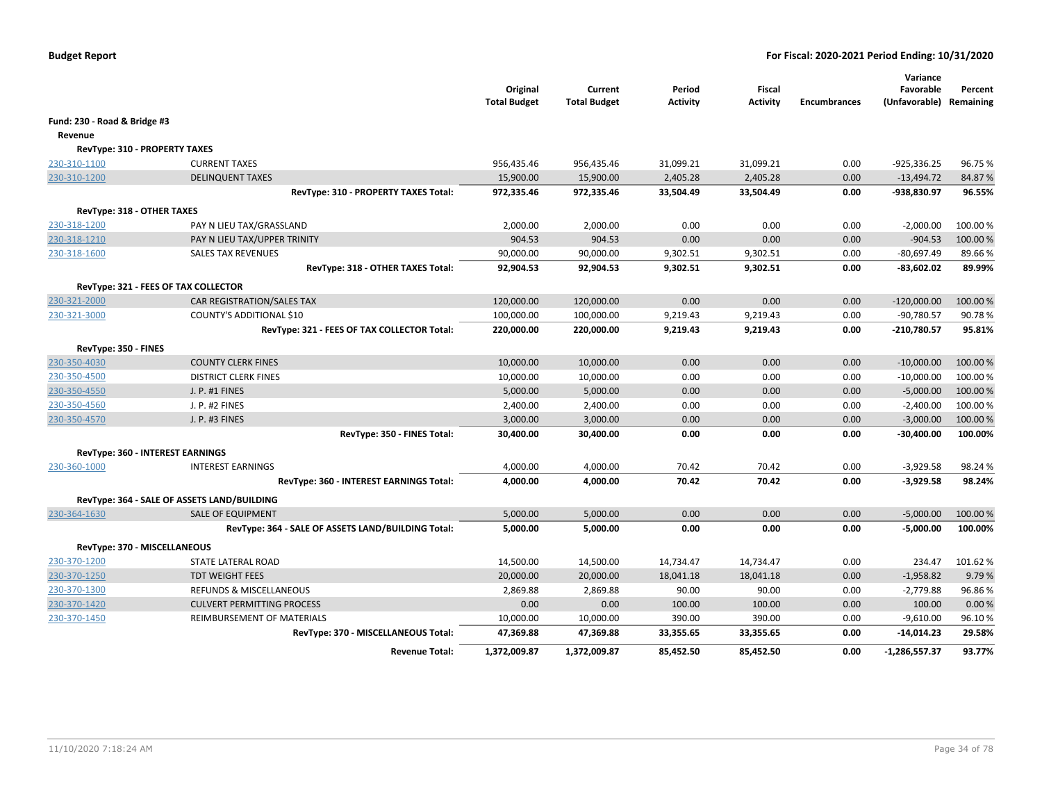|                              |                                                                         | Original<br><b>Total Budget</b> | Current<br><b>Total Budget</b> | Period<br>Activity   | Fiscal<br><b>Activity</b> | <b>Encumbrances</b> | Variance<br>Favorable<br>(Unfavorable) Remaining | Percent          |
|------------------------------|-------------------------------------------------------------------------|---------------------------------|--------------------------------|----------------------|---------------------------|---------------------|--------------------------------------------------|------------------|
| Fund: 230 - Road & Bridge #3 |                                                                         |                                 |                                |                      |                           |                     |                                                  |                  |
| Revenue                      |                                                                         |                                 |                                |                      |                           |                     |                                                  |                  |
|                              | RevType: 310 - PROPERTY TAXES                                           |                                 |                                |                      |                           |                     |                                                  |                  |
| 230-310-1100                 | <b>CURRENT TAXES</b>                                                    | 956,435.46                      | 956,435.46                     | 31,099.21            | 31,099.21                 | 0.00                | $-925,336.25$                                    | 96.75%           |
| 230-310-1200                 | <b>DELINQUENT TAXES</b>                                                 | 15,900.00                       | 15,900.00                      | 2,405.28             | 2,405.28                  | 0.00                | $-13,494.72$                                     | 84.87%           |
|                              | RevType: 310 - PROPERTY TAXES Total:                                    | 972,335.46                      | 972,335.46                     | 33,504.49            | 33,504.49                 | 0.00                | -938,830.97                                      | 96.55%           |
| RevType: 318 - OTHER TAXES   |                                                                         |                                 |                                |                      |                           |                     |                                                  |                  |
| 230-318-1200                 | PAY N LIEU TAX/GRASSLAND                                                | 2,000.00                        | 2,000.00                       | 0.00                 | 0.00                      | 0.00                | $-2,000.00$                                      | 100.00%          |
| 230-318-1210                 | PAY N LIEU TAX/UPPER TRINITY                                            | 904.53                          | 904.53                         | 0.00                 | 0.00                      | 0.00                | $-904.53$                                        | 100.00%          |
| 230-318-1600                 | <b>SALES TAX REVENUES</b>                                               | 90,000.00                       | 90,000.00                      | 9,302.51             | 9,302.51                  | 0.00                | $-80,697.49$                                     | 89.66%           |
|                              | RevType: 318 - OTHER TAXES Total:                                       | 92,904.53                       | 92,904.53                      | 9,302.51             | 9,302.51                  | 0.00                | $-83,602.02$                                     | 89.99%           |
|                              |                                                                         |                                 |                                |                      |                           |                     |                                                  |                  |
|                              | RevType: 321 - FEES OF TAX COLLECTOR                                    |                                 |                                |                      |                           |                     |                                                  |                  |
| 230-321-2000<br>230-321-3000 | CAR REGISTRATION/SALES TAX                                              | 120,000.00                      | 120,000.00                     | 0.00                 | 0.00                      | 0.00                | $-120,000.00$                                    | 100.00%          |
|                              | COUNTY'S ADDITIONAL \$10<br>RevType: 321 - FEES OF TAX COLLECTOR Total: | 100,000.00<br>220,000.00        | 100,000.00<br>220,000.00       | 9,219.43<br>9,219.43 | 9,219.43<br>9,219.43      | 0.00<br>0.00        | $-90,780.57$<br>-210,780.57                      | 90.78%<br>95.81% |
|                              |                                                                         |                                 |                                |                      |                           |                     |                                                  |                  |
| RevType: 350 - FINES         |                                                                         |                                 |                                |                      |                           |                     |                                                  |                  |
| 230-350-4030                 | <b>COUNTY CLERK FINES</b>                                               | 10,000.00                       | 10,000.00                      | 0.00                 | 0.00                      | 0.00                | $-10,000.00$                                     | 100.00 %         |
| 230-350-4500                 | <b>DISTRICT CLERK FINES</b>                                             | 10,000.00                       | 10,000.00                      | 0.00                 | 0.00                      | 0.00                | $-10,000.00$                                     | 100.00%          |
| 230-350-4550                 | J. P. #1 FINES                                                          | 5,000.00                        | 5,000.00                       | 0.00                 | 0.00                      | 0.00                | $-5,000.00$                                      | 100.00 %         |
| 230-350-4560                 | J. P. #2 FINES                                                          | 2,400.00                        | 2,400.00                       | 0.00                 | 0.00                      | 0.00                | $-2,400.00$                                      | 100.00%          |
| 230-350-4570                 | J. P. #3 FINES                                                          | 3,000.00                        | 3,000.00                       | 0.00                 | 0.00                      | 0.00                | $-3,000.00$                                      | 100.00%          |
|                              | RevType: 350 - FINES Total:                                             | 30,400.00                       | 30,400.00                      | 0.00                 | 0.00                      | 0.00                | -30,400.00                                       | 100.00%          |
|                              | <b>RevType: 360 - INTEREST EARNINGS</b>                                 |                                 |                                |                      |                           |                     |                                                  |                  |
| 230-360-1000                 | <b>INTEREST EARNINGS</b>                                                | 4,000.00                        | 4,000.00                       | 70.42                | 70.42                     | 0.00                | $-3,929.58$                                      | 98.24%           |
|                              | RevType: 360 - INTEREST EARNINGS Total:                                 | 4,000.00                        | 4,000.00                       | 70.42                | 70.42                     | 0.00                | $-3,929.58$                                      | 98.24%           |
|                              | RevType: 364 - SALE OF ASSETS LAND/BUILDING                             |                                 |                                |                      |                           |                     |                                                  |                  |
| 230-364-1630                 | <b>SALE OF EQUIPMENT</b>                                                | 5,000.00                        | 5,000.00                       | 0.00                 | 0.00                      | 0.00                | $-5,000.00$                                      | 100.00%          |
|                              | RevType: 364 - SALE OF ASSETS LAND/BUILDING Total:                      | 5,000.00                        | 5,000.00                       | 0.00                 | 0.00                      | 0.00                | $-5,000.00$                                      | 100.00%          |
|                              |                                                                         |                                 |                                |                      |                           |                     |                                                  |                  |
| RevType: 370 - MISCELLANEOUS |                                                                         |                                 |                                |                      |                           | 0.00                |                                                  |                  |
| 230-370-1200                 | STATE LATERAL ROAD                                                      | 14,500.00                       | 14,500.00                      | 14,734.47            | 14,734.47                 |                     | 234.47                                           | 101.62%          |
| 230-370-1250                 | <b>TDT WEIGHT FEES</b><br>REFUNDS & MISCELLANEOUS                       | 20,000.00<br>2,869.88           | 20,000.00<br>2,869.88          | 18,041.18<br>90.00   | 18,041.18<br>90.00        | 0.00<br>0.00        | $-1,958.82$<br>$-2,779.88$                       | 9.79%<br>96.86%  |
| 230-370-1300<br>230-370-1420 | <b>CULVERT PERMITTING PROCESS</b>                                       | 0.00                            | 0.00                           | 100.00               | 100.00                    | 0.00                | 100.00                                           | 0.00%            |
| 230-370-1450                 | REIMBURSEMENT OF MATERIALS                                              | 10,000.00                       | 10,000.00                      | 390.00               | 390.00                    | 0.00                | $-9,610.00$                                      | 96.10%           |
|                              | RevType: 370 - MISCELLANEOUS Total:                                     | 47,369.88                       | 47,369.88                      | 33,355.65            | 33,355.65                 | 0.00                | -14,014.23                                       | 29.58%           |
|                              |                                                                         | 1,372,009.87                    |                                | 85,452.50            | 85,452.50                 | 0.00                | -1,286,557.37                                    | 93.77%           |
|                              | <b>Revenue Total:</b>                                                   |                                 | 1,372,009.87                   |                      |                           |                     |                                                  |                  |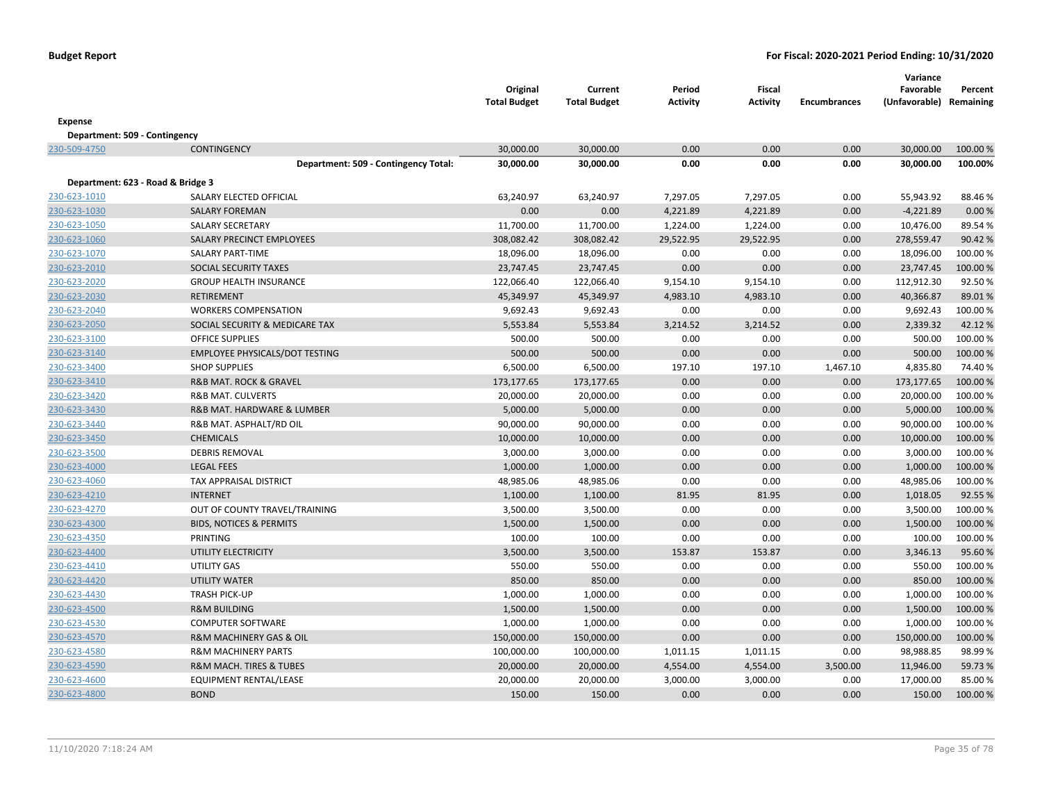|                                   |                                           | Original<br><b>Total Budget</b> | Current<br><b>Total Budget</b> | Period<br><b>Activity</b> | <b>Fiscal</b><br><b>Activity</b> | <b>Encumbrances</b> | Variance<br>Favorable<br>(Unfavorable) Remaining | Percent  |
|-----------------------------------|-------------------------------------------|---------------------------------|--------------------------------|---------------------------|----------------------------------|---------------------|--------------------------------------------------|----------|
| <b>Expense</b>                    |                                           |                                 |                                |                           |                                  |                     |                                                  |          |
| Department: 509 - Contingency     |                                           |                                 |                                |                           |                                  |                     |                                                  |          |
| 230-509-4750                      | <b>CONTINGENCY</b>                        | 30,000.00                       | 30,000.00                      | 0.00                      | 0.00                             | 0.00                | 30,000.00                                        | 100.00 % |
|                                   | Department: 509 - Contingency Total:      | 30,000.00                       | 30,000.00                      | 0.00                      | 0.00                             | 0.00                | 30,000.00                                        | 100.00%  |
|                                   |                                           |                                 |                                |                           |                                  |                     |                                                  |          |
| Department: 623 - Road & Bridge 3 |                                           |                                 |                                |                           |                                  |                     |                                                  |          |
| 230-623-1010                      | SALARY ELECTED OFFICIAL                   | 63,240.97                       | 63,240.97                      | 7,297.05                  | 7,297.05                         | 0.00                | 55,943.92                                        | 88.46%   |
| 230-623-1030                      | <b>SALARY FOREMAN</b>                     | 0.00                            | 0.00                           | 4,221.89                  | 4,221.89                         | 0.00                | $-4,221.89$                                      | 0.00%    |
| 230-623-1050                      | <b>SALARY SECRETARY</b>                   | 11,700.00                       | 11,700.00                      | 1,224.00                  | 1,224.00                         | 0.00                | 10,476.00                                        | 89.54%   |
| 230-623-1060                      | SALARY PRECINCT EMPLOYEES                 | 308,082.42                      | 308,082.42                     | 29,522.95                 | 29,522.95                        | 0.00                | 278,559.47                                       | 90.42 %  |
| 230-623-1070                      | SALARY PART-TIME                          | 18,096.00                       | 18,096.00                      | 0.00                      | 0.00                             | 0.00                | 18,096.00                                        | 100.00%  |
| 230-623-2010                      | SOCIAL SECURITY TAXES                     | 23,747.45                       | 23,747.45                      | 0.00                      | 0.00                             | 0.00                | 23,747.45                                        | 100.00 % |
| 230-623-2020                      | <b>GROUP HEALTH INSURANCE</b>             | 122,066.40                      | 122,066.40                     | 9,154.10                  | 9,154.10                         | 0.00                | 112,912.30                                       | 92.50%   |
| 230-623-2030                      | <b>RETIREMENT</b>                         | 45,349.97                       | 45,349.97                      | 4,983.10                  | 4,983.10                         | 0.00                | 40,366.87                                        | 89.01%   |
| 230-623-2040                      | <b>WORKERS COMPENSATION</b>               | 9,692.43                        | 9,692.43                       | 0.00                      | 0.00                             | 0.00                | 9,692.43                                         | 100.00%  |
| 230-623-2050                      | SOCIAL SECURITY & MEDICARE TAX            | 5,553.84                        | 5,553.84                       | 3,214.52                  | 3,214.52                         | 0.00                | 2,339.32                                         | 42.12%   |
| 230-623-3100                      | <b>OFFICE SUPPLIES</b>                    | 500.00                          | 500.00                         | 0.00                      | 0.00                             | 0.00                | 500.00                                           | 100.00%  |
| 230-623-3140                      | <b>EMPLOYEE PHYSICALS/DOT TESTING</b>     | 500.00                          | 500.00                         | 0.00                      | 0.00                             | 0.00                | 500.00                                           | 100.00%  |
| 230-623-3400                      | <b>SHOP SUPPLIES</b>                      | 6,500.00                        | 6,500.00                       | 197.10                    | 197.10                           | 1,467.10            | 4,835.80                                         | 74.40%   |
| 230-623-3410                      | <b>R&amp;B MAT. ROCK &amp; GRAVEL</b>     | 173,177.65                      | 173,177.65                     | 0.00                      | 0.00                             | 0.00                | 173,177.65                                       | 100.00%  |
| 230-623-3420                      | <b>R&amp;B MAT. CULVERTS</b>              | 20,000.00                       | 20,000.00                      | 0.00                      | 0.00                             | 0.00                | 20,000.00                                        | 100.00%  |
| 230-623-3430                      | <b>R&amp;B MAT. HARDWARE &amp; LUMBER</b> | 5,000.00                        | 5,000.00                       | 0.00                      | 0.00                             | 0.00                | 5,000.00                                         | 100.00%  |
| 230-623-3440                      | R&B MAT. ASPHALT/RD OIL                   | 90,000.00                       | 90,000.00                      | 0.00                      | 0.00                             | 0.00                | 90,000.00                                        | 100.00%  |
| 230-623-3450                      | <b>CHEMICALS</b>                          | 10,000.00                       | 10,000.00                      | 0.00                      | 0.00                             | 0.00                | 10,000.00                                        | 100.00 % |
| 230-623-3500                      | <b>DEBRIS REMOVAL</b>                     | 3,000.00                        | 3,000.00                       | 0.00                      | 0.00                             | 0.00                | 3,000.00                                         | 100.00%  |
| 230-623-4000                      | <b>LEGAL FEES</b>                         | 1,000.00                        | 1,000.00                       | 0.00                      | 0.00                             | 0.00                | 1,000.00                                         | 100.00%  |
| 230-623-4060                      | <b>TAX APPRAISAL DISTRICT</b>             | 48,985.06                       | 48,985.06                      | 0.00                      | 0.00                             | 0.00                | 48,985.06                                        | 100.00%  |
| 230-623-4210                      | <b>INTERNET</b>                           | 1,100.00                        | 1,100.00                       | 81.95                     | 81.95                            | 0.00                | 1,018.05                                         | 92.55 %  |
| 230-623-4270                      | OUT OF COUNTY TRAVEL/TRAINING             | 3,500.00                        | 3,500.00                       | 0.00                      | 0.00                             | 0.00                | 3,500.00                                         | 100.00%  |
| 230-623-4300                      | <b>BIDS, NOTICES &amp; PERMITS</b>        | 1,500.00                        | 1,500.00                       | 0.00                      | 0.00                             | 0.00                | 1,500.00                                         | 100.00%  |
| 230-623-4350                      | PRINTING                                  | 100.00                          | 100.00                         | 0.00                      | 0.00                             | 0.00                | 100.00                                           | 100.00%  |
| 230-623-4400                      | UTILITY ELECTRICITY                       | 3,500.00                        | 3,500.00                       | 153.87                    | 153.87                           | 0.00                | 3,346.13                                         | 95.60%   |
| 230-623-4410                      | UTILITY GAS                               | 550.00                          | 550.00                         | 0.00                      | 0.00                             | 0.00                | 550.00                                           | 100.00%  |
| 230-623-4420                      | <b>UTILITY WATER</b>                      | 850.00                          | 850.00                         | 0.00                      | 0.00                             | 0.00                | 850.00                                           | 100.00%  |
| 230-623-4430                      | <b>TRASH PICK-UP</b>                      | 1,000.00                        | 1,000.00                       | 0.00                      | 0.00                             | 0.00                | 1,000.00                                         | 100.00 % |
| 230-623-4500                      | <b>R&amp;M BUILDING</b>                   | 1,500.00                        | 1,500.00                       | 0.00                      | 0.00                             | 0.00                | 1,500.00                                         | 100.00%  |
| 230-623-4530                      | <b>COMPUTER SOFTWARE</b>                  | 1,000.00                        | 1,000.00                       | 0.00                      | 0.00                             | 0.00                | 1,000.00                                         | 100.00%  |
| 230-623-4570                      | R&M MACHINERY GAS & OIL                   | 150,000.00                      | 150,000.00                     | 0.00                      | 0.00                             | 0.00                | 150,000.00                                       | 100.00%  |
| 230-623-4580                      | <b>R&amp;M MACHINERY PARTS</b>            | 100,000.00                      | 100,000.00                     | 1,011.15                  | 1,011.15                         | 0.00                | 98,988.85                                        | 98.99%   |
| 230-623-4590                      | <b>R&amp;M MACH. TIRES &amp; TUBES</b>    | 20,000.00                       | 20,000.00                      | 4,554.00                  | 4,554.00                         | 3,500.00            | 11,946.00                                        | 59.73 %  |
| 230-623-4600                      | <b>EQUIPMENT RENTAL/LEASE</b>             | 20,000.00                       | 20,000.00                      | 3,000.00                  | 3,000.00                         | 0.00                | 17,000.00                                        | 85.00%   |
| 230-623-4800                      | <b>BOND</b>                               | 150.00                          | 150.00                         | 0.00                      | 0.00                             | 0.00                | 150.00                                           | 100.00%  |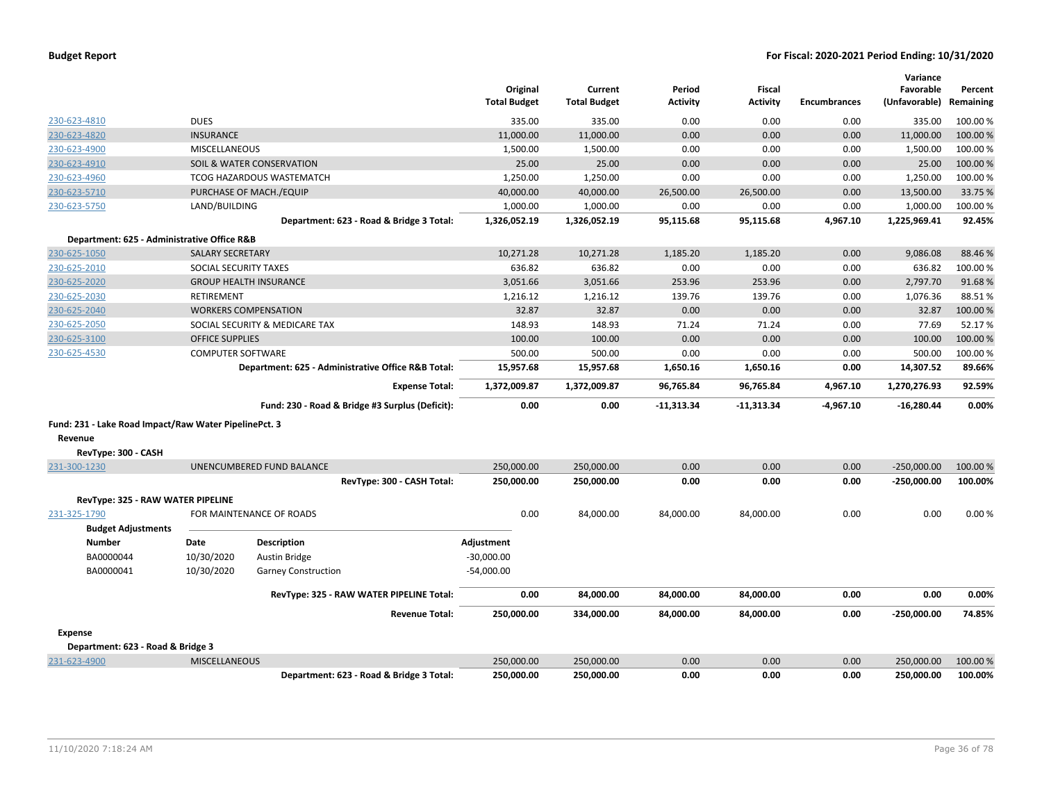|                                                       |                          |                                                    | Original<br><b>Total Budget</b> | Current<br><b>Total Budget</b> | Period<br><b>Activity</b> | Fiscal<br><b>Activity</b> | <b>Encumbrances</b> | Variance<br>Favorable<br>(Unfavorable) | Percent<br>Remaining |
|-------------------------------------------------------|--------------------------|----------------------------------------------------|---------------------------------|--------------------------------|---------------------------|---------------------------|---------------------|----------------------------------------|----------------------|
| 230-623-4810                                          | <b>DUES</b>              |                                                    | 335.00                          | 335.00                         | 0.00                      | 0.00                      | 0.00                | 335.00                                 | 100.00%              |
| 230-623-4820                                          | <b>INSURANCE</b>         |                                                    | 11,000.00                       | 11,000.00                      | 0.00                      | 0.00                      | 0.00                | 11,000.00                              | 100.00 %             |
| 230-623-4900                                          | <b>MISCELLANEOUS</b>     |                                                    | 1,500.00                        | 1,500.00                       | 0.00                      | 0.00                      | 0.00                | 1,500.00                               | 100.00%              |
| 230-623-4910                                          |                          | SOIL & WATER CONSERVATION                          | 25.00                           | 25.00                          | 0.00                      | 0.00                      | 0.00                | 25.00                                  | 100.00 %             |
| 230-623-4960                                          |                          | TCOG HAZARDOUS WASTEMATCH                          | 1,250.00                        | 1,250.00                       | 0.00                      | 0.00                      | 0.00                | 1,250.00                               | 100.00%              |
| 230-623-5710                                          |                          | PURCHASE OF MACH./EQUIP                            | 40,000.00                       | 40,000.00                      | 26,500.00                 | 26,500.00                 | 0.00                | 13,500.00                              | 33.75 %              |
| 230-623-5750                                          | LAND/BUILDING            |                                                    | 1,000.00                        | 1,000.00                       | 0.00                      | 0.00                      | 0.00                | 1,000.00                               | 100.00%              |
|                                                       |                          | Department: 623 - Road & Bridge 3 Total:           | 1,326,052.19                    | 1,326,052.19                   | 95,115.68                 | 95,115.68                 | 4,967.10            | 1,225,969.41                           | 92.45%               |
| Department: 625 - Administrative Office R&B           |                          |                                                    |                                 |                                |                           |                           |                     |                                        |                      |
| 230-625-1050                                          | <b>SALARY SECRETARY</b>  |                                                    | 10,271.28                       | 10,271.28                      | 1,185.20                  | 1,185.20                  | 0.00                | 9,086.08                               | 88.46%               |
| 230-625-2010                                          | SOCIAL SECURITY TAXES    |                                                    | 636.82                          | 636.82                         | 0.00                      | 0.00                      | 0.00                | 636.82                                 | 100.00%              |
| 230-625-2020                                          |                          | <b>GROUP HEALTH INSURANCE</b>                      | 3,051.66                        | 3,051.66                       | 253.96                    | 253.96                    | 0.00                | 2,797.70                               | 91.68%               |
| 230-625-2030                                          | <b>RETIREMENT</b>        |                                                    | 1,216.12                        | 1,216.12                       | 139.76                    | 139.76                    | 0.00                | 1,076.36                               | 88.51%               |
| 230-625-2040                                          |                          | <b>WORKERS COMPENSATION</b>                        | 32.87                           | 32.87                          | 0.00                      | 0.00                      | 0.00                | 32.87                                  | 100.00%              |
| 230-625-2050                                          |                          | SOCIAL SECURITY & MEDICARE TAX                     | 148.93                          | 148.93                         | 71.24                     | 71.24                     | 0.00                | 77.69                                  | 52.17%               |
| 230-625-3100                                          | <b>OFFICE SUPPLIES</b>   |                                                    | 100.00                          | 100.00                         | 0.00                      | 0.00                      | 0.00                | 100.00                                 | 100.00%              |
| 230-625-4530                                          | <b>COMPUTER SOFTWARE</b> |                                                    | 500.00                          | 500.00                         | 0.00                      | 0.00                      | 0.00                | 500.00                                 | 100.00 %             |
|                                                       |                          | Department: 625 - Administrative Office R&B Total: | 15,957.68                       | 15,957.68                      | 1,650.16                  | 1,650.16                  | 0.00                | 14,307.52                              | 89.66%               |
|                                                       |                          | <b>Expense Total:</b>                              | 1,372,009.87                    | 1,372,009.87                   | 96,765.84                 | 96,765.84                 | 4,967.10            | 1,270,276.93                           | 92.59%               |
|                                                       |                          | Fund: 230 - Road & Bridge #3 Surplus (Deficit):    | 0.00                            | 0.00                           | $-11,313.34$              | $-11,313.34$              | $-4,967.10$         | $-16,280.44$                           | 0.00%                |
| Fund: 231 - Lake Road Impact/Raw Water PipelinePct. 3 |                          |                                                    |                                 |                                |                           |                           |                     |                                        |                      |
| Revenue                                               |                          |                                                    |                                 |                                |                           |                           |                     |                                        |                      |
| RevType: 300 - CASH                                   |                          |                                                    |                                 |                                |                           |                           |                     |                                        |                      |
| 231-300-1230                                          |                          | UNENCUMBERED FUND BALANCE                          | 250,000.00                      | 250,000.00                     | 0.00                      | 0.00                      | 0.00                | $-250,000.00$                          | 100.00%              |
|                                                       |                          | RevType: 300 - CASH Total:                         | 250,000.00                      | 250,000.00                     | 0.00                      | 0.00                      | 0.00                | $-250,000.00$                          | 100.00%              |
| RevType: 325 - RAW WATER PIPELINE                     |                          |                                                    |                                 |                                |                           |                           |                     |                                        |                      |
| 231-325-1790                                          |                          | FOR MAINTENANCE OF ROADS                           | 0.00                            | 84,000.00                      | 84,000.00                 | 84,000.00                 | 0.00                | 0.00                                   | 0.00%                |
| <b>Budget Adjustments</b>                             |                          |                                                    |                                 |                                |                           |                           |                     |                                        |                      |
| <b>Number</b>                                         | Date                     | <b>Description</b>                                 | Adjustment                      |                                |                           |                           |                     |                                        |                      |
| BA0000044                                             | 10/30/2020               | Austin Bridge                                      | $-30,000.00$                    |                                |                           |                           |                     |                                        |                      |
| BA0000041                                             | 10/30/2020               | <b>Garney Construction</b>                         | $-54,000.00$                    |                                |                           |                           |                     |                                        |                      |
|                                                       |                          | RevType: 325 - RAW WATER PIPELINE Total:           | 0.00                            | 84,000.00                      | 84,000.00                 | 84,000.00                 | 0.00                | 0.00                                   | 0.00%                |
|                                                       |                          | <b>Revenue Total:</b>                              | 250,000.00                      | 334,000.00                     | 84,000.00                 | 84,000.00                 | 0.00                | -250,000.00                            | 74.85%               |
| <b>Expense</b>                                        |                          |                                                    |                                 |                                |                           |                           |                     |                                        |                      |
| Department: 623 - Road & Bridge 3                     |                          |                                                    |                                 |                                |                           |                           |                     |                                        |                      |
| 231-623-4900                                          | <b>MISCELLANEOUS</b>     |                                                    | 250,000.00                      | 250,000.00                     | 0.00                      | 0.00                      | 0.00                | 250,000.00                             | 100.00%              |
|                                                       |                          | Department: 623 - Road & Bridge 3 Total:           | 250.000.00                      | 250.000.00                     | 0.00                      | 0.00                      | 0.00                | 250.000.00                             | 100.00%              |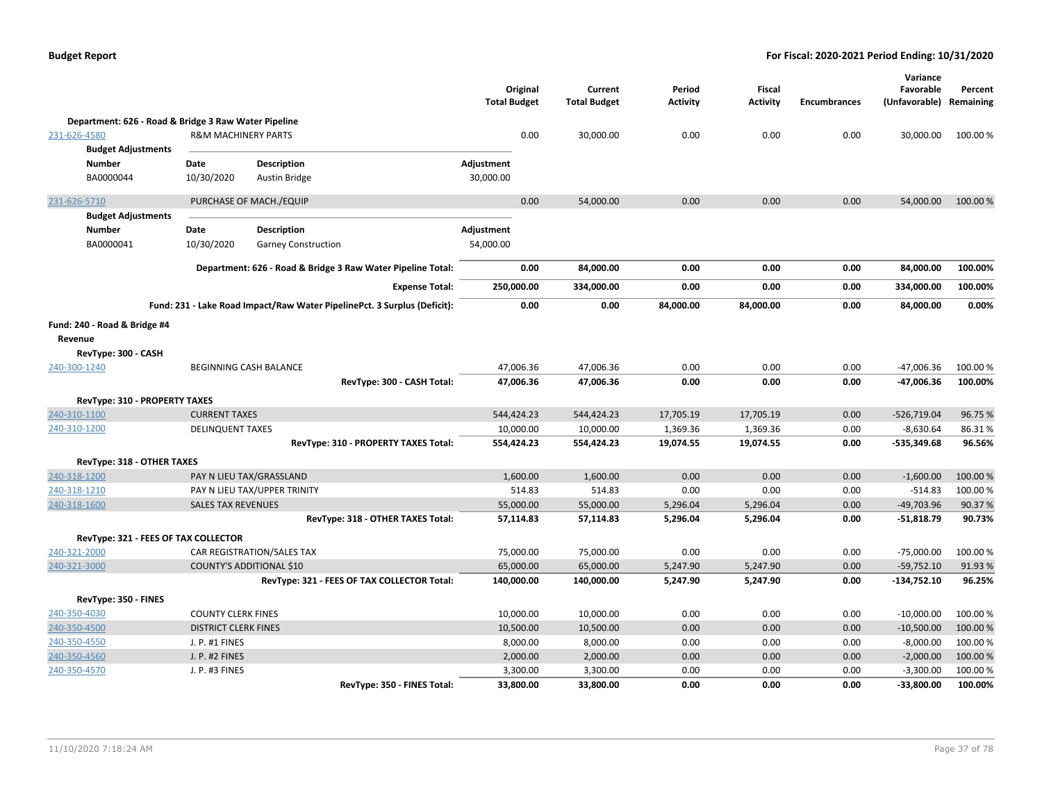|                                                      |                                |                                                                          | Original<br><b>Total Budget</b> | Current<br><b>Total Budget</b> | Period<br>Activity | <b>Fiscal</b><br><b>Activity</b> | <b>Encumbrances</b> | Variance<br>Favorable<br>(Unfavorable) Remaining | Percent  |
|------------------------------------------------------|--------------------------------|--------------------------------------------------------------------------|---------------------------------|--------------------------------|--------------------|----------------------------------|---------------------|--------------------------------------------------|----------|
| Department: 626 - Road & Bridge 3 Raw Water Pipeline |                                |                                                                          |                                 |                                |                    |                                  |                     |                                                  |          |
| 231-626-4580                                         | <b>R&amp;M MACHINERY PARTS</b> |                                                                          | 0.00                            | 30,000.00                      | 0.00               | 0.00                             | 0.00                | 30,000.00                                        | 100.00%  |
| <b>Budget Adjustments</b>                            |                                |                                                                          |                                 |                                |                    |                                  |                     |                                                  |          |
| <b>Number</b>                                        | Date                           | Description                                                              | Adjustment                      |                                |                    |                                  |                     |                                                  |          |
| BA0000044                                            | 10/30/2020                     | <b>Austin Bridge</b>                                                     | 30,000.00                       |                                |                    |                                  |                     |                                                  |          |
| 231-626-5710                                         |                                | PURCHASE OF MACH./EQUIP                                                  | 0.00                            | 54,000.00                      | 0.00               | 0.00                             | 0.00                | 54,000.00                                        | 100.00 % |
| <b>Budget Adjustments</b>                            |                                |                                                                          |                                 |                                |                    |                                  |                     |                                                  |          |
| <b>Number</b>                                        | Date                           | <b>Description</b>                                                       | Adjustment                      |                                |                    |                                  |                     |                                                  |          |
| BA0000041                                            | 10/30/2020                     | Garney Construction                                                      | 54,000.00                       |                                |                    |                                  |                     |                                                  |          |
|                                                      |                                | Department: 626 - Road & Bridge 3 Raw Water Pipeline Total:              | 0.00                            | 84,000.00                      | 0.00               | 0.00                             | 0.00                | 84,000.00                                        | 100.00%  |
|                                                      |                                | <b>Expense Total:</b>                                                    | 250,000.00                      | 334,000.00                     | 0.00               | 0.00                             | 0.00                | 334,000.00                                       | 100.00%  |
|                                                      |                                | Fund: 231 - Lake Road Impact/Raw Water PipelinePct. 3 Surplus (Deficit): | 0.00                            | 0.00                           | 84,000.00          | 84,000.00                        | 0.00                | 84,000.00                                        | 0.00%    |
| Fund: 240 - Road & Bridge #4                         |                                |                                                                          |                                 |                                |                    |                                  |                     |                                                  |          |
| Revenue                                              |                                |                                                                          |                                 |                                |                    |                                  |                     |                                                  |          |
| RevType: 300 - CASH                                  |                                |                                                                          |                                 |                                |                    |                                  |                     |                                                  |          |
| 240-300-1240                                         |                                | BEGINNING CASH BALANCE                                                   | 47,006.36                       | 47,006.36                      | 0.00               | 0.00                             | 0.00                | $-47,006.36$                                     | 100.00%  |
|                                                      |                                | RevType: 300 - CASH Total:                                               | 47,006.36                       | 47,006.36                      | 0.00               | 0.00                             | 0.00                | -47,006.36                                       | 100.00%  |
| RevType: 310 - PROPERTY TAXES                        |                                |                                                                          |                                 |                                |                    |                                  |                     |                                                  |          |
| 240-310-1100                                         | <b>CURRENT TAXES</b>           |                                                                          | 544,424.23                      | 544,424.23                     | 17,705.19          | 17,705.19                        | 0.00                | $-526,719.04$                                    | 96.75%   |
| 240-310-1200                                         | <b>DELINQUENT TAXES</b>        |                                                                          | 10,000.00                       | 10,000.00                      | 1,369.36           | 1,369.36                         | 0.00                | $-8,630.64$                                      | 86.31%   |
|                                                      |                                | RevType: 310 - PROPERTY TAXES Total:                                     | 554,424.23                      | 554,424.23                     | 19,074.55          | 19,074.55                        | 0.00                | $-535,349.68$                                    | 96.56%   |
| RevType: 318 - OTHER TAXES                           |                                |                                                                          |                                 |                                |                    |                                  |                     |                                                  |          |
| 240-318-1200                                         |                                | PAY N LIEU TAX/GRASSLAND                                                 | 1,600.00                        | 1,600.00                       | 0.00               | 0.00                             | 0.00                | $-1,600.00$                                      | 100.00%  |
| 240-318-1210                                         |                                | PAY N LIEU TAX/UPPER TRINITY                                             | 514.83                          | 514.83                         | 0.00               | 0.00                             | 0.00                | $-514.83$                                        | 100.00%  |
| 240-318-1600                                         | <b>SALES TAX REVENUES</b>      |                                                                          | 55,000.00                       | 55,000.00                      | 5,296.04           | 5,296.04                         | 0.00                | $-49,703.96$                                     | 90.37%   |
|                                                      |                                | RevType: 318 - OTHER TAXES Total:                                        | 57,114.83                       | 57,114.83                      | 5,296.04           | 5,296.04                         | 0.00                | $-51,818.79$                                     | 90.73%   |
| RevType: 321 - FEES OF TAX COLLECTOR                 |                                |                                                                          |                                 |                                |                    |                                  |                     |                                                  |          |
| 240-321-2000                                         |                                | CAR REGISTRATION/SALES TAX                                               | 75,000.00                       | 75,000.00                      | 0.00               | 0.00                             | 0.00                | $-75,000.00$                                     | 100.00%  |
| 240-321-3000                                         |                                | <b>COUNTY'S ADDITIONAL \$10</b>                                          | 65,000.00                       | 65,000.00                      | 5,247.90           | 5,247.90                         | 0.00                | $-59,752.10$                                     | 91.93%   |
|                                                      |                                | RevType: 321 - FEES OF TAX COLLECTOR Total:                              | 140,000.00                      | 140,000.00                     | 5,247.90           | 5,247.90                         | 0.00                | $-134,752.10$                                    | 96.25%   |
| RevType: 350 - FINES                                 |                                |                                                                          |                                 |                                |                    |                                  |                     |                                                  |          |
| 240-350-4030                                         | <b>COUNTY CLERK FINES</b>      |                                                                          | 10,000.00                       | 10,000.00                      | 0.00               | 0.00                             | 0.00                | $-10,000.00$                                     | 100.00%  |
| 240-350-4500                                         | <b>DISTRICT CLERK FINES</b>    |                                                                          | 10,500.00                       | 10,500.00                      | 0.00               | 0.00                             | 0.00                | $-10,500.00$                                     | 100.00%  |
| 240-350-4550                                         | J. P. #1 FINES                 |                                                                          | 8,000.00                        | 8,000.00                       | 0.00               | 0.00                             | 0.00                | $-8,000.00$                                      | 100.00%  |
| 240-350-4560                                         | J. P. #2 FINES                 |                                                                          | 2,000.00                        | 2,000.00                       | 0.00               | 0.00                             | 0.00                | $-2,000.00$                                      | 100.00 % |
| 240-350-4570                                         | J. P. #3 FINES                 |                                                                          | 3,300.00                        | 3,300.00                       | 0.00               | 0.00                             | 0.00                | $-3,300.00$                                      | 100.00%  |
|                                                      |                                | RevType: 350 - FINES Total:                                              | 33,800.00                       | 33,800.00                      | 0.00               | 0.00                             | 0.00                | $-33,800.00$                                     | 100.00%  |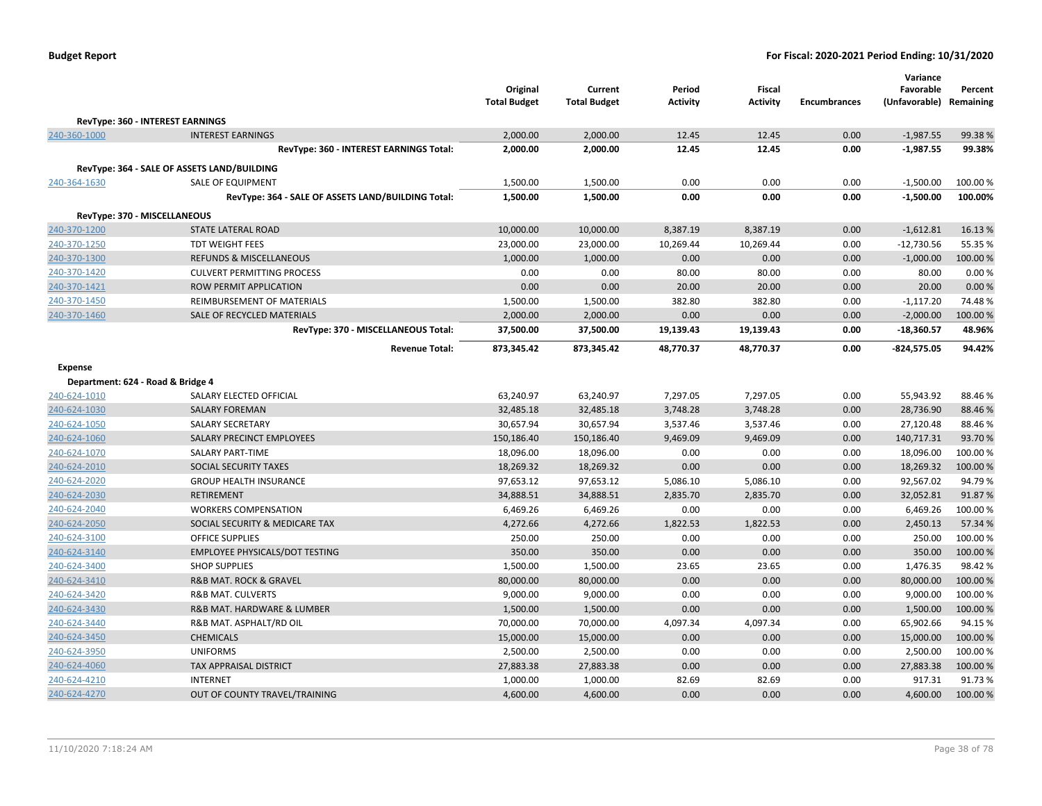|                                   |                                                              | Original<br><b>Total Budget</b> | Current<br><b>Total Budget</b> | Period<br><b>Activity</b> | Fiscal<br><b>Activity</b> | <b>Encumbrances</b> | Variance<br>Favorable<br>(Unfavorable) | Percent<br>Remaining |
|-----------------------------------|--------------------------------------------------------------|---------------------------------|--------------------------------|---------------------------|---------------------------|---------------------|----------------------------------------|----------------------|
|                                   | RevType: 360 - INTEREST EARNINGS                             |                                 |                                |                           |                           |                     |                                        |                      |
| 240-360-1000                      | <b>INTEREST EARNINGS</b>                                     | 2,000.00                        | 2,000.00                       | 12.45                     | 12.45                     | 0.00                | $-1,987.55$                            | 99.38%               |
|                                   | RevType: 360 - INTEREST EARNINGS Total:                      | 2,000.00                        | 2,000.00                       | 12.45                     | 12.45                     | 0.00                | $-1,987.55$                            | 99.38%               |
|                                   | RevType: 364 - SALE OF ASSETS LAND/BUILDING                  |                                 |                                |                           |                           |                     |                                        |                      |
| 240-364-1630                      | <b>SALE OF EQUIPMENT</b>                                     | 1,500.00                        | 1,500.00                       | 0.00                      | 0.00                      | 0.00                | $-1,500.00$                            | 100.00%              |
|                                   | RevType: 364 - SALE OF ASSETS LAND/BUILDING Total:           | 1,500.00                        | 1,500.00                       | 0.00                      | 0.00                      | 0.00                | $-1,500.00$                            | 100.00%              |
|                                   |                                                              |                                 |                                |                           |                           |                     |                                        |                      |
| RevType: 370 - MISCELLANEOUS      |                                                              |                                 |                                |                           |                           |                     |                                        |                      |
| 240-370-1200                      | <b>STATE LATERAL ROAD</b>                                    | 10,000.00                       | 10,000.00                      | 8,387.19                  | 8,387.19                  | 0.00                | $-1,612.81$                            | 16.13 %              |
| 240-370-1250                      | <b>TDT WEIGHT FEES</b><br><b>REFUNDS &amp; MISCELLANEOUS</b> | 23,000.00                       | 23,000.00                      | 10,269.44                 | 10,269.44<br>0.00         | 0.00<br>0.00        | $-12,730.56$                           | 55.35 %<br>100.00%   |
| 240-370-1300                      | <b>CULVERT PERMITTING PROCESS</b>                            | 1,000.00                        | 1,000.00                       | 0.00                      |                           | 0.00                | $-1,000.00$                            |                      |
| 240-370-1420                      |                                                              | 0.00                            | 0.00                           | 80.00                     | 80.00                     |                     | 80.00                                  | 0.00%                |
| 240-370-1421                      | ROW PERMIT APPLICATION                                       | 0.00                            | 0.00                           | 20.00                     | 20.00                     | 0.00                | 20.00                                  | 0.00 %               |
| 240-370-1450                      | REIMBURSEMENT OF MATERIALS                                   | 1,500.00                        | 1,500.00                       | 382.80                    | 382.80                    | 0.00                | $-1,117.20$                            | 74.48%               |
| 240-370-1460                      | SALE OF RECYCLED MATERIALS                                   | 2,000.00                        | 2,000.00                       | 0.00                      | 0.00                      | 0.00<br>0.00        | $-2,000.00$                            | 100.00%<br>48.96%    |
|                                   | RevType: 370 - MISCELLANEOUS Total:                          | 37,500.00                       | 37,500.00                      | 19,139.43                 | 19,139.43                 |                     | $-18,360.57$                           |                      |
|                                   | <b>Revenue Total:</b>                                        | 873,345.42                      | 873,345.42                     | 48,770.37                 | 48,770.37                 | 0.00                | $-824,575.05$                          | 94.42%               |
| <b>Expense</b>                    |                                                              |                                 |                                |                           |                           |                     |                                        |                      |
| Department: 624 - Road & Bridge 4 |                                                              |                                 |                                |                           |                           |                     |                                        |                      |
| 240-624-1010                      | SALARY ELECTED OFFICIAL                                      | 63,240.97                       | 63,240.97                      | 7,297.05                  | 7,297.05                  | 0.00                | 55,943.92                              | 88.46%               |
| 240-624-1030                      | <b>SALARY FOREMAN</b>                                        | 32,485.18                       | 32,485.18                      | 3,748.28                  | 3,748.28                  | 0.00                | 28,736.90                              | 88.46%               |
| 240-624-1050                      | SALARY SECRETARY                                             | 30,657.94                       | 30,657.94                      | 3,537.46                  | 3,537.46                  | 0.00                | 27,120.48                              | 88.46%               |
| 240-624-1060                      | SALARY PRECINCT EMPLOYEES                                    | 150,186.40                      | 150,186.40                     | 9,469.09                  | 9,469.09                  | 0.00                | 140,717.31                             | 93.70%               |
| 240-624-1070                      | <b>SALARY PART-TIME</b>                                      | 18,096.00                       | 18,096.00                      | 0.00                      | 0.00                      | 0.00                | 18,096.00                              | 100.00%              |
| 240-624-2010                      | <b>SOCIAL SECURITY TAXES</b>                                 | 18,269.32                       | 18,269.32                      | 0.00                      | 0.00                      | 0.00                | 18,269.32                              | 100.00%              |
| 240-624-2020                      | <b>GROUP HEALTH INSURANCE</b>                                | 97,653.12                       | 97,653.12                      | 5,086.10                  | 5,086.10                  | 0.00                | 92,567.02                              | 94.79%               |
| 240-624-2030                      | RETIREMENT                                                   | 34,888.51                       | 34,888.51                      | 2,835.70                  | 2,835.70                  | 0.00                | 32,052.81                              | 91.87%               |
| 240-624-2040                      | <b>WORKERS COMPENSATION</b>                                  | 6,469.26                        | 6,469.26                       | 0.00                      | 0.00                      | 0.00                | 6,469.26                               | 100.00%              |
| 240-624-2050                      | SOCIAL SECURITY & MEDICARE TAX                               | 4,272.66                        | 4,272.66                       | 1,822.53                  | 1,822.53                  | 0.00                | 2,450.13                               | 57.34 %              |
| 240-624-3100                      | <b>OFFICE SUPPLIES</b>                                       | 250.00                          | 250.00                         | 0.00                      | 0.00                      | 0.00                | 250.00                                 | 100.00%              |
| 240-624-3140                      | <b>EMPLOYEE PHYSICALS/DOT TESTING</b>                        | 350.00                          | 350.00                         | 0.00                      | 0.00                      | 0.00                | 350.00                                 | 100.00 %             |
| 240-624-3400                      | <b>SHOP SUPPLIES</b>                                         | 1,500.00                        | 1,500.00                       | 23.65                     | 23.65                     | 0.00                | 1,476.35                               | 98.42%               |
| 240-624-3410                      | <b>R&amp;B MAT. ROCK &amp; GRAVEL</b>                        | 80,000.00                       | 80,000.00                      | 0.00                      | 0.00                      | 0.00                | 80,000.00                              | 100.00%              |
| 240-624-3420                      | <b>R&amp;B MAT. CULVERTS</b>                                 | 9,000.00                        | 9,000.00                       | 0.00                      | 0.00                      | 0.00                | 9,000.00                               | 100.00%              |
| 240-624-3430                      | R&B MAT. HARDWARE & LUMBER                                   | 1,500.00                        | 1,500.00                       | 0.00                      | 0.00                      | 0.00                | 1,500.00                               | 100.00%              |
| 240-624-3440                      | R&B MAT. ASPHALT/RD OIL                                      | 70,000.00                       | 70,000.00                      | 4,097.34                  | 4,097.34                  | 0.00                | 65,902.66                              | 94.15%               |
| 240-624-3450                      | <b>CHEMICALS</b>                                             | 15,000.00                       | 15,000.00                      | 0.00                      | 0.00                      | 0.00                | 15,000.00                              | 100.00%              |
| 240-624-3950                      | <b>UNIFORMS</b>                                              | 2,500.00                        | 2,500.00                       | 0.00                      | 0.00                      | 0.00                | 2,500.00                               | 100.00%              |
| 240-624-4060                      | TAX APPRAISAL DISTRICT                                       | 27,883.38                       | 27,883.38                      | 0.00                      | 0.00                      | 0.00                | 27,883.38                              | 100.00%              |
| 240-624-4210                      | <b>INTERNET</b>                                              | 1,000.00                        | 1,000.00                       | 82.69                     | 82.69                     | 0.00                | 917.31                                 | 91.73%               |
| 240-624-4270                      | OUT OF COUNTY TRAVEL/TRAINING                                | 4,600.00                        | 4,600.00                       | 0.00                      | 0.00                      | 0.00                | 4,600.00                               | 100.00%              |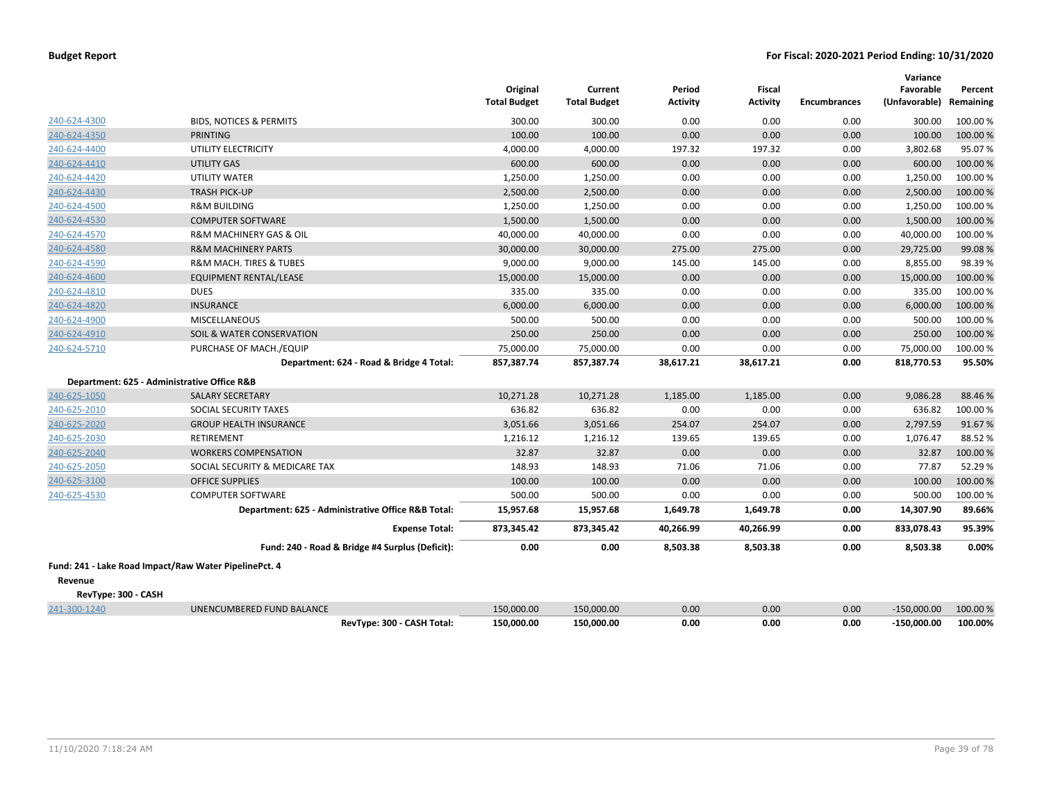|                                                       |                                                    | Original<br><b>Total Budget</b> | Current<br><b>Total Budget</b> | Period<br><b>Activity</b> | <b>Fiscal</b><br><b>Activity</b> | <b>Encumbrances</b> | Variance<br>Favorable<br>(Unfavorable) | Percent<br>Remaining |
|-------------------------------------------------------|----------------------------------------------------|---------------------------------|--------------------------------|---------------------------|----------------------------------|---------------------|----------------------------------------|----------------------|
| 240-624-4300                                          | <b>BIDS, NOTICES &amp; PERMITS</b>                 | 300.00                          | 300.00                         | 0.00                      | 0.00                             | 0.00                | 300.00                                 | 100.00 %             |
| 240-624-4350                                          | <b>PRINTING</b>                                    | 100.00                          | 100.00                         | 0.00                      | 0.00                             | 0.00                | 100.00                                 | 100.00 %             |
| 240-624-4400                                          | UTILITY ELECTRICITY                                | 4,000.00                        | 4,000.00                       | 197.32                    | 197.32                           | 0.00                | 3,802.68                               | 95.07%               |
| 240-624-4410                                          | <b>UTILITY GAS</b>                                 | 600.00                          | 600.00                         | 0.00                      | 0.00                             | 0.00                | 600.00                                 | 100.00 %             |
| 240-624-4420                                          | UTILITY WATER                                      | 1,250.00                        | 1,250.00                       | 0.00                      | 0.00                             | 0.00                | 1,250.00                               | 100.00 %             |
| 240-624-4430                                          | <b>TRASH PICK-UP</b>                               | 2,500.00                        | 2,500.00                       | 0.00                      | 0.00                             | 0.00                | 2,500.00                               | 100.00 %             |
| 240-624-4500                                          | <b>R&amp;M BUILDING</b>                            | 1,250.00                        | 1,250.00                       | 0.00                      | 0.00                             | 0.00                | 1,250.00                               | 100.00 %             |
| 240-624-4530                                          | <b>COMPUTER SOFTWARE</b>                           | 1,500.00                        | 1,500.00                       | 0.00                      | 0.00                             | 0.00                | 1,500.00                               | 100.00 %             |
| 240-624-4570                                          | R&M MACHINERY GAS & OIL                            | 40,000.00                       | 40,000.00                      | 0.00                      | 0.00                             | 0.00                | 40,000.00                              | 100.00%              |
| 240-624-4580                                          | <b>R&amp;M MACHINERY PARTS</b>                     | 30,000.00                       | 30,000.00                      | 275.00                    | 275.00                           | 0.00                | 29,725.00                              | 99.08%               |
| 240-624-4590                                          | R&M MACH. TIRES & TUBES                            | 9,000.00                        | 9,000.00                       | 145.00                    | 145.00                           | 0.00                | 8,855.00                               | 98.39%               |
| 240-624-4600                                          | EQUIPMENT RENTAL/LEASE                             | 15,000.00                       | 15,000.00                      | 0.00                      | 0.00                             | 0.00                | 15,000.00                              | 100.00 %             |
| 240-624-4810                                          | <b>DUES</b>                                        | 335.00                          | 335.00                         | 0.00                      | 0.00                             | 0.00                | 335.00                                 | 100.00 %             |
| 240-624-4820                                          | <b>INSURANCE</b>                                   | 6,000.00                        | 6,000.00                       | 0.00                      | 0.00                             | 0.00                | 6,000.00                               | 100.00 %             |
| 240-624-4900                                          | <b>MISCELLANEOUS</b>                               | 500.00                          | 500.00                         | 0.00                      | 0.00                             | 0.00                | 500.00                                 | 100.00 %             |
| 240-624-4910                                          | SOIL & WATER CONSERVATION                          | 250.00                          | 250.00                         | 0.00                      | 0.00                             | 0.00                | 250.00                                 | 100.00 %             |
| 240-624-5710                                          | PURCHASE OF MACH./EQUIP                            | 75,000.00                       | 75,000.00                      | 0.00                      | 0.00                             | 0.00                | 75,000.00                              | 100.00%              |
|                                                       | Department: 624 - Road & Bridge 4 Total:           | 857,387.74                      | 857,387.74                     | 38,617.21                 | 38,617.21                        | 0.00                | 818,770.53                             | 95.50%               |
| Department: 625 - Administrative Office R&B           |                                                    |                                 |                                |                           |                                  |                     |                                        |                      |
| 240-625-1050                                          | <b>SALARY SECRETARY</b>                            | 10,271.28                       | 10,271.28                      | 1,185.00                  | 1,185.00                         | 0.00                | 9,086.28                               | 88.46%               |
| 240-625-2010                                          | SOCIAL SECURITY TAXES                              | 636.82                          | 636.82                         | 0.00                      | 0.00                             | 0.00                | 636.82                                 | 100.00%              |
| 240-625-2020                                          | <b>GROUP HEALTH INSURANCE</b>                      | 3,051.66                        | 3,051.66                       | 254.07                    | 254.07                           | 0.00                | 2,797.59                               | 91.67%               |
| 240-625-2030                                          | <b>RETIREMENT</b>                                  | 1,216.12                        | 1,216.12                       | 139.65                    | 139.65                           | 0.00                | 1,076.47                               | 88.52%               |
| 240-625-2040                                          | <b>WORKERS COMPENSATION</b>                        | 32.87                           | 32.87                          | 0.00                      | 0.00                             | 0.00                | 32.87                                  | 100.00 %             |
| 240-625-2050                                          | SOCIAL SECURITY & MEDICARE TAX                     | 148.93                          | 148.93                         | 71.06                     | 71.06                            | 0.00                | 77.87                                  | 52.29 %              |
| 240-625-3100                                          | <b>OFFICE SUPPLIES</b>                             | 100.00                          | 100.00                         | 0.00                      | 0.00                             | 0.00                | 100.00                                 | 100.00 %             |
| 240-625-4530                                          | <b>COMPUTER SOFTWARE</b>                           | 500.00                          | 500.00                         | 0.00                      | 0.00                             | 0.00                | 500.00                                 | 100.00%              |
|                                                       | Department: 625 - Administrative Office R&B Total: | 15,957.68                       | 15,957.68                      | 1,649.78                  | 1,649.78                         | 0.00                | 14,307.90                              | 89.66%               |
|                                                       | <b>Expense Total:</b>                              | 873,345.42                      | 873,345.42                     | 40,266.99                 | 40,266.99                        | 0.00                | 833,078.43                             | 95.39%               |
|                                                       | Fund: 240 - Road & Bridge #4 Surplus (Deficit):    | 0.00                            | 0.00                           | 8,503.38                  | 8,503.38                         | 0.00                | 8,503.38                               | 0.00%                |
| Fund: 241 - Lake Road Impact/Raw Water PipelinePct. 4 |                                                    |                                 |                                |                           |                                  |                     |                                        |                      |
| Revenue                                               |                                                    |                                 |                                |                           |                                  |                     |                                        |                      |
| RevType: 300 - CASH                                   |                                                    |                                 |                                |                           |                                  |                     |                                        |                      |
| 241-300-1240                                          | UNENCUMBERED FUND BALANCE                          | 150,000.00                      | 150,000.00                     | 0.00                      | 0.00                             | 0.00                | $-150,000.00$                          | 100.00 %             |
|                                                       | RevType: 300 - CASH Total:                         | 150,000.00                      | 150,000.00                     | 0.00                      | 0.00                             | 0.00                | $-150.000.00$                          | 100.00%              |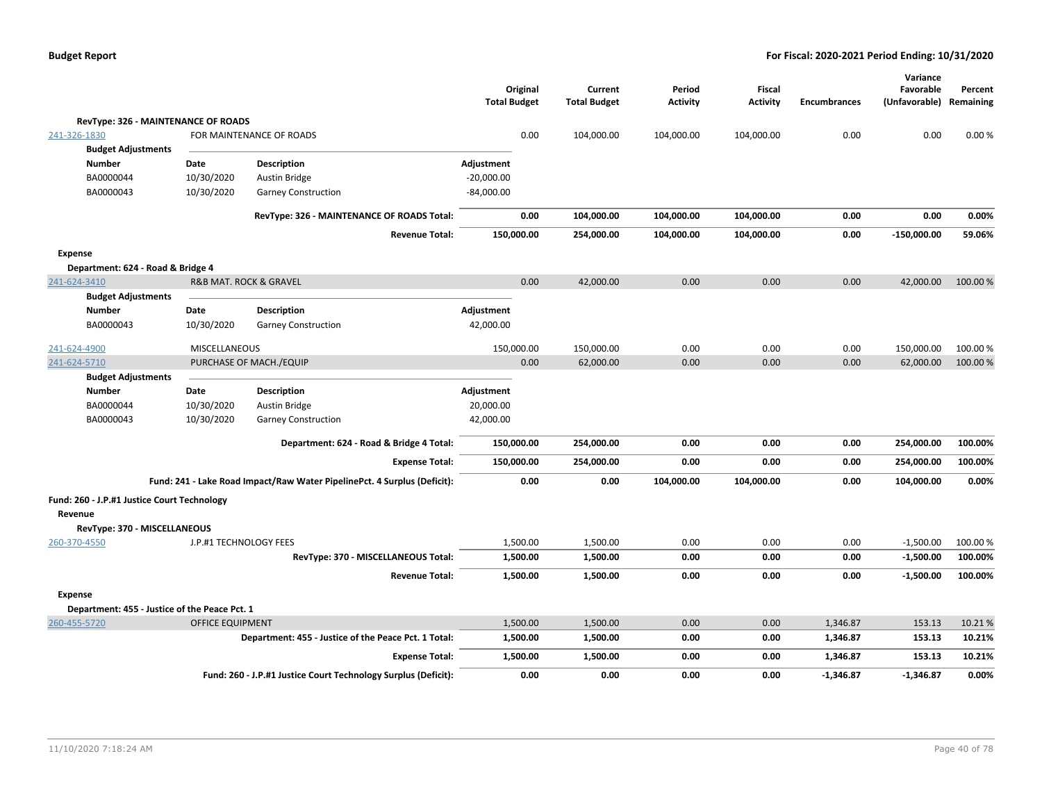|                                               |                         |                                                                          | Original<br><b>Total Budget</b> | Current<br><b>Total Budget</b> | Period<br>Activity | Fiscal<br><b>Activity</b> | <b>Encumbrances</b> | Variance<br>Favorable<br>(Unfavorable) Remaining | Percent  |
|-----------------------------------------------|-------------------------|--------------------------------------------------------------------------|---------------------------------|--------------------------------|--------------------|---------------------------|---------------------|--------------------------------------------------|----------|
| <b>RevType: 326 - MAINTENANCE OF ROADS</b>    |                         |                                                                          |                                 |                                |                    |                           |                     |                                                  |          |
| 241-326-1830                                  |                         | FOR MAINTENANCE OF ROADS                                                 | 0.00                            | 104,000.00                     | 104,000.00         | 104,000.00                | 0.00                | 0.00                                             | 0.00%    |
| <b>Budget Adjustments</b>                     |                         |                                                                          |                                 |                                |                    |                           |                     |                                                  |          |
| <b>Number</b>                                 | Date                    | <b>Description</b>                                                       | Adjustment                      |                                |                    |                           |                     |                                                  |          |
| BA0000044                                     | 10/30/2020              | Austin Bridge                                                            | $-20,000.00$                    |                                |                    |                           |                     |                                                  |          |
| BA0000043                                     | 10/30/2020              | <b>Garney Construction</b>                                               | $-84,000.00$                    |                                |                    |                           |                     |                                                  |          |
|                                               |                         | RevType: 326 - MAINTENANCE OF ROADS Total:                               | 0.00                            | 104,000.00                     | 104,000.00         | 104,000.00                | 0.00                | 0.00                                             | 0.00%    |
|                                               |                         | <b>Revenue Total:</b>                                                    | 150,000.00                      | 254,000.00                     | 104,000.00         | 104,000.00                | 0.00                | $-150,000.00$                                    | 59.06%   |
| Expense                                       |                         |                                                                          |                                 |                                |                    |                           |                     |                                                  |          |
| Department: 624 - Road & Bridge 4             |                         |                                                                          |                                 |                                |                    |                           |                     |                                                  |          |
| 241-624-3410                                  |                         | R&B MAT. ROCK & GRAVEL                                                   | 0.00                            | 42,000.00                      | 0.00               | 0.00                      | 0.00                | 42,000.00                                        | 100.00%  |
| <b>Budget Adjustments</b>                     |                         |                                                                          |                                 |                                |                    |                           |                     |                                                  |          |
| <b>Number</b>                                 | Date                    | Description                                                              | Adjustment                      |                                |                    |                           |                     |                                                  |          |
| BA0000043                                     | 10/30/2020              | <b>Garney Construction</b>                                               | 42,000.00                       |                                |                    |                           |                     |                                                  |          |
| 241-624-4900                                  | MISCELLANEOUS           |                                                                          | 150,000.00                      | 150,000.00                     | 0.00               | 0.00                      | 0.00                | 150,000.00                                       | 100.00%  |
| 241-624-5710                                  |                         | PURCHASE OF MACH./EQUIP                                                  | 0.00                            | 62,000.00                      | 0.00               | 0.00                      | 0.00                | 62,000.00                                        | 100.00 % |
| <b>Budget Adjustments</b>                     |                         |                                                                          |                                 |                                |                    |                           |                     |                                                  |          |
| <b>Number</b>                                 | Date                    | <b>Description</b>                                                       | Adjustment                      |                                |                    |                           |                     |                                                  |          |
| BA0000044                                     | 10/30/2020              | Austin Bridge                                                            | 20,000.00                       |                                |                    |                           |                     |                                                  |          |
| BA0000043                                     | 10/30/2020              | <b>Garney Construction</b>                                               | 42,000.00                       |                                |                    |                           |                     |                                                  |          |
|                                               |                         | Department: 624 - Road & Bridge 4 Total:                                 | 150,000.00                      | 254,000.00                     | 0.00               | 0.00                      | 0.00                | 254,000.00                                       | 100.00%  |
|                                               |                         | <b>Expense Total:</b>                                                    | 150,000.00                      | 254,000.00                     | 0.00               | 0.00                      | 0.00                | 254,000.00                                       | 100.00%  |
|                                               |                         | Fund: 241 - Lake Road Impact/Raw Water PipelinePct. 4 Surplus (Deficit): | 0.00                            | 0.00                           | 104,000.00         | 104,000.00                | 0.00                | 104,000.00                                       | 0.00%    |
| Fund: 260 - J.P.#1 Justice Court Technology   |                         |                                                                          |                                 |                                |                    |                           |                     |                                                  |          |
| Revenue                                       |                         |                                                                          |                                 |                                |                    |                           |                     |                                                  |          |
| RevType: 370 - MISCELLANEOUS                  |                         |                                                                          |                                 |                                |                    |                           |                     |                                                  |          |
| 260-370-4550                                  | J.P.#1 TECHNOLOGY FEES  |                                                                          | 1,500.00                        | 1,500.00                       | 0.00               | 0.00                      | 0.00                | $-1,500.00$                                      | 100.00%  |
|                                               |                         | RevType: 370 - MISCELLANEOUS Total:                                      | 1,500.00                        | 1,500.00                       | 0.00               | 0.00                      | 0.00                | $-1,500.00$                                      | 100.00%  |
|                                               |                         | <b>Revenue Total:</b>                                                    | 1,500.00                        | 1,500.00                       | 0.00               | 0.00                      | 0.00                | $-1,500.00$                                      | 100.00%  |
| <b>Expense</b>                                |                         |                                                                          |                                 |                                |                    |                           |                     |                                                  |          |
| Department: 455 - Justice of the Peace Pct. 1 |                         |                                                                          |                                 |                                |                    |                           |                     |                                                  |          |
| 260-455-5720                                  | <b>OFFICE EQUIPMENT</b> |                                                                          | 1,500.00                        | 1,500.00                       | 0.00               | 0.00                      | 1,346.87            | 153.13                                           | 10.21%   |
|                                               |                         | Department: 455 - Justice of the Peace Pct. 1 Total:                     | 1,500.00                        | 1,500.00                       | 0.00               | 0.00                      | 1,346.87            | 153.13                                           | 10.21%   |
|                                               |                         | <b>Expense Total:</b>                                                    | 1,500.00                        | 1,500.00                       | 0.00               | 0.00                      | 1,346.87            | 153.13                                           | 10.21%   |
|                                               |                         | Fund: 260 - J.P.#1 Justice Court Technology Surplus (Deficit):           | 0.00                            | 0.00                           | 0.00               | 0.00                      | $-1,346.87$         | $-1,346.87$                                      | 0.00%    |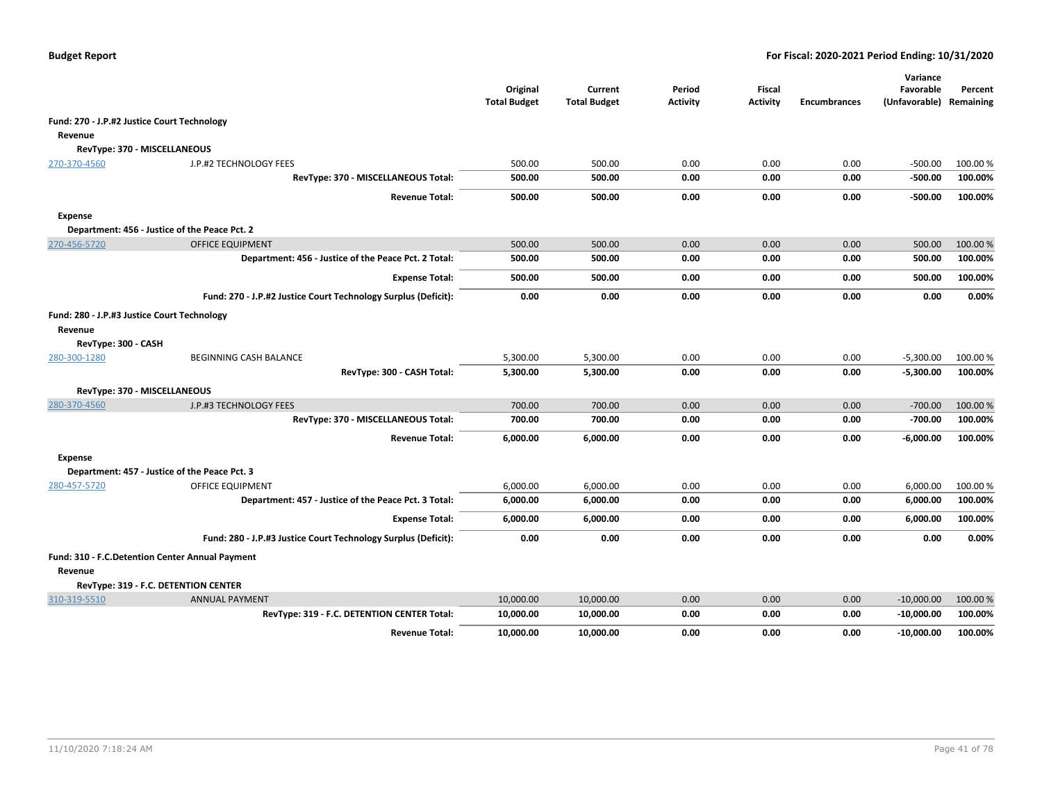|                                                 |                                                                | Original<br><b>Total Budget</b> | Current<br><b>Total Budget</b> | Period<br>Activity | Fiscal<br><b>Activity</b> | <b>Encumbrances</b> | Variance<br>Favorable<br>(Unfavorable) | Percent<br>Remaining |
|-------------------------------------------------|----------------------------------------------------------------|---------------------------------|--------------------------------|--------------------|---------------------------|---------------------|----------------------------------------|----------------------|
| Fund: 270 - J.P.#2 Justice Court Technology     |                                                                |                                 |                                |                    |                           |                     |                                        |                      |
| Revenue                                         |                                                                |                                 |                                |                    |                           |                     |                                        |                      |
| RevType: 370 - MISCELLANEOUS                    |                                                                |                                 |                                |                    |                           |                     |                                        |                      |
| 270-370-4560                                    | J.P.#2 TECHNOLOGY FEES                                         | 500.00                          | 500.00                         | 0.00               | 0.00                      | 0.00                | $-500.00$                              | 100.00 %             |
|                                                 | RevType: 370 - MISCELLANEOUS Total:                            | 500.00                          | 500.00                         | 0.00               | 0.00                      | 0.00                | -500.00                                | 100.00%              |
|                                                 | <b>Revenue Total:</b>                                          | 500.00                          | 500.00                         | 0.00               | 0.00                      | 0.00                | -500.00                                | 100.00%              |
| <b>Expense</b>                                  |                                                                |                                 |                                |                    |                           |                     |                                        |                      |
|                                                 | Department: 456 - Justice of the Peace Pct. 2                  |                                 |                                |                    |                           |                     |                                        |                      |
| 270-456-5720                                    | <b>OFFICE EQUIPMENT</b>                                        | 500.00                          | 500.00                         | 0.00               | 0.00                      | 0.00                | 500.00                                 | 100.00 %             |
|                                                 | Department: 456 - Justice of the Peace Pct. 2 Total:           | 500.00                          | 500.00                         | 0.00               | 0.00                      | 0.00                | 500.00                                 | 100.00%              |
|                                                 | <b>Expense Total:</b>                                          | 500.00                          | 500.00                         | 0.00               | 0.00                      | 0.00                | 500.00                                 | 100.00%              |
|                                                 | Fund: 270 - J.P.#2 Justice Court Technology Surplus (Deficit): | 0.00                            | 0.00                           | 0.00               | 0.00                      | 0.00                | 0.00                                   | 0.00%                |
| Fund: 280 - J.P.#3 Justice Court Technology     |                                                                |                                 |                                |                    |                           |                     |                                        |                      |
| Revenue                                         |                                                                |                                 |                                |                    |                           |                     |                                        |                      |
| RevType: 300 - CASH                             |                                                                |                                 |                                |                    |                           |                     |                                        |                      |
| 280-300-1280                                    | BEGINNING CASH BALANCE                                         | 5,300.00                        | 5,300.00                       | 0.00               | 0.00                      | 0.00                | $-5,300.00$                            | 100.00 %             |
|                                                 | RevType: 300 - CASH Total:                                     | 5,300.00                        | 5,300.00                       | 0.00               | 0.00                      | 0.00                | $-5,300.00$                            | 100.00%              |
| RevType: 370 - MISCELLANEOUS                    |                                                                |                                 |                                |                    |                           |                     |                                        |                      |
| 280-370-4560                                    | J.P.#3 TECHNOLOGY FEES                                         | 700.00                          | 700.00                         | 0.00               | 0.00                      | 0.00                | $-700.00$                              | 100.00 %             |
|                                                 | RevType: 370 - MISCELLANEOUS Total:                            | 700.00                          | 700.00                         | 0.00               | 0.00                      | 0.00                | $-700.00$                              | 100.00%              |
|                                                 | <b>Revenue Total:</b>                                          | 6,000.00                        | 6,000.00                       | 0.00               | 0.00                      | 0.00                | $-6,000.00$                            | 100.00%              |
| <b>Expense</b>                                  |                                                                |                                 |                                |                    |                           |                     |                                        |                      |
|                                                 | Department: 457 - Justice of the Peace Pct. 3                  |                                 |                                |                    |                           |                     |                                        |                      |
| 280-457-5720                                    | <b>OFFICE EQUIPMENT</b>                                        | 6,000.00                        | 6,000.00                       | 0.00               | 0.00                      | 0.00                | 6,000.00                               | 100.00 %             |
|                                                 | Department: 457 - Justice of the Peace Pct. 3 Total:           | 6,000.00                        | 6,000.00                       | 0.00               | 0.00                      | 0.00                | 6,000.00                               | 100.00%              |
|                                                 | <b>Expense Total:</b>                                          | 6,000.00                        | 6,000.00                       | 0.00               | 0.00                      | 0.00                | 6,000.00                               | 100.00%              |
|                                                 | Fund: 280 - J.P.#3 Justice Court Technology Surplus (Deficit): | 0.00                            | 0.00                           | 0.00               | 0.00                      | 0.00                | 0.00                                   | 0.00%                |
| Fund: 310 - F.C.Detention Center Annual Payment |                                                                |                                 |                                |                    |                           |                     |                                        |                      |
| Revenue                                         |                                                                |                                 |                                |                    |                           |                     |                                        |                      |
|                                                 | RevType: 319 - F.C. DETENTION CENTER                           |                                 |                                |                    |                           |                     |                                        |                      |
| 310-319-5510                                    | <b>ANNUAL PAYMENT</b>                                          | 10,000.00                       | 10,000.00                      | 0.00               | 0.00                      | 0.00                | $-10,000.00$                           | 100.00 %             |
|                                                 | RevType: 319 - F.C. DETENTION CENTER Total:                    | 10,000.00                       | 10,000.00                      | 0.00               | 0.00                      | 0.00                | $-10,000.00$                           | 100.00%              |
|                                                 | <b>Revenue Total:</b>                                          | 10,000.00                       | 10,000.00                      | 0.00               | 0.00                      | 0.00                | $-10,000.00$                           | 100.00%              |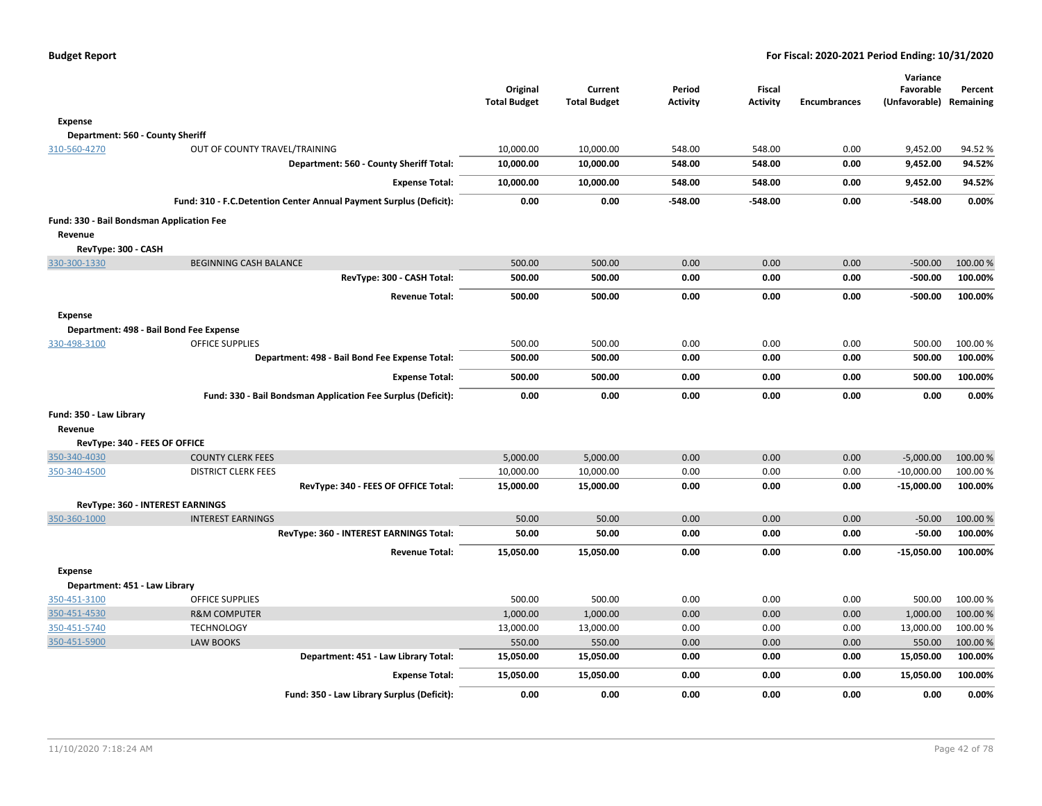|                                                      |                                                                    | Original<br><b>Total Budget</b> | Current<br><b>Total Budget</b> | Period<br><b>Activity</b> | <b>Fiscal</b><br><b>Activity</b> | Encumbrances | Variance<br>Favorable<br>(Unfavorable) | Percent<br>Remaining |
|------------------------------------------------------|--------------------------------------------------------------------|---------------------------------|--------------------------------|---------------------------|----------------------------------|--------------|----------------------------------------|----------------------|
| Expense                                              |                                                                    |                                 |                                |                           |                                  |              |                                        |                      |
| Department: 560 - County Sheriff                     |                                                                    |                                 |                                |                           |                                  |              |                                        |                      |
| 310-560-4270                                         | OUT OF COUNTY TRAVEL/TRAINING                                      | 10,000.00                       | 10,000.00                      | 548.00                    | 548.00                           | 0.00         | 9,452.00                               | 94.52%               |
|                                                      | Department: 560 - County Sheriff Total:                            | 10,000.00                       | 10,000.00                      | 548.00                    | 548.00                           | 0.00         | 9,452.00                               | 94.52%               |
|                                                      | <b>Expense Total:</b>                                              | 10,000.00                       | 10,000.00                      | 548.00                    | 548.00                           | 0.00         | 9,452.00                               | 94.52%               |
|                                                      | Fund: 310 - F.C.Detention Center Annual Payment Surplus (Deficit): | 0.00                            | 0.00                           | -548.00                   | $-548.00$                        | 0.00         | $-548.00$                              | 0.00%                |
| Fund: 330 - Bail Bondsman Application Fee<br>Revenue |                                                                    |                                 |                                |                           |                                  |              |                                        |                      |
| RevType: 300 - CASH                                  |                                                                    |                                 |                                |                           |                                  |              |                                        |                      |
| 330-300-1330                                         | <b>BEGINNING CASH BALANCE</b>                                      | 500.00                          | 500.00                         | 0.00                      | 0.00                             | 0.00         | $-500.00$                              | 100.00 %             |
|                                                      | RevType: 300 - CASH Total:                                         | 500.00                          | 500.00                         | 0.00                      | 0.00                             | 0.00         | $-500.00$                              | 100.00%              |
|                                                      | <b>Revenue Total:</b>                                              | 500.00                          | 500.00                         | 0.00                      | 0.00                             | 0.00         | $-500.00$                              | 100.00%              |
| <b>Expense</b>                                       |                                                                    |                                 |                                |                           |                                  |              |                                        |                      |
|                                                      | Department: 498 - Bail Bond Fee Expense                            |                                 |                                |                           |                                  |              |                                        |                      |
| 330-498-3100                                         | <b>OFFICE SUPPLIES</b>                                             | 500.00                          | 500.00                         | 0.00                      | 0.00                             | 0.00         | 500.00                                 | 100.00 %             |
|                                                      | Department: 498 - Bail Bond Fee Expense Total:                     | 500.00                          | 500.00                         | 0.00                      | 0.00                             | 0.00         | 500.00                                 | 100.00%              |
|                                                      | <b>Expense Total:</b>                                              | 500.00                          | 500.00                         | 0.00                      | 0.00                             | 0.00         | 500.00                                 | 100.00%              |
|                                                      | Fund: 330 - Bail Bondsman Application Fee Surplus (Deficit):       | 0.00                            | 0.00                           | 0.00                      | 0.00                             | 0.00         | 0.00                                   | 0.00%                |
| Fund: 350 - Law Library                              |                                                                    |                                 |                                |                           |                                  |              |                                        |                      |
| Revenue                                              |                                                                    |                                 |                                |                           |                                  |              |                                        |                      |
| RevType: 340 - FEES OF OFFICE                        |                                                                    |                                 |                                |                           |                                  |              |                                        |                      |
| 350-340-4030                                         | <b>COUNTY CLERK FEES</b>                                           | 5,000.00                        | 5,000.00                       | 0.00                      | 0.00                             | 0.00         | $-5,000.00$                            | 100.00 %             |
| 350-340-4500                                         | <b>DISTRICT CLERK FEES</b>                                         | 10,000.00                       | 10,000.00                      | 0.00                      | 0.00                             | 0.00         | $-10,000.00$                           | 100.00 %             |
|                                                      | RevType: 340 - FEES OF OFFICE Total:                               | 15,000.00                       | 15,000.00                      | 0.00                      | 0.00                             | 0.00         | $-15,000.00$                           | 100.00%              |
|                                                      | RevType: 360 - INTEREST EARNINGS                                   |                                 |                                |                           |                                  |              |                                        |                      |
| 350-360-1000                                         | <b>INTEREST EARNINGS</b>                                           | 50.00                           | 50.00                          | 0.00                      | 0.00                             | 0.00         | $-50.00$                               | 100.00%              |
|                                                      | RevType: 360 - INTEREST EARNINGS Total:                            | 50.00                           | 50.00                          | 0.00                      | 0.00                             | 0.00         | $-50.00$                               | 100.00%              |
|                                                      | <b>Revenue Total:</b>                                              | 15,050.00                       | 15,050.00                      | 0.00                      | 0.00                             | 0.00         | $-15,050.00$                           | 100.00%              |
| <b>Expense</b>                                       |                                                                    |                                 |                                |                           |                                  |              |                                        |                      |
| Department: 451 - Law Library                        |                                                                    |                                 |                                |                           |                                  |              |                                        |                      |
| 350-451-3100                                         | OFFICE SUPPLIES                                                    | 500.00                          | 500.00                         | 0.00                      | 0.00                             | 0.00         | 500.00                                 | 100.00%              |
| 350-451-4530                                         | <b>R&amp;M COMPUTER</b>                                            | 1,000.00                        | 1,000.00                       | 0.00                      | 0.00                             | 0.00         | 1,000.00                               | 100.00 %             |
| 350-451-5740                                         | <b>TECHNOLOGY</b>                                                  | 13,000.00                       | 13,000.00                      | 0.00                      | 0.00                             | 0.00         | 13,000.00                              | 100.00%              |
| 350-451-5900                                         | <b>LAW BOOKS</b>                                                   | 550.00                          | 550.00                         | 0.00                      | 0.00                             | 0.00         | 550.00                                 | 100.00%              |
|                                                      | Department: 451 - Law Library Total:                               | 15,050.00                       | 15,050.00                      | 0.00                      | 0.00                             | 0.00         | 15,050.00                              | 100.00%              |
|                                                      | <b>Expense Total:</b>                                              | 15,050.00                       | 15,050.00                      | 0.00                      | 0.00                             | 0.00         | 15,050.00                              | 100.00%              |
|                                                      | Fund: 350 - Law Library Surplus (Deficit):                         | 0.00                            | 0.00                           | 0.00                      | 0.00                             | 0.00         | 0.00                                   | 0.00%                |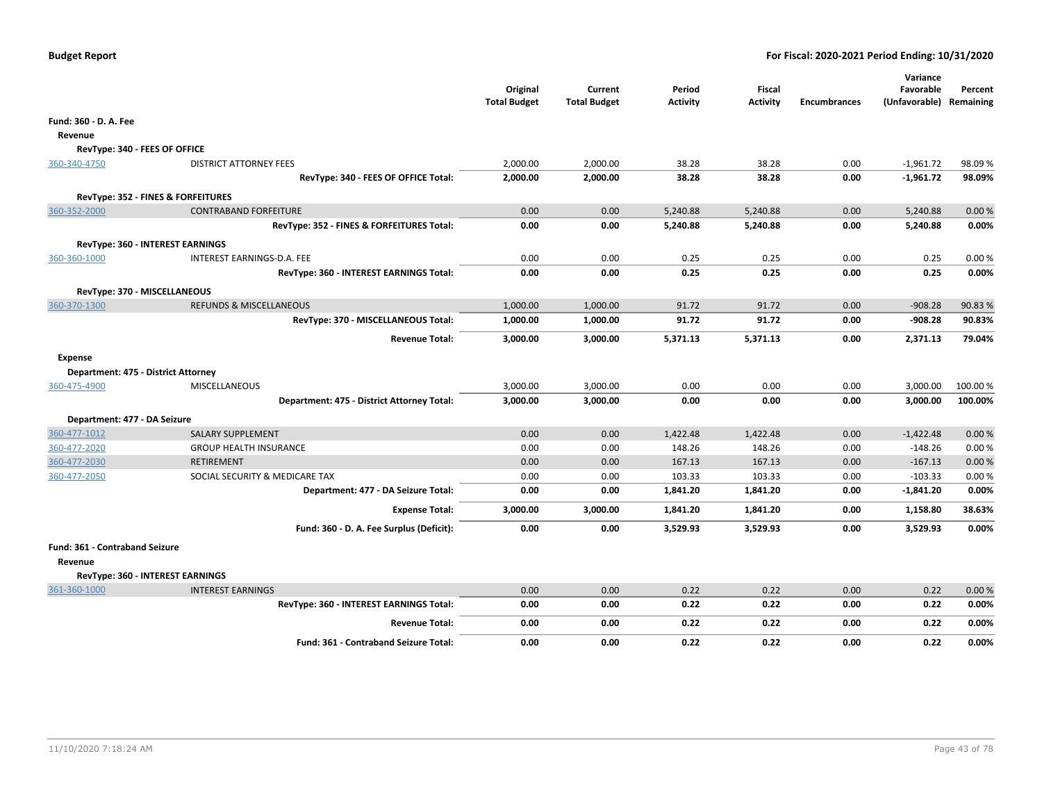|                                     |                                                             | Original<br><b>Total Budget</b> | Current<br><b>Total Budget</b> | Period<br><b>Activity</b> | Fiscal<br><b>Activity</b> | <b>Encumbrances</b> | Favorable<br>(Unfavorable) Remaining | Percent            |
|-------------------------------------|-------------------------------------------------------------|---------------------------------|--------------------------------|---------------------------|---------------------------|---------------------|--------------------------------------|--------------------|
| Fund: 360 - D. A. Fee               |                                                             |                                 |                                |                           |                           |                     |                                      |                    |
| Revenue                             |                                                             |                                 |                                |                           |                           |                     |                                      |                    |
| RevType: 340 - FEES OF OFFICE       |                                                             |                                 |                                |                           |                           |                     |                                      |                    |
| 360-340-4750                        | <b>DISTRICT ATTORNEY FEES</b>                               | 2,000.00                        | 2,000.00                       | 38.28                     | 38.28                     | 0.00                | $-1,961.72$                          | 98.09%             |
|                                     | RevType: 340 - FEES OF OFFICE Total:                        | 2,000.00                        | 2,000.00                       | 38.28                     | 38.28                     | 0.00                | $-1,961.72$                          | 98.09%             |
|                                     | RevType: 352 - FINES & FORFEITURES                          |                                 |                                |                           |                           |                     |                                      |                    |
| 360-352-2000                        | <b>CONTRABAND FORFEITURE</b>                                | 0.00                            | 0.00                           | 5,240.88                  | 5,240.88                  | 0.00                | 5,240.88                             | 0.00%              |
|                                     | RevType: 352 - FINES & FORFEITURES Total:                   | 0.00                            | 0.00                           | 5,240.88                  | 5,240.88                  | 0.00                | 5,240.88                             | 0.00%              |
|                                     | <b>RevType: 360 - INTEREST EARNINGS</b>                     |                                 |                                |                           |                           |                     |                                      |                    |
| 360-360-1000                        | INTEREST EARNINGS-D.A. FEE                                  | 0.00                            | 0.00                           | 0.25                      | 0.25                      | 0.00                | 0.25                                 | 0.00%              |
|                                     | RevType: 360 - INTEREST EARNINGS Total:                     | 0.00                            | 0.00                           | 0.25                      | 0.25                      | 0.00                | 0.25                                 | 0.00%              |
| RevType: 370 - MISCELLANEOUS        |                                                             |                                 |                                |                           |                           |                     |                                      |                    |
| 360-370-1300                        | REFUNDS & MISCELLANEOUS                                     | 1,000.00                        | 1,000.00                       | 91.72                     | 91.72                     | 0.00                | $-908.28$                            | 90.83%             |
|                                     | RevType: 370 - MISCELLANEOUS Total:                         | 1,000.00                        | 1,000.00                       | 91.72                     | 91.72                     | 0.00                | -908.28                              | 90.83%             |
|                                     | <b>Revenue Total:</b>                                       | 3,000.00                        | 3,000.00                       | 5,371.13                  | 5,371.13                  | 0.00                | 2,371.13                             | 79.04%             |
|                                     |                                                             |                                 |                                |                           |                           |                     |                                      |                    |
| Expense                             |                                                             |                                 |                                |                           |                           |                     |                                      |                    |
| Department: 475 - District Attorney |                                                             |                                 |                                |                           |                           |                     |                                      |                    |
| 360-475-4900                        | MISCELLANEOUS<br>Department: 475 - District Attorney Total: | 3,000.00<br>3,000.00            | 3,000.00<br>3,000.00           | 0.00<br>0.00              | 0.00<br>0.00              | 0.00<br>0.00        | 3,000.00<br>3,000.00                 | 100.00%<br>100.00% |
|                                     |                                                             |                                 |                                |                           |                           |                     |                                      |                    |
| Department: 477 - DA Seizure        |                                                             |                                 |                                |                           |                           |                     |                                      |                    |
| 360-477-1012                        | <b>SALARY SUPPLEMENT</b>                                    | 0.00                            | 0.00                           | 1,422.48                  | 1,422.48                  | 0.00                | $-1,422.48$                          | 0.00%              |
| 360-477-2020                        | <b>GROUP HEALTH INSURANCE</b>                               | 0.00                            | 0.00                           | 148.26                    | 148.26                    | 0.00                | $-148.26$                            | 0.00%              |
| 360-477-2030<br>360-477-2050        | <b>RETIREMENT</b><br>SOCIAL SECURITY & MEDICARE TAX         | 0.00<br>0.00                    | 0.00<br>0.00                   | 167.13<br>103.33          | 167.13<br>103.33          | 0.00<br>0.00        | $-167.13$<br>$-103.33$               | 0.00%<br>0.00%     |
|                                     | Department: 477 - DA Seizure Total:                         | 0.00                            | 0.00                           | 1,841.20                  | 1,841.20                  | 0.00                | $-1,841.20$                          | 0.00%              |
|                                     |                                                             |                                 |                                |                           |                           |                     |                                      |                    |
|                                     | <b>Expense Total:</b>                                       | 3,000.00                        | 3,000.00                       | 1,841.20                  | 1,841.20                  | 0.00                | 1,158.80                             | 38.63%             |
|                                     | Fund: 360 - D. A. Fee Surplus (Deficit):                    | 0.00                            | 0.00                           | 3,529.93                  | 3,529.93                  | 0.00                | 3,529.93                             | 0.00%              |
| Fund: 361 - Contraband Seizure      |                                                             |                                 |                                |                           |                           |                     |                                      |                    |
| Revenue                             |                                                             |                                 |                                |                           |                           |                     |                                      |                    |
|                                     | RevType: 360 - INTEREST EARNINGS                            |                                 |                                |                           |                           |                     |                                      |                    |
| 361-360-1000                        | <b>INTEREST EARNINGS</b>                                    | 0.00                            | 0.00                           | 0.22                      | 0.22                      | 0.00                | 0.22                                 | 0.00%              |
|                                     | RevType: 360 - INTEREST EARNINGS Total:                     | 0.00                            | 0.00                           | 0.22                      | 0.22                      | 0.00                | 0.22                                 | 0.00%              |
|                                     | <b>Revenue Total:</b>                                       | 0.00                            | 0.00                           | 0.22                      | 0.22                      | 0.00                | 0.22                                 | 0.00%              |
|                                     | <b>Fund: 361 - Contraband Seizure Total:</b>                | 0.00                            | 0.00                           | 0.22                      | 0.22                      | 0.00                | 0.22                                 | 0.00%              |
|                                     |                                                             |                                 |                                |                           |                           |                     |                                      |                    |

**Variance**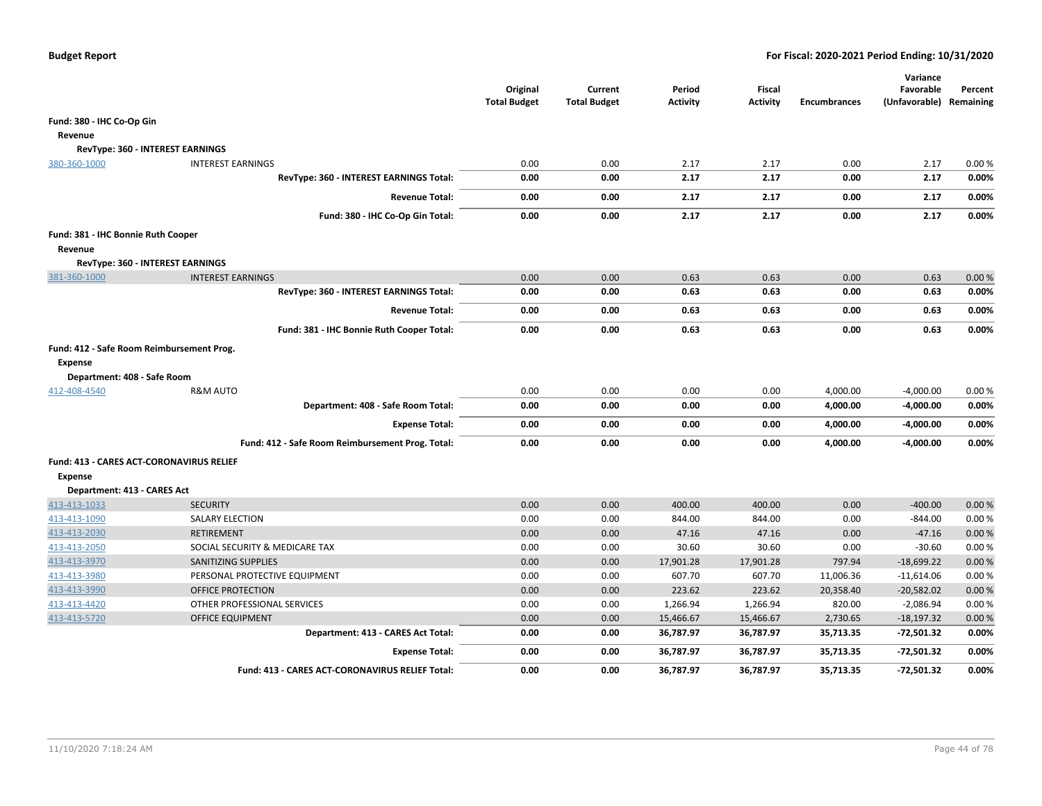|                                           |                                                        | Original<br><b>Total Budget</b> | Current<br><b>Total Budget</b> | Period<br><b>Activity</b> | <b>Fiscal</b><br><b>Activity</b> | <b>Encumbrances</b> | Variance<br>Favorable<br>(Unfavorable) Remaining | Percent |
|-------------------------------------------|--------------------------------------------------------|---------------------------------|--------------------------------|---------------------------|----------------------------------|---------------------|--------------------------------------------------|---------|
| Fund: 380 - IHC Co-Op Gin                 |                                                        |                                 |                                |                           |                                  |                     |                                                  |         |
| Revenue                                   |                                                        |                                 |                                |                           |                                  |                     |                                                  |         |
|                                           | RevType: 360 - INTEREST EARNINGS                       |                                 |                                |                           |                                  |                     |                                                  |         |
| 380-360-1000                              | <b>INTEREST EARNINGS</b>                               | 0.00                            | 0.00                           | 2.17                      | 2.17                             | 0.00                | 2.17                                             | 0.00%   |
|                                           | RevType: 360 - INTEREST EARNINGS Total:                | 0.00                            | 0.00                           | 2.17                      | 2.17                             | 0.00                | 2.17                                             | 0.00%   |
|                                           | <b>Revenue Total:</b>                                  | 0.00                            | 0.00                           | 2.17                      | 2.17                             | 0.00                | 2.17                                             | 0.00%   |
|                                           | Fund: 380 - IHC Co-Op Gin Total:                       | 0.00                            | 0.00                           | 2.17                      | 2.17                             | 0.00                | 2.17                                             | 0.00%   |
| Fund: 381 - IHC Bonnie Ruth Cooper        |                                                        |                                 |                                |                           |                                  |                     |                                                  |         |
| Revenue                                   |                                                        |                                 |                                |                           |                                  |                     |                                                  |         |
|                                           | RevType: 360 - INTEREST EARNINGS                       |                                 |                                |                           |                                  |                     |                                                  |         |
| 381-360-1000                              | <b>INTEREST EARNINGS</b>                               | 0.00                            | 0.00                           | 0.63                      | 0.63                             | 0.00                | 0.63                                             | 0.00%   |
|                                           | RevType: 360 - INTEREST EARNINGS Total:                | 0.00                            | 0.00                           | 0.63                      | 0.63                             | 0.00                | 0.63                                             | 0.00%   |
|                                           | <b>Revenue Total:</b>                                  | 0.00                            | 0.00                           | 0.63                      | 0.63                             | 0.00                | 0.63                                             | 0.00%   |
|                                           |                                                        |                                 |                                |                           | 0.63                             |                     |                                                  | 0.00%   |
|                                           | Fund: 381 - IHC Bonnie Ruth Cooper Total:              | 0.00                            | 0.00                           | 0.63                      |                                  | 0.00                | 0.63                                             |         |
| Fund: 412 - Safe Room Reimbursement Prog. |                                                        |                                 |                                |                           |                                  |                     |                                                  |         |
| <b>Expense</b>                            |                                                        |                                 |                                |                           |                                  |                     |                                                  |         |
| Department: 408 - Safe Room               |                                                        |                                 |                                |                           |                                  |                     |                                                  |         |
| 412-408-4540                              | <b>R&amp;M AUTO</b>                                    | 0.00                            | 0.00                           | 0.00                      | 0.00                             | 4,000.00            | $-4,000.00$                                      | 0.00%   |
|                                           | Department: 408 - Safe Room Total:                     | 0.00                            | 0.00                           | 0.00                      | 0.00                             | 4,000.00            | $-4,000.00$                                      | 0.00%   |
|                                           | <b>Expense Total:</b>                                  | 0.00                            | 0.00                           | 0.00                      | 0.00                             | 4,000.00            | $-4,000.00$                                      | 0.00%   |
|                                           | Fund: 412 - Safe Room Reimbursement Prog. Total:       | 0.00                            | 0.00                           | 0.00                      | 0.00                             | 4,000.00            | $-4,000.00$                                      | 0.00%   |
| Fund: 413 - CARES ACT-CORONAVIRUS RELIEF  |                                                        |                                 |                                |                           |                                  |                     |                                                  |         |
| <b>Expense</b>                            |                                                        |                                 |                                |                           |                                  |                     |                                                  |         |
| Department: 413 - CARES Act               |                                                        |                                 |                                |                           |                                  |                     |                                                  |         |
| 413-413-1033                              | <b>SECURITY</b>                                        | 0.00                            | 0.00                           | 400.00                    | 400.00                           | 0.00                | $-400.00$                                        | 0.00%   |
| 413-413-1090                              | <b>SALARY ELECTION</b>                                 | 0.00                            | 0.00                           | 844.00                    | 844.00                           | 0.00                | $-844.00$                                        | 0.00%   |
| 413-413-2030                              | <b>RETIREMENT</b>                                      | 0.00                            | 0.00                           | 47.16                     | 47.16                            | 0.00                | $-47.16$                                         | 0.00%   |
| 413-413-2050                              | SOCIAL SECURITY & MEDICARE TAX                         | 0.00                            | 0.00                           | 30.60                     | 30.60                            | 0.00                | $-30.60$                                         | 0.00%   |
| 413-413-3970                              | SANITIZING SUPPLIES                                    | 0.00                            | 0.00                           | 17,901.28                 | 17,901.28                        | 797.94              | $-18,699.22$                                     | 0.00%   |
| 413-413-3980                              | PERSONAL PROTECTIVE EQUIPMENT                          | 0.00                            | 0.00                           | 607.70                    | 607.70                           | 11,006.36           | $-11,614.06$                                     | 0.00%   |
| 413-413-3990                              | OFFICE PROTECTION                                      | 0.00                            | 0.00                           | 223.62                    | 223.62                           | 20,358.40           | $-20,582.02$                                     | 0.00%   |
| 413-413-4420                              | OTHER PROFESSIONAL SERVICES                            | 0.00                            | 0.00                           | 1,266.94                  | 1,266.94                         | 820.00              | $-2,086.94$                                      | 0.00%   |
| 413-413-5720                              | <b>OFFICE EQUIPMENT</b>                                | 0.00                            | 0.00                           | 15,466.67                 | 15,466.67                        | 2,730.65            | $-18, 197.32$                                    | 0.00%   |
|                                           | Department: 413 - CARES Act Total:                     | 0.00                            | 0.00                           | 36,787.97                 | 36,787.97                        | 35,713.35           | $-72,501.32$                                     | 0.00%   |
|                                           | <b>Expense Total:</b>                                  | 0.00                            | 0.00                           | 36,787.97                 | 36,787.97                        | 35,713.35           | $-72,501.32$                                     | 0.00%   |
|                                           | <b>Fund: 413 - CARES ACT-CORONAVIRUS RELIEF Total:</b> | 0.00                            | 0.00                           | 36,787.97                 | 36,787.97                        | 35,713.35           | $-72,501.32$                                     | 0.00%   |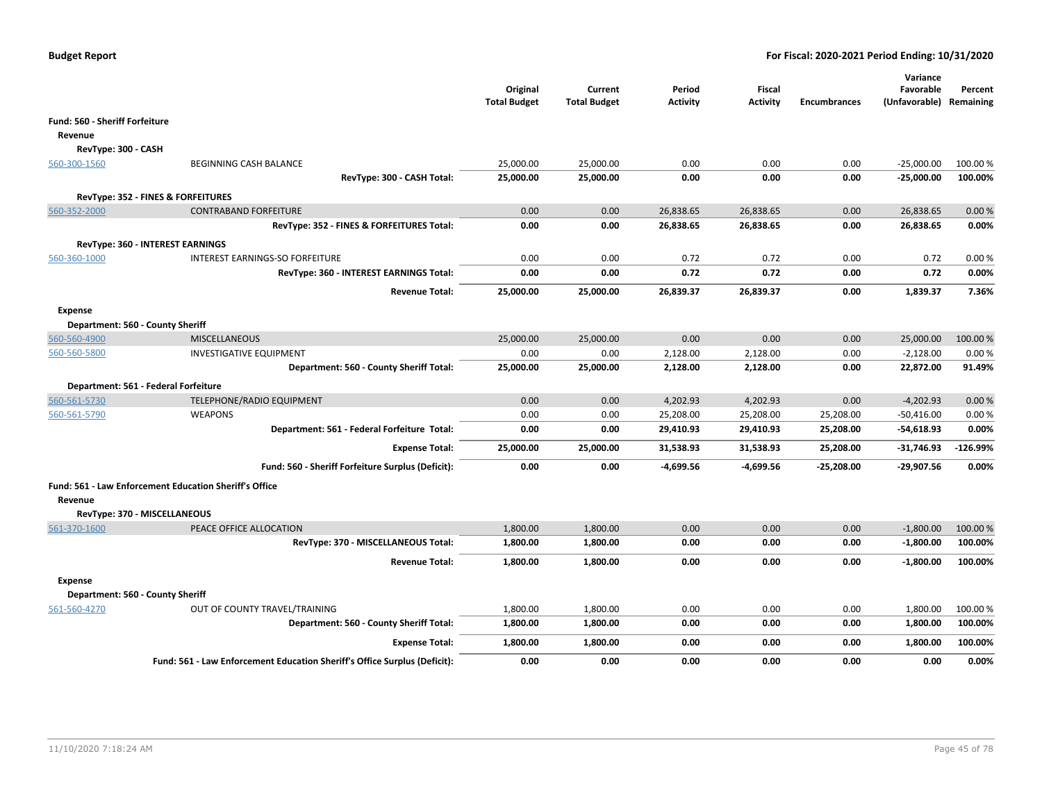|                                |                                                                           | Original<br><b>Total Budget</b> | Current<br><b>Total Budget</b> | Period<br><b>Activity</b> | Fiscal<br><b>Activity</b> | <b>Encumbrances</b> | Variance<br>Favorable<br>(Unfavorable) Remaining | Percent    |
|--------------------------------|---------------------------------------------------------------------------|---------------------------------|--------------------------------|---------------------------|---------------------------|---------------------|--------------------------------------------------|------------|
| Fund: 560 - Sheriff Forfeiture |                                                                           |                                 |                                |                           |                           |                     |                                                  |            |
| Revenue                        |                                                                           |                                 |                                |                           |                           |                     |                                                  |            |
| RevType: 300 - CASH            |                                                                           |                                 |                                |                           |                           |                     |                                                  |            |
| 560-300-1560                   | BEGINNING CASH BALANCE                                                    | 25,000.00                       | 25,000.00                      | 0.00                      | 0.00                      | 0.00                | $-25,000.00$                                     | 100.00%    |
|                                | RevType: 300 - CASH Total:                                                | 25,000.00                       | 25,000.00                      | 0.00                      | 0.00                      | 0.00                | $-25,000.00$                                     | 100.00%    |
|                                |                                                                           |                                 |                                |                           |                           |                     |                                                  |            |
| 560-352-2000                   | RevType: 352 - FINES & FORFEITURES<br><b>CONTRABAND FORFEITURE</b>        | 0.00                            | 0.00                           | 26,838.65                 | 26,838.65                 | 0.00                | 26,838.65                                        | 0.00%      |
|                                | RevType: 352 - FINES & FORFEITURES Total:                                 | 0.00                            | 0.00                           | 26,838.65                 | 26,838.65                 | 0.00                | 26,838.65                                        | 0.00%      |
|                                |                                                                           |                                 |                                |                           |                           |                     |                                                  |            |
|                                | RevType: 360 - INTEREST EARNINGS                                          |                                 |                                |                           |                           |                     |                                                  |            |
| 560-360-1000                   | INTEREST EARNINGS-SO FORFEITURE                                           | 0.00                            | 0.00                           | 0.72                      | 0.72                      | 0.00                | 0.72                                             | 0.00%      |
|                                | RevType: 360 - INTEREST EARNINGS Total:                                   | 0.00                            | 0.00                           | 0.72                      | 0.72                      | 0.00                | 0.72                                             | 0.00%      |
|                                | <b>Revenue Total:</b>                                                     | 25,000.00                       | 25,000.00                      | 26,839.37                 | 26,839.37                 | 0.00                | 1,839.37                                         | 7.36%      |
| <b>Expense</b>                 |                                                                           |                                 |                                |                           |                           |                     |                                                  |            |
|                                | Department: 560 - County Sheriff                                          |                                 |                                |                           |                           |                     |                                                  |            |
| 560-560-4900                   | <b>MISCELLANEOUS</b>                                                      | 25,000.00                       | 25,000.00                      | 0.00                      | 0.00                      | 0.00                | 25,000.00                                        | 100.00%    |
| 560-560-5800                   | <b>INVESTIGATIVE EQUIPMENT</b>                                            | 0.00                            | 0.00                           | 2,128.00                  | 2,128.00                  | 0.00                | $-2,128.00$                                      | 0.00%      |
|                                | Department: 560 - County Sheriff Total:                                   | 25,000.00                       | 25,000.00                      | 2,128.00                  | 2,128.00                  | 0.00                | 22,872.00                                        | 91.49%     |
|                                | Department: 561 - Federal Forfeiture                                      |                                 |                                |                           |                           |                     |                                                  |            |
| 560-561-5730                   | TELEPHONE/RADIO EQUIPMENT                                                 | 0.00                            | 0.00                           | 4,202.93                  | 4,202.93                  | 0.00                | $-4,202.93$                                      | 0.00 %     |
| 560-561-5790                   | <b>WEAPONS</b>                                                            | 0.00                            | 0.00                           | 25,208.00                 | 25,208.00                 | 25,208.00           | $-50,416.00$                                     | 0.00%      |
|                                | Department: 561 - Federal Forfeiture Total:                               | 0.00                            | 0.00                           | 29,410.93                 | 29,410.93                 | 25,208.00           | $-54,618.93$                                     | 0.00%      |
|                                | <b>Expense Total:</b>                                                     | 25,000.00                       | 25,000.00                      | 31,538.93                 | 31,538.93                 | 25,208.00           | $-31,746.93$                                     | $-126.99%$ |
|                                | Fund: 560 - Sheriff Forfeiture Surplus (Deficit):                         | 0.00                            | 0.00                           | -4,699.56                 | $-4,699.56$               | $-25,208.00$        | $-29,907.56$                                     | 0.00%      |
|                                |                                                                           |                                 |                                |                           |                           |                     |                                                  |            |
|                                | Fund: 561 - Law Enforcement Education Sheriff's Office                    |                                 |                                |                           |                           |                     |                                                  |            |
| Revenue                        |                                                                           |                                 |                                |                           |                           |                     |                                                  |            |
|                                | RevType: 370 - MISCELLANEOUS                                              |                                 |                                |                           |                           |                     |                                                  |            |
| 561-370-1600                   | PEACE OFFICE ALLOCATION                                                   | 1,800.00                        | 1,800.00                       | 0.00                      | 0.00                      | 0.00                | $-1,800.00$                                      | 100.00%    |
|                                | RevType: 370 - MISCELLANEOUS Total:                                       | 1,800.00                        | 1,800.00                       | 0.00                      | 0.00                      | 0.00                | $-1,800.00$                                      | 100.00%    |
|                                | <b>Revenue Total:</b>                                                     | 1,800.00                        | 1,800.00                       | 0.00                      | 0.00                      | 0.00                | $-1,800.00$                                      | 100.00%    |
| <b>Expense</b>                 |                                                                           |                                 |                                |                           |                           |                     |                                                  |            |
|                                | Department: 560 - County Sheriff                                          |                                 |                                |                           |                           |                     |                                                  |            |
| 561-560-4270                   | OUT OF COUNTY TRAVEL/TRAINING                                             | 1,800.00                        | 1,800.00                       | 0.00                      | 0.00                      | 0.00                | 1,800.00                                         | 100.00%    |
|                                | Department: 560 - County Sheriff Total:                                   | 1,800.00                        | 1,800.00                       | 0.00                      | 0.00                      | 0.00                | 1,800.00                                         | 100.00%    |
|                                | <b>Expense Total:</b>                                                     | 1,800.00                        | 1,800.00                       | 0.00                      | 0.00                      | 0.00                | 1,800.00                                         | 100.00%    |
|                                | Fund: 561 - Law Enforcement Education Sheriff's Office Surplus (Deficit): | 0.00                            | 0.00                           | 0.00                      | 0.00                      | 0.00                | 0.00                                             | 0.00%      |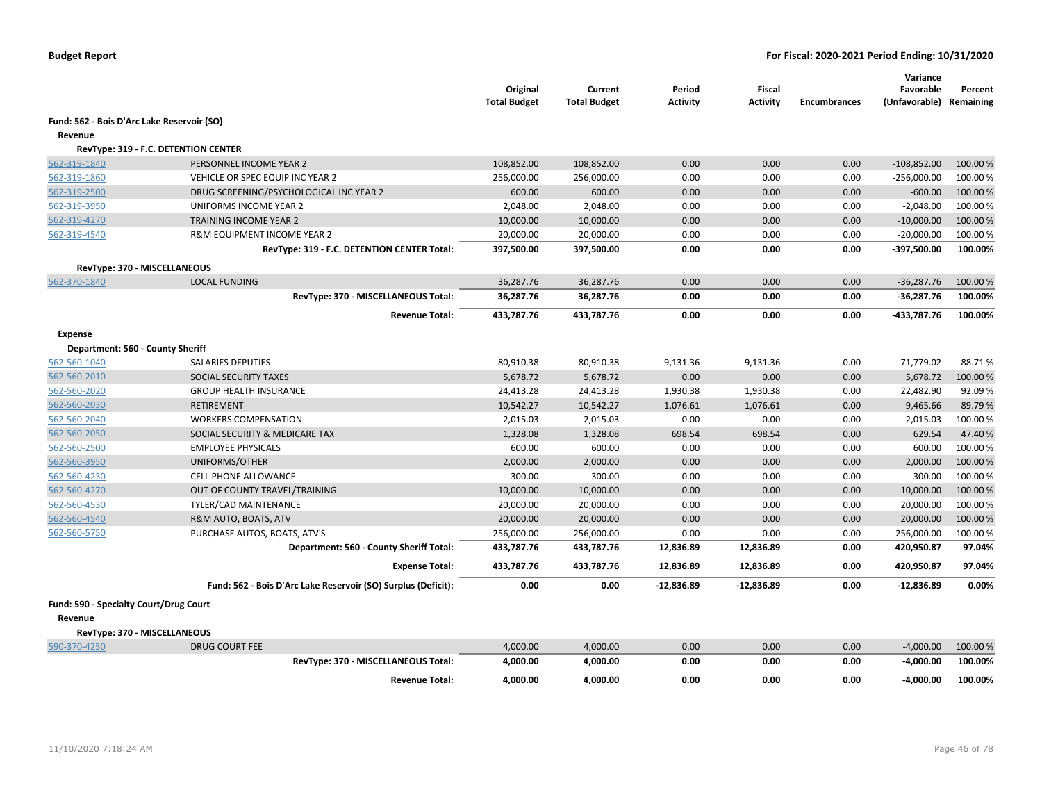|                                            |                                                               | Original<br><b>Total Budget</b> | Current<br><b>Total Budget</b> | Period<br><b>Activity</b> | Fiscal<br><b>Activity</b> | <b>Encumbrances</b> | Variance<br>Favorable<br>(Unfavorable) Remaining | Percent  |
|--------------------------------------------|---------------------------------------------------------------|---------------------------------|--------------------------------|---------------------------|---------------------------|---------------------|--------------------------------------------------|----------|
| Fund: 562 - Bois D'Arc Lake Reservoir (SO) |                                                               |                                 |                                |                           |                           |                     |                                                  |          |
| Revenue                                    |                                                               |                                 |                                |                           |                           |                     |                                                  |          |
|                                            | RevType: 319 - F.C. DETENTION CENTER                          |                                 |                                |                           |                           |                     |                                                  |          |
| 562-319-1840                               | PERSONNEL INCOME YEAR 2                                       | 108,852.00                      | 108,852.00                     | 0.00                      | 0.00                      | 0.00                | $-108,852.00$                                    | 100.00 % |
| 562-319-1860                               | VEHICLE OR SPEC EQUIP INC YEAR 2                              | 256,000.00                      | 256,000.00                     | 0.00                      | 0.00                      | 0.00                | $-256,000.00$                                    | 100.00%  |
| 562-319-2500                               | DRUG SCREENING/PSYCHOLOGICAL INC YEAR 2                       | 600.00                          | 600.00                         | 0.00                      | 0.00                      | 0.00                | $-600.00$                                        | 100.00%  |
| 562-319-3950                               | UNIFORMS INCOME YEAR 2                                        | 2,048.00                        | 2,048.00                       | 0.00                      | 0.00                      | 0.00                | $-2,048.00$                                      | 100.00%  |
| 562-319-4270                               | TRAINING INCOME YEAR 2                                        | 10,000.00                       | 10,000.00                      | 0.00                      | 0.00                      | 0.00                | $-10,000.00$                                     | 100.00 % |
| 562-319-4540                               | R&M EQUIPMENT INCOME YEAR 2                                   | 20,000.00                       | 20,000.00                      | 0.00                      | 0.00                      | 0.00                | $-20,000.00$                                     | 100.00%  |
|                                            | RevType: 319 - F.C. DETENTION CENTER Total:                   | 397,500.00                      | 397,500.00                     | 0.00                      | 0.00                      | 0.00                | -397,500.00                                      | 100.00%  |
| RevType: 370 - MISCELLANEOUS               |                                                               |                                 |                                |                           |                           |                     |                                                  |          |
| 562-370-1840                               | <b>LOCAL FUNDING</b>                                          | 36,287.76                       | 36,287.76                      | 0.00                      | 0.00                      | 0.00                | $-36,287.76$                                     | 100.00 % |
|                                            | RevType: 370 - MISCELLANEOUS Total:                           | 36,287.76                       | 36,287.76                      | 0.00                      | 0.00                      | 0.00                | $-36,287.76$                                     | 100.00%  |
|                                            | <b>Revenue Total:</b>                                         | 433,787.76                      | 433,787.76                     | 0.00                      | 0.00                      | 0.00                | -433,787.76                                      | 100.00%  |
| <b>Expense</b>                             |                                                               |                                 |                                |                           |                           |                     |                                                  |          |
| Department: 560 - County Sheriff           |                                                               |                                 |                                |                           |                           |                     |                                                  |          |
| 562-560-1040                               | <b>SALARIES DEPUTIES</b>                                      | 80,910.38                       | 80,910.38                      | 9,131.36                  | 9,131.36                  | 0.00                | 71,779.02                                        | 88.71%   |
| 562-560-2010                               | SOCIAL SECURITY TAXES                                         | 5,678.72                        | 5,678.72                       | 0.00                      | 0.00                      | 0.00                | 5,678.72                                         | 100.00 % |
| 562-560-2020                               | <b>GROUP HEALTH INSURANCE</b>                                 | 24,413.28                       | 24,413.28                      | 1,930.38                  | 1,930.38                  | 0.00                | 22,482.90                                        | 92.09%   |
| 562-560-2030                               | <b>RETIREMENT</b>                                             | 10,542.27                       | 10,542.27                      | 1,076.61                  | 1,076.61                  | 0.00                | 9,465.66                                         | 89.79%   |
| 562-560-2040                               | <b>WORKERS COMPENSATION</b>                                   | 2,015.03                        | 2,015.03                       | 0.00                      | 0.00                      | 0.00                | 2,015.03                                         | 100.00%  |
| 562-560-2050                               | SOCIAL SECURITY & MEDICARE TAX                                | 1,328.08                        | 1,328.08                       | 698.54                    | 698.54                    | 0.00                | 629.54                                           | 47.40 %  |
| 562-560-2500                               | <b>EMPLOYEE PHYSICALS</b>                                     | 600.00                          | 600.00                         | 0.00                      | 0.00                      | 0.00                | 600.00                                           | 100.00%  |
| 562-560-3950                               | UNIFORMS/OTHER                                                | 2,000.00                        | 2,000.00                       | 0.00                      | 0.00                      | 0.00                | 2,000.00                                         | 100.00 % |
| 562-560-4230                               | <b>CELL PHONE ALLOWANCE</b>                                   | 300.00                          | 300.00                         | 0.00                      | 0.00                      | 0.00                | 300.00                                           | 100.00%  |
| 562-560-4270                               | OUT OF COUNTY TRAVEL/TRAINING                                 | 10,000.00                       | 10,000.00                      | 0.00                      | 0.00                      | 0.00                | 10,000.00                                        | 100.00 % |
| 562-560-4530                               | TYLER/CAD MAINTENANCE                                         | 20,000.00                       | 20,000.00                      | 0.00                      | 0.00                      | 0.00                | 20,000.00                                        | 100.00%  |
| 562-560-4540                               | R&M AUTO, BOATS, ATV                                          | 20,000.00                       | 20,000.00                      | 0.00                      | 0.00                      | 0.00                | 20,000.00                                        | 100.00 % |
| 562-560-5750                               | PURCHASE AUTOS, BOATS, ATV'S                                  | 256,000.00                      | 256,000.00                     | 0.00                      | 0.00                      | 0.00                | 256,000.00                                       | 100.00%  |
|                                            | Department: 560 - County Sheriff Total:                       | 433,787.76                      | 433,787.76                     | 12,836.89                 | 12,836.89                 | 0.00                | 420,950.87                                       | 97.04%   |
|                                            | <b>Expense Total:</b>                                         | 433,787.76                      | 433,787.76                     | 12,836.89                 | 12,836.89                 | 0.00                | 420,950.87                                       | 97.04%   |
|                                            | Fund: 562 - Bois D'Arc Lake Reservoir (SO) Surplus (Deficit): | 0.00                            | 0.00                           | $-12,836.89$              | $-12,836.89$              | 0.00                | $-12,836.89$                                     | 0.00%    |
| Fund: 590 - Specialty Court/Drug Court     |                                                               |                                 |                                |                           |                           |                     |                                                  |          |
| Revenue                                    |                                                               |                                 |                                |                           |                           |                     |                                                  |          |
| RevType: 370 - MISCELLANEOUS               |                                                               |                                 |                                |                           |                           |                     |                                                  |          |
| 590-370-4250                               | <b>DRUG COURT FEE</b>                                         | 4,000.00                        | 4,000.00                       | 0.00                      | 0.00                      | 0.00                | $-4,000.00$                                      | 100.00 % |
|                                            | RevType: 370 - MISCELLANEOUS Total:                           | 4,000.00                        | 4,000.00                       | 0.00                      | 0.00                      | 0.00                | $-4,000.00$                                      | 100.00%  |
|                                            | <b>Revenue Total:</b>                                         | 4.000.00                        | 4.000.00                       | 0.00                      | 0.00                      | 0.00                | $-4.000.00$                                      | 100.00%  |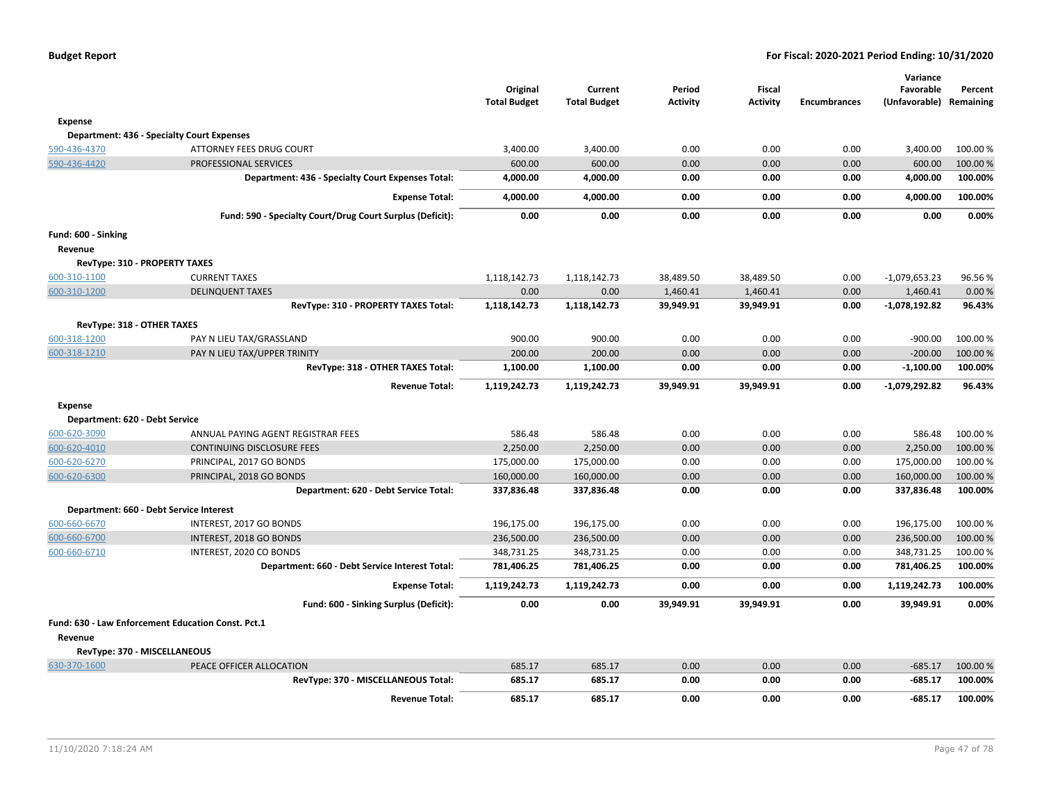|                                      |                                                           | Original<br><b>Total Budget</b> | Current<br><b>Total Budget</b> | Period<br><b>Activity</b> | <b>Fiscal</b><br><b>Activity</b> | <b>Encumbrances</b> | Variance<br>Favorable<br>(Unfavorable) | Percent<br>Remaining |
|--------------------------------------|-----------------------------------------------------------|---------------------------------|--------------------------------|---------------------------|----------------------------------|---------------------|----------------------------------------|----------------------|
| <b>Expense</b>                       |                                                           |                                 |                                |                           |                                  |                     |                                        |                      |
|                                      | <b>Department: 436 - Specialty Court Expenses</b>         |                                 |                                |                           |                                  |                     |                                        |                      |
| 590-436-4370                         | ATTORNEY FEES DRUG COURT                                  | 3,400.00                        | 3,400.00                       | 0.00                      | 0.00                             | 0.00                | 3,400.00                               | 100.00 %             |
| 590-436-4420                         | PROFESSIONAL SERVICES                                     | 600.00                          | 600.00                         | 0.00                      | 0.00                             | 0.00                | 600.00                                 | 100.00 %             |
|                                      | Department: 436 - Specialty Court Expenses Total:         | 4,000.00                        | 4,000.00                       | 0.00                      | 0.00                             | 0.00                | 4,000.00                               | 100.00%              |
|                                      | <b>Expense Total:</b>                                     | 4,000.00                        | 4,000.00                       | 0.00                      | 0.00                             | 0.00                | 4,000.00                               | 100.00%              |
|                                      | Fund: 590 - Specialty Court/Drug Court Surplus (Deficit): | 0.00                            | 0.00                           | 0.00                      | 0.00                             | 0.00                | 0.00                                   | 0.00%                |
| Fund: 600 - Sinking                  |                                                           |                                 |                                |                           |                                  |                     |                                        |                      |
| Revenue                              |                                                           |                                 |                                |                           |                                  |                     |                                        |                      |
| <b>RevType: 310 - PROPERTY TAXES</b> |                                                           |                                 |                                |                           |                                  |                     |                                        |                      |
| 600-310-1100                         | <b>CURRENT TAXES</b>                                      | 1,118,142.73                    | 1,118,142.73                   | 38,489.50                 | 38,489.50                        | 0.00                | $-1,079,653.23$                        | 96.56%               |
| 600-310-1200                         | <b>DELINQUENT TAXES</b>                                   | 0.00                            | 0.00                           | 1,460.41                  | 1,460.41                         | 0.00                | 1,460.41                               | 0.00%                |
|                                      | RevType: 310 - PROPERTY TAXES Total:                      | 1,118,142.73                    | 1,118,142.73                   | 39,949.91                 | 39,949.91                        | 0.00                | $-1,078,192.82$                        | 96.43%               |
| RevType: 318 - OTHER TAXES           |                                                           |                                 |                                |                           |                                  |                     |                                        |                      |
| 600-318-1200                         | PAY N LIEU TAX/GRASSLAND                                  | 900.00                          | 900.00                         | 0.00                      | 0.00                             | 0.00                | $-900.00$                              | 100.00%              |
| 600-318-1210                         | PAY N LIEU TAX/UPPER TRINITY                              | 200.00                          | 200.00                         | 0.00                      | 0.00                             | 0.00                | $-200.00$                              | 100.00 %             |
|                                      | RevType: 318 - OTHER TAXES Total:                         | 1,100.00                        | 1,100.00                       | 0.00                      | 0.00                             | 0.00                | $-1,100.00$                            | 100.00%              |
|                                      | <b>Revenue Total:</b>                                     | 1,119,242.73                    | 1,119,242.73                   | 39,949.91                 | 39,949.91                        | 0.00                | $-1,079,292.82$                        | 96.43%               |
| <b>Expense</b>                       |                                                           |                                 |                                |                           |                                  |                     |                                        |                      |
| Department: 620 - Debt Service       |                                                           |                                 |                                |                           |                                  |                     |                                        |                      |
| 600-620-3090                         | ANNUAL PAYING AGENT REGISTRAR FEES                        | 586.48                          | 586.48                         | 0.00                      | 0.00                             | 0.00                | 586.48                                 | 100.00 %             |
| 600-620-4010                         | CONTINUING DISCLOSURE FEES                                | 2,250.00                        | 2,250.00                       | 0.00                      | 0.00                             | 0.00                | 2,250.00                               | 100.00%              |
| 600-620-6270                         | PRINCIPAL, 2017 GO BONDS                                  | 175,000.00                      | 175,000.00                     | 0.00                      | 0.00                             | 0.00                | 175,000.00                             | 100.00 %             |
| 600-620-6300                         | PRINCIPAL, 2018 GO BONDS                                  | 160,000.00                      | 160,000.00                     | 0.00                      | 0.00                             | 0.00                | 160,000.00                             | 100.00 %             |
|                                      | Department: 620 - Debt Service Total:                     | 337,836.48                      | 337,836.48                     | 0.00                      | 0.00                             | 0.00                | 337,836.48                             | 100.00%              |
|                                      | Department: 660 - Debt Service Interest                   |                                 |                                |                           |                                  |                     |                                        |                      |
| 600-660-6670                         | INTEREST, 2017 GO BONDS                                   | 196,175.00                      | 196,175.00                     | 0.00                      | 0.00                             | 0.00                | 196,175.00                             | 100.00 %             |
| 600-660-6700                         | INTEREST, 2018 GO BONDS                                   | 236,500.00                      | 236,500.00                     | 0.00                      | 0.00                             | 0.00                | 236,500.00                             | 100.00 %             |
| 600-660-6710                         | INTEREST, 2020 CO BONDS                                   | 348,731.25                      | 348,731.25                     | 0.00                      | 0.00                             | 0.00                | 348,731.25                             | 100.00%              |
|                                      | Department: 660 - Debt Service Interest Total:            | 781,406.25                      | 781,406.25                     | 0.00                      | 0.00                             | 0.00                | 781,406.25                             | 100.00%              |
|                                      | <b>Expense Total:</b>                                     | 1,119,242.73                    | 1,119,242.73                   | 0.00                      | 0.00                             | 0.00                | 1,119,242.73                           | 100.00%              |
|                                      | Fund: 600 - Sinking Surplus (Deficit):                    | 0.00                            | 0.00                           | 39,949.91                 | 39,949.91                        | 0.00                | 39,949.91                              | 0.00%                |
|                                      | Fund: 630 - Law Enforcement Education Const. Pct.1        |                                 |                                |                           |                                  |                     |                                        |                      |
| Revenue                              |                                                           |                                 |                                |                           |                                  |                     |                                        |                      |
| RevType: 370 - MISCELLANEOUS         |                                                           |                                 |                                |                           |                                  |                     |                                        |                      |
| 630-370-1600                         | PEACE OFFICER ALLOCATION                                  | 685.17                          | 685.17                         | 0.00                      | 0.00                             | 0.00                | $-685.17$                              | 100.00 %             |
|                                      | RevType: 370 - MISCELLANEOUS Total:                       | 685.17                          | 685.17                         | 0.00                      | 0.00                             | 0.00                | $-685.17$                              | 100.00%              |
|                                      | <b>Revenue Total:</b>                                     | 685.17                          | 685.17                         | 0.00                      | 0.00                             | 0.00                | $-685.17$                              | 100.00%              |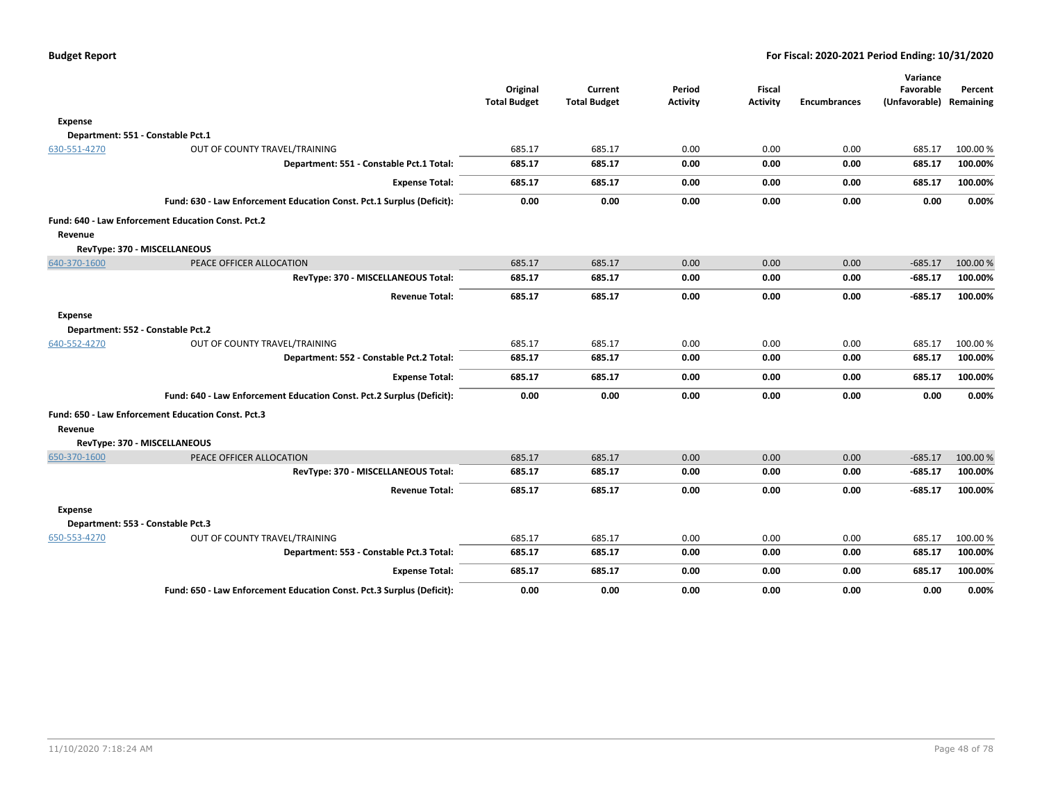|                |                                                                       | Original<br><b>Total Budget</b> | Current<br><b>Total Budget</b> | Period<br><b>Activity</b> | <b>Fiscal</b><br><b>Activity</b> | <b>Encumbrances</b> | Variance<br>Favorable<br>(Unfavorable) Remaining | Percent            |
|----------------|-----------------------------------------------------------------------|---------------------------------|--------------------------------|---------------------------|----------------------------------|---------------------|--------------------------------------------------|--------------------|
|                |                                                                       |                                 |                                |                           |                                  |                     |                                                  |                    |
| Expense        |                                                                       |                                 |                                |                           |                                  |                     |                                                  |                    |
|                | Department: 551 - Constable Pct.1                                     |                                 |                                |                           | 0.00                             | 0.00                |                                                  |                    |
| 630-551-4270   | OUT OF COUNTY TRAVEL/TRAINING                                         | 685.17                          | 685.17<br>685.17               | 0.00                      |                                  | 0.00                | 685.17                                           | 100.00%<br>100.00% |
|                | Department: 551 - Constable Pct.1 Total:                              | 685.17                          |                                | 0.00                      | 0.00                             |                     | 685.17                                           |                    |
|                | <b>Expense Total:</b>                                                 | 685.17                          | 685.17                         | 0.00                      | 0.00                             | 0.00                | 685.17                                           | 100.00%            |
|                | Fund: 630 - Law Enforcement Education Const. Pct.1 Surplus (Deficit): | 0.00                            | 0.00                           | 0.00                      | 0.00                             | 0.00                | 0.00                                             | 0.00%              |
|                | Fund: 640 - Law Enforcement Education Const. Pct.2                    |                                 |                                |                           |                                  |                     |                                                  |                    |
| Revenue        |                                                                       |                                 |                                |                           |                                  |                     |                                                  |                    |
|                | RevType: 370 - MISCELLANEOUS                                          |                                 |                                |                           |                                  |                     |                                                  |                    |
| 640-370-1600   | PEACE OFFICER ALLOCATION                                              | 685.17                          | 685.17                         | 0.00                      | 0.00                             | 0.00                | $-685.17$                                        | 100.00%            |
|                | RevType: 370 - MISCELLANEOUS Total:                                   | 685.17                          | 685.17                         | 0.00                      | 0.00                             | 0.00                | $-685.17$                                        | 100.00%            |
|                | <b>Revenue Total:</b>                                                 | 685.17                          | 685.17                         | 0.00                      | 0.00                             | 0.00                | -685.17                                          | 100.00%            |
| Expense        |                                                                       |                                 |                                |                           |                                  |                     |                                                  |                    |
|                | Department: 552 - Constable Pct.2                                     |                                 |                                |                           |                                  |                     |                                                  |                    |
| 640-552-4270   | OUT OF COUNTY TRAVEL/TRAINING                                         | 685.17                          | 685.17                         | 0.00                      | 0.00                             | 0.00                | 685.17                                           | 100.00%            |
|                | Department: 552 - Constable Pct.2 Total:                              | 685.17                          | 685.17                         | 0.00                      | 0.00                             | 0.00                | 685.17                                           | 100.00%            |
|                | <b>Expense Total:</b>                                                 | 685.17                          | 685.17                         | 0.00                      | 0.00                             | 0.00                | 685.17                                           | 100.00%            |
|                | Fund: 640 - Law Enforcement Education Const. Pct.2 Surplus (Deficit): | 0.00                            | 0.00                           | 0.00                      | 0.00                             | 0.00                | 0.00                                             | 0.00%              |
|                | Fund: 650 - Law Enforcement Education Const. Pct.3                    |                                 |                                |                           |                                  |                     |                                                  |                    |
| Revenue        |                                                                       |                                 |                                |                           |                                  |                     |                                                  |                    |
|                | RevType: 370 - MISCELLANEOUS                                          |                                 |                                |                           |                                  |                     |                                                  |                    |
| 650-370-1600   | PEACE OFFICER ALLOCATION                                              | 685.17                          | 685.17                         | 0.00                      | 0.00                             | 0.00                | $-685.17$                                        | 100.00%            |
|                | RevType: 370 - MISCELLANEOUS Total:                                   | 685.17                          | 685.17                         | 0.00                      | 0.00                             | 0.00                | $-685.17$                                        | 100.00%            |
|                | <b>Revenue Total:</b>                                                 | 685.17                          | 685.17                         | 0.00                      | 0.00                             | 0.00                | -685.17                                          | 100.00%            |
| <b>Expense</b> |                                                                       |                                 |                                |                           |                                  |                     |                                                  |                    |
|                | Department: 553 - Constable Pct.3                                     |                                 |                                |                           |                                  |                     |                                                  |                    |
| 650-553-4270   | OUT OF COUNTY TRAVEL/TRAINING                                         | 685.17                          | 685.17                         | 0.00                      | 0.00                             | 0.00                | 685.17                                           | 100.00%            |
|                | Department: 553 - Constable Pct.3 Total:                              | 685.17                          | 685.17                         | 0.00                      | 0.00                             | 0.00                | 685.17                                           | 100.00%            |
|                | <b>Expense Total:</b>                                                 | 685.17                          | 685.17                         | 0.00                      | 0.00                             | 0.00                | 685.17                                           | 100.00%            |
|                | Fund: 650 - Law Enforcement Education Const. Pct.3 Surplus (Deficit): | 0.00                            | 0.00                           | 0.00                      | 0.00                             | 0.00                | 0.00                                             | 0.00%              |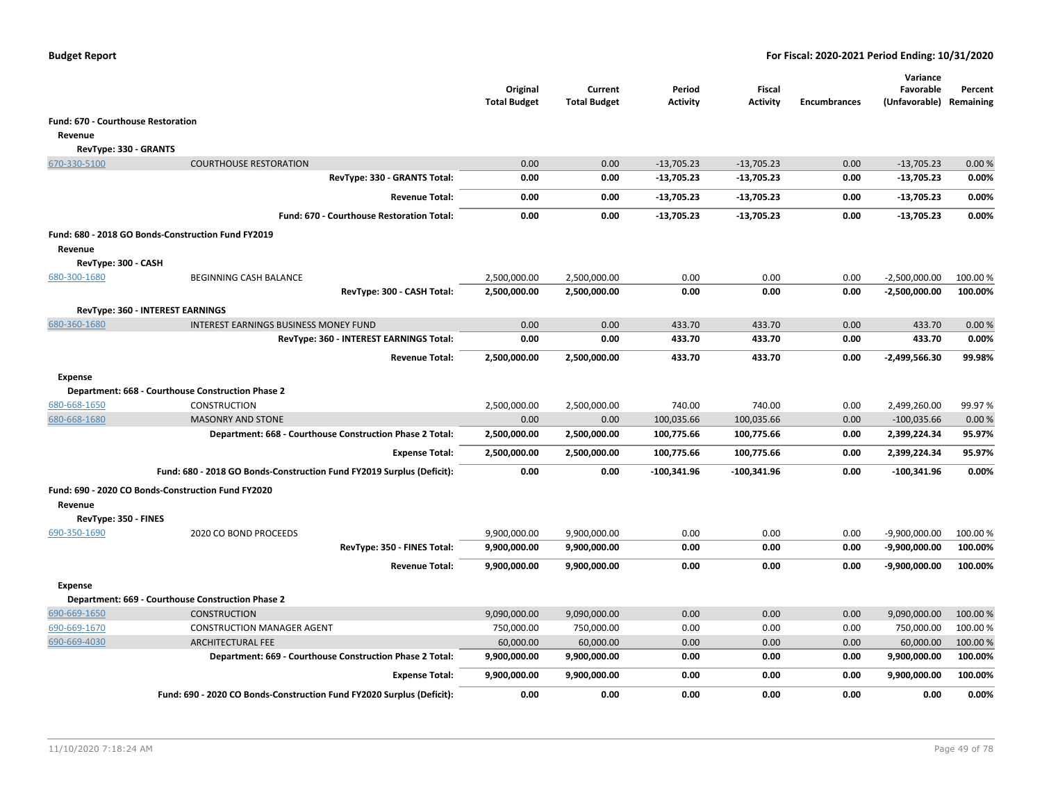|                                    |                                                                       | Original<br><b>Total Budget</b> | Current<br><b>Total Budget</b> | Period<br>Activity | <b>Fiscal</b><br><b>Activity</b> | <b>Encumbrances</b> | Variance<br>Favorable<br>(Unfavorable) | Percent<br>Remaining |
|------------------------------------|-----------------------------------------------------------------------|---------------------------------|--------------------------------|--------------------|----------------------------------|---------------------|----------------------------------------|----------------------|
| Fund: 670 - Courthouse Restoration |                                                                       |                                 |                                |                    |                                  |                     |                                        |                      |
| Revenue                            |                                                                       |                                 |                                |                    |                                  |                     |                                        |                      |
| RevType: 330 - GRANTS              |                                                                       |                                 |                                |                    |                                  |                     |                                        |                      |
| 670-330-5100                       | <b>COURTHOUSE RESTORATION</b>                                         | 0.00                            | 0.00                           | $-13,705.23$       | $-13,705.23$                     | 0.00                | $-13,705.23$                           | 0.00%                |
|                                    | RevType: 330 - GRANTS Total:                                          | 0.00                            | 0.00                           | -13,705.23         | $-13,705.23$                     | 0.00                | $-13,705.23$                           | 0.00%                |
|                                    | <b>Revenue Total:</b>                                                 | 0.00                            | 0.00                           | $-13,705.23$       | -13,705.23                       | 0.00                | $-13,705.23$                           | 0.00%                |
|                                    | Fund: 670 - Courthouse Restoration Total:                             | 0.00                            | 0.00                           | -13,705.23         | $-13,705.23$                     | 0.00                | $-13,705.23$                           | 0.00%                |
|                                    | Fund: 680 - 2018 GO Bonds-Construction Fund FY2019                    |                                 |                                |                    |                                  |                     |                                        |                      |
| Revenue                            |                                                                       |                                 |                                |                    |                                  |                     |                                        |                      |
| RevType: 300 - CASH                |                                                                       |                                 |                                |                    |                                  |                     |                                        |                      |
| 680-300-1680                       | BEGINNING CASH BALANCE                                                | 2,500,000.00                    | 2,500,000.00                   | 0.00               | 0.00                             | 0.00                | $-2,500,000.00$                        | 100.00 %             |
|                                    | RevType: 300 - CASH Total:                                            | 2,500,000.00                    | 2,500,000.00                   | 0.00               | 0.00                             | 0.00                | $-2,500,000.00$                        | 100.00%              |
|                                    | <b>RevType: 360 - INTEREST EARNINGS</b>                               |                                 |                                |                    |                                  |                     |                                        |                      |
| 680-360-1680                       | <b>INTEREST EARNINGS BUSINESS MONEY FUND</b>                          | 0.00                            | 0.00                           | 433.70             | 433.70                           | 0.00                | 433.70                                 | 0.00%                |
|                                    | RevType: 360 - INTEREST EARNINGS Total:                               | 0.00                            | 0.00                           | 433.70             | 433.70                           | 0.00                | 433.70                                 | 0.00%                |
|                                    | <b>Revenue Total:</b>                                                 | 2,500,000.00                    | 2,500,000.00                   | 433.70             | 433.70                           | 0.00                | $-2,499,566.30$                        | 99.98%               |
| <b>Expense</b>                     |                                                                       |                                 |                                |                    |                                  |                     |                                        |                      |
|                                    | Department: 668 - Courthouse Construction Phase 2                     |                                 |                                |                    |                                  |                     |                                        |                      |
| 680-668-1650                       | <b>CONSTRUCTION</b>                                                   | 2,500,000.00                    | 2,500,000.00                   | 740.00             | 740.00                           | 0.00                | 2,499,260.00                           | 99.97%               |
| 680-668-1680                       | <b>MASONRY AND STONE</b>                                              | 0.00                            | 0.00                           | 100,035.66         | 100,035.66                       | 0.00                | $-100,035.66$                          | 0.00%                |
|                                    | Department: 668 - Courthouse Construction Phase 2 Total:              | 2,500,000.00                    | 2,500,000.00                   | 100,775.66         | 100,775.66                       | 0.00                | 2,399,224.34                           | 95.97%               |
|                                    | <b>Expense Total:</b>                                                 | 2,500,000.00                    | 2,500,000.00                   | 100,775.66         | 100,775.66                       | 0.00                | 2,399,224.34                           | 95.97%               |
|                                    | Fund: 680 - 2018 GO Bonds-Construction Fund FY2019 Surplus (Deficit): | 0.00                            | 0.00                           | $-100,341.96$      | $-100,341.96$                    | 0.00                | $-100,341.96$                          | 0.00%                |
|                                    | Fund: 690 - 2020 CO Bonds-Construction Fund FY2020                    |                                 |                                |                    |                                  |                     |                                        |                      |
| Revenue                            |                                                                       |                                 |                                |                    |                                  |                     |                                        |                      |
| RevType: 350 - FINES               |                                                                       |                                 |                                |                    |                                  |                     |                                        |                      |
| 690-350-1690                       | 2020 CO BOND PROCEEDS                                                 | 9,900,000.00                    | 9,900,000.00                   | 0.00               | 0.00                             | 0.00                | $-9,900,000.00$                        | 100.00 %             |
|                                    | RevType: 350 - FINES Total:                                           | 9,900,000.00                    | 9,900,000.00                   | 0.00               | 0.00                             | 0.00                | $-9,900,000.00$                        | 100.00%              |
|                                    | <b>Revenue Total:</b>                                                 | 9,900,000.00                    | 9,900,000.00                   | 0.00               | 0.00                             | 0.00                | -9,900,000.00                          | 100.00%              |
| <b>Expense</b>                     |                                                                       |                                 |                                |                    |                                  |                     |                                        |                      |
|                                    | Department: 669 - Courthouse Construction Phase 2                     |                                 |                                |                    |                                  |                     |                                        |                      |
| 690-669-1650                       | <b>CONSTRUCTION</b>                                                   | 9,090,000.00                    | 9,090,000.00                   | 0.00               | 0.00                             | 0.00                | 9,090,000.00                           | 100.00 %             |
| 690-669-1670                       | <b>CONSTRUCTION MANAGER AGENT</b>                                     | 750,000.00                      | 750,000.00                     | 0.00               | 0.00                             | 0.00                | 750,000.00                             | 100.00%              |
| 690-669-4030                       | <b>ARCHITECTURAL FEE</b>                                              | 60,000.00                       | 60,000.00                      | 0.00               | 0.00                             | 0.00                | 60,000.00                              | 100.00 %             |
|                                    | Department: 669 - Courthouse Construction Phase 2 Total:              | 9,900,000.00                    | 9,900,000.00                   | 0.00               | 0.00                             | 0.00                | 9,900,000.00                           | 100.00%              |
|                                    | <b>Expense Total:</b>                                                 | 9,900,000.00                    | 9,900,000.00                   | 0.00               | 0.00                             | 0.00                | 9,900,000.00                           | 100.00%              |
|                                    | Fund: 690 - 2020 CO Bonds-Construction Fund FY2020 Surplus (Deficit): | 0.00                            | 0.00                           | 0.00               | 0.00                             | 0.00                | 0.00                                   | 0.00%                |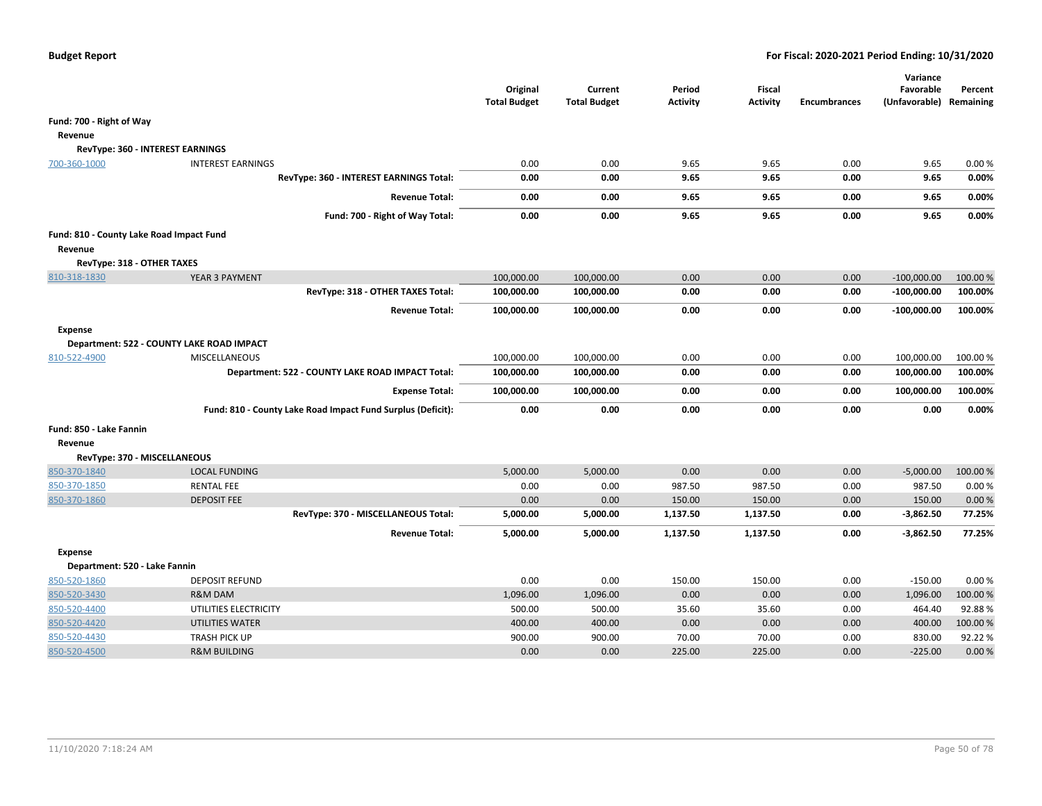|                                          |                                                             | Original<br><b>Total Budget</b> | Current<br><b>Total Budget</b> | Period<br>Activity | <b>Fiscal</b><br><b>Activity</b> | <b>Encumbrances</b> | Variance<br>Favorable<br>(Unfavorable) | Percent<br>Remaining |
|------------------------------------------|-------------------------------------------------------------|---------------------------------|--------------------------------|--------------------|----------------------------------|---------------------|----------------------------------------|----------------------|
| Fund: 700 - Right of Way                 |                                                             |                                 |                                |                    |                                  |                     |                                        |                      |
| Revenue                                  |                                                             |                                 |                                |                    |                                  |                     |                                        |                      |
|                                          | RevType: 360 - INTEREST EARNINGS                            |                                 |                                |                    |                                  |                     |                                        |                      |
| 700-360-1000                             | <b>INTEREST EARNINGS</b>                                    | 0.00                            | 0.00                           | 9.65               | 9.65                             | 0.00                | 9.65                                   | 0.00%                |
|                                          | RevType: 360 - INTEREST EARNINGS Total:                     | 0.00                            | 0.00                           | 9.65               | 9.65                             | 0.00                | 9.65                                   | 0.00%                |
|                                          | <b>Revenue Total:</b>                                       | 0.00                            | 0.00                           | 9.65               | 9.65                             | 0.00                | 9.65                                   | 0.00%                |
|                                          | Fund: 700 - Right of Way Total:                             | 0.00                            | 0.00                           | 9.65               | 9.65                             | 0.00                | 9.65                                   | 0.00%                |
| Fund: 810 - County Lake Road Impact Fund |                                                             |                                 |                                |                    |                                  |                     |                                        |                      |
| Revenue                                  |                                                             |                                 |                                |                    |                                  |                     |                                        |                      |
| RevType: 318 - OTHER TAXES               |                                                             |                                 |                                |                    |                                  |                     |                                        |                      |
| 810-318-1830                             | YEAR 3 PAYMENT                                              | 100,000.00                      | 100,000.00                     | 0.00               | 0.00                             | 0.00                | $-100,000.00$                          | 100.00%              |
|                                          | RevType: 318 - OTHER TAXES Total:                           | 100,000.00                      | 100,000.00                     | 0.00               | 0.00                             | 0.00                | $-100,000.00$                          | 100.00%              |
|                                          | <b>Revenue Total:</b>                                       | 100,000.00                      | 100,000.00                     | 0.00               | 0.00                             | 0.00                | $-100,000.00$                          | 100.00%              |
| <b>Expense</b>                           |                                                             |                                 |                                |                    |                                  |                     |                                        |                      |
|                                          | Department: 522 - COUNTY LAKE ROAD IMPACT                   |                                 |                                |                    |                                  |                     |                                        |                      |
| 810-522-4900                             | <b>MISCELLANEOUS</b>                                        | 100,000.00                      | 100,000.00                     | 0.00               | 0.00                             | 0.00                | 100,000.00                             | 100.00 %             |
|                                          | Department: 522 - COUNTY LAKE ROAD IMPACT Total:            | 100,000.00                      | 100,000.00                     | 0.00               | 0.00                             | 0.00                | 100,000.00                             | 100.00%              |
|                                          | <b>Expense Total:</b>                                       | 100,000.00                      | 100,000.00                     | 0.00               | 0.00                             | 0.00                | 100,000.00                             | 100.00%              |
|                                          | Fund: 810 - County Lake Road Impact Fund Surplus (Deficit): | 0.00                            | 0.00                           | 0.00               | 0.00                             | 0.00                | 0.00                                   | 0.00%                |
| Fund: 850 - Lake Fannin                  |                                                             |                                 |                                |                    |                                  |                     |                                        |                      |
| Revenue                                  |                                                             |                                 |                                |                    |                                  |                     |                                        |                      |
| RevType: 370 - MISCELLANEOUS             |                                                             |                                 |                                |                    |                                  |                     |                                        |                      |
| 850-370-1840                             | <b>LOCAL FUNDING</b>                                        | 5,000.00                        | 5,000.00                       | 0.00               | 0.00                             | 0.00                | $-5,000.00$                            | 100.00%              |
| 850-370-1850                             | <b>RENTAL FEE</b>                                           | 0.00                            | 0.00                           | 987.50             | 987.50                           | 0.00                | 987.50                                 | 0.00%                |
| 850-370-1860                             | <b>DEPOSIT FEE</b>                                          | 0.00                            | 0.00                           | 150.00             | 150.00                           | 0.00                | 150.00                                 | 0.00%                |
|                                          | RevType: 370 - MISCELLANEOUS Total:                         | 5,000.00                        | 5,000.00                       | 1,137.50           | 1,137.50                         | 0.00                | $-3,862.50$                            | 77.25%               |
|                                          | <b>Revenue Total:</b>                                       | 5,000.00                        | 5,000.00                       | 1,137.50           | 1,137.50                         | 0.00                | $-3,862.50$                            | 77.25%               |
| <b>Expense</b>                           |                                                             |                                 |                                |                    |                                  |                     |                                        |                      |
| Department: 520 - Lake Fannin            |                                                             |                                 |                                |                    |                                  |                     |                                        |                      |
| 850-520-1860                             | <b>DEPOSIT REFUND</b>                                       | 0.00                            | 0.00                           | 150.00             | 150.00                           | 0.00                | $-150.00$                              | 0.00%                |
| 850-520-3430                             | <b>R&amp;M DAM</b>                                          | 1,096.00                        | 1,096.00                       | 0.00               | 0.00                             | 0.00                | 1,096.00                               | 100.00%              |
| 850-520-4400                             | UTILITIES ELECTRICITY                                       | 500.00                          | 500.00                         | 35.60              | 35.60                            | 0.00                | 464.40                                 | 92.88%               |
| 850-520-4420                             | <b>UTILITIES WATER</b>                                      | 400.00                          | 400.00                         | 0.00               | 0.00                             | 0.00                | 400.00                                 | 100.00 %             |
| 850-520-4430                             | <b>TRASH PICK UP</b>                                        | 900.00                          | 900.00                         | 70.00              | 70.00                            | 0.00                | 830.00                                 | 92.22%               |
| 850-520-4500                             | <b>R&amp;M BUILDING</b>                                     | 0.00                            | 0.00                           | 225.00             | 225.00                           | 0.00                | $-225.00$                              | 0.00%                |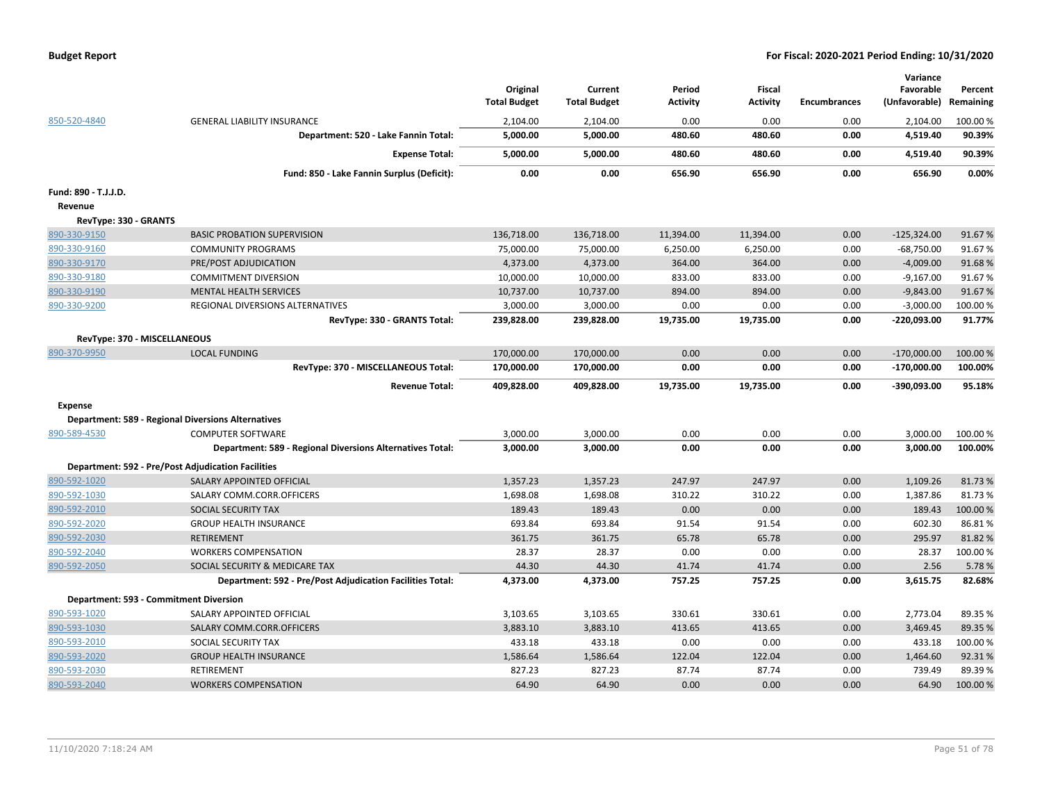| <b>Budget Report</b> |  |
|----------------------|--|
|----------------------|--|

|                                                                           |                                                           |                     |                     |                  |                  |                     | Variance             |                  |
|---------------------------------------------------------------------------|-----------------------------------------------------------|---------------------|---------------------|------------------|------------------|---------------------|----------------------|------------------|
|                                                                           |                                                           | Original            | Current             | Period           | <b>Fiscal</b>    |                     | Favorable            | Percent          |
|                                                                           |                                                           | <b>Total Budget</b> | <b>Total Budget</b> | <b>Activity</b>  | Activity         | <b>Encumbrances</b> | (Unfavorable)        | Remaining        |
| 850-520-4840                                                              | <b>GENERAL LIABILITY INSURANCE</b>                        | 2,104.00            | 2,104.00            | 0.00             | 0.00             | 0.00                | 2,104.00             | 100.00%          |
|                                                                           | Department: 520 - Lake Fannin Total:                      | 5,000.00            | 5,000.00            | 480.60           | 480.60           | 0.00                | 4,519.40             | 90.39%           |
|                                                                           | <b>Expense Total:</b>                                     | 5,000.00            | 5,000.00            | 480.60           | 480.60           | 0.00                | 4,519.40             | 90.39%           |
|                                                                           | Fund: 850 - Lake Fannin Surplus (Deficit):                | 0.00                | 0.00                | 656.90           | 656.90           | 0.00                | 656.90               | 0.00%            |
| Fund: 890 - T.J.J.D.                                                      |                                                           |                     |                     |                  |                  |                     |                      |                  |
| Revenue                                                                   |                                                           |                     |                     |                  |                  |                     |                      |                  |
| RevType: 330 - GRANTS                                                     |                                                           |                     |                     |                  |                  |                     |                      |                  |
| 890-330-9150                                                              | <b>BASIC PROBATION SUPERVISION</b>                        | 136,718.00          | 136,718.00          | 11,394.00        | 11,394.00        | 0.00                | $-125,324.00$        | 91.67%           |
| 890-330-9160                                                              | <b>COMMUNITY PROGRAMS</b>                                 | 75,000.00           | 75,000.00           | 6,250.00         | 6,250.00         | 0.00                | $-68,750.00$         | 91.67%           |
| 890-330-9170                                                              | PRE/POST ADJUDICATION                                     | 4,373.00            | 4,373.00            | 364.00           | 364.00           | 0.00                | $-4,009.00$          | 91.68%           |
| 890-330-9180                                                              | <b>COMMITMENT DIVERSION</b>                               | 10,000.00           | 10,000.00           | 833.00           | 833.00           | 0.00                | $-9,167.00$          | 91.67%           |
| 890-330-9190                                                              | <b>MENTAL HEALTH SERVICES</b>                             | 10,737.00           | 10,737.00           | 894.00           | 894.00           | 0.00                | $-9,843.00$          | 91.67%           |
| 890-330-9200                                                              | REGIONAL DIVERSIONS ALTERNATIVES                          | 3,000.00            | 3,000.00            | 0.00             | 0.00             | 0.00                | $-3,000.00$          | 100.00%          |
|                                                                           | RevType: 330 - GRANTS Total:                              | 239,828.00          | 239,828.00          | 19,735.00        | 19,735.00        | 0.00                | $-220,093.00$        | 91.77%           |
| RevType: 370 - MISCELLANEOUS                                              |                                                           |                     |                     |                  |                  |                     |                      |                  |
| 890-370-9950                                                              | <b>LOCAL FUNDING</b>                                      | 170,000.00          | 170,000.00          | 0.00             | 0.00             | 0.00                | $-170,000.00$        | 100.00%          |
|                                                                           | RevType: 370 - MISCELLANEOUS Total:                       | 170,000.00          | 170,000.00          | 0.00             | 0.00             | 0.00                | $-170,000.00$        | 100.00%          |
|                                                                           |                                                           |                     |                     |                  |                  |                     |                      |                  |
|                                                                           | <b>Revenue Total:</b>                                     | 409,828.00          | 409,828.00          | 19,735.00        | 19,735.00        | 0.00                | $-390,093.00$        | 95.18%           |
|                                                                           |                                                           |                     |                     |                  |                  |                     |                      |                  |
| Expense                                                                   |                                                           |                     |                     |                  |                  |                     |                      |                  |
| <b>Department: 589 - Regional Diversions Alternatives</b><br>890-589-4530 | <b>COMPUTER SOFTWARE</b>                                  | 3,000.00            | 3,000.00            | 0.00             | 0.00             | 0.00                | 3,000.00             | 100.00%          |
|                                                                           | Department: 589 - Regional Diversions Alternatives Total: | 3,000.00            | 3,000.00            | 0.00             | 0.00             | 0.00                | 3,000.00             | 100.00%          |
|                                                                           |                                                           |                     |                     |                  |                  |                     |                      |                  |
| <b>Department: 592 - Pre/Post Adjudication Facilities</b>                 |                                                           |                     |                     |                  |                  |                     |                      |                  |
| 890-592-1020<br>890-592-1030                                              | SALARY APPOINTED OFFICIAL<br>SALARY COMM.CORR.OFFICERS    | 1,357.23            | 1,357.23            | 247.97<br>310.22 | 247.97<br>310.22 | 0.00<br>0.00        | 1,109.26<br>1,387.86 | 81.73%<br>81.73% |
| 890-592-2010                                                              | SOCIAL SECURITY TAX                                       | 1,698.08<br>189.43  | 1,698.08<br>189.43  | 0.00             | 0.00             | 0.00                | 189.43               | 100.00%          |
| 890-592-2020                                                              | <b>GROUP HEALTH INSURANCE</b>                             | 693.84              | 693.84              | 91.54            | 91.54            | 0.00                | 602.30               | 86.81%           |
| 890-592-2030                                                              | <b>RETIREMENT</b>                                         | 361.75              | 361.75              | 65.78            | 65.78            | 0.00                | 295.97               | 81.82%           |
| 890-592-2040                                                              | <b>WORKERS COMPENSATION</b>                               | 28.37               | 28.37               | 0.00             | 0.00             | 0.00                | 28.37                | 100.00%          |
| 890-592-2050                                                              | SOCIAL SECURITY & MEDICARE TAX                            | 44.30               | 44.30               | 41.74            | 41.74            | 0.00                | 2.56                 | 5.78%            |
|                                                                           | Department: 592 - Pre/Post Adjudication Facilities Total: | 4,373.00            | 4,373.00            | 757.25           | 757.25           | 0.00                | 3,615.75             | 82.68%           |
| Department: 593 - Commitment Diversion                                    |                                                           |                     |                     |                  |                  |                     |                      |                  |
| 890-593-1020                                                              | SALARY APPOINTED OFFICIAL                                 | 3,103.65            | 3,103.65            | 330.61           | 330.61           | 0.00                | 2,773.04             | 89.35 %          |
| 890-593-1030                                                              | SALARY COMM.CORR.OFFICERS                                 | 3,883.10            | 3,883.10            | 413.65           | 413.65           | 0.00                | 3,469.45             | 89.35 %          |
| 890-593-2010                                                              | SOCIAL SECURITY TAX                                       | 433.18              | 433.18              | 0.00             | 0.00             | 0.00                | 433.18               | 100.00%          |
| 890-593-2020                                                              | <b>GROUP HEALTH INSURANCE</b>                             | 1,586.64            | 1,586.64            | 122.04           | 122.04           | 0.00                | 1,464.60             | 92.31%           |
| 890-593-2030                                                              | <b>RETIREMENT</b>                                         | 827.23              | 827.23              | 87.74            | 87.74            | 0.00                | 739.49               | 89.39%           |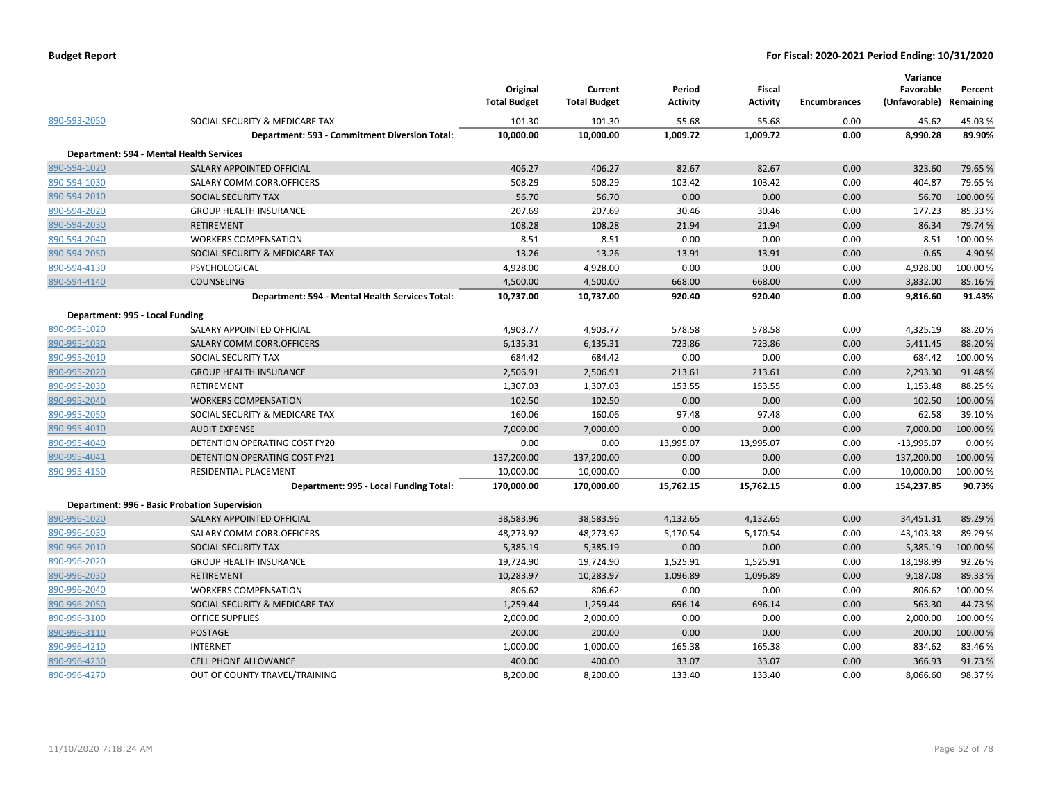|                                 |                                                 | Original<br><b>Total Budget</b> | Current<br><b>Total Budget</b> | Period<br>Activity | <b>Fiscal</b><br><b>Activity</b> | <b>Encumbrances</b> | Variance<br>Favorable<br>(Unfavorable) Remaining | Percent  |
|---------------------------------|-------------------------------------------------|---------------------------------|--------------------------------|--------------------|----------------------------------|---------------------|--------------------------------------------------|----------|
| 890-593-2050                    | SOCIAL SECURITY & MEDICARE TAX                  | 101.30                          | 101.30                         | 55.68              | 55.68                            | 0.00                | 45.62                                            | 45.03%   |
|                                 | Department: 593 - Commitment Diversion Total:   | 10,000.00                       | 10,000.00                      | 1,009.72           | 1,009.72                         | 0.00                | 8,990.28                                         | 89.90%   |
|                                 | Department: 594 - Mental Health Services        |                                 |                                |                    |                                  |                     |                                                  |          |
| 890-594-1020                    | SALARY APPOINTED OFFICIAL                       | 406.27                          | 406.27                         | 82.67              | 82.67                            | 0.00                | 323.60                                           | 79.65%   |
| 890-594-1030                    | SALARY COMM.CORR.OFFICERS                       | 508.29                          | 508.29                         | 103.42             | 103.42                           | 0.00                | 404.87                                           | 79.65%   |
| 890-594-2010                    | SOCIAL SECURITY TAX                             | 56.70                           | 56.70                          | 0.00               | 0.00                             | 0.00                | 56.70                                            | 100.00 % |
| 890-594-2020                    | <b>GROUP HEALTH INSURANCE</b>                   | 207.69                          | 207.69                         | 30.46              | 30.46                            | 0.00                | 177.23                                           | 85.33%   |
| 890-594-2030                    | <b>RETIREMENT</b>                               | 108.28                          | 108.28                         | 21.94              | 21.94                            | 0.00                | 86.34                                            | 79.74 %  |
| 890-594-2040                    | <b>WORKERS COMPENSATION</b>                     | 8.51                            | 8.51                           | 0.00               | 0.00                             | 0.00                | 8.51                                             | 100.00%  |
| 890-594-2050                    | SOCIAL SECURITY & MEDICARE TAX                  | 13.26                           | 13.26                          | 13.91              | 13.91                            | 0.00                | $-0.65$                                          | $-4.90%$ |
| 890-594-4130                    | PSYCHOLOGICAL                                   | 4,928.00                        | 4,928.00                       | 0.00               | 0.00                             | 0.00                | 4,928.00                                         | 100.00%  |
| 890-594-4140                    | <b>COUNSELING</b>                               | 4,500.00                        | 4,500.00                       | 668.00             | 668.00                           | 0.00                | 3,832.00                                         | 85.16%   |
|                                 | Department: 594 - Mental Health Services Total: | 10,737.00                       | 10,737.00                      | 920.40             | 920.40                           | 0.00                | 9,816.60                                         | 91.43%   |
| Department: 995 - Local Funding |                                                 |                                 |                                |                    |                                  |                     |                                                  |          |
| 890-995-1020                    | SALARY APPOINTED OFFICIAL                       | 4,903.77                        | 4,903.77                       | 578.58             | 578.58                           | 0.00                | 4,325.19                                         | 88.20%   |
| 890-995-1030                    | SALARY COMM.CORR.OFFICERS                       | 6,135.31                        | 6,135.31                       | 723.86             | 723.86                           | 0.00                | 5,411.45                                         | 88.20%   |
| 890-995-2010                    | SOCIAL SECURITY TAX                             | 684.42                          | 684.42                         | 0.00               | 0.00                             | 0.00                | 684.42                                           | 100.00 % |
| 890-995-2020                    | <b>GROUP HEALTH INSURANCE</b>                   | 2,506.91                        | 2,506.91                       | 213.61             | 213.61                           | 0.00                | 2,293.30                                         | 91.48%   |
| 890-995-2030                    | RETIREMENT                                      | 1,307.03                        | 1,307.03                       | 153.55             | 153.55                           | 0.00                | 1,153.48                                         | 88.25 %  |
| 890-995-2040                    | <b>WORKERS COMPENSATION</b>                     | 102.50                          | 102.50                         | 0.00               | 0.00                             | 0.00                | 102.50                                           | 100.00%  |
| 890-995-2050                    | SOCIAL SECURITY & MEDICARE TAX                  | 160.06                          | 160.06                         | 97.48              | 97.48                            | 0.00                | 62.58                                            | 39.10%   |
| 890-995-4010                    | <b>AUDIT EXPENSE</b>                            | 7,000.00                        | 7,000.00                       | 0.00               | 0.00                             | 0.00                | 7,000.00                                         | 100.00%  |
| 890-995-4040                    | DETENTION OPERATING COST FY20                   | 0.00                            | 0.00                           | 13,995.07          | 13,995.07                        | 0.00                | $-13,995.07$                                     | 0.00%    |
| 890-995-4041                    | DETENTION OPERATING COST FY21                   | 137,200.00                      | 137,200.00                     | 0.00               | 0.00                             | 0.00                | 137,200.00                                       | 100.00 % |
| 890-995-4150                    | RESIDENTIAL PLACEMENT                           | 10,000.00                       | 10,000.00                      | 0.00               | 0.00                             | 0.00                | 10,000.00                                        | 100.00%  |
|                                 | Department: 995 - Local Funding Total:          | 170,000.00                      | 170,000.00                     | 15,762.15          | 15,762.15                        | 0.00                | 154,237.85                                       | 90.73%   |
|                                 | Department: 996 - Basic Probation Supervision   |                                 |                                |                    |                                  |                     |                                                  |          |
| 890-996-1020                    | SALARY APPOINTED OFFICIAL                       | 38,583.96                       | 38,583.96                      | 4,132.65           | 4,132.65                         | 0.00                | 34,451.31                                        | 89.29%   |
| 890-996-1030                    | SALARY COMM.CORR.OFFICERS                       | 48,273.92                       | 48,273.92                      | 5,170.54           | 5,170.54                         | 0.00                | 43,103.38                                        | 89.29%   |
| 890-996-2010                    | SOCIAL SECURITY TAX                             | 5,385.19                        | 5,385.19                       | 0.00               | 0.00                             | 0.00                | 5,385.19                                         | 100.00%  |
| 890-996-2020                    | <b>GROUP HEALTH INSURANCE</b>                   | 19,724.90                       | 19,724.90                      | 1,525.91           | 1,525.91                         | 0.00                | 18,198.99                                        | 92.26%   |
| 890-996-2030                    | <b>RETIREMENT</b>                               | 10,283.97                       | 10,283.97                      | 1,096.89           | 1,096.89                         | 0.00                | 9,187.08                                         | 89.33%   |
| 890-996-2040                    | <b>WORKERS COMPENSATION</b>                     | 806.62                          | 806.62                         | 0.00               | 0.00                             | 0.00                | 806.62                                           | 100.00 % |
| 890-996-2050                    | SOCIAL SECURITY & MEDICARE TAX                  | 1,259.44                        | 1,259.44                       | 696.14             | 696.14                           | 0.00                | 563.30                                           | 44.73%   |
| 890-996-3100                    | <b>OFFICE SUPPLIES</b>                          | 2,000.00                        | 2,000.00                       | 0.00               | 0.00                             | 0.00                | 2,000.00                                         | 100.00%  |
| 890-996-3110                    | <b>POSTAGE</b>                                  | 200.00                          | 200.00                         | 0.00               | 0.00                             | 0.00                | 200.00                                           | 100.00 % |
| 890-996-4210                    | <b>INTERNET</b>                                 | 1,000.00                        | 1,000.00                       | 165.38             | 165.38                           | 0.00                | 834.62                                           | 83.46%   |
| 890-996-4230                    | <b>CELL PHONE ALLOWANCE</b>                     | 400.00                          | 400.00                         | 33.07              | 33.07                            | 0.00                | 366.93                                           | 91.73%   |
| 890-996-4270                    | OUT OF COUNTY TRAVEL/TRAINING                   | 8,200.00                        | 8,200.00                       | 133.40             | 133.40                           | 0.00                | 8,066.60                                         | 98.37%   |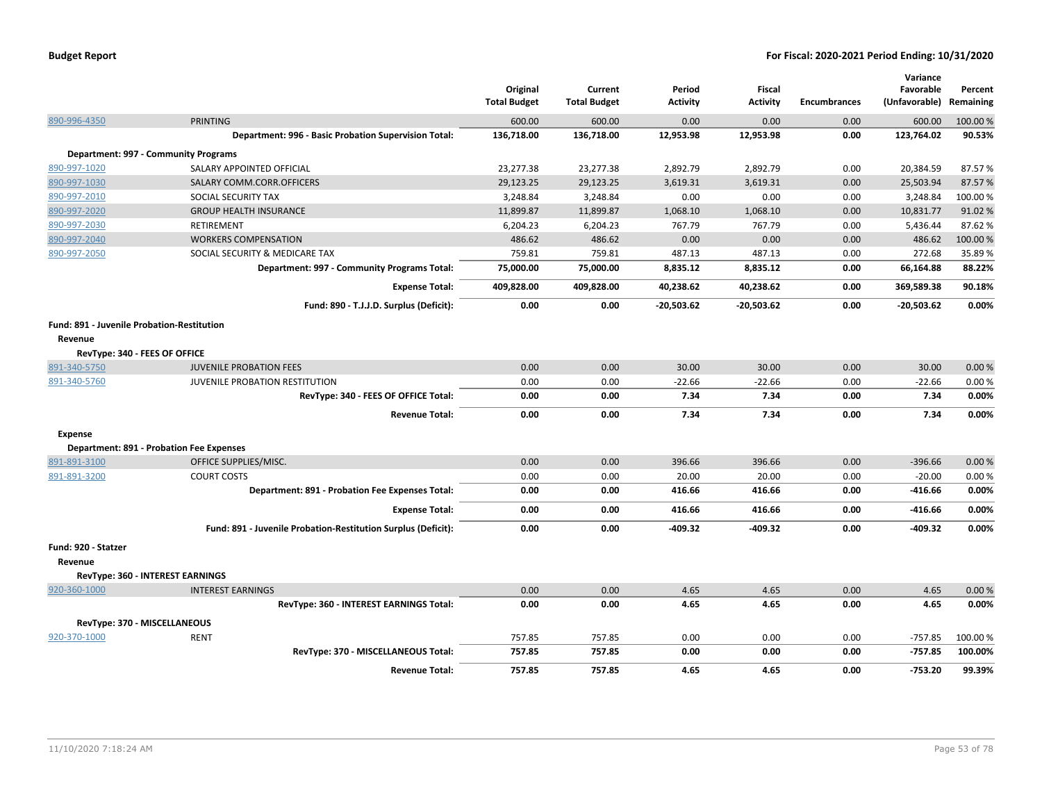|                                            |                                                               | Original<br><b>Total Budget</b> | Current<br><b>Total Budget</b> | Period<br>Activity | <b>Fiscal</b><br><b>Activity</b> | <b>Encumbrances</b> | Variance<br>Favorable<br>(Unfavorable) | Percent<br>Remaining |
|--------------------------------------------|---------------------------------------------------------------|---------------------------------|--------------------------------|--------------------|----------------------------------|---------------------|----------------------------------------|----------------------|
| 890-996-4350                               | <b>PRINTING</b>                                               | 600.00                          | 600.00                         | 0.00               | 0.00                             | 0.00                | 600.00                                 | 100.00 %             |
|                                            | Department: 996 - Basic Probation Supervision Total:          | 136,718.00                      | 136,718.00                     | 12,953.98          | 12,953.98                        | 0.00                | 123,764.02                             | 90.53%               |
|                                            | Department: 997 - Community Programs                          |                                 |                                |                    |                                  |                     |                                        |                      |
| 890-997-1020                               | SALARY APPOINTED OFFICIAL                                     | 23,277.38                       | 23,277.38                      | 2,892.79           | 2.892.79                         | 0.00                | 20,384.59                              | 87.57%               |
| 890-997-1030                               | SALARY COMM.CORR.OFFICERS                                     | 29,123.25                       | 29,123.25                      | 3,619.31           | 3.619.31                         | 0.00                | 25,503.94                              | 87.57%               |
| 890-997-2010                               | SOCIAL SECURITY TAX                                           | 3,248.84                        | 3,248.84                       | 0.00               | 0.00                             | 0.00                | 3,248.84                               | 100.00%              |
| 890-997-2020                               | <b>GROUP HEALTH INSURANCE</b>                                 | 11,899.87                       | 11,899.87                      | 1,068.10           | 1,068.10                         | 0.00                | 10,831.77                              | 91.02%               |
| 890-997-2030                               | RETIREMENT                                                    | 6,204.23                        | 6,204.23                       | 767.79             | 767.79                           | 0.00                | 5,436.44                               | 87.62%               |
| 890-997-2040                               | <b>WORKERS COMPENSATION</b>                                   | 486.62                          | 486.62                         | 0.00               | 0.00                             | 0.00                | 486.62                                 | 100.00%              |
| 890-997-2050                               | SOCIAL SECURITY & MEDICARE TAX                                | 759.81                          | 759.81                         | 487.13             | 487.13                           | 0.00                | 272.68                                 | 35.89%               |
|                                            | Department: 997 - Community Programs Total:                   | 75,000.00                       | 75,000.00                      | 8,835.12           | 8,835.12                         | 0.00                | 66,164.88                              | 88.22%               |
|                                            | <b>Expense Total:</b>                                         | 409,828.00                      | 409,828.00                     | 40,238.62          | 40,238.62                        | 0.00                | 369,589.38                             | 90.18%               |
|                                            | Fund: 890 - T.J.J.D. Surplus (Deficit):                       | 0.00                            | 0.00                           | -20,503.62         | $-20,503.62$                     | 0.00                | $-20,503.62$                           | 0.00%                |
| Fund: 891 - Juvenile Probation-Restitution |                                                               |                                 |                                |                    |                                  |                     |                                        |                      |
| Revenue                                    |                                                               |                                 |                                |                    |                                  |                     |                                        |                      |
| RevType: 340 - FEES OF OFFICE              |                                                               |                                 |                                |                    |                                  |                     |                                        |                      |
| 891-340-5750                               | <b>JUVENILE PROBATION FEES</b>                                | 0.00                            | 0.00                           | 30.00              | 30.00                            | 0.00                | 30.00                                  | 0.00%                |
| 891-340-5760                               | JUVENILE PROBATION RESTITUTION                                | 0.00                            | 0.00                           | $-22.66$           | $-22.66$                         | 0.00                | $-22.66$                               | 0.00%                |
|                                            | RevType: 340 - FEES OF OFFICE Total:                          | 0.00                            | 0.00                           | 7.34               | 7.34                             | 0.00                | 7.34                                   | 0.00%                |
|                                            | <b>Revenue Total:</b>                                         | 0.00                            | 0.00                           | 7.34               | 7.34                             | 0.00                | 7.34                                   | 0.00%                |
| <b>Expense</b>                             |                                                               |                                 |                                |                    |                                  |                     |                                        |                      |
|                                            | <b>Department: 891 - Probation Fee Expenses</b>               |                                 |                                |                    |                                  |                     |                                        |                      |
| 891-891-3100                               | OFFICE SUPPLIES/MISC.                                         | 0.00                            | 0.00                           | 396.66             | 396.66                           | 0.00                | $-396.66$                              | 0.00%                |
| 891-891-3200                               | <b>COURT COSTS</b>                                            | 0.00                            | 0.00                           | 20.00              | 20.00                            | 0.00                | $-20.00$                               | 0.00%                |
|                                            | Department: 891 - Probation Fee Expenses Total:               | 0.00                            | 0.00                           | 416.66             | 416.66                           | 0.00                | $-416.66$                              | 0.00%                |
|                                            | <b>Expense Total:</b>                                         | 0.00                            | 0.00                           | 416.66             | 416.66                           | 0.00                | $-416.66$                              | 0.00%                |
|                                            | Fund: 891 - Juvenile Probation-Restitution Surplus (Deficit): | 0.00                            | 0.00                           | -409.32            | $-409.32$                        | 0.00                | $-409.32$                              | 0.00%                |
| Fund: 920 - Statzer                        |                                                               |                                 |                                |                    |                                  |                     |                                        |                      |
| Revenue                                    |                                                               |                                 |                                |                    |                                  |                     |                                        |                      |
|                                            | RevType: 360 - INTEREST EARNINGS                              |                                 |                                |                    |                                  |                     |                                        |                      |
| 920-360-1000                               | <b>INTEREST EARNINGS</b>                                      | 0.00                            | 0.00                           | 4.65               | 4.65                             | 0.00                | 4.65                                   | 0.00%                |
|                                            | RevType: 360 - INTEREST EARNINGS Total:                       | 0.00                            | 0.00                           | 4.65               | 4.65                             | 0.00                | 4.65                                   | 0.00%                |
| RevType: 370 - MISCELLANEOUS               |                                                               |                                 |                                |                    |                                  |                     |                                        |                      |
| 920-370-1000                               | <b>RENT</b>                                                   | 757.85                          | 757.85                         | 0.00               | 0.00                             | 0.00                | $-757.85$                              | 100.00 %             |
|                                            | RevType: 370 - MISCELLANEOUS Total:                           | 757.85                          | 757.85                         | 0.00               | 0.00                             | 0.00                | $-757.85$                              | 100.00%              |
|                                            | <b>Revenue Total:</b>                                         | 757.85                          | 757.85                         | 4.65               | 4.65                             | 0.00                | $-753.20$                              | 99.39%               |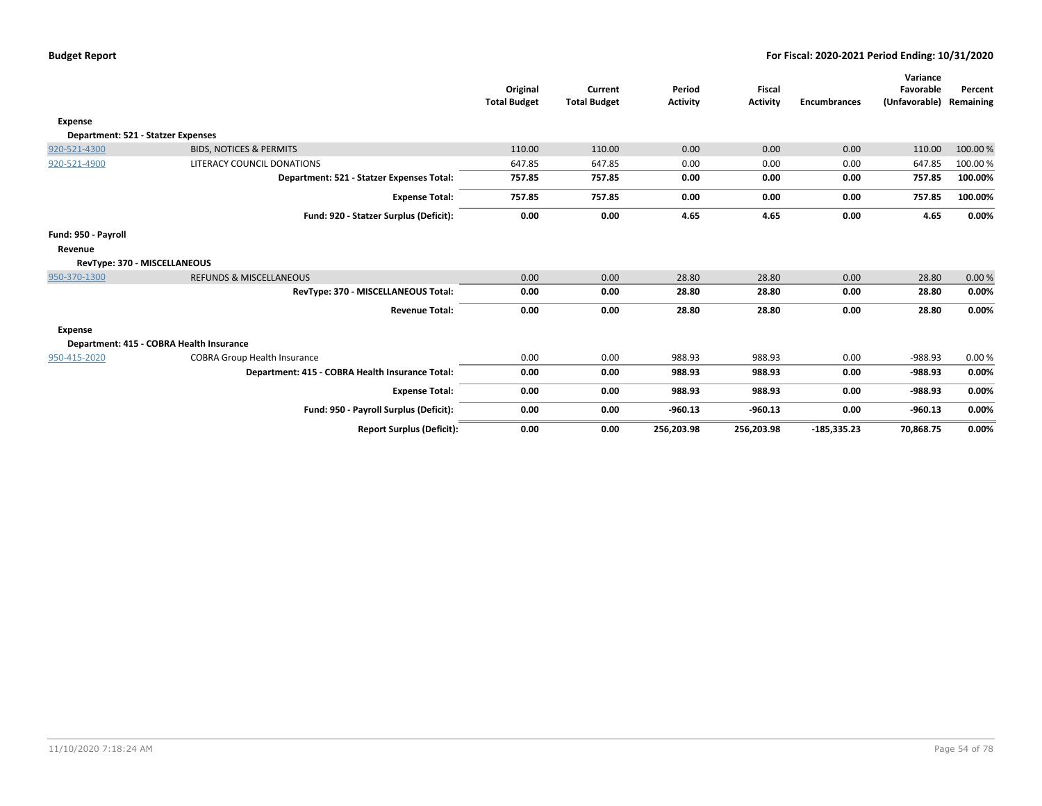|                                    |                                                 | Original<br><b>Total Budget</b> | Current<br><b>Total Budget</b> | Period<br><b>Activity</b> | Fiscal<br><b>Activity</b> | <b>Encumbrances</b> | Variance<br>Favorable<br>(Unfavorable) Remaining | Percent  |
|------------------------------------|-------------------------------------------------|---------------------------------|--------------------------------|---------------------------|---------------------------|---------------------|--------------------------------------------------|----------|
| Expense                            |                                                 |                                 |                                |                           |                           |                     |                                                  |          |
| Department: 521 - Statzer Expenses |                                                 |                                 |                                |                           |                           |                     |                                                  |          |
| 920-521-4300                       | <b>BIDS, NOTICES &amp; PERMITS</b>              | 110.00                          | 110.00                         | 0.00                      | 0.00                      | 0.00                | 110.00                                           | 100.00%  |
| 920-521-4900                       | LITERACY COUNCIL DONATIONS                      | 647.85                          | 647.85                         | 0.00                      | 0.00                      | 0.00                | 647.85                                           | 100.00 % |
|                                    | Department: 521 - Statzer Expenses Total:       | 757.85                          | 757.85                         | 0.00                      | 0.00                      | 0.00                | 757.85                                           | 100.00%  |
|                                    | <b>Expense Total:</b>                           | 757.85                          | 757.85                         | 0.00                      | 0.00                      | 0.00                | 757.85                                           | 100.00%  |
|                                    | Fund: 920 - Statzer Surplus (Deficit):          | 0.00                            | 0.00                           | 4.65                      | 4.65                      | 0.00                | 4.65                                             | 0.00%    |
| Fund: 950 - Payroll                |                                                 |                                 |                                |                           |                           |                     |                                                  |          |
| Revenue                            |                                                 |                                 |                                |                           |                           |                     |                                                  |          |
| RevType: 370 - MISCELLANEOUS       |                                                 |                                 |                                |                           |                           |                     |                                                  |          |
| 950-370-1300                       | <b>REFUNDS &amp; MISCELLANEOUS</b>              | 0.00                            | 0.00                           | 28.80                     | 28.80                     | 0.00                | 28.80                                            | 0.00%    |
|                                    | RevType: 370 - MISCELLANEOUS Total:             | 0.00                            | 0.00                           | 28.80                     | 28.80                     | 0.00                | 28.80                                            | 0.00%    |
|                                    | <b>Revenue Total:</b>                           | 0.00                            | 0.00                           | 28.80                     | 28.80                     | 0.00                | 28.80                                            | 0.00%    |
| <b>Expense</b>                     |                                                 |                                 |                                |                           |                           |                     |                                                  |          |
|                                    | Department: 415 - COBRA Health Insurance        |                                 |                                |                           |                           |                     |                                                  |          |
| 950-415-2020                       | <b>COBRA Group Health Insurance</b>             | 0.00                            | 0.00                           | 988.93                    | 988.93                    | 0.00                | $-988.93$                                        | 0.00%    |
|                                    | Department: 415 - COBRA Health Insurance Total: | 0.00                            | 0.00                           | 988.93                    | 988.93                    | 0.00                | $-988.93$                                        | 0.00%    |
|                                    | <b>Expense Total:</b>                           | 0.00                            | 0.00                           | 988.93                    | 988.93                    | 0.00                | $-988.93$                                        | 0.00%    |
|                                    | Fund: 950 - Payroll Surplus (Deficit):          | 0.00                            | 0.00                           | $-960.13$                 | $-960.13$                 | 0.00                | $-960.13$                                        | 0.00%    |
|                                    | <b>Report Surplus (Deficit):</b>                | 0.00                            | 0.00                           | 256,203.98                | 256,203.98                | $-185,335.23$       | 70,868.75                                        | 0.00%    |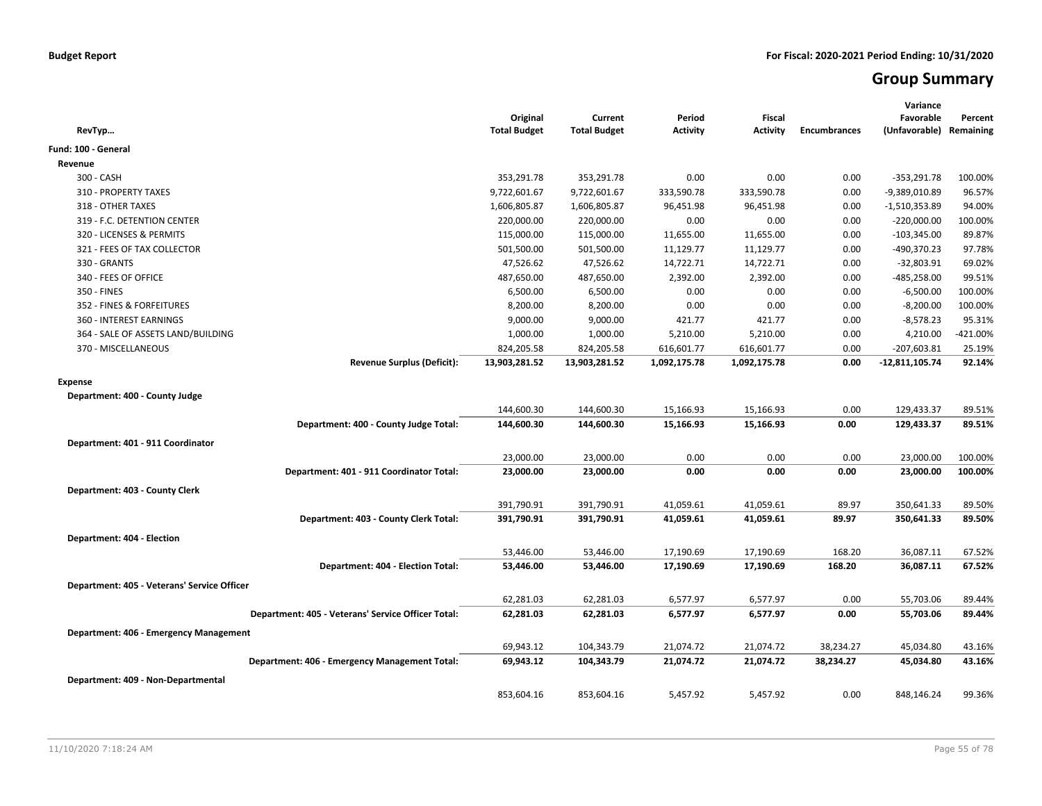# **Group Summary**

| RevTyp                                             | Original<br><b>Total Budget</b> | Current<br><b>Total Budget</b> | Period<br><b>Activity</b> | <b>Fiscal</b><br>Activity | <b>Encumbrances</b> | Variance<br>Favorable<br>(Unfavorable) Remaining | Percent    |
|----------------------------------------------------|---------------------------------|--------------------------------|---------------------------|---------------------------|---------------------|--------------------------------------------------|------------|
| Fund: 100 - General                                |                                 |                                |                           |                           |                     |                                                  |            |
| Revenue                                            |                                 |                                |                           |                           |                     |                                                  |            |
| 300 - CASH                                         | 353,291.78                      | 353,291.78                     | 0.00                      | 0.00                      | 0.00                | $-353,291.78$                                    | 100.00%    |
| 310 - PROPERTY TAXES                               | 9,722,601.67                    | 9,722,601.67                   | 333,590.78                | 333,590.78                | 0.00                | -9,389,010.89                                    | 96.57%     |
| 318 - OTHER TAXES                                  | 1,606,805.87                    | 1,606,805.87                   | 96,451.98                 | 96,451.98                 | 0.00                | $-1,510,353.89$                                  | 94.00%     |
| 319 - F.C. DETENTION CENTER                        | 220,000.00                      | 220,000.00                     | 0.00                      | 0.00                      | 0.00                | $-220,000.00$                                    | 100.00%    |
| 320 - LICENSES & PERMITS                           | 115,000.00                      | 115,000.00                     | 11,655.00                 | 11,655.00                 | 0.00                | $-103,345.00$                                    | 89.87%     |
| 321 - FEES OF TAX COLLECTOR                        | 501,500.00                      | 501,500.00                     | 11,129.77                 | 11,129.77                 | 0.00                | -490,370.23                                      | 97.78%     |
| 330 - GRANTS                                       | 47,526.62                       | 47,526.62                      | 14,722.71                 | 14,722.71                 | 0.00                | $-32,803.91$                                     | 69.02%     |
| 340 - FEES OF OFFICE                               | 487,650.00                      | 487,650.00                     | 2,392.00                  | 2,392.00                  | 0.00                | -485,258.00                                      | 99.51%     |
| 350 - FINES                                        | 6,500.00                        | 6,500.00                       | 0.00                      | 0.00                      | 0.00                | $-6,500.00$                                      | 100.00%    |
| 352 - FINES & FORFEITURES                          | 8,200.00                        | 8,200.00                       | 0.00                      | 0.00                      | 0.00                | $-8,200.00$                                      | 100.00%    |
| 360 - INTEREST EARNINGS                            | 9,000.00                        | 9,000.00                       | 421.77                    | 421.77                    | 0.00                | $-8,578.23$                                      | 95.31%     |
| 364 - SALE OF ASSETS LAND/BUILDING                 | 1,000.00                        | 1,000.00                       | 5,210.00                  | 5,210.00                  | 0.00                | 4,210.00                                         | $-421.00%$ |
| 370 - MISCELLANEOUS                                | 824,205.58                      | 824,205.58                     | 616,601.77                | 616,601.77                | 0.00                | $-207,603.81$                                    | 25.19%     |
| <b>Revenue Surplus (Deficit):</b>                  | 13,903,281.52                   | 13,903,281.52                  | 1,092,175.78              | 1,092,175.78              | 0.00                | -12,811,105.74                                   | 92.14%     |
| <b>Expense</b>                                     |                                 |                                |                           |                           |                     |                                                  |            |
| Department: 400 - County Judge                     |                                 |                                |                           |                           |                     |                                                  |            |
|                                                    | 144,600.30                      | 144,600.30                     | 15,166.93                 | 15,166.93                 | 0.00                | 129,433.37                                       | 89.51%     |
| Department: 400 - County Judge Total:              | 144,600.30                      | 144,600.30                     | 15,166.93                 | 15,166.93                 | 0.00                | 129,433.37                                       | 89.51%     |
|                                                    |                                 |                                |                           |                           |                     |                                                  |            |
| Department: 401 - 911 Coordinator                  |                                 |                                |                           |                           |                     |                                                  |            |
|                                                    | 23,000.00                       | 23,000.00                      | 0.00                      | 0.00                      | 0.00                | 23,000.00                                        | 100.00%    |
| Department: 401 - 911 Coordinator Total:           | 23,000.00                       | 23,000.00                      | 0.00                      | 0.00                      | 0.00                | 23,000.00                                        | 100.00%    |
| Department: 403 - County Clerk                     |                                 |                                |                           |                           |                     |                                                  |            |
|                                                    | 391,790.91                      | 391,790.91                     | 41,059.61                 | 41,059.61                 | 89.97               | 350,641.33                                       | 89.50%     |
| Department: 403 - County Clerk Total:              | 391,790.91                      | 391,790.91                     | 41,059.61                 | 41,059.61                 | 89.97               | 350,641.33                                       | 89.50%     |
| Department: 404 - Election                         |                                 |                                |                           |                           |                     |                                                  |            |
|                                                    | 53,446.00                       | 53,446.00                      | 17,190.69                 | 17,190.69                 | 168.20              | 36,087.11                                        | 67.52%     |
| Department: 404 - Election Total:                  | 53,446.00                       | 53,446.00                      | 17,190.69                 | 17,190.69                 | 168.20              | 36,087.11                                        | 67.52%     |
|                                                    |                                 |                                |                           |                           |                     |                                                  |            |
| Department: 405 - Veterans' Service Officer        |                                 |                                |                           |                           |                     |                                                  |            |
|                                                    | 62,281.03                       | 62,281.03                      | 6,577.97                  | 6,577.97                  | 0.00                | 55,703.06                                        | 89.44%     |
| Department: 405 - Veterans' Service Officer Total: | 62,281.03                       | 62,281.03                      | 6,577.97                  | 6,577.97                  | 0.00                | 55,703.06                                        | 89.44%     |
| Department: 406 - Emergency Management             |                                 |                                |                           |                           |                     |                                                  |            |
|                                                    | 69,943.12                       | 104,343.79                     | 21,074.72                 | 21,074.72                 | 38,234.27           | 45,034.80                                        | 43.16%     |
| Department: 406 - Emergency Management Total:      | 69,943.12                       | 104,343.79                     | 21,074.72                 | 21,074.72                 | 38,234.27           | 45,034.80                                        | 43.16%     |
| Department: 409 - Non-Departmental                 |                                 |                                |                           |                           |                     |                                                  |            |
|                                                    | 853,604.16                      | 853,604.16                     | 5,457.92                  | 5,457.92                  | 0.00                | 848,146.24                                       | 99.36%     |
|                                                    |                                 |                                |                           |                           |                     |                                                  |            |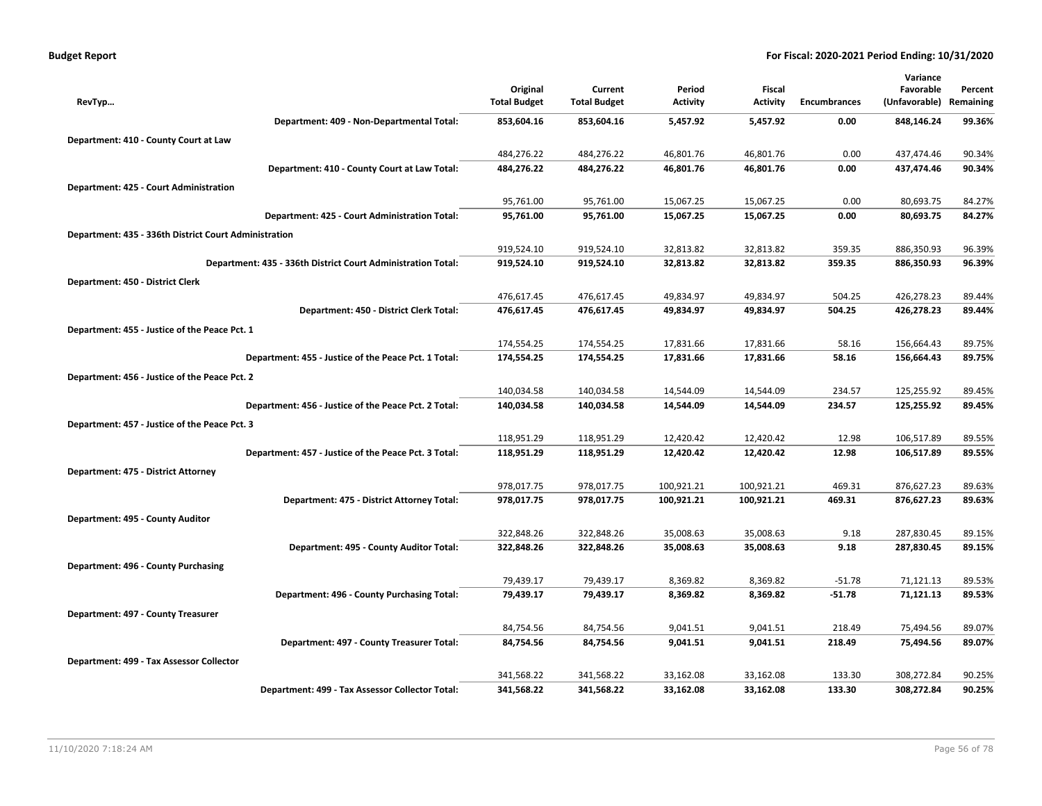| <b>Budget Report</b> |  |
|----------------------|--|
|----------------------|--|

|                                                              |                     |                     |                 |                 |                     | Variance      |           |
|--------------------------------------------------------------|---------------------|---------------------|-----------------|-----------------|---------------------|---------------|-----------|
|                                                              | Original            | Current             | Period          | <b>Fiscal</b>   |                     | Favorable     | Percent   |
| RevTyp                                                       | <b>Total Budget</b> | <b>Total Budget</b> | <b>Activity</b> | <b>Activity</b> | <b>Encumbrances</b> | (Unfavorable) | Remaining |
| Department: 409 - Non-Departmental Total:                    | 853,604.16          | 853,604.16          | 5,457.92        | 5,457.92        | 0.00                | 848,146.24    | 99.36%    |
| Department: 410 - County Court at Law                        |                     |                     |                 |                 |                     |               |           |
|                                                              | 484,276.22          | 484,276.22          | 46,801.76       | 46,801.76       | 0.00                | 437,474.46    | 90.34%    |
| Department: 410 - County Court at Law Total:                 | 484,276.22          | 484,276.22          | 46,801.76       | 46,801.76       | 0.00                | 437,474.46    | 90.34%    |
| Department: 425 - Court Administration                       |                     |                     |                 |                 |                     |               |           |
|                                                              | 95,761.00           | 95,761.00           | 15,067.25       | 15,067.25       | 0.00                | 80,693.75     | 84.27%    |
| Department: 425 - Court Administration Total:                | 95,761.00           | 95,761.00           | 15,067.25       | 15,067.25       | 0.00                | 80,693.75     | 84.27%    |
| Department: 435 - 336th District Court Administration        |                     |                     |                 |                 |                     |               |           |
|                                                              | 919,524.10          | 919,524.10          | 32,813.82       | 32,813.82       | 359.35              | 886,350.93    | 96.39%    |
| Department: 435 - 336th District Court Administration Total: | 919,524.10          | 919,524.10          | 32,813.82       | 32,813.82       | 359.35              | 886,350.93    | 96.39%    |
| Department: 450 - District Clerk                             |                     |                     |                 |                 |                     |               |           |
|                                                              | 476,617.45          | 476,617.45          | 49,834.97       | 49,834.97       | 504.25              | 426,278.23    | 89.44%    |
| Department: 450 - District Clerk Total:                      | 476,617.45          | 476,617.45          | 49,834.97       | 49,834.97       | 504.25              | 426,278.23    | 89.44%    |
| Department: 455 - Justice of the Peace Pct. 1                |                     |                     |                 |                 |                     |               |           |
|                                                              | 174,554.25          | 174,554.25          | 17,831.66       | 17,831.66       | 58.16               | 156,664.43    | 89.75%    |
| Department: 455 - Justice of the Peace Pct. 1 Total:         | 174,554.25          | 174,554.25          | 17,831.66       | 17,831.66       | 58.16               | 156,664.43    | 89.75%    |
| Department: 456 - Justice of the Peace Pct. 2                |                     |                     |                 |                 |                     |               |           |
|                                                              | 140,034.58          | 140,034.58          | 14,544.09       | 14,544.09       | 234.57              | 125,255.92    | 89.45%    |
| Department: 456 - Justice of the Peace Pct. 2 Total:         | 140,034.58          | 140,034.58          | 14,544.09       | 14,544.09       | 234.57              | 125,255.92    | 89.45%    |
| Department: 457 - Justice of the Peace Pct. 3                |                     |                     |                 |                 |                     |               |           |
|                                                              | 118,951.29          | 118,951.29          | 12,420.42       | 12,420.42       | 12.98               | 106,517.89    | 89.55%    |
| Department: 457 - Justice of the Peace Pct. 3 Total:         | 118,951.29          | 118,951.29          | 12,420.42       | 12,420.42       | 12.98               | 106,517.89    | 89.55%    |
| Department: 475 - District Attorney                          |                     |                     |                 |                 |                     |               |           |
|                                                              | 978,017.75          | 978,017.75          | 100,921.21      | 100,921.21      | 469.31              | 876,627.23    | 89.63%    |
| Department: 475 - District Attorney Total:                   | 978,017.75          | 978,017.75          | 100,921.21      | 100,921.21      | 469.31              | 876,627.23    | 89.63%    |
| Department: 495 - County Auditor                             |                     |                     |                 |                 |                     |               |           |
|                                                              | 322,848.26          | 322,848.26          | 35,008.63       | 35,008.63       | 9.18                | 287,830.45    | 89.15%    |
| Department: 495 - County Auditor Total:                      | 322,848.26          | 322,848.26          | 35,008.63       | 35,008.63       | 9.18                | 287,830.45    | 89.15%    |
| Department: 496 - County Purchasing                          |                     |                     |                 |                 |                     |               |           |
|                                                              | 79,439.17           | 79,439.17           | 8,369.82        | 8,369.82        | $-51.78$            | 71,121.13     | 89.53%    |
| Department: 496 - County Purchasing Total:                   | 79,439.17           | 79,439.17           | 8,369.82        | 8,369.82        | $-51.78$            | 71,121.13     | 89.53%    |
| Department: 497 - County Treasurer                           |                     |                     |                 |                 |                     |               |           |
|                                                              | 84,754.56           | 84,754.56           | 9,041.51        | 9,041.51        | 218.49              | 75,494.56     | 89.07%    |
| Department: 497 - County Treasurer Total:                    | 84,754.56           | 84,754.56           | 9,041.51        | 9,041.51        | 218.49              | 75,494.56     | 89.07%    |
| Department: 499 - Tax Assessor Collector                     |                     |                     |                 |                 |                     |               |           |
|                                                              | 341,568.22          | 341,568.22          | 33,162.08       | 33,162.08       | 133.30              | 308,272.84    | 90.25%    |
| Department: 499 - Tax Assessor Collector Total:              | 341,568.22          | 341,568.22          | 33,162.08       | 33,162.08       | 133.30              | 308,272.84    | 90.25%    |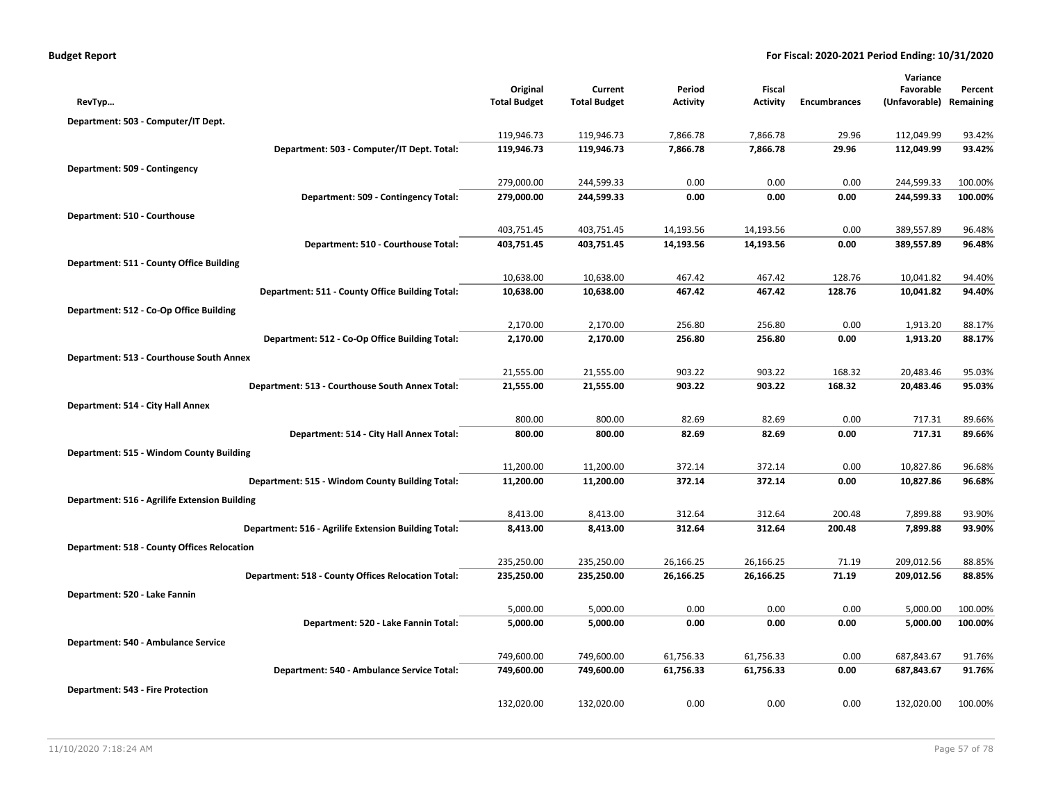| <b>Budget Report</b> |  |  |  |  |
|----------------------|--|--|--|--|
|----------------------|--|--|--|--|

|                                                      |                                 |                                |                           |                           |                     | Variance                   |                      |
|------------------------------------------------------|---------------------------------|--------------------------------|---------------------------|---------------------------|---------------------|----------------------------|----------------------|
| RevTyp                                               | Original<br><b>Total Budget</b> | Current<br><b>Total Budget</b> | Period<br><b>Activity</b> | Fiscal<br><b>Activity</b> | <b>Encumbrances</b> | Favorable<br>(Unfavorable) | Percent<br>Remaining |
|                                                      |                                 |                                |                           |                           |                     |                            |                      |
| Department: 503 - Computer/IT Dept.                  |                                 |                                |                           |                           |                     |                            |                      |
|                                                      | 119,946.73                      | 119,946.73                     | 7,866.78<br>7,866.78      | 7,866.78                  | 29.96               | 112,049.99                 | 93.42%<br>93.42%     |
| Department: 503 - Computer/IT Dept. Total:           | 119,946.73                      | 119,946.73                     |                           | 7,866.78                  | 29.96               | 112,049.99                 |                      |
| Department: 509 - Contingency                        |                                 |                                |                           |                           |                     |                            |                      |
|                                                      | 279,000.00                      | 244,599.33                     | 0.00                      | 0.00                      | 0.00                | 244,599.33                 | 100.00%              |
| Department: 509 - Contingency Total:                 | 279,000.00                      | 244,599.33                     | 0.00                      | 0.00                      | 0.00                | 244,599.33                 | 100.00%              |
| Department: 510 - Courthouse                         |                                 |                                |                           |                           |                     |                            |                      |
|                                                      | 403,751.45                      | 403,751.45                     | 14,193.56                 | 14,193.56                 | 0.00                | 389,557.89                 | 96.48%               |
| Department: 510 - Courthouse Total:                  | 403,751.45                      | 403,751.45                     | 14,193.56                 | 14,193.56                 | 0.00                | 389,557.89                 | 96.48%               |
| Department: 511 - County Office Building             |                                 |                                |                           |                           |                     |                            |                      |
|                                                      | 10,638.00                       | 10,638.00                      | 467.42                    | 467.42                    | 128.76              | 10,041.82                  | 94.40%               |
| Department: 511 - County Office Building Total:      | 10,638.00                       | 10,638.00                      | 467.42                    | 467.42                    | 128.76              | 10,041.82                  | 94.40%               |
| Department: 512 - Co-Op Office Building              |                                 |                                |                           |                           |                     |                            |                      |
|                                                      | 2,170.00                        | 2,170.00                       | 256.80                    | 256.80                    | 0.00                | 1,913.20                   | 88.17%               |
| Department: 512 - Co-Op Office Building Total:       | 2,170.00                        | 2,170.00                       | 256.80                    | 256.80                    | 0.00                | 1,913.20                   | 88.17%               |
| Department: 513 - Courthouse South Annex             |                                 |                                |                           |                           |                     |                            |                      |
|                                                      | 21,555.00                       | 21,555.00                      | 903.22                    | 903.22                    | 168.32              | 20,483.46                  | 95.03%               |
| Department: 513 - Courthouse South Annex Total:      | 21,555.00                       | 21,555.00                      | 903.22                    | 903.22                    | 168.32              | 20,483.46                  | 95.03%               |
| Department: 514 - City Hall Annex                    |                                 |                                |                           |                           |                     |                            |                      |
|                                                      | 800.00                          | 800.00                         | 82.69                     | 82.69                     | 0.00                | 717.31                     | 89.66%               |
| Department: 514 - City Hall Annex Total:             | 800.00                          | 800.00                         | 82.69                     | 82.69                     | 0.00                | 717.31                     | 89.66%               |
| Department: 515 - Windom County Building             |                                 |                                |                           |                           |                     |                            |                      |
|                                                      | 11,200.00                       | 11,200.00                      | 372.14                    | 372.14                    | 0.00                | 10,827.86                  | 96.68%               |
| Department: 515 - Windom County Building Total:      | 11,200.00                       | 11,200.00                      | 372.14                    | 372.14                    | 0.00                | 10,827.86                  | 96.68%               |
| Department: 516 - Agrilife Extension Building        |                                 |                                |                           |                           |                     |                            |                      |
|                                                      | 8,413.00                        | 8,413.00                       | 312.64                    | 312.64                    | 200.48              | 7,899.88                   | 93.90%               |
| Department: 516 - Agrilife Extension Building Total: | 8,413.00                        | 8,413.00                       | 312.64                    | 312.64                    | 200.48              | 7,899.88                   | 93.90%               |
| <b>Department: 518 - County Offices Relocation</b>   |                                 |                                |                           |                           |                     |                            |                      |
|                                                      | 235,250.00                      | 235,250.00                     | 26,166.25                 | 26,166.25                 | 71.19               | 209,012.56                 | 88.85%               |
| Department: 518 - County Offices Relocation Total:   | 235,250.00                      | 235,250.00                     | 26,166.25                 | 26,166.25                 | 71.19               | 209,012.56                 | 88.85%               |
| Department: 520 - Lake Fannin                        |                                 |                                |                           |                           |                     |                            |                      |
|                                                      | 5,000.00                        | 5,000.00                       | 0.00                      | 0.00                      | 0.00                | 5,000.00                   | 100.00%              |
| Department: 520 - Lake Fannin Total:                 | 5,000.00                        | 5,000.00                       | 0.00                      | 0.00                      | 0.00                | 5,000.00                   | 100.00%              |
| Department: 540 - Ambulance Service                  |                                 |                                |                           |                           |                     |                            |                      |
|                                                      | 749,600.00                      | 749,600.00                     | 61,756.33                 | 61,756.33                 | 0.00                | 687,843.67                 | 91.76%               |
| Department: 540 - Ambulance Service Total:           | 749,600.00                      | 749,600.00                     | 61,756.33                 | 61,756.33                 | 0.00                | 687,843.67                 | 91.76%               |
| <b>Department: 543 - Fire Protection</b>             |                                 |                                |                           |                           |                     |                            |                      |
|                                                      | 132,020.00                      | 132,020.00                     | 0.00                      | 0.00                      | 0.00                | 132,020.00                 | 100.00%              |
|                                                      |                                 |                                |                           |                           |                     |                            |                      |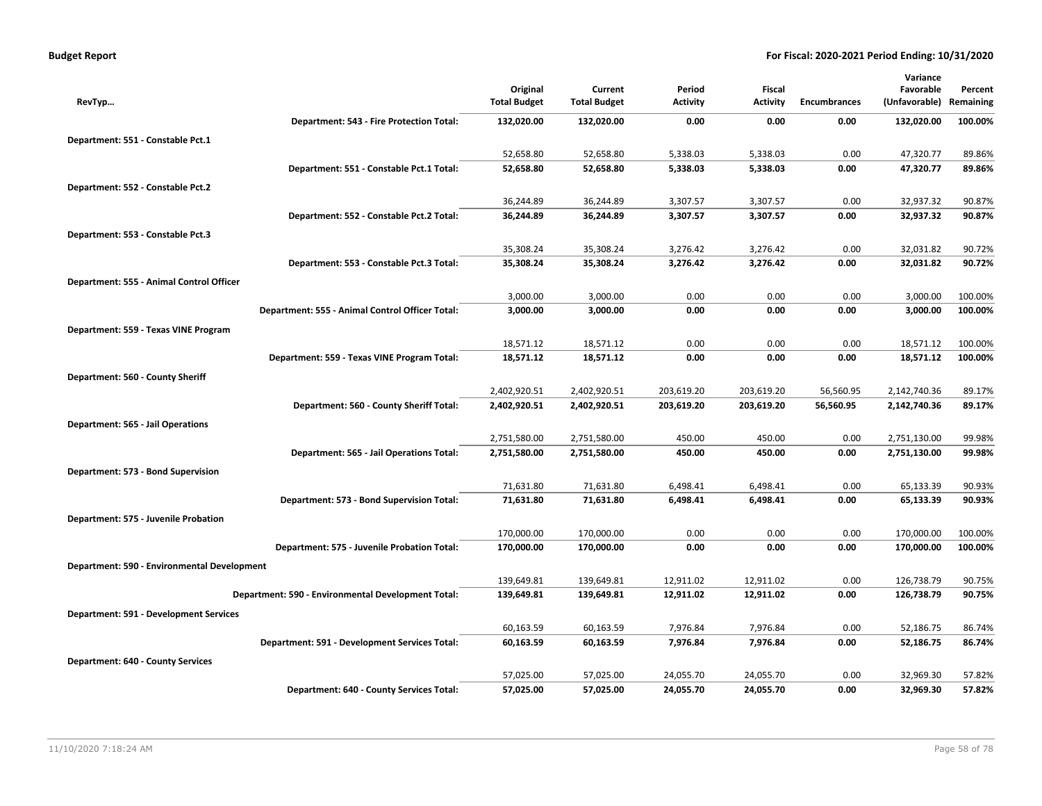|                                                    |                     |                     |            |                 |                     | Variance      |           |
|----------------------------------------------------|---------------------|---------------------|------------|-----------------|---------------------|---------------|-----------|
|                                                    | Original            | Current             | Period     | Fiscal          |                     | Favorable     | Percent   |
| RevTyp                                             | <b>Total Budget</b> | <b>Total Budget</b> | Activity   | <b>Activity</b> | <b>Encumbrances</b> | (Unfavorable) | Remaining |
| Department: 543 - Fire Protection Total:           | 132,020.00          | 132,020.00          | 0.00       | 0.00            | 0.00                | 132,020.00    | 100.00%   |
| Department: 551 - Constable Pct.1                  |                     |                     |            |                 |                     |               |           |
|                                                    | 52,658.80           | 52,658.80           | 5,338.03   | 5,338.03        | 0.00                | 47,320.77     | 89.86%    |
| Department: 551 - Constable Pct.1 Total:           | 52,658.80           | 52,658.80           | 5,338.03   | 5,338.03        | 0.00                | 47,320.77     | 89.86%    |
| Department: 552 - Constable Pct.2                  |                     |                     |            |                 |                     |               |           |
|                                                    | 36,244.89           | 36,244.89           | 3,307.57   | 3,307.57        | 0.00                | 32,937.32     | 90.87%    |
| Department: 552 - Constable Pct.2 Total:           | 36,244.89           | 36,244.89           | 3,307.57   | 3,307.57        | 0.00                | 32,937.32     | 90.87%    |
| Department: 553 - Constable Pct.3                  |                     |                     |            |                 |                     |               |           |
|                                                    | 35,308.24           | 35,308.24           | 3,276.42   | 3,276.42        | 0.00                | 32,031.82     | 90.72%    |
| Department: 553 - Constable Pct.3 Total:           | 35,308.24           | 35,308.24           | 3,276.42   | 3,276.42        | 0.00                | 32,031.82     | 90.72%    |
| Department: 555 - Animal Control Officer           |                     |                     |            |                 |                     |               |           |
|                                                    | 3,000.00            | 3,000.00            | 0.00       | 0.00            | 0.00                | 3,000.00      | 100.00%   |
| Department: 555 - Animal Control Officer Total:    | 3,000.00            | 3,000.00            | 0.00       | 0.00            | 0.00                | 3,000.00      | 100.00%   |
| Department: 559 - Texas VINE Program               |                     |                     |            |                 |                     |               |           |
|                                                    | 18,571.12           | 18,571.12           | 0.00       | 0.00            | 0.00                | 18,571.12     | 100.00%   |
| Department: 559 - Texas VINE Program Total:        | 18,571.12           | 18,571.12           | 0.00       | 0.00            | 0.00                | 18,571.12     | 100.00%   |
| Department: 560 - County Sheriff                   |                     |                     |            |                 |                     |               |           |
|                                                    | 2,402,920.51        | 2,402,920.51        | 203,619.20 | 203,619.20      | 56,560.95           | 2,142,740.36  | 89.17%    |
| Department: 560 - County Sheriff Total:            | 2,402,920.51        | 2,402,920.51        | 203,619.20 | 203,619.20      | 56,560.95           | 2,142,740.36  | 89.17%    |
| Department: 565 - Jail Operations                  |                     |                     |            |                 |                     |               |           |
|                                                    | 2,751,580.00        | 2,751,580.00        | 450.00     | 450.00          | 0.00                | 2,751,130.00  | 99.98%    |
| Department: 565 - Jail Operations Total:           | 2,751,580.00        | 2,751,580.00        | 450.00     | 450.00          | 0.00                | 2,751,130.00  | 99.98%    |
| Department: 573 - Bond Supervision                 |                     |                     |            |                 |                     |               |           |
|                                                    | 71,631.80           | 71,631.80           | 6,498.41   | 6,498.41        | 0.00                | 65,133.39     | 90.93%    |
| Department: 573 - Bond Supervision Total:          | 71,631.80           | 71,631.80           | 6,498.41   | 6,498.41        | 0.00                | 65,133.39     | 90.93%    |
| Department: 575 - Juvenile Probation               |                     |                     |            |                 |                     |               |           |
|                                                    | 170,000.00          | 170,000.00          | 0.00       | 0.00            | 0.00                | 170,000.00    | 100.00%   |
| Department: 575 - Juvenile Probation Total:        | 170,000.00          | 170,000.00          | 0.00       | 0.00            | 0.00                | 170,000.00    | 100.00%   |
| Department: 590 - Environmental Development        |                     |                     |            |                 |                     |               |           |
|                                                    | 139,649.81          | 139,649.81          | 12,911.02  | 12,911.02       | 0.00                | 126,738.79    | 90.75%    |
| Department: 590 - Environmental Development Total: | 139,649.81          | 139,649.81          | 12,911.02  | 12,911.02       | 0.00                | 126,738.79    | 90.75%    |
| <b>Department: 591 - Development Services</b>      |                     |                     |            |                 |                     |               |           |
|                                                    | 60,163.59           | 60,163.59           | 7,976.84   | 7,976.84        | 0.00                | 52,186.75     | 86.74%    |
| Department: 591 - Development Services Total:      | 60,163.59           | 60,163.59           | 7,976.84   | 7,976.84        | 0.00                | 52,186.75     | 86.74%    |
| <b>Department: 640 - County Services</b>           |                     |                     |            |                 |                     |               |           |
|                                                    | 57,025.00           | 57,025.00           | 24,055.70  | 24,055.70       | 0.00                | 32,969.30     | 57.82%    |
| Department: 640 - County Services Total:           | 57,025.00           | 57,025.00           | 24,055.70  | 24,055.70       | 0.00                | 32,969.30     | 57.82%    |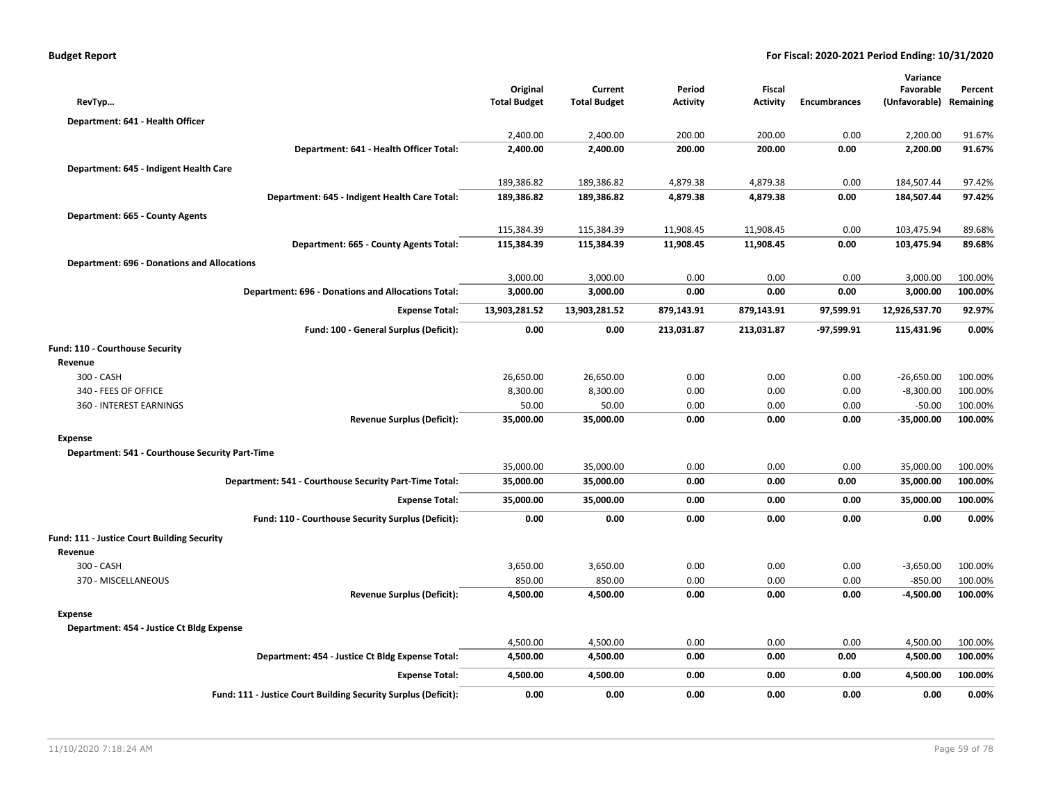| RevTyp                                             |                                                                | Original<br><b>Total Budget</b> | Current<br><b>Total Budget</b> | Period<br><b>Activity</b> | Fiscal<br><b>Activity</b> | <b>Encumbrances</b> | Variance<br>Favorable<br>(Unfavorable) | Percent<br>Remaining |
|----------------------------------------------------|----------------------------------------------------------------|---------------------------------|--------------------------------|---------------------------|---------------------------|---------------------|----------------------------------------|----------------------|
|                                                    |                                                                |                                 |                                |                           |                           |                     |                                        |                      |
| Department: 641 - Health Officer                   |                                                                |                                 |                                |                           |                           |                     |                                        |                      |
|                                                    | Department: 641 - Health Officer Total:                        | 2,400.00<br>2,400.00            | 2,400.00<br>2,400.00           | 200.00<br>200.00          | 200.00<br>200.00          | 0.00<br>0.00        | 2,200.00                               | 91.67%<br>91.67%     |
|                                                    |                                                                |                                 |                                |                           |                           |                     | 2,200.00                               |                      |
| Department: 645 - Indigent Health Care             |                                                                |                                 |                                |                           |                           |                     |                                        |                      |
|                                                    |                                                                | 189,386.82                      | 189,386.82                     | 4,879.38                  | 4,879.38                  | 0.00                | 184,507.44                             | 97.42%               |
|                                                    | Department: 645 - Indigent Health Care Total:                  | 189,386.82                      | 189,386.82                     | 4,879.38                  | 4,879.38                  | 0.00                | 184,507.44                             | 97.42%               |
| Department: 665 - County Agents                    |                                                                |                                 |                                |                           |                           |                     |                                        |                      |
|                                                    |                                                                | 115,384.39                      | 115,384.39                     | 11,908.45                 | 11,908.45                 | 0.00                | 103,475.94                             | 89.68%               |
|                                                    | Department: 665 - County Agents Total:                         | 115,384.39                      | 115,384.39                     | 11,908.45                 | 11,908.45                 | 0.00                | 103,475.94                             | 89.68%               |
| <b>Department: 696 - Donations and Allocations</b> |                                                                |                                 |                                |                           |                           |                     |                                        |                      |
|                                                    |                                                                | 3,000.00                        | 3,000.00                       | 0.00                      | 0.00                      | 0.00                | 3,000.00                               | 100.00%              |
|                                                    | <b>Department: 696 - Donations and Allocations Total:</b>      | 3,000.00                        | 3,000.00                       | 0.00                      | 0.00                      | 0.00                | 3,000.00                               | 100.00%              |
|                                                    | <b>Expense Total:</b>                                          | 13,903,281.52                   | 13,903,281.52                  | 879,143.91                | 879,143.91                | 97,599.91           | 12,926,537.70                          | 92.97%               |
|                                                    | Fund: 100 - General Surplus (Deficit):                         | 0.00                            | 0.00                           | 213,031.87                | 213,031.87                | -97,599.91          | 115,431.96                             | 0.00%                |
| Fund: 110 - Courthouse Security                    |                                                                |                                 |                                |                           |                           |                     |                                        |                      |
| Revenue                                            |                                                                |                                 |                                |                           |                           |                     |                                        |                      |
| 300 - CASH                                         |                                                                | 26,650.00                       | 26,650.00                      | 0.00                      | 0.00                      | 0.00                | $-26,650.00$                           | 100.00%              |
| 340 - FEES OF OFFICE                               |                                                                | 8,300.00                        | 8,300.00                       | 0.00                      | 0.00                      | 0.00                | $-8,300.00$                            | 100.00%              |
| 360 - INTEREST EARNINGS                            |                                                                | 50.00                           | 50.00                          | 0.00                      | 0.00                      | 0.00                | $-50.00$                               | 100.00%              |
|                                                    | <b>Revenue Surplus (Deficit):</b>                              | 35,000.00                       | 35,000.00                      | 0.00                      | 0.00                      | 0.00                | $-35,000.00$                           | 100.00%              |
| <b>Expense</b>                                     |                                                                |                                 |                                |                           |                           |                     |                                        |                      |
| Department: 541 - Courthouse Security Part-Time    |                                                                |                                 |                                |                           |                           |                     |                                        |                      |
|                                                    |                                                                | 35,000.00                       | 35,000.00                      | 0.00                      | 0.00                      | 0.00                | 35,000.00                              | 100.00%              |
|                                                    | Department: 541 - Courthouse Security Part-Time Total:         | 35,000.00                       | 35,000.00                      | 0.00                      | 0.00                      | 0.00                | 35,000.00                              | 100.00%              |
|                                                    | <b>Expense Total:</b>                                          | 35,000.00                       | 35,000.00                      | 0.00                      | 0.00                      | 0.00                | 35,000.00                              | 100.00%              |
|                                                    | Fund: 110 - Courthouse Security Surplus (Deficit):             | 0.00                            | 0.00                           | 0.00                      | 0.00                      | 0.00                | 0.00                                   | 0.00%                |
| Fund: 111 - Justice Court Building Security        |                                                                |                                 |                                |                           |                           |                     |                                        |                      |
| Revenue                                            |                                                                |                                 |                                |                           |                           |                     |                                        |                      |
| 300 - CASH                                         |                                                                | 3,650.00                        | 3,650.00                       | 0.00                      | 0.00                      | 0.00                | $-3,650.00$                            | 100.00%              |
| 370 - MISCELLANEOUS                                |                                                                | 850.00                          | 850.00                         | 0.00                      | 0.00                      | 0.00                | $-850.00$                              | 100.00%              |
|                                                    | <b>Revenue Surplus (Deficit):</b>                              | 4,500.00                        | 4,500.00                       | 0.00                      | 0.00                      | 0.00                | $-4,500.00$                            | 100.00%              |
| <b>Expense</b>                                     |                                                                |                                 |                                |                           |                           |                     |                                        |                      |
| Department: 454 - Justice Ct Bldg Expense          |                                                                |                                 |                                |                           |                           |                     |                                        |                      |
|                                                    |                                                                | 4,500.00                        | 4,500.00                       | 0.00                      | 0.00                      | 0.00                | 4,500.00                               | 100.00%              |
|                                                    | Department: 454 - Justice Ct Bldg Expense Total:               | 4,500.00                        | 4,500.00                       | 0.00                      | 0.00                      | 0.00                | 4,500.00                               | 100.00%              |
|                                                    | <b>Expense Total:</b>                                          | 4,500.00                        | 4,500.00                       | 0.00                      | 0.00                      | 0.00                | 4,500.00                               | 100.00%              |
|                                                    | Fund: 111 - Justice Court Building Security Surplus (Deficit): | 0.00                            | 0.00                           | 0.00                      | 0.00                      | 0.00                | 0.00                                   | 0.00%                |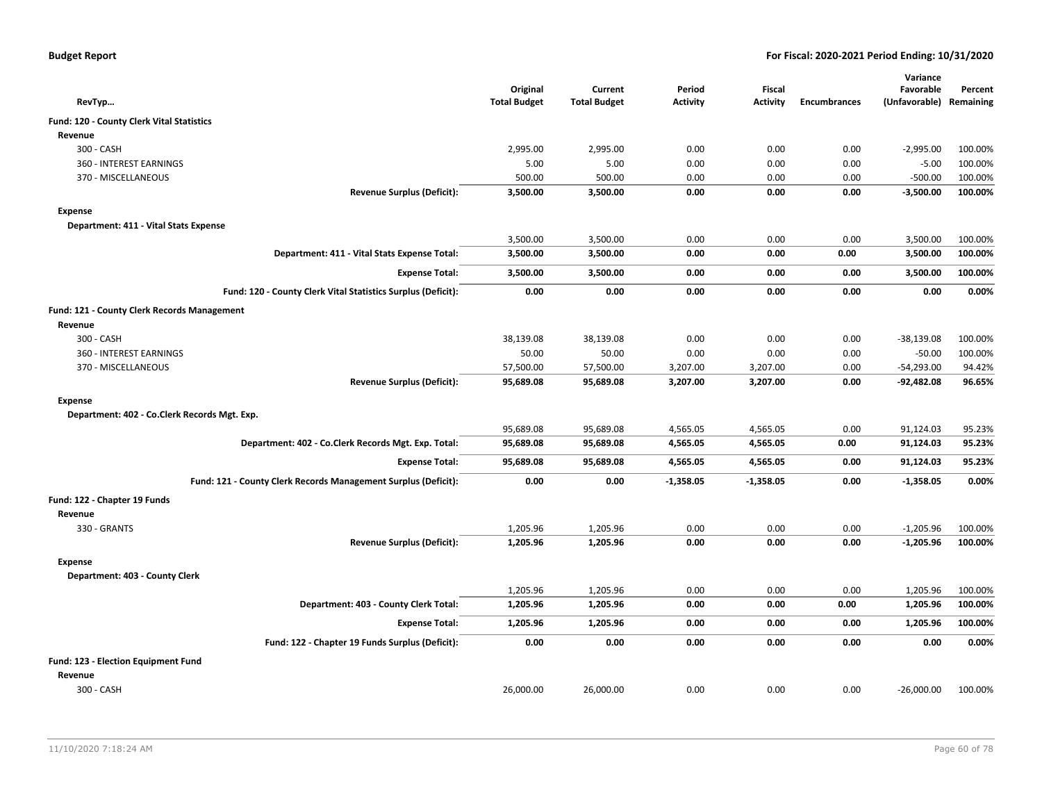| <b>Budget Report</b> |  |
|----------------------|--|
|----------------------|--|

|                                                                |                     |                     |                 |                 |              | Variance      |           |
|----------------------------------------------------------------|---------------------|---------------------|-----------------|-----------------|--------------|---------------|-----------|
|                                                                | Original            | Current             | Period          | Fiscal          |              | Favorable     | Percent   |
| RevTyp                                                         | <b>Total Budget</b> | <b>Total Budget</b> | <b>Activity</b> | <b>Activity</b> | Encumbrances | (Unfavorable) | Remaining |
| Fund: 120 - County Clerk Vital Statistics                      |                     |                     |                 |                 |              |               |           |
| Revenue                                                        |                     |                     |                 |                 |              |               |           |
| 300 - CASH                                                     | 2,995.00            | 2,995.00            | 0.00            | 0.00            | 0.00         | $-2,995.00$   | 100.00%   |
| 360 - INTEREST EARNINGS                                        | 5.00                | 5.00                | 0.00            | 0.00            | 0.00         | $-5.00$       | 100.00%   |
| 370 - MISCELLANEOUS                                            | 500.00              | 500.00              | 0.00            | 0.00            | 0.00         | $-500.00$     | 100.00%   |
| <b>Revenue Surplus (Deficit):</b>                              | 3,500.00            | 3,500.00            | 0.00            | 0.00            | 0.00         | $-3,500.00$   | 100.00%   |
| <b>Expense</b>                                                 |                     |                     |                 |                 |              |               |           |
| Department: 411 - Vital Stats Expense                          |                     |                     |                 |                 |              |               |           |
|                                                                | 3,500.00            | 3,500.00            | 0.00            | 0.00            | 0.00         | 3,500.00      | 100.00%   |
| Department: 411 - Vital Stats Expense Total:                   | 3,500.00            | 3,500.00            | 0.00            | 0.00            | 0.00         | 3,500.00      | 100.00%   |
| <b>Expense Total:</b>                                          | 3,500.00            | 3,500.00            | 0.00            | 0.00            | 0.00         | 3,500.00      | 100.00%   |
| Fund: 120 - County Clerk Vital Statistics Surplus (Deficit):   | 0.00                | 0.00                | 0.00            | 0.00            | 0.00         | 0.00          | 0.00%     |
| Fund: 121 - County Clerk Records Management                    |                     |                     |                 |                 |              |               |           |
| Revenue                                                        |                     |                     |                 |                 |              |               |           |
| 300 - CASH                                                     | 38,139.08           | 38,139.08           | 0.00            | 0.00            | 0.00         | $-38,139.08$  | 100.00%   |
| 360 - INTEREST EARNINGS                                        | 50.00               | 50.00               | 0.00            | 0.00            | 0.00         | $-50.00$      | 100.00%   |
| 370 - MISCELLANEOUS                                            | 57,500.00           | 57,500.00           | 3,207.00        | 3,207.00        | 0.00         | $-54,293.00$  | 94.42%    |
| <b>Revenue Surplus (Deficit):</b>                              | 95,689.08           | 95,689.08           | 3,207.00        | 3,207.00        | 0.00         | $-92,482.08$  | 96.65%    |
| <b>Expense</b>                                                 |                     |                     |                 |                 |              |               |           |
| Department: 402 - Co.Clerk Records Mgt. Exp.                   |                     |                     |                 |                 |              |               |           |
|                                                                | 95,689.08           | 95,689.08           | 4,565.05        | 4,565.05        | 0.00         | 91,124.03     | 95.23%    |
| Department: 402 - Co.Clerk Records Mgt. Exp. Total:            | 95,689.08           | 95,689.08           | 4,565.05        | 4,565.05        | 0.00         | 91,124.03     | 95.23%    |
| <b>Expense Total:</b>                                          | 95,689.08           | 95,689.08           | 4,565.05        | 4,565.05        | 0.00         | 91,124.03     | 95.23%    |
| Fund: 121 - County Clerk Records Management Surplus (Deficit): | 0.00                | 0.00                | $-1,358.05$     | $-1,358.05$     | 0.00         | $-1,358.05$   | 0.00%     |
| Fund: 122 - Chapter 19 Funds                                   |                     |                     |                 |                 |              |               |           |
| Revenue                                                        |                     |                     |                 |                 |              |               |           |
| 330 - GRANTS                                                   | 1,205.96            | 1,205.96            | 0.00            | 0.00            | 0.00         | $-1,205.96$   | 100.00%   |
| <b>Revenue Surplus (Deficit):</b>                              | 1,205.96            | 1,205.96            | 0.00            | 0.00            | 0.00         | $-1,205.96$   | 100.00%   |
| <b>Expense</b>                                                 |                     |                     |                 |                 |              |               |           |
| Department: 403 - County Clerk                                 |                     |                     |                 |                 |              |               |           |
|                                                                | 1,205.96            | 1,205.96            | 0.00            | 0.00            | 0.00         | 1,205.96      | 100.00%   |
| Department: 403 - County Clerk Total:                          | 1,205.96            | 1,205.96            | 0.00            | 0.00            | 0.00         | 1,205.96      | 100.00%   |
| <b>Expense Total:</b>                                          | 1,205.96            | 1,205.96            | 0.00            | 0.00            | 0.00         | 1,205.96      | 100.00%   |
| Fund: 122 - Chapter 19 Funds Surplus (Deficit):                | 0.00                | 0.00                | 0.00            | 0.00            | 0.00         | 0.00          | 0.00%     |
| Fund: 123 - Election Equipment Fund                            |                     |                     |                 |                 |              |               |           |
| Revenue                                                        |                     |                     |                 |                 |              |               |           |
| 300 - CASH                                                     | 26,000.00           | 26,000.00           | 0.00            | 0.00            | 0.00         | $-26,000.00$  | 100.00%   |
|                                                                |                     |                     |                 |                 |              |               |           |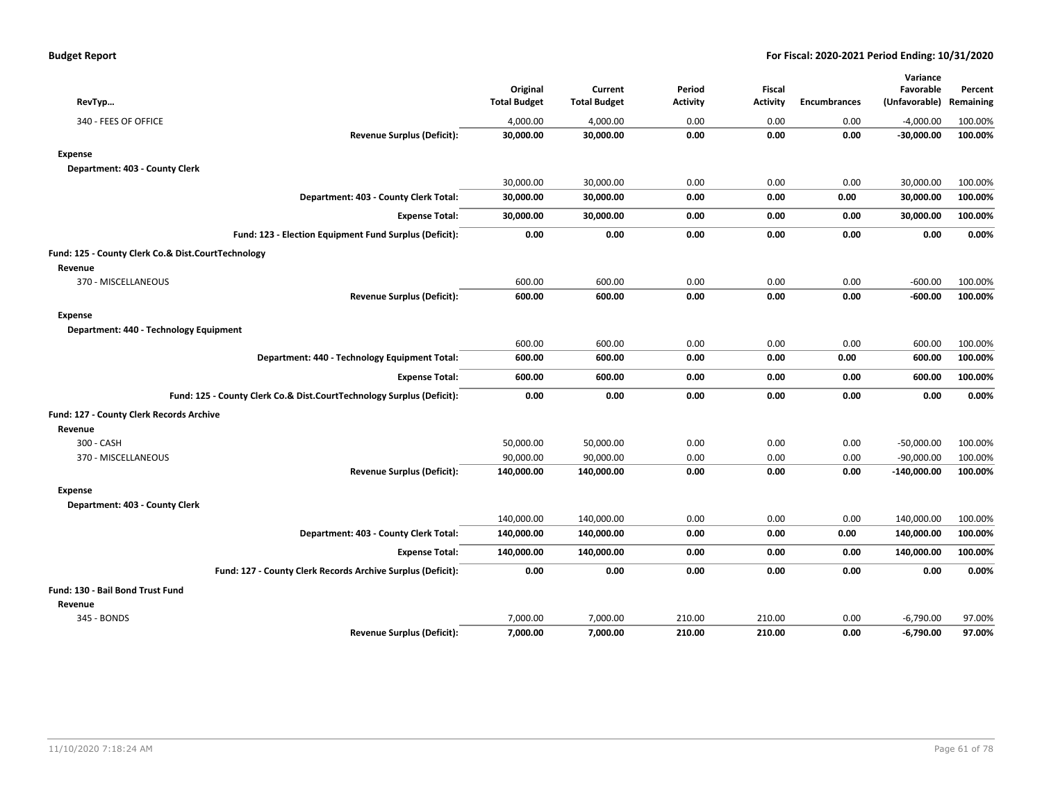|                                                                       |                     |                     |                 |                 |                     | Variance      |           |
|-----------------------------------------------------------------------|---------------------|---------------------|-----------------|-----------------|---------------------|---------------|-----------|
|                                                                       | Original            | Current             | Period          | <b>Fiscal</b>   |                     | Favorable     | Percent   |
| RevTyp                                                                | <b>Total Budget</b> | <b>Total Budget</b> | <b>Activity</b> | <b>Activity</b> | <b>Encumbrances</b> | (Unfavorable) | Remaining |
| 340 - FEES OF OFFICE                                                  | 4,000.00            | 4,000.00            | 0.00            | 0.00            | 0.00                | $-4,000.00$   | 100.00%   |
| <b>Revenue Surplus (Deficit):</b>                                     | 30,000.00           | 30,000.00           | 0.00            | 0.00            | 0.00                | $-30,000.00$  | 100.00%   |
| <b>Expense</b>                                                        |                     |                     |                 |                 |                     |               |           |
| Department: 403 - County Clerk                                        |                     |                     |                 |                 |                     |               |           |
|                                                                       | 30,000.00           | 30,000.00           | 0.00            | 0.00            | 0.00                | 30,000.00     | 100.00%   |
| Department: 403 - County Clerk Total:                                 | 30,000.00           | 30,000.00           | 0.00            | 0.00            | 0.00                | 30,000.00     | 100.00%   |
| <b>Expense Total:</b>                                                 | 30,000.00           | 30,000.00           | 0.00            | 0.00            | 0.00                | 30,000.00     | 100.00%   |
| Fund: 123 - Election Equipment Fund Surplus (Deficit):                | 0.00                | 0.00                | 0.00            | 0.00            | 0.00                | 0.00          | 0.00%     |
| Fund: 125 - County Clerk Co.& Dist.CourtTechnology                    |                     |                     |                 |                 |                     |               |           |
| Revenue                                                               |                     |                     |                 |                 |                     |               |           |
| 370 - MISCELLANEOUS                                                   | 600.00              | 600.00              | 0.00            | 0.00            | 0.00                | $-600.00$     | 100.00%   |
| <b>Revenue Surplus (Deficit):</b>                                     | 600.00              | 600.00              | 0.00            | 0.00            | 0.00                | -600.00       | 100.00%   |
| <b>Expense</b>                                                        |                     |                     |                 |                 |                     |               |           |
| Department: 440 - Technology Equipment                                |                     |                     |                 |                 |                     |               |           |
|                                                                       | 600.00              | 600.00              | 0.00            | 0.00            | 0.00                | 600.00        | 100.00%   |
| Department: 440 - Technology Equipment Total:                         | 600.00              | 600.00              | 0.00            | 0.00            | 0.00                | 600.00        | 100.00%   |
| <b>Expense Total:</b>                                                 | 600.00              | 600.00              | 0.00            | 0.00            | 0.00                | 600.00        | 100.00%   |
| Fund: 125 - County Clerk Co.& Dist.CourtTechnology Surplus (Deficit): | 0.00                | 0.00                | 0.00            | 0.00            | 0.00                | 0.00          | 0.00%     |
| Fund: 127 - County Clerk Records Archive                              |                     |                     |                 |                 |                     |               |           |
| Revenue                                                               |                     |                     |                 |                 |                     |               |           |
| 300 - CASH                                                            | 50,000.00           | 50,000.00           | 0.00            | 0.00            | 0.00                | $-50,000.00$  | 100.00%   |
| 370 - MISCELLANEOUS                                                   | 90,000.00           | 90,000.00           | 0.00            | 0.00            | 0.00                | $-90,000.00$  | 100.00%   |
| <b>Revenue Surplus (Deficit):</b>                                     | 140,000.00          | 140,000.00          | 0.00            | 0.00            | 0.00                | $-140,000.00$ | 100.00%   |
| <b>Expense</b>                                                        |                     |                     |                 |                 |                     |               |           |
| Department: 403 - County Clerk                                        |                     |                     |                 |                 |                     |               |           |
|                                                                       | 140,000.00          | 140,000.00          | 0.00            | 0.00            | 0.00                | 140,000.00    | 100.00%   |
| Department: 403 - County Clerk Total:                                 | 140,000.00          | 140,000.00          | 0.00            | 0.00            | 0.00                | 140,000.00    | 100.00%   |
| <b>Expense Total:</b>                                                 | 140,000.00          | 140,000.00          | 0.00            | 0.00            | 0.00                | 140,000.00    | 100.00%   |
| Fund: 127 - County Clerk Records Archive Surplus (Deficit):           | 0.00                | 0.00                | 0.00            | 0.00            | 0.00                | 0.00          | 0.00%     |
| Fund: 130 - Bail Bond Trust Fund                                      |                     |                     |                 |                 |                     |               |           |
| Revenue                                                               |                     |                     |                 |                 |                     |               |           |
| 345 - BONDS                                                           | 7,000.00            | 7,000.00            | 210.00          | 210.00          | 0.00                | $-6,790.00$   | 97.00%    |
| <b>Revenue Surplus (Deficit):</b>                                     | 7,000.00            | 7,000.00            | 210.00          | 210.00          | 0.00                | $-6,790.00$   | 97.00%    |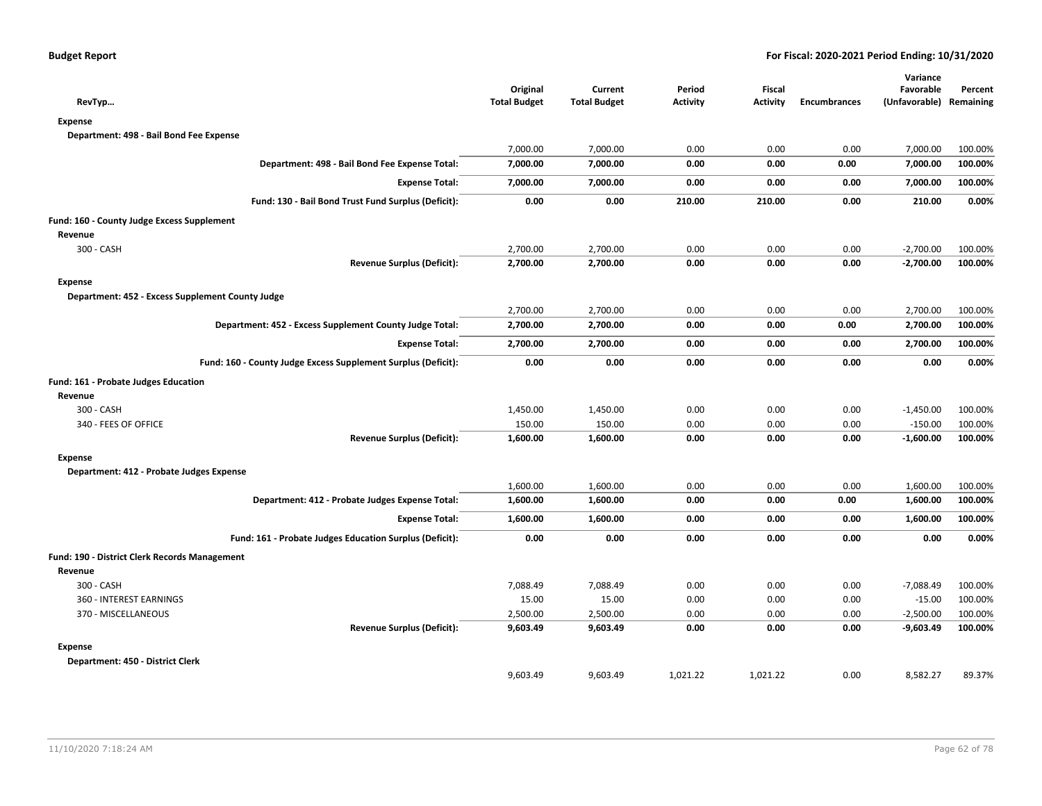| RevTyp                                                        | Original<br><b>Total Budget</b> | Current<br><b>Total Budget</b> | Period<br><b>Activity</b> | Fiscal<br><b>Activity</b> | <b>Encumbrances</b> | Variance<br>Favorable<br>(Unfavorable) Remaining | Percent |
|---------------------------------------------------------------|---------------------------------|--------------------------------|---------------------------|---------------------------|---------------------|--------------------------------------------------|---------|
| <b>Expense</b>                                                |                                 |                                |                           |                           |                     |                                                  |         |
| Department: 498 - Bail Bond Fee Expense                       |                                 |                                |                           |                           |                     |                                                  |         |
|                                                               | 7,000.00                        | 7,000.00                       | 0.00                      | 0.00                      | 0.00                | 7,000.00                                         | 100.00% |
| Department: 498 - Bail Bond Fee Expense Total:                | 7,000.00                        | 7,000.00                       | 0.00                      | 0.00                      | 0.00                | 7,000.00                                         | 100.00% |
| <b>Expense Total:</b>                                         | 7,000.00                        | 7,000.00                       | 0.00                      | 0.00                      | 0.00                | 7,000.00                                         | 100.00% |
| Fund: 130 - Bail Bond Trust Fund Surplus (Deficit):           | 0.00                            | 0.00                           | 210.00                    | 210.00                    | 0.00                | 210.00                                           | 0.00%   |
| Fund: 160 - County Judge Excess Supplement                    |                                 |                                |                           |                           |                     |                                                  |         |
| Revenue                                                       |                                 |                                |                           |                           |                     |                                                  |         |
| 300 - CASH                                                    | 2,700.00                        | 2,700.00                       | 0.00                      | 0.00                      | 0.00                | $-2,700.00$                                      | 100.00% |
| <b>Revenue Surplus (Deficit):</b>                             | 2,700.00                        | 2,700.00                       | 0.00                      | 0.00                      | 0.00                | $-2,700.00$                                      | 100.00% |
| <b>Expense</b>                                                |                                 |                                |                           |                           |                     |                                                  |         |
| Department: 452 - Excess Supplement County Judge              |                                 |                                |                           |                           |                     |                                                  |         |
|                                                               | 2,700.00                        | 2,700.00                       | 0.00                      | 0.00                      | 0.00                | 2,700.00                                         | 100.00% |
| Department: 452 - Excess Supplement County Judge Total:       | 2,700.00                        | 2,700.00                       | 0.00                      | 0.00                      | 0.00                | 2,700.00                                         | 100.00% |
| <b>Expense Total:</b>                                         | 2,700.00                        | 2,700.00                       | 0.00                      | 0.00                      | 0.00                | 2,700.00                                         | 100.00% |
| Fund: 160 - County Judge Excess Supplement Surplus (Deficit): | 0.00                            | 0.00                           | 0.00                      | 0.00                      | 0.00                | 0.00                                             | 0.00%   |
| Fund: 161 - Probate Judges Education                          |                                 |                                |                           |                           |                     |                                                  |         |
| Revenue                                                       |                                 |                                |                           |                           |                     |                                                  |         |
| 300 - CASH                                                    | 1,450.00                        | 1,450.00                       | 0.00                      | 0.00                      | 0.00                | $-1,450.00$                                      | 100.00% |
| 340 - FEES OF OFFICE                                          | 150.00                          | 150.00                         | 0.00                      | 0.00                      | 0.00                | $-150.00$                                        | 100.00% |
| <b>Revenue Surplus (Deficit):</b>                             | 1,600.00                        | 1,600.00                       | 0.00                      | 0.00                      | 0.00                | $-1,600.00$                                      | 100.00% |
| <b>Expense</b>                                                |                                 |                                |                           |                           |                     |                                                  |         |
| Department: 412 - Probate Judges Expense                      |                                 |                                |                           |                           |                     |                                                  |         |
|                                                               | 1,600.00                        | 1,600.00                       | 0.00                      | 0.00                      | 0.00                | 1,600.00                                         | 100.00% |
| Department: 412 - Probate Judges Expense Total:               | 1,600.00                        | 1,600.00                       | 0.00                      | 0.00                      | 0.00                | 1,600.00                                         | 100.00% |
| <b>Expense Total:</b>                                         | 1,600.00                        | 1,600.00                       | 0.00                      | 0.00                      | 0.00                | 1,600.00                                         | 100.00% |
| Fund: 161 - Probate Judges Education Surplus (Deficit):       | 0.00                            | 0.00                           | 0.00                      | 0.00                      | 0.00                | 0.00                                             | 0.00%   |
| Fund: 190 - District Clerk Records Management                 |                                 |                                |                           |                           |                     |                                                  |         |
| Revenue                                                       |                                 |                                |                           |                           |                     |                                                  |         |
| 300 - CASH                                                    | 7,088.49                        | 7,088.49                       | 0.00                      | 0.00                      | 0.00                | $-7,088.49$                                      | 100.00% |
| 360 - INTEREST EARNINGS                                       | 15.00                           | 15.00                          | 0.00                      | 0.00                      | 0.00                | $-15.00$                                         | 100.00% |
| 370 - MISCELLANEOUS                                           | 2,500.00                        | 2,500.00                       | 0.00                      | 0.00                      | 0.00                | $-2,500.00$                                      | 100.00% |
| <b>Revenue Surplus (Deficit):</b>                             | 9,603.49                        | 9,603.49                       | 0.00                      | 0.00                      | 0.00                | $-9,603.49$                                      | 100.00% |
| <b>Expense</b>                                                |                                 |                                |                           |                           |                     |                                                  |         |
| Department: 450 - District Clerk                              |                                 |                                |                           |                           |                     |                                                  |         |
|                                                               | 9,603.49                        | 9,603.49                       | 1,021.22                  | 1,021.22                  | 0.00                | 8,582.27                                         | 89.37%  |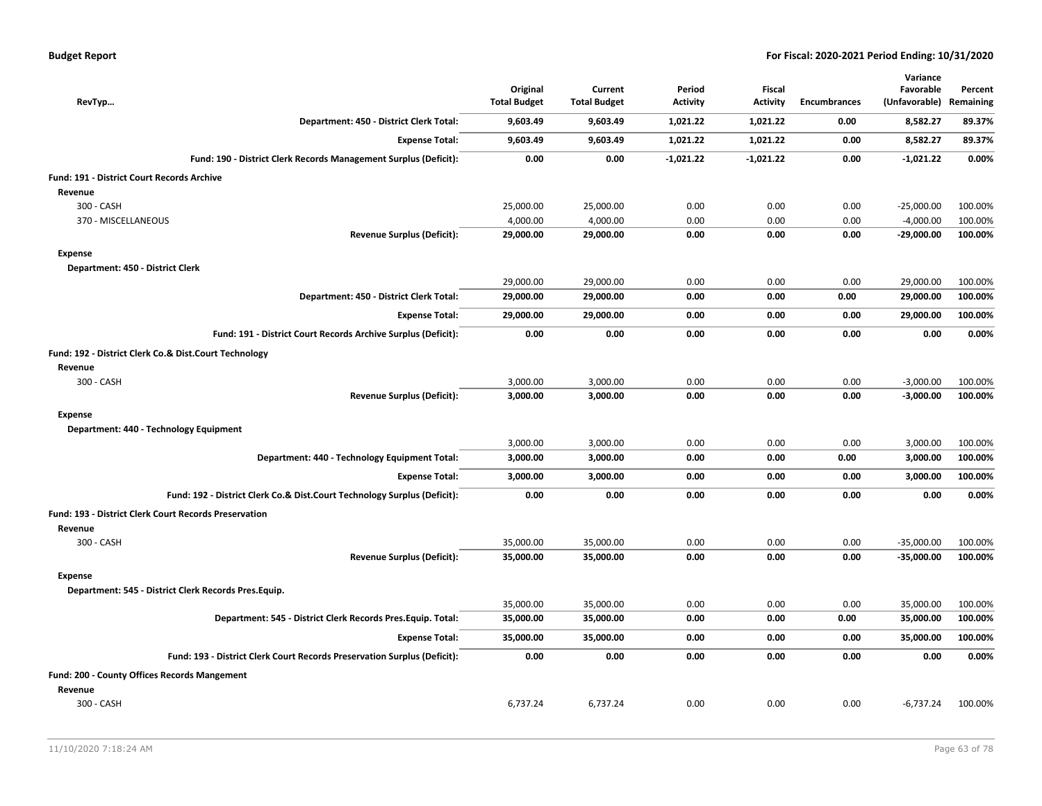|                                                   |                                                                          | Original            | Current             | Period          | <b>Fiscal</b>   |                     | Variance<br>Favorable   |         |
|---------------------------------------------------|--------------------------------------------------------------------------|---------------------|---------------------|-----------------|-----------------|---------------------|-------------------------|---------|
| RevTyp                                            |                                                                          | <b>Total Budget</b> | <b>Total Budget</b> | <b>Activity</b> | <b>Activity</b> | <b>Encumbrances</b> | (Unfavorable) Remaining | Percent |
|                                                   | Department: 450 - District Clerk Total:                                  | 9,603.49            | 9,603.49            | 1,021.22        | 1,021.22        | 0.00                | 8,582.27                | 89.37%  |
|                                                   | <b>Expense Total:</b>                                                    | 9,603.49            | 9,603.49            | 1,021.22        | 1,021.22        | 0.00                | 8,582.27                | 89.37%  |
|                                                   | Fund: 190 - District Clerk Records Management Surplus (Deficit):         | 0.00                | 0.00                | $-1,021.22$     | $-1,021.22$     | 0.00                | $-1,021.22$             | 0.00%   |
| <b>Fund: 191 - District Court Records Archive</b> |                                                                          |                     |                     |                 |                 |                     |                         |         |
| Revenue                                           |                                                                          |                     |                     |                 |                 |                     |                         |         |
| 300 - CASH                                        |                                                                          | 25,000.00           | 25,000.00           | 0.00            | 0.00            | 0.00                | $-25,000.00$            | 100.00% |
| 370 - MISCELLANEOUS                               |                                                                          | 4,000.00            | 4,000.00            | 0.00            | 0.00            | 0.00                | $-4,000.00$             | 100.00% |
|                                                   | <b>Revenue Surplus (Deficit):</b>                                        | 29,000.00           | 29,000.00           | 0.00            | 0.00            | 0.00                | $-29,000.00$            | 100.00% |
| <b>Expense</b>                                    |                                                                          |                     |                     |                 |                 |                     |                         |         |
| Department: 450 - District Clerk                  |                                                                          |                     |                     |                 |                 |                     |                         |         |
|                                                   |                                                                          | 29,000.00           | 29,000.00           | 0.00            | 0.00            | 0.00                | 29,000.00               | 100.00% |
|                                                   | Department: 450 - District Clerk Total:                                  | 29,000.00           | 29,000.00           | 0.00            | 0.00            | 0.00                | 29,000.00               | 100.00% |
|                                                   | <b>Expense Total:</b>                                                    | 29,000.00           | 29,000.00           | 0.00            | 0.00            | 0.00                | 29,000.00               | 100.00% |
|                                                   | Fund: 191 - District Court Records Archive Surplus (Deficit):            | 0.00                | 0.00                | 0.00            | 0.00            | 0.00                | 0.00                    | 0.00%   |
|                                                   | Fund: 192 - District Clerk Co.& Dist.Court Technology                    |                     |                     |                 |                 |                     |                         |         |
| Revenue                                           |                                                                          |                     |                     |                 |                 |                     |                         |         |
| 300 - CASH                                        |                                                                          | 3,000.00            | 3,000.00            | 0.00            | 0.00            | 0.00                | $-3,000.00$             | 100.00% |
|                                                   | <b>Revenue Surplus (Deficit):</b>                                        | 3,000.00            | 3,000.00            | 0.00            | 0.00            | 0.00                | $-3,000.00$             | 100.00% |
| <b>Expense</b>                                    |                                                                          |                     |                     |                 |                 |                     |                         |         |
| Department: 440 - Technology Equipment            |                                                                          |                     |                     |                 |                 |                     |                         |         |
|                                                   |                                                                          | 3,000.00            | 3,000.00            | 0.00            | 0.00            | 0.00                | 3,000.00                | 100.00% |
|                                                   | Department: 440 - Technology Equipment Total:                            | 3,000.00            | 3,000.00            | 0.00            | 0.00            | 0.00                | 3,000.00                | 100.00% |
|                                                   | <b>Expense Total:</b>                                                    | 3,000.00            | 3,000.00            | 0.00            | 0.00            | 0.00                | 3,000.00                | 100.00% |
|                                                   | Fund: 192 - District Clerk Co.& Dist.Court Technology Surplus (Deficit): | 0.00                | 0.00                | 0.00            | 0.00            | 0.00                | 0.00                    | 0.00%   |
|                                                   | Fund: 193 - District Clerk Court Records Preservation                    |                     |                     |                 |                 |                     |                         |         |
| Revenue                                           |                                                                          |                     |                     |                 |                 |                     |                         |         |
| 300 - CASH                                        |                                                                          | 35,000.00           | 35,000.00           | 0.00            | 0.00            | 0.00                | $-35,000.00$            | 100.00% |
|                                                   | <b>Revenue Surplus (Deficit):</b>                                        | 35,000.00           | 35,000.00           | 0.00            | 0.00            | 0.00                | $-35,000.00$            | 100.00% |
| <b>Expense</b>                                    |                                                                          |                     |                     |                 |                 |                     |                         |         |
|                                                   | Department: 545 - District Clerk Records Pres.Equip.                     |                     |                     |                 |                 |                     |                         |         |
|                                                   |                                                                          | 35,000.00           | 35,000.00           | 0.00            | 0.00            | 0.00                | 35,000.00               | 100.00% |
|                                                   | Department: 545 - District Clerk Records Pres. Equip. Total:             | 35,000.00           | 35,000.00           | 0.00            | 0.00            | 0.00                | 35,000.00               | 100.00% |
|                                                   | <b>Expense Total:</b>                                                    | 35,000.00           | 35,000.00           | 0.00            | 0.00            | 0.00                | 35,000.00               | 100.00% |
|                                                   | Fund: 193 - District Clerk Court Records Preservation Surplus (Deficit): | 0.00                | 0.00                | 0.00            | 0.00            | 0.00                | 0.00                    | 0.00%   |
| Fund: 200 - County Offices Records Mangement      |                                                                          |                     |                     |                 |                 |                     |                         |         |
| Revenue                                           |                                                                          |                     |                     |                 |                 |                     |                         |         |
| 300 - CASH                                        |                                                                          | 6,737.24            | 6,737.24            | 0.00            | 0.00            | 0.00                | $-6,737.24$             | 100.00% |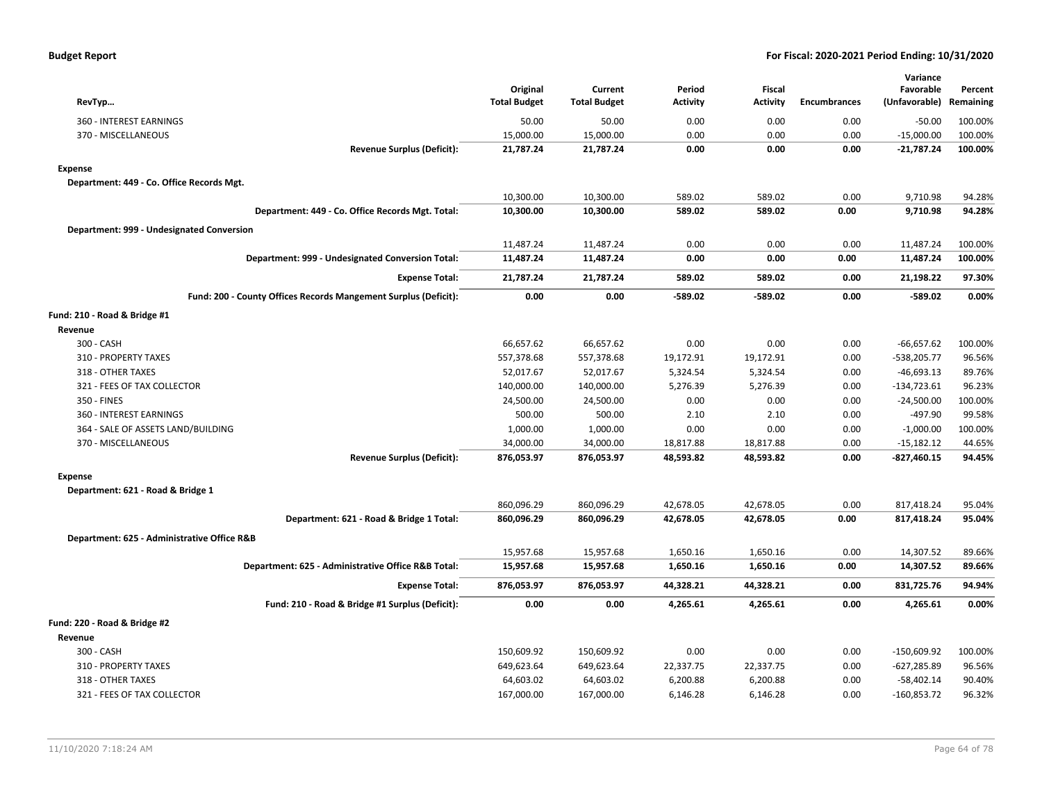| RevTyp                                                          | Original<br><b>Total Budget</b> | Current<br><b>Total Budget</b> | Period<br><b>Activity</b> | <b>Fiscal</b><br><b>Activity</b> | <b>Encumbrances</b> | Variance<br>Favorable<br>(Unfavorable) | Percent<br>Remaining |
|-----------------------------------------------------------------|---------------------------------|--------------------------------|---------------------------|----------------------------------|---------------------|----------------------------------------|----------------------|
| 360 - INTEREST EARNINGS                                         | 50.00                           | 50.00                          | 0.00                      | 0.00                             | 0.00                | $-50.00$                               | 100.00%              |
| 370 - MISCELLANEOUS                                             | 15,000.00                       | 15,000.00                      | 0.00                      | 0.00                             | 0.00                | $-15,000.00$                           | 100.00%              |
| <b>Revenue Surplus (Deficit):</b>                               | 21,787.24                       | 21,787.24                      | 0.00                      | 0.00                             | 0.00                | $-21,787.24$                           | 100.00%              |
| <b>Expense</b>                                                  |                                 |                                |                           |                                  |                     |                                        |                      |
| Department: 449 - Co. Office Records Mgt.                       |                                 |                                |                           |                                  |                     |                                        |                      |
|                                                                 | 10,300.00                       | 10,300.00                      | 589.02                    | 589.02                           | 0.00                | 9,710.98                               | 94.28%               |
| Department: 449 - Co. Office Records Mgt. Total:                | 10,300.00                       | 10,300.00                      | 589.02                    | 589.02                           | 0.00                | 9,710.98                               | 94.28%               |
| Department: 999 - Undesignated Conversion                       |                                 |                                |                           |                                  |                     |                                        |                      |
|                                                                 | 11,487.24                       | 11,487.24                      | 0.00                      | 0.00                             | 0.00                | 11,487.24                              | 100.00%              |
| Department: 999 - Undesignated Conversion Total:                | 11,487.24                       | 11,487.24                      | 0.00                      | 0.00                             | 0.00                | 11,487.24                              | 100.00%              |
| <b>Expense Total:</b>                                           | 21,787.24                       | 21,787.24                      | 589.02                    | 589.02                           | 0.00                | 21,198.22                              | 97.30%               |
| Fund: 200 - County Offices Records Mangement Surplus (Deficit): | 0.00                            | 0.00                           | -589.02                   | $-589.02$                        | 0.00                | $-589.02$                              | 0.00%                |
| Fund: 210 - Road & Bridge #1                                    |                                 |                                |                           |                                  |                     |                                        |                      |
| Revenue                                                         |                                 |                                |                           |                                  |                     |                                        |                      |
| 300 - CASH                                                      | 66,657.62                       | 66,657.62                      | 0.00                      | 0.00                             | 0.00                | $-66,657.62$                           | 100.00%              |
| 310 - PROPERTY TAXES                                            | 557,378.68                      | 557,378.68                     | 19,172.91                 | 19,172.91                        | 0.00                | $-538,205.77$                          | 96.56%               |
| 318 - OTHER TAXES                                               | 52,017.67                       | 52,017.67                      | 5,324.54                  | 5,324.54                         | 0.00                | $-46,693.13$                           | 89.76%               |
| 321 - FEES OF TAX COLLECTOR                                     | 140,000.00                      | 140,000.00                     | 5,276.39                  | 5,276.39                         | 0.00                | $-134,723.61$                          | 96.23%               |
| 350 - FINES                                                     | 24,500.00                       | 24,500.00                      | 0.00                      | 0.00                             | 0.00                | $-24,500.00$                           | 100.00%              |
| 360 - INTEREST EARNINGS                                         | 500.00                          | 500.00                         | 2.10                      | 2.10                             | 0.00                | -497.90                                | 99.58%               |
| 364 - SALE OF ASSETS LAND/BUILDING                              | 1,000.00                        | 1,000.00                       | 0.00                      | 0.00                             | 0.00                | $-1,000.00$                            | 100.00%              |
| 370 - MISCELLANEOUS                                             | 34,000.00                       | 34,000.00                      | 18,817.88                 | 18,817.88                        | 0.00                | $-15,182.12$                           | 44.65%               |
| <b>Revenue Surplus (Deficit):</b>                               | 876,053.97                      | 876,053.97                     | 48,593.82                 | 48,593.82                        | 0.00                | $-827,460.15$                          | 94.45%               |
| <b>Expense</b>                                                  |                                 |                                |                           |                                  |                     |                                        |                      |
| Department: 621 - Road & Bridge 1                               |                                 |                                |                           |                                  |                     |                                        |                      |
|                                                                 | 860,096.29                      | 860,096.29                     | 42,678.05                 | 42,678.05                        | 0.00                | 817,418.24                             | 95.04%               |
| Department: 621 - Road & Bridge 1 Total:                        | 860,096.29                      | 860,096.29                     | 42,678.05                 | 42,678.05                        | 0.00                | 817,418.24                             | 95.04%               |
| Department: 625 - Administrative Office R&B                     |                                 |                                |                           |                                  |                     |                                        |                      |
|                                                                 | 15,957.68                       | 15,957.68                      | 1,650.16                  | 1,650.16                         | 0.00                | 14,307.52                              | 89.66%               |
| Department: 625 - Administrative Office R&B Total:              | 15,957.68                       | 15,957.68                      | 1,650.16                  | 1,650.16                         | 0.00                | 14,307.52                              | 89.66%               |
| <b>Expense Total:</b>                                           | 876,053.97                      | 876,053.97                     | 44,328.21                 | 44,328.21                        | 0.00                | 831,725.76                             | 94.94%               |
| Fund: 210 - Road & Bridge #1 Surplus (Deficit):                 | 0.00                            | 0.00                           | 4,265.61                  | 4,265.61                         | 0.00                | 4,265.61                               | $0.00\%$             |
| Fund: 220 - Road & Bridge #2                                    |                                 |                                |                           |                                  |                     |                                        |                      |
| Revenue                                                         |                                 |                                |                           |                                  |                     |                                        |                      |
| 300 - CASH                                                      | 150,609.92                      | 150,609.92                     | 0.00                      | 0.00                             | 0.00                | $-150,609.92$                          | 100.00%              |
| 310 - PROPERTY TAXES                                            | 649,623.64                      | 649,623.64                     | 22,337.75                 | 22,337.75                        | 0.00                | $-627,285.89$                          | 96.56%               |
| 318 - OTHER TAXES                                               | 64,603.02                       | 64,603.02                      | 6,200.88                  | 6,200.88                         | 0.00                | $-58,402.14$                           | 90.40%               |
| 321 - FEES OF TAX COLLECTOR                                     | 167,000.00                      | 167,000.00                     | 6,146.28                  | 6,146.28                         | 0.00                | $-160,853.72$                          | 96.32%               |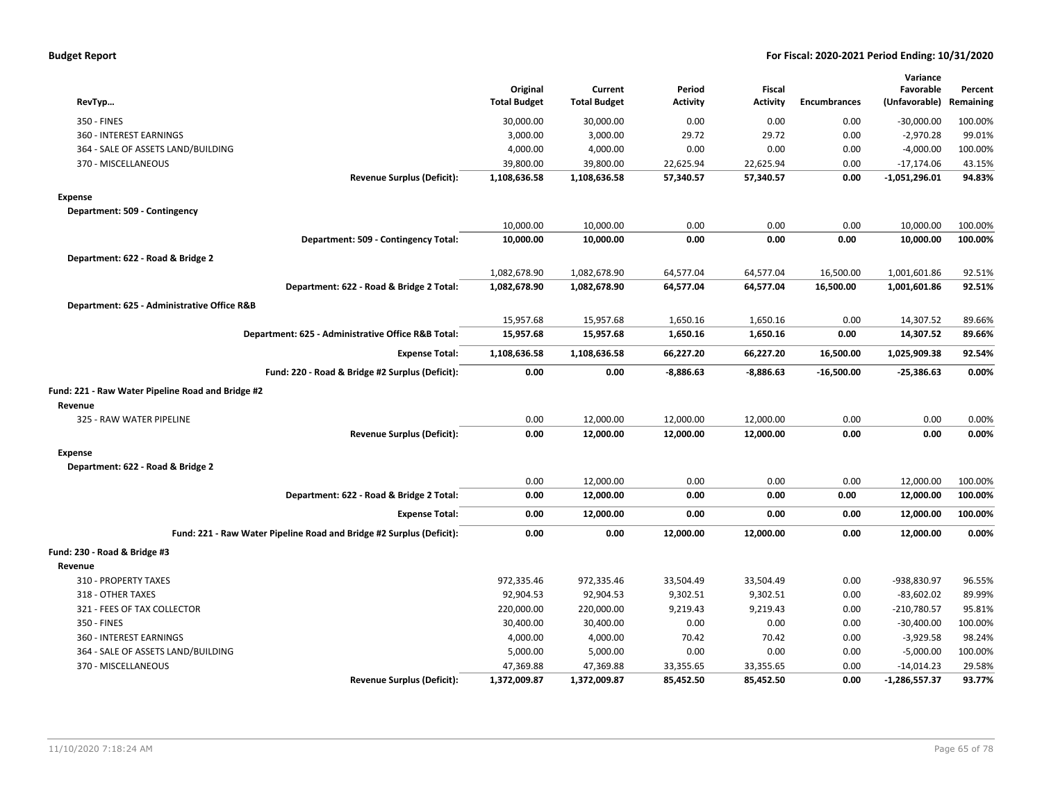| <b>Budget Report</b> |  |
|----------------------|--|
|----------------------|--|

| RevTyp                                                               | Original<br><b>Total Budget</b> | Current<br><b>Total Budget</b> | Period<br><b>Activity</b> | <b>Fiscal</b><br><b>Activity</b> | <b>Encumbrances</b> | Variance<br>Favorable<br>(Unfavorable) | Percent<br>Remaining |
|----------------------------------------------------------------------|---------------------------------|--------------------------------|---------------------------|----------------------------------|---------------------|----------------------------------------|----------------------|
| 350 - FINES                                                          | 30,000.00                       | 30,000.00                      | 0.00                      | 0.00                             | 0.00                | $-30,000.00$                           | 100.00%              |
| 360 - INTEREST EARNINGS                                              | 3,000.00                        | 3,000.00                       | 29.72                     | 29.72                            | 0.00                | $-2,970.28$                            | 99.01%               |
| 364 - SALE OF ASSETS LAND/BUILDING                                   | 4,000.00                        | 4,000.00                       | 0.00                      | 0.00                             | 0.00                | $-4,000.00$                            | 100.00%              |
| 370 - MISCELLANEOUS                                                  | 39,800.00                       | 39,800.00                      | 22,625.94                 | 22,625.94                        | 0.00                | $-17,174.06$                           | 43.15%               |
| <b>Revenue Surplus (Deficit):</b>                                    | 1,108,636.58                    | 1,108,636.58                   | 57,340.57                 | 57,340.57                        | 0.00                | $-1,051,296.01$                        | 94.83%               |
| <b>Expense</b>                                                       |                                 |                                |                           |                                  |                     |                                        |                      |
| Department: 509 - Contingency                                        |                                 |                                |                           |                                  |                     |                                        |                      |
|                                                                      | 10,000.00                       | 10,000.00                      | 0.00                      | 0.00                             | 0.00                | 10,000.00                              | 100.00%              |
| Department: 509 - Contingency Total:                                 | 10,000.00                       | 10,000.00                      | 0.00                      | 0.00                             | 0.00                | 10,000.00                              | 100.00%              |
| Department: 622 - Road & Bridge 2                                    |                                 |                                |                           |                                  |                     |                                        |                      |
|                                                                      | 1,082,678.90                    | 1,082,678.90                   | 64,577.04                 | 64,577.04                        | 16,500.00           | 1,001,601.86                           | 92.51%               |
| Department: 622 - Road & Bridge 2 Total:                             | 1,082,678.90                    | 1,082,678.90                   | 64,577.04                 | 64,577.04                        | 16,500.00           | 1,001,601.86                           | 92.51%               |
|                                                                      |                                 |                                |                           |                                  |                     |                                        |                      |
| Department: 625 - Administrative Office R&B                          |                                 |                                |                           |                                  |                     |                                        |                      |
|                                                                      | 15,957.68                       | 15,957.68                      | 1,650.16                  | 1,650.16                         | 0.00                | 14,307.52                              | 89.66%               |
| Department: 625 - Administrative Office R&B Total:                   | 15,957.68                       | 15,957.68                      | 1,650.16                  | 1,650.16                         | 0.00                | 14,307.52                              | 89.66%               |
| <b>Expense Total:</b>                                                | 1,108,636.58                    | 1,108,636.58                   | 66,227.20                 | 66,227.20                        | 16,500.00           | 1,025,909.38                           | 92.54%               |
| Fund: 220 - Road & Bridge #2 Surplus (Deficit):                      | 0.00                            | 0.00                           | $-8,886.63$               | $-8,886.63$                      | $-16,500.00$        | $-25,386.63$                           | 0.00%                |
| Fund: 221 - Raw Water Pipeline Road and Bridge #2                    |                                 |                                |                           |                                  |                     |                                        |                      |
| Revenue                                                              |                                 |                                |                           |                                  |                     |                                        |                      |
| 325 - RAW WATER PIPELINE                                             | 0.00                            | 12,000.00                      | 12,000.00                 | 12,000.00                        | 0.00                | 0.00                                   | 0.00%                |
| <b>Revenue Surplus (Deficit):</b>                                    | 0.00                            | 12,000.00                      | 12,000.00                 | 12,000.00                        | 0.00                | 0.00                                   | 0.00%                |
| <b>Expense</b>                                                       |                                 |                                |                           |                                  |                     |                                        |                      |
| Department: 622 - Road & Bridge 2                                    |                                 |                                |                           |                                  |                     |                                        |                      |
|                                                                      | 0.00                            | 12,000.00                      | 0.00                      | 0.00                             | 0.00                | 12,000.00                              | 100.00%              |
| Department: 622 - Road & Bridge 2 Total:                             | 0.00                            | 12,000.00                      | 0.00                      | 0.00                             | 0.00                | 12,000.00                              | 100.00%              |
| <b>Expense Total:</b>                                                | 0.00                            | 12,000.00                      | 0.00                      | 0.00                             | 0.00                | 12,000.00                              | 100.00%              |
| Fund: 221 - Raw Water Pipeline Road and Bridge #2 Surplus (Deficit): | 0.00                            | 0.00                           | 12,000.00                 | 12,000.00                        | 0.00                | 12,000.00                              | 0.00%                |
| Fund: 230 - Road & Bridge #3                                         |                                 |                                |                           |                                  |                     |                                        |                      |
| Revenue                                                              |                                 |                                |                           |                                  |                     |                                        |                      |
| 310 - PROPERTY TAXES                                                 | 972,335.46                      | 972,335.46                     | 33,504.49                 | 33,504.49                        | 0.00                | -938,830.97                            | 96.55%               |
| 318 - OTHER TAXES                                                    | 92,904.53                       | 92,904.53                      | 9,302.51                  | 9,302.51                         | 0.00                | $-83,602.02$                           | 89.99%               |
| 321 - FEES OF TAX COLLECTOR                                          | 220,000.00                      | 220,000.00                     | 9,219.43                  | 9,219.43                         | 0.00                | $-210,780.57$                          | 95.81%               |
| 350 - FINES                                                          | 30,400.00                       | 30,400.00                      | 0.00                      | 0.00                             | 0.00                | $-30,400.00$                           | 100.00%              |
| 360 - INTEREST EARNINGS                                              | 4,000.00                        | 4,000.00                       | 70.42                     | 70.42                            | 0.00                | $-3,929.58$                            | 98.24%               |
| 364 - SALE OF ASSETS LAND/BUILDING                                   | 5,000.00                        | 5,000.00                       | 0.00                      | 0.00                             | 0.00                | $-5,000.00$                            | 100.00%              |
| 370 - MISCELLANEOUS                                                  | 47,369.88                       | 47,369.88                      | 33,355.65                 | 33,355.65                        | 0.00                | $-14,014.23$                           | 29.58%               |
| <b>Revenue Surplus (Deficit):</b>                                    | 1,372,009.87                    | 1,372,009.87                   | 85,452.50                 | 85,452.50                        | 0.00                | $-1,286,557.37$                        | 93.77%               |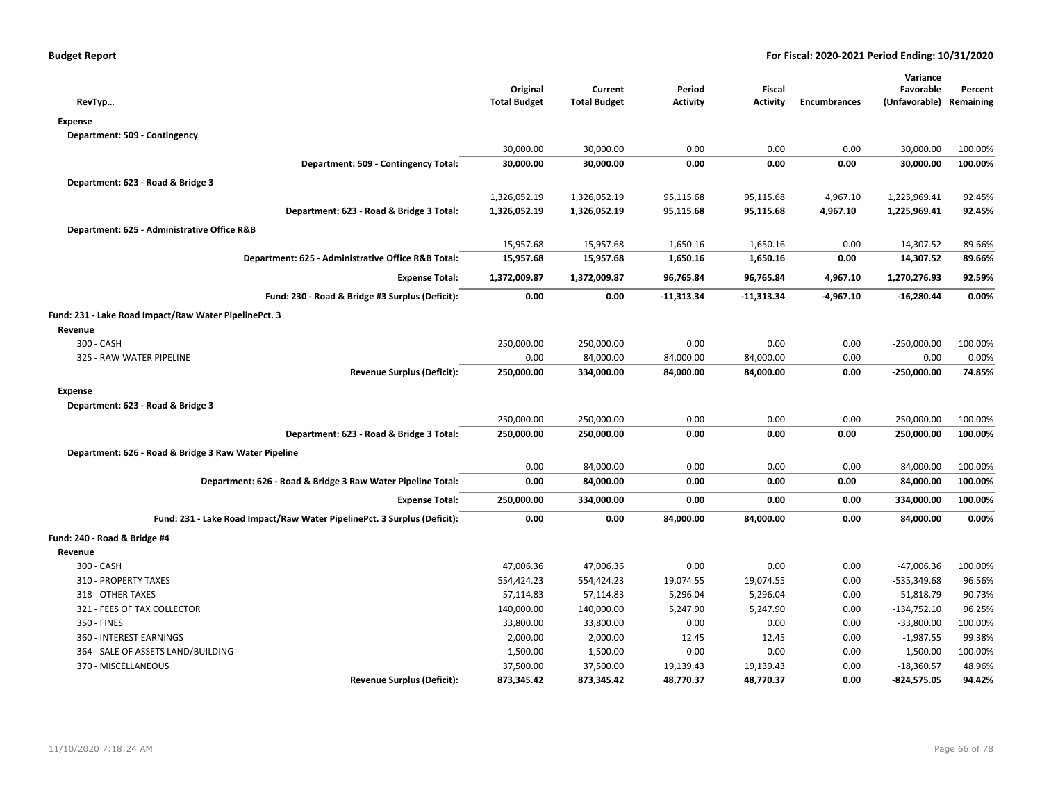| RevTyp                                                                   | Original<br><b>Total Budget</b> | Current<br><b>Total Budget</b> | Period<br><b>Activity</b> | Fiscal<br>Activity | <b>Encumbrances</b> | Variance<br>Favorable<br>(Unfavorable) | Percent<br>Remaining |
|--------------------------------------------------------------------------|---------------------------------|--------------------------------|---------------------------|--------------------|---------------------|----------------------------------------|----------------------|
| <b>Expense</b>                                                           |                                 |                                |                           |                    |                     |                                        |                      |
| Department: 509 - Contingency                                            |                                 |                                |                           |                    |                     |                                        |                      |
|                                                                          | 30,000.00                       | 30,000.00                      | 0.00                      | 0.00               | 0.00                | 30,000.00                              | 100.00%              |
| Department: 509 - Contingency Total:                                     | 30,000.00                       | 30,000.00                      | 0.00                      | 0.00               | 0.00                | 30,000.00                              | 100.00%              |
| Department: 623 - Road & Bridge 3                                        |                                 |                                |                           |                    |                     |                                        |                      |
|                                                                          | 1,326,052.19                    | 1,326,052.19                   | 95,115.68                 | 95,115.68          | 4,967.10            | 1,225,969.41                           | 92.45%               |
| Department: 623 - Road & Bridge 3 Total:                                 | 1,326,052.19                    | 1,326,052.19                   | 95,115.68                 | 95,115.68          | 4,967.10            | 1,225,969.41                           | 92.45%               |
| Department: 625 - Administrative Office R&B                              |                                 |                                |                           |                    |                     |                                        |                      |
|                                                                          | 15,957.68                       | 15,957.68                      | 1,650.16                  | 1,650.16           | 0.00                | 14,307.52                              | 89.66%               |
| Department: 625 - Administrative Office R&B Total:                       | 15,957.68                       | 15,957.68                      | 1,650.16                  | 1,650.16           | 0.00                | 14,307.52                              | 89.66%               |
| <b>Expense Total:</b>                                                    | 1,372,009.87                    | 1,372,009.87                   | 96,765.84                 | 96,765.84          | 4,967.10            | 1,270,276.93                           | 92.59%               |
| Fund: 230 - Road & Bridge #3 Surplus (Deficit):                          | 0.00                            | 0.00                           | $-11,313.34$              | $-11,313.34$       | -4,967.10           | $-16,280.44$                           | 0.00%                |
| Fund: 231 - Lake Road Impact/Raw Water PipelinePct. 3                    |                                 |                                |                           |                    |                     |                                        |                      |
| Revenue                                                                  |                                 |                                |                           |                    |                     |                                        |                      |
| 300 - CASH                                                               | 250,000.00                      | 250,000.00                     | 0.00                      | 0.00               | 0.00                | $-250,000.00$                          | 100.00%              |
| 325 - RAW WATER PIPELINE                                                 | 0.00                            | 84,000.00                      | 84,000.00                 | 84,000.00          | 0.00                | 0.00                                   | 0.00%                |
| <b>Revenue Surplus (Deficit):</b>                                        | 250,000.00                      | 334,000.00                     | 84,000.00                 | 84,000.00          | 0.00                | $-250,000.00$                          | 74.85%               |
| <b>Expense</b>                                                           |                                 |                                |                           |                    |                     |                                        |                      |
| Department: 623 - Road & Bridge 3                                        |                                 |                                |                           |                    |                     |                                        |                      |
|                                                                          | 250,000.00                      | 250,000.00                     | 0.00                      | 0.00               | 0.00                | 250,000.00                             | 100.00%              |
| Department: 623 - Road & Bridge 3 Total:                                 | 250,000.00                      | 250,000.00                     | 0.00                      | 0.00               | 0.00                | 250,000.00                             | 100.00%              |
| Department: 626 - Road & Bridge 3 Raw Water Pipeline                     |                                 |                                |                           |                    |                     |                                        |                      |
|                                                                          | 0.00                            | 84,000.00                      | 0.00                      | 0.00               | 0.00                | 84,000.00                              | 100.00%              |
| Department: 626 - Road & Bridge 3 Raw Water Pipeline Total:              | 0.00                            | 84,000.00                      | 0.00                      | 0.00               | 0.00                | 84,000.00                              | 100.00%              |
| <b>Expense Total:</b>                                                    | 250,000.00                      | 334,000.00                     | 0.00                      | 0.00               | 0.00                | 334,000.00                             | 100.00%              |
| Fund: 231 - Lake Road Impact/Raw Water PipelinePct. 3 Surplus (Deficit): | 0.00                            | 0.00                           | 84,000.00                 | 84,000.00          | 0.00                | 84,000.00                              | 0.00%                |
| Fund: 240 - Road & Bridge #4                                             |                                 |                                |                           |                    |                     |                                        |                      |
| Revenue                                                                  |                                 |                                |                           |                    |                     |                                        |                      |
| 300 - CASH                                                               | 47,006.36                       | 47,006.36                      | 0.00                      | 0.00               | 0.00                | -47,006.36                             | 100.00%              |
| 310 - PROPERTY TAXES                                                     | 554,424.23                      | 554,424.23                     | 19,074.55                 | 19,074.55          | 0.00                | $-535,349.68$                          | 96.56%               |
| 318 - OTHER TAXES                                                        | 57,114.83                       | 57,114.83                      | 5,296.04                  | 5,296.04           | 0.00                | $-51,818.79$                           | 90.73%               |
| 321 - FEES OF TAX COLLECTOR                                              | 140,000.00                      | 140,000.00                     | 5,247.90                  | 5,247.90           | 0.00                | $-134,752.10$                          | 96.25%               |
| 350 - FINES                                                              | 33,800.00                       | 33,800.00                      | 0.00                      | 0.00               | 0.00                | $-33,800.00$                           | 100.00%              |
| 360 - INTEREST EARNINGS                                                  | 2,000.00                        | 2,000.00                       | 12.45                     | 12.45              | 0.00                | $-1,987.55$                            | 99.38%               |
| 364 - SALE OF ASSETS LAND/BUILDING                                       | 1,500.00                        | 1,500.00                       | 0.00                      | 0.00               | 0.00                | $-1,500.00$                            | 100.00%              |
| 370 - MISCELLANEOUS                                                      | 37,500.00                       | 37,500.00                      | 19,139.43                 | 19,139.43          | 0.00                | $-18,360.57$                           | 48.96%               |
| <b>Revenue Surplus (Deficit):</b>                                        | 873,345.42                      | 873,345.42                     | 48,770.37                 | 48,770.37          | 0.00                | $-824,575.05$                          | 94.42%               |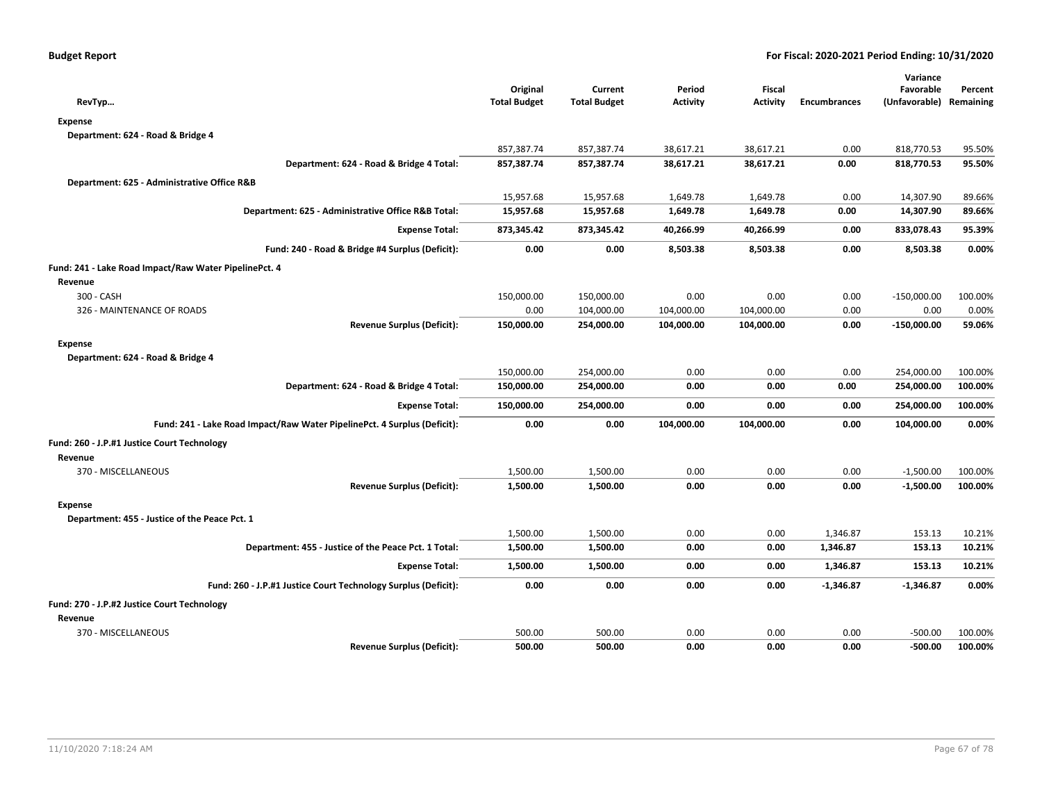|                                                                          |                                 |                                |                           |                                  |                     | Variance                             |         |
|--------------------------------------------------------------------------|---------------------------------|--------------------------------|---------------------------|----------------------------------|---------------------|--------------------------------------|---------|
| RevTyp                                                                   | Original<br><b>Total Budget</b> | Current<br><b>Total Budget</b> | Period<br><b>Activity</b> | <b>Fiscal</b><br><b>Activity</b> | <b>Encumbrances</b> | Favorable<br>(Unfavorable) Remaining | Percent |
|                                                                          |                                 |                                |                           |                                  |                     |                                      |         |
| <b>Expense</b><br>Department: 624 - Road & Bridge 4                      |                                 |                                |                           |                                  |                     |                                      |         |
|                                                                          | 857,387.74                      | 857,387.74                     | 38,617.21                 | 38,617.21                        | 0.00                | 818,770.53                           | 95.50%  |
| Department: 624 - Road & Bridge 4 Total:                                 | 857,387.74                      | 857,387.74                     | 38,617.21                 | 38,617.21                        | 0.00                | 818,770.53                           | 95.50%  |
|                                                                          |                                 |                                |                           |                                  |                     |                                      |         |
| Department: 625 - Administrative Office R&B                              |                                 |                                |                           |                                  |                     |                                      |         |
|                                                                          | 15,957.68                       | 15,957.68                      | 1,649.78                  | 1,649.78                         | 0.00                | 14,307.90                            | 89.66%  |
| Department: 625 - Administrative Office R&B Total:                       | 15,957.68                       | 15,957.68                      | 1,649.78                  | 1,649.78                         | 0.00                | 14,307.90                            | 89.66%  |
| <b>Expense Total:</b>                                                    | 873,345.42                      | 873,345.42                     | 40,266.99                 | 40,266.99                        | 0.00                | 833,078.43                           | 95.39%  |
| Fund: 240 - Road & Bridge #4 Surplus (Deficit):                          | 0.00                            | 0.00                           | 8,503.38                  | 8,503.38                         | 0.00                | 8,503.38                             | 0.00%   |
| Fund: 241 - Lake Road Impact/Raw Water PipelinePct. 4                    |                                 |                                |                           |                                  |                     |                                      |         |
| Revenue                                                                  |                                 |                                |                           |                                  |                     |                                      |         |
| 300 - CASH                                                               | 150,000.00                      | 150,000.00                     | 0.00                      | 0.00                             | 0.00                | $-150,000.00$                        | 100.00% |
| 326 - MAINTENANCE OF ROADS                                               | 0.00                            | 104,000.00                     | 104,000.00                | 104,000.00                       | 0.00                | 0.00                                 | 0.00%   |
| <b>Revenue Surplus (Deficit):</b>                                        | 150,000.00                      | 254,000.00                     | 104,000.00                | 104,000.00                       | 0.00                | $-150,000.00$                        | 59.06%  |
| <b>Expense</b>                                                           |                                 |                                |                           |                                  |                     |                                      |         |
| Department: 624 - Road & Bridge 4                                        |                                 |                                |                           |                                  |                     |                                      |         |
|                                                                          | 150,000.00                      | 254,000.00                     | 0.00                      | 0.00                             | 0.00                | 254,000.00                           | 100.00% |
| Department: 624 - Road & Bridge 4 Total:                                 | 150,000.00                      | 254,000.00                     | 0.00                      | 0.00                             | 0.00                | 254,000.00                           | 100.00% |
| <b>Expense Total:</b>                                                    | 150,000.00                      | 254,000.00                     | 0.00                      | 0.00                             | 0.00                | 254,000.00                           | 100.00% |
| Fund: 241 - Lake Road Impact/Raw Water PipelinePct. 4 Surplus (Deficit): | 0.00                            | 0.00                           | 104,000.00                | 104,000.00                       | 0.00                | 104,000.00                           | 0.00%   |
| Fund: 260 - J.P.#1 Justice Court Technology                              |                                 |                                |                           |                                  |                     |                                      |         |
| Revenue                                                                  |                                 |                                |                           |                                  |                     |                                      |         |
| 370 - MISCELLANEOUS                                                      | 1,500.00                        | 1,500.00                       | 0.00                      | 0.00                             | 0.00                | $-1,500.00$                          | 100.00% |
| <b>Revenue Surplus (Deficit):</b>                                        | 1,500.00                        | 1,500.00                       | 0.00                      | 0.00                             | 0.00                | $-1,500.00$                          | 100.00% |
| <b>Expense</b>                                                           |                                 |                                |                           |                                  |                     |                                      |         |
| Department: 455 - Justice of the Peace Pct. 1                            |                                 |                                |                           |                                  |                     |                                      |         |
|                                                                          | 1,500.00                        | 1,500.00                       | 0.00                      | 0.00                             | 1,346.87            | 153.13                               | 10.21%  |
| Department: 455 - Justice of the Peace Pct. 1 Total:                     | 1,500.00                        | 1,500.00                       | 0.00                      | 0.00                             | 1,346.87            | 153.13                               | 10.21%  |
| <b>Expense Total:</b>                                                    | 1,500.00                        | 1,500.00                       | 0.00                      | 0.00                             | 1,346.87            | 153.13                               | 10.21%  |
| Fund: 260 - J.P.#1 Justice Court Technology Surplus (Deficit):           | 0.00                            | 0.00                           | 0.00                      | 0.00                             | $-1,346.87$         | $-1,346.87$                          | 0.00%   |
| Fund: 270 - J.P.#2 Justice Court Technology                              |                                 |                                |                           |                                  |                     |                                      |         |
| Revenue                                                                  |                                 |                                |                           |                                  |                     |                                      |         |
| 370 - MISCELLANEOUS                                                      | 500.00                          | 500.00                         | 0.00                      | 0.00                             | 0.00                | $-500.00$                            | 100.00% |
| <b>Revenue Surplus (Deficit):</b>                                        | 500.00                          | 500.00                         | 0.00                      | 0.00                             | 0.00                | $-500.00$                            | 100.00% |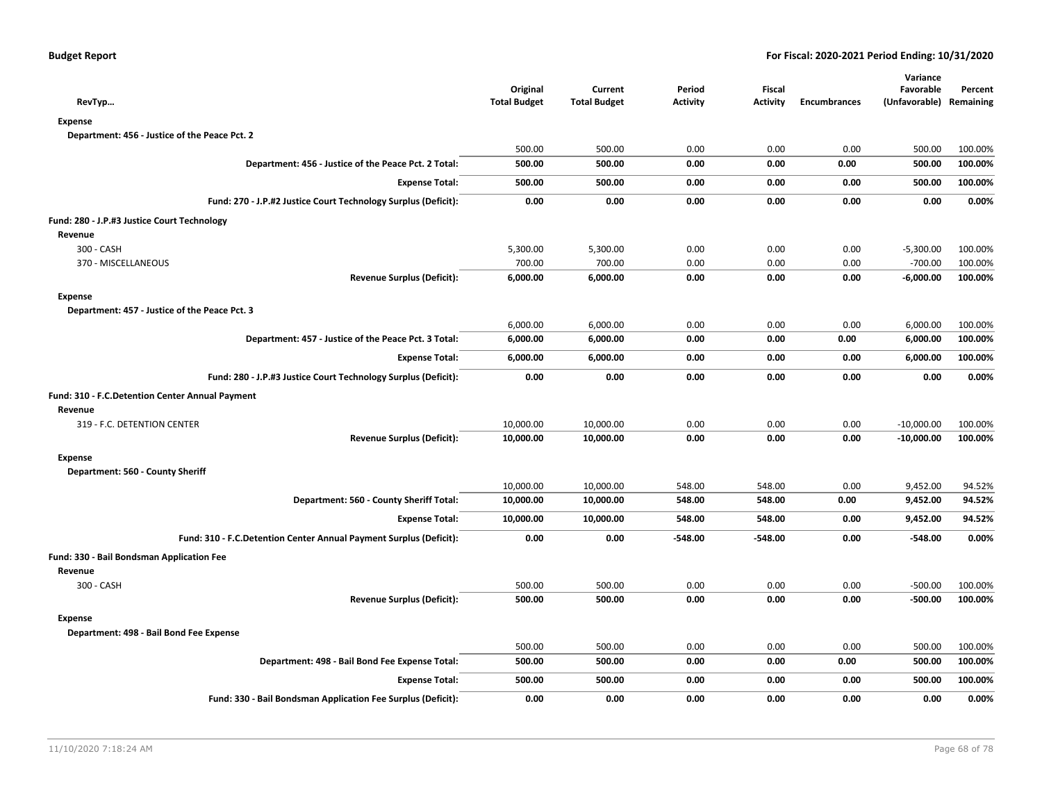| <b>Expense</b><br>Department: 456 - Justice of the Peace Pct. 2<br>500.00<br>500.00<br>0.00<br>0.00<br>0.00<br>500.00<br>Department: 456 - Justice of the Peace Pct. 2 Total:<br>0.00<br>0.00<br>500.00<br>500.00<br>0.00<br>500.00<br>0.00<br>0.00<br>500.00<br><b>Expense Total:</b><br>500.00<br>500.00<br>0.00<br>0.00<br>0.00<br>0.00<br>0.00<br>0.00<br>0.00<br>Fund: 270 - J.P.#2 Justice Court Technology Surplus (Deficit):<br>Fund: 280 - J.P.#3 Justice Court Technology<br>Revenue<br>300 - CASH<br>5,300.00<br>5,300.00<br>0.00<br>0.00<br>0.00<br>$-5,300.00$<br>370 - MISCELLANEOUS<br>700.00<br>700.00<br>0.00<br>0.00<br>0.00<br>$-700.00$<br><b>Revenue Surplus (Deficit):</b><br>6,000.00<br>0.00<br>0.00<br>$-6,000.00$<br>6,000.00<br>0.00<br><b>Expense</b><br>Department: 457 - Justice of the Peace Pct. 3<br>6,000.00<br>6,000.00<br>0.00<br>0.00<br>0.00<br>6,000.00<br>Department: 457 - Justice of the Peace Pct. 3 Total:<br>6,000.00<br>6,000.00<br>0.00<br>0.00<br>0.00<br>6,000.00<br><b>Expense Total:</b><br>6,000.00<br>6,000.00<br>0.00<br>0.00<br>0.00<br>6,000.00<br>Fund: 280 - J.P.#3 Justice Court Technology Surplus (Deficit):<br>0.00<br>0.00<br>0.00<br>0.00<br>0.00<br>0.00<br>Fund: 310 - F.C.Detention Center Annual Payment<br>Revenue<br>319 - F.C. DETENTION CENTER<br>10,000.00<br>10,000.00<br>0.00<br>0.00<br>0.00<br>$-10,000.00$<br><b>Revenue Surplus (Deficit):</b><br>0.00<br>10,000.00<br>10,000.00<br>0.00<br>0.00<br>$-10,000.00$<br><b>Expense</b><br>Department: 560 - County Sheriff<br>10,000.00<br>10,000.00<br>548.00<br>548.00<br>0.00<br>9,452.00<br>Department: 560 - County Sheriff Total:<br>10,000.00<br>10,000.00<br>548.00<br>0.00<br>9,452.00<br>548.00<br>10,000.00<br>548.00<br>9,452.00<br><b>Expense Total:</b><br>10,000.00<br>548.00<br>0.00<br>Fund: 310 - F.C.Detention Center Annual Payment Surplus (Deficit):<br>0.00<br>0.00<br>$-548.00$<br>$-548.00$<br>$-548.00$<br>0.00<br>Fund: 330 - Bail Bondsman Application Fee<br>Revenue<br>300 - CASH<br>500.00<br>500.00<br>0.00<br>0.00<br>0.00<br>$-500.00$<br><b>Revenue Surplus (Deficit):</b><br>500.00<br>500.00<br>0.00<br>0.00<br>0.00<br>$-500.00$<br><b>Expense</b><br>Department: 498 - Bail Bond Fee Expense<br>500.00<br>500.00<br>0.00<br>0.00<br>0.00<br>500.00<br>Department: 498 - Bail Bond Fee Expense Total:<br>500.00<br>500.00<br>0.00<br>0.00<br>0.00<br>500.00<br>500.00<br>500.00<br>0.00<br>0.00<br>0.00<br>500.00<br><b>Expense Total:</b><br>Fund: 330 - Bail Bondsman Application Fee Surplus (Deficit):<br>0.00<br>0.00<br>0.00<br>0.00<br>0.00<br>0.00 | RevTyp | Original<br><b>Total Budget</b> | Current<br><b>Total Budget</b> | Period<br><b>Activity</b> | Fiscal<br><b>Activity</b> | <b>Encumbrances</b> | Variance<br>Favorable<br>(Unfavorable) | Percent<br>Remaining |
|-----------------------------------------------------------------------------------------------------------------------------------------------------------------------------------------------------------------------------------------------------------------------------------------------------------------------------------------------------------------------------------------------------------------------------------------------------------------------------------------------------------------------------------------------------------------------------------------------------------------------------------------------------------------------------------------------------------------------------------------------------------------------------------------------------------------------------------------------------------------------------------------------------------------------------------------------------------------------------------------------------------------------------------------------------------------------------------------------------------------------------------------------------------------------------------------------------------------------------------------------------------------------------------------------------------------------------------------------------------------------------------------------------------------------------------------------------------------------------------------------------------------------------------------------------------------------------------------------------------------------------------------------------------------------------------------------------------------------------------------------------------------------------------------------------------------------------------------------------------------------------------------------------------------------------------------------------------------------------------------------------------------------------------------------------------------------------------------------------------------------------------------------------------------------------------------------------------------------------------------------------------------------------------------------------------------------------------------------------------------------------------------------------------------------------------------------------------------------------------------------------------------------------------------------------------------------------------------------------------------------------|--------|---------------------------------|--------------------------------|---------------------------|---------------------------|---------------------|----------------------------------------|----------------------|
|                                                                                                                                                                                                                                                                                                                                                                                                                                                                                                                                                                                                                                                                                                                                                                                                                                                                                                                                                                                                                                                                                                                                                                                                                                                                                                                                                                                                                                                                                                                                                                                                                                                                                                                                                                                                                                                                                                                                                                                                                                                                                                                                                                                                                                                                                                                                                                                                                                                                                                                                                                                                                             |        |                                 |                                |                           |                           |                     |                                        |                      |
|                                                                                                                                                                                                                                                                                                                                                                                                                                                                                                                                                                                                                                                                                                                                                                                                                                                                                                                                                                                                                                                                                                                                                                                                                                                                                                                                                                                                                                                                                                                                                                                                                                                                                                                                                                                                                                                                                                                                                                                                                                                                                                                                                                                                                                                                                                                                                                                                                                                                                                                                                                                                                             |        |                                 |                                |                           |                           |                     |                                        |                      |
|                                                                                                                                                                                                                                                                                                                                                                                                                                                                                                                                                                                                                                                                                                                                                                                                                                                                                                                                                                                                                                                                                                                                                                                                                                                                                                                                                                                                                                                                                                                                                                                                                                                                                                                                                                                                                                                                                                                                                                                                                                                                                                                                                                                                                                                                                                                                                                                                                                                                                                                                                                                                                             |        |                                 |                                |                           |                           |                     |                                        | 100.00%              |
|                                                                                                                                                                                                                                                                                                                                                                                                                                                                                                                                                                                                                                                                                                                                                                                                                                                                                                                                                                                                                                                                                                                                                                                                                                                                                                                                                                                                                                                                                                                                                                                                                                                                                                                                                                                                                                                                                                                                                                                                                                                                                                                                                                                                                                                                                                                                                                                                                                                                                                                                                                                                                             |        |                                 |                                |                           |                           |                     |                                        | 100.00%              |
|                                                                                                                                                                                                                                                                                                                                                                                                                                                                                                                                                                                                                                                                                                                                                                                                                                                                                                                                                                                                                                                                                                                                                                                                                                                                                                                                                                                                                                                                                                                                                                                                                                                                                                                                                                                                                                                                                                                                                                                                                                                                                                                                                                                                                                                                                                                                                                                                                                                                                                                                                                                                                             |        |                                 |                                |                           |                           |                     |                                        | 100.00%              |
|                                                                                                                                                                                                                                                                                                                                                                                                                                                                                                                                                                                                                                                                                                                                                                                                                                                                                                                                                                                                                                                                                                                                                                                                                                                                                                                                                                                                                                                                                                                                                                                                                                                                                                                                                                                                                                                                                                                                                                                                                                                                                                                                                                                                                                                                                                                                                                                                                                                                                                                                                                                                                             |        |                                 |                                |                           |                           |                     |                                        | 0.00%                |
|                                                                                                                                                                                                                                                                                                                                                                                                                                                                                                                                                                                                                                                                                                                                                                                                                                                                                                                                                                                                                                                                                                                                                                                                                                                                                                                                                                                                                                                                                                                                                                                                                                                                                                                                                                                                                                                                                                                                                                                                                                                                                                                                                                                                                                                                                                                                                                                                                                                                                                                                                                                                                             |        |                                 |                                |                           |                           |                     |                                        |                      |
|                                                                                                                                                                                                                                                                                                                                                                                                                                                                                                                                                                                                                                                                                                                                                                                                                                                                                                                                                                                                                                                                                                                                                                                                                                                                                                                                                                                                                                                                                                                                                                                                                                                                                                                                                                                                                                                                                                                                                                                                                                                                                                                                                                                                                                                                                                                                                                                                                                                                                                                                                                                                                             |        |                                 |                                |                           |                           |                     |                                        |                      |
|                                                                                                                                                                                                                                                                                                                                                                                                                                                                                                                                                                                                                                                                                                                                                                                                                                                                                                                                                                                                                                                                                                                                                                                                                                                                                                                                                                                                                                                                                                                                                                                                                                                                                                                                                                                                                                                                                                                                                                                                                                                                                                                                                                                                                                                                                                                                                                                                                                                                                                                                                                                                                             |        |                                 |                                |                           |                           |                     |                                        | 100.00%              |
|                                                                                                                                                                                                                                                                                                                                                                                                                                                                                                                                                                                                                                                                                                                                                                                                                                                                                                                                                                                                                                                                                                                                                                                                                                                                                                                                                                                                                                                                                                                                                                                                                                                                                                                                                                                                                                                                                                                                                                                                                                                                                                                                                                                                                                                                                                                                                                                                                                                                                                                                                                                                                             |        |                                 |                                |                           |                           |                     |                                        | 100.00%              |
|                                                                                                                                                                                                                                                                                                                                                                                                                                                                                                                                                                                                                                                                                                                                                                                                                                                                                                                                                                                                                                                                                                                                                                                                                                                                                                                                                                                                                                                                                                                                                                                                                                                                                                                                                                                                                                                                                                                                                                                                                                                                                                                                                                                                                                                                                                                                                                                                                                                                                                                                                                                                                             |        |                                 |                                |                           |                           |                     |                                        | 100.00%              |
|                                                                                                                                                                                                                                                                                                                                                                                                                                                                                                                                                                                                                                                                                                                                                                                                                                                                                                                                                                                                                                                                                                                                                                                                                                                                                                                                                                                                                                                                                                                                                                                                                                                                                                                                                                                                                                                                                                                                                                                                                                                                                                                                                                                                                                                                                                                                                                                                                                                                                                                                                                                                                             |        |                                 |                                |                           |                           |                     |                                        |                      |
|                                                                                                                                                                                                                                                                                                                                                                                                                                                                                                                                                                                                                                                                                                                                                                                                                                                                                                                                                                                                                                                                                                                                                                                                                                                                                                                                                                                                                                                                                                                                                                                                                                                                                                                                                                                                                                                                                                                                                                                                                                                                                                                                                                                                                                                                                                                                                                                                                                                                                                                                                                                                                             |        |                                 |                                |                           |                           |                     |                                        |                      |
|                                                                                                                                                                                                                                                                                                                                                                                                                                                                                                                                                                                                                                                                                                                                                                                                                                                                                                                                                                                                                                                                                                                                                                                                                                                                                                                                                                                                                                                                                                                                                                                                                                                                                                                                                                                                                                                                                                                                                                                                                                                                                                                                                                                                                                                                                                                                                                                                                                                                                                                                                                                                                             |        |                                 |                                |                           |                           |                     |                                        | 100.00%              |
|                                                                                                                                                                                                                                                                                                                                                                                                                                                                                                                                                                                                                                                                                                                                                                                                                                                                                                                                                                                                                                                                                                                                                                                                                                                                                                                                                                                                                                                                                                                                                                                                                                                                                                                                                                                                                                                                                                                                                                                                                                                                                                                                                                                                                                                                                                                                                                                                                                                                                                                                                                                                                             |        |                                 |                                |                           |                           |                     |                                        | 100.00%              |
|                                                                                                                                                                                                                                                                                                                                                                                                                                                                                                                                                                                                                                                                                                                                                                                                                                                                                                                                                                                                                                                                                                                                                                                                                                                                                                                                                                                                                                                                                                                                                                                                                                                                                                                                                                                                                                                                                                                                                                                                                                                                                                                                                                                                                                                                                                                                                                                                                                                                                                                                                                                                                             |        |                                 |                                |                           |                           |                     |                                        | 100.00%              |
|                                                                                                                                                                                                                                                                                                                                                                                                                                                                                                                                                                                                                                                                                                                                                                                                                                                                                                                                                                                                                                                                                                                                                                                                                                                                                                                                                                                                                                                                                                                                                                                                                                                                                                                                                                                                                                                                                                                                                                                                                                                                                                                                                                                                                                                                                                                                                                                                                                                                                                                                                                                                                             |        |                                 |                                |                           |                           |                     |                                        | 0.00%                |
|                                                                                                                                                                                                                                                                                                                                                                                                                                                                                                                                                                                                                                                                                                                                                                                                                                                                                                                                                                                                                                                                                                                                                                                                                                                                                                                                                                                                                                                                                                                                                                                                                                                                                                                                                                                                                                                                                                                                                                                                                                                                                                                                                                                                                                                                                                                                                                                                                                                                                                                                                                                                                             |        |                                 |                                |                           |                           |                     |                                        |                      |
|                                                                                                                                                                                                                                                                                                                                                                                                                                                                                                                                                                                                                                                                                                                                                                                                                                                                                                                                                                                                                                                                                                                                                                                                                                                                                                                                                                                                                                                                                                                                                                                                                                                                                                                                                                                                                                                                                                                                                                                                                                                                                                                                                                                                                                                                                                                                                                                                                                                                                                                                                                                                                             |        |                                 |                                |                           |                           |                     |                                        |                      |
|                                                                                                                                                                                                                                                                                                                                                                                                                                                                                                                                                                                                                                                                                                                                                                                                                                                                                                                                                                                                                                                                                                                                                                                                                                                                                                                                                                                                                                                                                                                                                                                                                                                                                                                                                                                                                                                                                                                                                                                                                                                                                                                                                                                                                                                                                                                                                                                                                                                                                                                                                                                                                             |        |                                 |                                |                           |                           |                     |                                        | 100.00%              |
|                                                                                                                                                                                                                                                                                                                                                                                                                                                                                                                                                                                                                                                                                                                                                                                                                                                                                                                                                                                                                                                                                                                                                                                                                                                                                                                                                                                                                                                                                                                                                                                                                                                                                                                                                                                                                                                                                                                                                                                                                                                                                                                                                                                                                                                                                                                                                                                                                                                                                                                                                                                                                             |        |                                 |                                |                           |                           |                     |                                        | 100.00%              |
|                                                                                                                                                                                                                                                                                                                                                                                                                                                                                                                                                                                                                                                                                                                                                                                                                                                                                                                                                                                                                                                                                                                                                                                                                                                                                                                                                                                                                                                                                                                                                                                                                                                                                                                                                                                                                                                                                                                                                                                                                                                                                                                                                                                                                                                                                                                                                                                                                                                                                                                                                                                                                             |        |                                 |                                |                           |                           |                     |                                        |                      |
|                                                                                                                                                                                                                                                                                                                                                                                                                                                                                                                                                                                                                                                                                                                                                                                                                                                                                                                                                                                                                                                                                                                                                                                                                                                                                                                                                                                                                                                                                                                                                                                                                                                                                                                                                                                                                                                                                                                                                                                                                                                                                                                                                                                                                                                                                                                                                                                                                                                                                                                                                                                                                             |        |                                 |                                |                           |                           |                     |                                        |                      |
|                                                                                                                                                                                                                                                                                                                                                                                                                                                                                                                                                                                                                                                                                                                                                                                                                                                                                                                                                                                                                                                                                                                                                                                                                                                                                                                                                                                                                                                                                                                                                                                                                                                                                                                                                                                                                                                                                                                                                                                                                                                                                                                                                                                                                                                                                                                                                                                                                                                                                                                                                                                                                             |        |                                 |                                |                           |                           |                     |                                        | 94.52%               |
|                                                                                                                                                                                                                                                                                                                                                                                                                                                                                                                                                                                                                                                                                                                                                                                                                                                                                                                                                                                                                                                                                                                                                                                                                                                                                                                                                                                                                                                                                                                                                                                                                                                                                                                                                                                                                                                                                                                                                                                                                                                                                                                                                                                                                                                                                                                                                                                                                                                                                                                                                                                                                             |        |                                 |                                |                           |                           |                     |                                        | 94.52%               |
|                                                                                                                                                                                                                                                                                                                                                                                                                                                                                                                                                                                                                                                                                                                                                                                                                                                                                                                                                                                                                                                                                                                                                                                                                                                                                                                                                                                                                                                                                                                                                                                                                                                                                                                                                                                                                                                                                                                                                                                                                                                                                                                                                                                                                                                                                                                                                                                                                                                                                                                                                                                                                             |        |                                 |                                |                           |                           |                     |                                        | 94.52%               |
|                                                                                                                                                                                                                                                                                                                                                                                                                                                                                                                                                                                                                                                                                                                                                                                                                                                                                                                                                                                                                                                                                                                                                                                                                                                                                                                                                                                                                                                                                                                                                                                                                                                                                                                                                                                                                                                                                                                                                                                                                                                                                                                                                                                                                                                                                                                                                                                                                                                                                                                                                                                                                             |        |                                 |                                |                           |                           |                     |                                        | 0.00%                |
|                                                                                                                                                                                                                                                                                                                                                                                                                                                                                                                                                                                                                                                                                                                                                                                                                                                                                                                                                                                                                                                                                                                                                                                                                                                                                                                                                                                                                                                                                                                                                                                                                                                                                                                                                                                                                                                                                                                                                                                                                                                                                                                                                                                                                                                                                                                                                                                                                                                                                                                                                                                                                             |        |                                 |                                |                           |                           |                     |                                        |                      |
|                                                                                                                                                                                                                                                                                                                                                                                                                                                                                                                                                                                                                                                                                                                                                                                                                                                                                                                                                                                                                                                                                                                                                                                                                                                                                                                                                                                                                                                                                                                                                                                                                                                                                                                                                                                                                                                                                                                                                                                                                                                                                                                                                                                                                                                                                                                                                                                                                                                                                                                                                                                                                             |        |                                 |                                |                           |                           |                     |                                        |                      |
|                                                                                                                                                                                                                                                                                                                                                                                                                                                                                                                                                                                                                                                                                                                                                                                                                                                                                                                                                                                                                                                                                                                                                                                                                                                                                                                                                                                                                                                                                                                                                                                                                                                                                                                                                                                                                                                                                                                                                                                                                                                                                                                                                                                                                                                                                                                                                                                                                                                                                                                                                                                                                             |        |                                 |                                |                           |                           |                     |                                        | 100.00%              |
|                                                                                                                                                                                                                                                                                                                                                                                                                                                                                                                                                                                                                                                                                                                                                                                                                                                                                                                                                                                                                                                                                                                                                                                                                                                                                                                                                                                                                                                                                                                                                                                                                                                                                                                                                                                                                                                                                                                                                                                                                                                                                                                                                                                                                                                                                                                                                                                                                                                                                                                                                                                                                             |        |                                 |                                |                           |                           |                     |                                        | 100.00%              |
|                                                                                                                                                                                                                                                                                                                                                                                                                                                                                                                                                                                                                                                                                                                                                                                                                                                                                                                                                                                                                                                                                                                                                                                                                                                                                                                                                                                                                                                                                                                                                                                                                                                                                                                                                                                                                                                                                                                                                                                                                                                                                                                                                                                                                                                                                                                                                                                                                                                                                                                                                                                                                             |        |                                 |                                |                           |                           |                     |                                        |                      |
|                                                                                                                                                                                                                                                                                                                                                                                                                                                                                                                                                                                                                                                                                                                                                                                                                                                                                                                                                                                                                                                                                                                                                                                                                                                                                                                                                                                                                                                                                                                                                                                                                                                                                                                                                                                                                                                                                                                                                                                                                                                                                                                                                                                                                                                                                                                                                                                                                                                                                                                                                                                                                             |        |                                 |                                |                           |                           |                     |                                        |                      |
|                                                                                                                                                                                                                                                                                                                                                                                                                                                                                                                                                                                                                                                                                                                                                                                                                                                                                                                                                                                                                                                                                                                                                                                                                                                                                                                                                                                                                                                                                                                                                                                                                                                                                                                                                                                                                                                                                                                                                                                                                                                                                                                                                                                                                                                                                                                                                                                                                                                                                                                                                                                                                             |        |                                 |                                |                           |                           |                     |                                        | 100.00%              |
|                                                                                                                                                                                                                                                                                                                                                                                                                                                                                                                                                                                                                                                                                                                                                                                                                                                                                                                                                                                                                                                                                                                                                                                                                                                                                                                                                                                                                                                                                                                                                                                                                                                                                                                                                                                                                                                                                                                                                                                                                                                                                                                                                                                                                                                                                                                                                                                                                                                                                                                                                                                                                             |        |                                 |                                |                           |                           |                     |                                        | 100.00%              |
|                                                                                                                                                                                                                                                                                                                                                                                                                                                                                                                                                                                                                                                                                                                                                                                                                                                                                                                                                                                                                                                                                                                                                                                                                                                                                                                                                                                                                                                                                                                                                                                                                                                                                                                                                                                                                                                                                                                                                                                                                                                                                                                                                                                                                                                                                                                                                                                                                                                                                                                                                                                                                             |        |                                 |                                |                           |                           |                     |                                        | 100.00%              |
|                                                                                                                                                                                                                                                                                                                                                                                                                                                                                                                                                                                                                                                                                                                                                                                                                                                                                                                                                                                                                                                                                                                                                                                                                                                                                                                                                                                                                                                                                                                                                                                                                                                                                                                                                                                                                                                                                                                                                                                                                                                                                                                                                                                                                                                                                                                                                                                                                                                                                                                                                                                                                             |        |                                 |                                |                           |                           |                     |                                        | 0.00%                |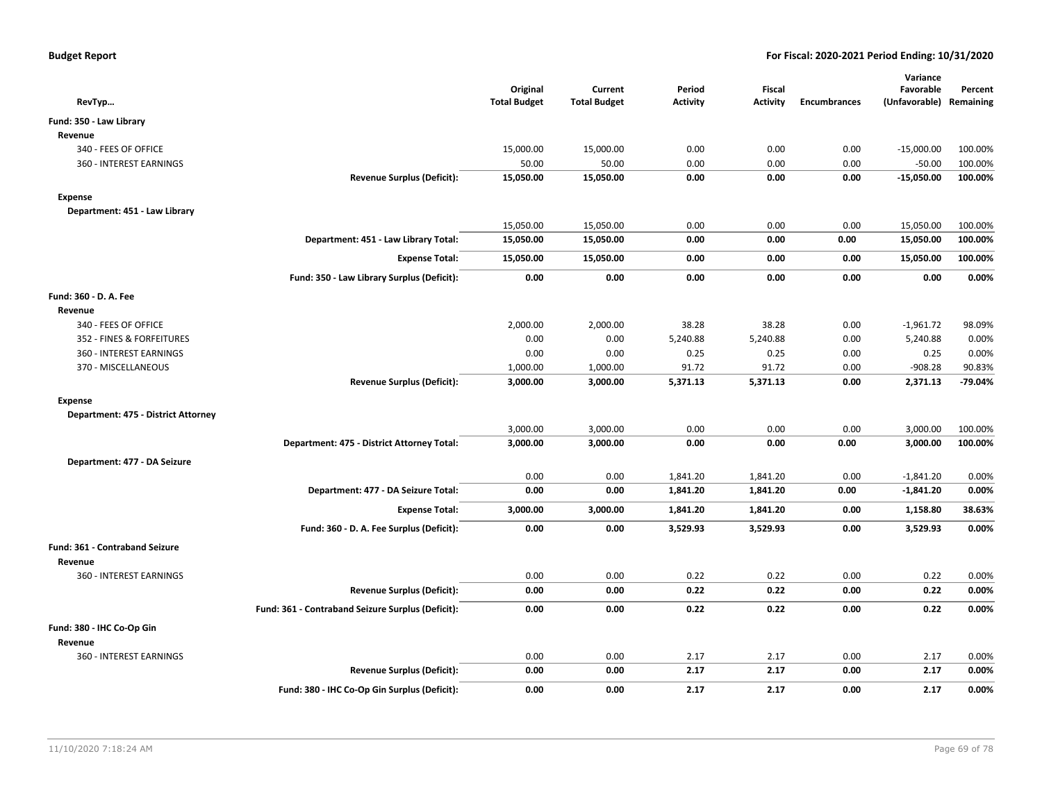| RevTyp                              |                                                   | Original<br><b>Total Budget</b> | Current<br><b>Total Budget</b> | Period<br><b>Activity</b> | <b>Fiscal</b><br><b>Activity</b> | <b>Encumbrances</b> | Variance<br>Favorable<br>(Unfavorable) Remaining | Percent  |
|-------------------------------------|---------------------------------------------------|---------------------------------|--------------------------------|---------------------------|----------------------------------|---------------------|--------------------------------------------------|----------|
| Fund: 350 - Law Library             |                                                   |                                 |                                |                           |                                  |                     |                                                  |          |
| Revenue                             |                                                   |                                 |                                |                           |                                  |                     |                                                  |          |
| 340 - FEES OF OFFICE                |                                                   | 15,000.00                       | 15,000.00                      | 0.00                      | 0.00                             | 0.00                | $-15,000.00$                                     | 100.00%  |
| 360 - INTEREST EARNINGS             |                                                   | 50.00                           | 50.00                          | 0.00                      | 0.00                             | 0.00                | $-50.00$                                         | 100.00%  |
|                                     | <b>Revenue Surplus (Deficit):</b>                 | 15,050.00                       | 15,050.00                      | 0.00                      | 0.00                             | 0.00                | $-15,050.00$                                     | 100.00%  |
| <b>Expense</b>                      |                                                   |                                 |                                |                           |                                  |                     |                                                  |          |
| Department: 451 - Law Library       |                                                   |                                 |                                |                           |                                  |                     |                                                  |          |
|                                     |                                                   | 15,050.00                       | 15,050.00                      | 0.00                      | 0.00                             | 0.00                | 15,050.00                                        | 100.00%  |
|                                     | Department: 451 - Law Library Total:              | 15,050.00                       | 15,050.00                      | 0.00                      | 0.00                             | 0.00                | 15,050.00                                        | 100.00%  |
|                                     | <b>Expense Total:</b>                             | 15,050.00                       | 15,050.00                      | 0.00                      | 0.00                             | 0.00                | 15,050.00                                        | 100.00%  |
|                                     | Fund: 350 - Law Library Surplus (Deficit):        | 0.00                            | 0.00                           | 0.00                      | 0.00                             | 0.00                | 0.00                                             | 0.00%    |
| Fund: 360 - D. A. Fee               |                                                   |                                 |                                |                           |                                  |                     |                                                  |          |
| Revenue                             |                                                   |                                 |                                |                           |                                  |                     |                                                  |          |
| 340 - FEES OF OFFICE                |                                                   | 2,000.00                        | 2,000.00                       | 38.28                     | 38.28                            | 0.00                | $-1,961.72$                                      | 98.09%   |
| 352 - FINES & FORFEITURES           |                                                   | 0.00                            | 0.00                           | 5,240.88                  | 5,240.88                         | 0.00                | 5,240.88                                         | 0.00%    |
| 360 - INTEREST EARNINGS             |                                                   | 0.00                            | 0.00                           | 0.25                      | 0.25                             | 0.00                | 0.25                                             | 0.00%    |
| 370 - MISCELLANEOUS                 |                                                   | 1,000.00                        | 1,000.00                       | 91.72                     | 91.72                            | 0.00                | $-908.28$                                        | 90.83%   |
|                                     | <b>Revenue Surplus (Deficit):</b>                 | 3,000.00                        | 3,000.00                       | 5,371.13                  | 5,371.13                         | 0.00                | 2,371.13                                         | -79.04%  |
| <b>Expense</b>                      |                                                   |                                 |                                |                           |                                  |                     |                                                  |          |
| Department: 475 - District Attorney |                                                   |                                 |                                |                           |                                  |                     |                                                  |          |
|                                     |                                                   | 3,000.00                        | 3,000.00                       | 0.00                      | 0.00                             | 0.00                | 3,000.00                                         | 100.00%  |
|                                     | Department: 475 - District Attorney Total:        | 3,000.00                        | 3,000.00                       | 0.00                      | 0.00                             | 0.00                | 3,000.00                                         | 100.00%  |
| Department: 477 - DA Seizure        |                                                   |                                 |                                |                           |                                  |                     |                                                  |          |
|                                     |                                                   | 0.00                            | 0.00                           | 1,841.20                  | 1,841.20                         | 0.00                | $-1,841.20$                                      | 0.00%    |
|                                     | Department: 477 - DA Seizure Total:               | 0.00                            | 0.00                           | 1,841.20                  | 1,841.20                         | 0.00                | $-1,841.20$                                      | 0.00%    |
|                                     | <b>Expense Total:</b>                             | 3,000.00                        | 3,000.00                       | 1,841.20                  | 1,841.20                         | 0.00                | 1,158.80                                         | 38.63%   |
|                                     | Fund: 360 - D. A. Fee Surplus (Deficit):          | 0.00                            | 0.00                           | 3,529.93                  | 3,529.93                         | 0.00                | 3,529.93                                         | $0.00\%$ |
| Fund: 361 - Contraband Seizure      |                                                   |                                 |                                |                           |                                  |                     |                                                  |          |
| Revenue                             |                                                   |                                 |                                |                           |                                  |                     |                                                  |          |
| <b>360 - INTEREST EARNINGS</b>      |                                                   | 0.00                            | 0.00                           | 0.22                      | 0.22                             | 0.00                | 0.22                                             | 0.00%    |
|                                     | <b>Revenue Surplus (Deficit):</b>                 | 0.00                            | 0.00                           | 0.22                      | 0.22                             | 0.00                | 0.22                                             | 0.00%    |
|                                     | Fund: 361 - Contraband Seizure Surplus (Deficit): | 0.00                            | 0.00                           | 0.22                      | 0.22                             | 0.00                | 0.22                                             | 0.00%    |
| Fund: 380 - IHC Co-Op Gin           |                                                   |                                 |                                |                           |                                  |                     |                                                  |          |
| Revenue                             |                                                   |                                 |                                |                           |                                  |                     |                                                  |          |
| 360 - INTEREST EARNINGS             |                                                   | 0.00                            | 0.00                           | 2.17                      | 2.17                             | 0.00                | 2.17                                             | 0.00%    |
|                                     | <b>Revenue Surplus (Deficit):</b>                 | 0.00                            | 0.00                           | 2.17                      | 2.17                             | 0.00                | 2.17                                             | 0.00%    |
|                                     | Fund: 380 - IHC Co-Op Gin Surplus (Deficit):      | 0.00                            | 0.00                           | 2.17                      | 2.17                             | 0.00                | 2.17                                             | 0.00%    |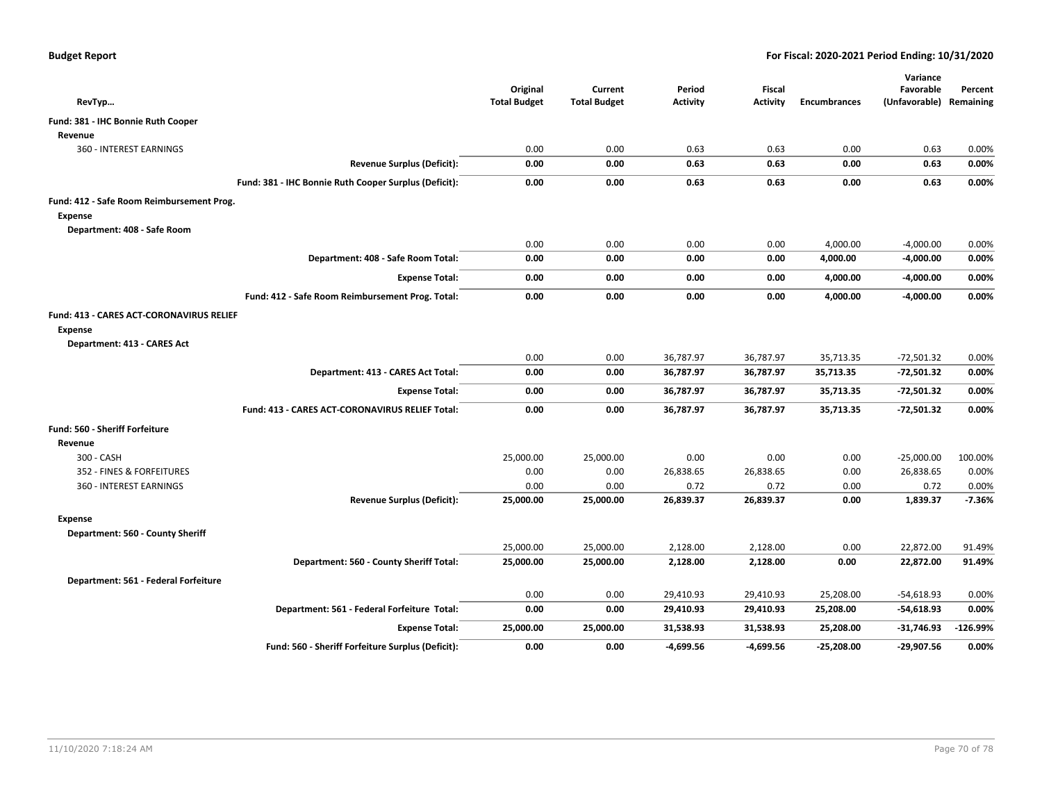| RevTyp                                                            | Original<br><b>Total Budget</b> | Current<br><b>Total Budget</b> | Period<br><b>Activity</b> | <b>Fiscal</b><br><b>Activity</b> | <b>Encumbrances</b> | Variance<br>Favorable<br>(Unfavorable) Remaining | Percent  |
|-------------------------------------------------------------------|---------------------------------|--------------------------------|---------------------------|----------------------------------|---------------------|--------------------------------------------------|----------|
| Fund: 381 - IHC Bonnie Ruth Cooper                                |                                 |                                |                           |                                  |                     |                                                  |          |
| Revenue                                                           |                                 |                                |                           |                                  |                     |                                                  |          |
| 360 - INTEREST EARNINGS                                           | 0.00                            | 0.00                           | 0.63                      | 0.63                             | 0.00                | 0.63                                             | 0.00%    |
| <b>Revenue Surplus (Deficit):</b>                                 | 0.00                            | 0.00                           | 0.63                      | 0.63                             | 0.00                | 0.63                                             | 0.00%    |
| Fund: 381 - IHC Bonnie Ruth Cooper Surplus (Deficit):             | 0.00                            | 0.00                           | 0.63                      | 0.63                             | 0.00                | 0.63                                             | 0.00%    |
| Fund: 412 - Safe Room Reimbursement Prog.<br><b>Expense</b>       |                                 |                                |                           |                                  |                     |                                                  |          |
| Department: 408 - Safe Room                                       |                                 |                                |                           |                                  |                     |                                                  |          |
|                                                                   | 0.00                            | 0.00                           | 0.00                      | 0.00                             | 4,000.00            | $-4,000.00$                                      | 0.00%    |
| Department: 408 - Safe Room Total:                                | 0.00                            | 0.00                           | 0.00                      | 0.00                             | 4,000.00            | $-4,000.00$                                      | 0.00%    |
| <b>Expense Total:</b>                                             | 0.00                            | 0.00                           | 0.00                      | 0.00                             | 4,000.00            | $-4,000.00$                                      | 0.00%    |
| Fund: 412 - Safe Room Reimbursement Prog. Total:                  | 0.00                            | 0.00                           | 0.00                      | 0.00                             | 4,000.00            | $-4,000.00$                                      | 0.00%    |
| <b>Fund: 413 - CARES ACT-CORONAVIRUS RELIEF</b><br><b>Expense</b> |                                 |                                |                           |                                  |                     |                                                  |          |
| Department: 413 - CARES Act                                       |                                 |                                |                           |                                  |                     |                                                  |          |
|                                                                   | 0.00                            | 0.00                           | 36,787.97                 | 36,787.97                        | 35,713.35           | $-72,501.32$                                     | 0.00%    |
| Department: 413 - CARES Act Total:                                | 0.00                            | 0.00                           | 36,787.97                 | 36,787.97                        | 35,713.35           | -72,501.32                                       | 0.00%    |
| <b>Expense Total:</b>                                             | 0.00                            | 0.00                           | 36,787.97                 | 36,787.97                        | 35,713.35           | $-72,501.32$                                     | 0.00%    |
| <b>Fund: 413 - CARES ACT-CORONAVIRUS RELIEF Total:</b>            | 0.00                            | 0.00                           | 36,787.97                 | 36,787.97                        | 35,713.35           | $-72,501.32$                                     | 0.00%    |
| Fund: 560 - Sheriff Forfeiture                                    |                                 |                                |                           |                                  |                     |                                                  |          |
| Revenue                                                           |                                 |                                |                           |                                  |                     |                                                  |          |
| 300 - CASH                                                        | 25,000.00                       | 25,000.00                      | 0.00                      | 0.00                             | 0.00                | $-25,000.00$                                     | 100.00%  |
| 352 - FINES & FORFEITURES                                         | 0.00                            | 0.00                           | 26,838.65                 | 26,838.65                        | 0.00                | 26,838.65                                        | 0.00%    |
| 360 - INTEREST EARNINGS                                           | 0.00                            | 0.00                           | 0.72                      | 0.72                             | 0.00                | 0.72                                             | 0.00%    |
| <b>Revenue Surplus (Deficit):</b>                                 | 25,000.00                       | 25,000.00                      | 26,839.37                 | 26,839.37                        | 0.00                | 1,839.37                                         | $-7.36%$ |
| <b>Expense</b>                                                    |                                 |                                |                           |                                  |                     |                                                  |          |
| Department: 560 - County Sheriff                                  |                                 |                                |                           |                                  |                     |                                                  |          |
|                                                                   | 25,000.00                       | 25,000.00                      | 2,128.00                  | 2,128.00                         | 0.00                | 22,872.00                                        | 91.49%   |
| Department: 560 - County Sheriff Total:                           | 25,000.00                       | 25,000.00                      | 2,128.00                  | 2,128.00                         | 0.00                | 22,872.00                                        | 91.49%   |
| Department: 561 - Federal Forfeiture                              |                                 |                                |                           |                                  |                     |                                                  |          |
|                                                                   | 0.00                            | 0.00                           | 29,410.93                 | 29,410.93                        | 25,208.00           | $-54,618.93$                                     | 0.00%    |
| Department: 561 - Federal Forfeiture Total:                       | 0.00                            | 0.00                           | 29,410.93                 | 29,410.93                        | 25,208.00           | $-54,618.93$                                     | 0.00%    |
| <b>Expense Total:</b>                                             | 25,000.00                       | 25,000.00                      | 31,538.93                 | 31,538.93                        | 25,208.00           | $-31,746.93$                                     | -126.99% |
| Fund: 560 - Sheriff Forfeiture Surplus (Deficit):                 | 0.00                            | 0.00                           | $-4,699.56$               | $-4,699.56$                      | $-25,208.00$        | $-29,907.56$                                     | 0.00%    |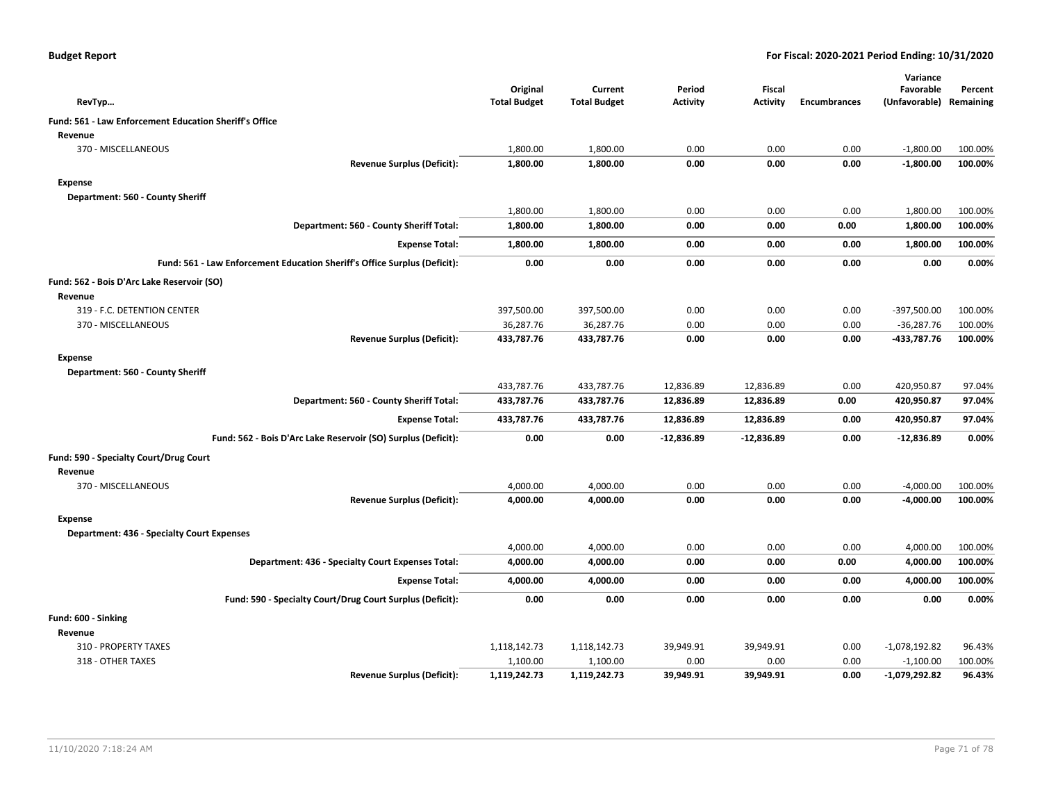| <b>Budget Report</b> |  |
|----------------------|--|
|----------------------|--|

|                                                                           |                                 |                                |                           |                                  |                     | Variance                   |                      |
|---------------------------------------------------------------------------|---------------------------------|--------------------------------|---------------------------|----------------------------------|---------------------|----------------------------|----------------------|
| RevTyp                                                                    | Original<br><b>Total Budget</b> | Current<br><b>Total Budget</b> | Period<br><b>Activity</b> | <b>Fiscal</b><br><b>Activity</b> | <b>Encumbrances</b> | Favorable<br>(Unfavorable) | Percent<br>Remaining |
| Fund: 561 - Law Enforcement Education Sheriff's Office                    |                                 |                                |                           |                                  |                     |                            |                      |
| Revenue                                                                   |                                 |                                |                           |                                  |                     |                            |                      |
| 370 - MISCELLANEOUS                                                       | 1,800.00                        | 1,800.00                       | 0.00                      | 0.00                             | 0.00                | $-1,800.00$                | 100.00%              |
| <b>Revenue Surplus (Deficit):</b>                                         | 1,800.00                        | 1,800.00                       | 0.00                      | 0.00                             | 0.00                | $-1,800.00$                | 100.00%              |
| <b>Expense</b>                                                            |                                 |                                |                           |                                  |                     |                            |                      |
| Department: 560 - County Sheriff                                          |                                 |                                |                           |                                  |                     |                            |                      |
|                                                                           | 1,800.00                        | 1,800.00                       | 0.00                      | 0.00                             | 0.00                | 1,800.00                   | 100.00%              |
| Department: 560 - County Sheriff Total:                                   | 1,800.00                        | 1,800.00                       | 0.00                      | 0.00                             | 0.00                | 1,800.00                   | 100.00%              |
| <b>Expense Total:</b>                                                     | 1,800.00                        | 1,800.00                       | 0.00                      | 0.00                             | 0.00                | 1,800.00                   | 100.00%              |
| Fund: 561 - Law Enforcement Education Sheriff's Office Surplus (Deficit): | 0.00                            | 0.00                           | 0.00                      | 0.00                             | 0.00                | 0.00                       | 0.00%                |
| Fund: 562 - Bois D'Arc Lake Reservoir (SO)                                |                                 |                                |                           |                                  |                     |                            |                      |
| Revenue                                                                   |                                 |                                |                           |                                  |                     |                            |                      |
| 319 - F.C. DETENTION CENTER                                               | 397,500.00                      | 397,500.00                     | 0.00                      | 0.00                             | 0.00                | $-397,500.00$              | 100.00%              |
| 370 - MISCELLANEOUS                                                       | 36,287.76                       | 36,287.76                      | 0.00                      | 0.00                             | 0.00                | $-36,287.76$               | 100.00%              |
| <b>Revenue Surplus (Deficit):</b>                                         | 433,787.76                      | 433,787.76                     | 0.00                      | 0.00                             | 0.00                | -433,787.76                | 100.00%              |
| <b>Expense</b>                                                            |                                 |                                |                           |                                  |                     |                            |                      |
| Department: 560 - County Sheriff                                          |                                 |                                |                           |                                  |                     |                            |                      |
|                                                                           | 433,787.76                      | 433,787.76                     | 12,836.89                 | 12,836.89                        | 0.00                | 420,950.87                 | 97.04%               |
| Department: 560 - County Sheriff Total:                                   | 433,787.76                      | 433,787.76                     | 12,836.89                 | 12,836.89                        | 0.00                | 420,950.87                 | 97.04%               |
| <b>Expense Total:</b>                                                     | 433,787.76                      | 433,787.76                     | 12,836.89                 | 12,836.89                        | 0.00                | 420,950.87                 | 97.04%               |
| Fund: 562 - Bois D'Arc Lake Reservoir (SO) Surplus (Deficit):             | 0.00                            | 0.00                           | $-12,836.89$              | $-12,836.89$                     | 0.00                | $-12,836.89$               | 0.00%                |
| Fund: 590 - Specialty Court/Drug Court                                    |                                 |                                |                           |                                  |                     |                            |                      |
| Revenue                                                                   |                                 |                                |                           |                                  |                     |                            |                      |
| 370 - MISCELLANEOUS                                                       | 4,000.00                        | 4,000.00                       | 0.00                      | 0.00                             | 0.00                | $-4,000.00$                | 100.00%              |
| <b>Revenue Surplus (Deficit):</b>                                         | 4,000.00                        | 4,000.00                       | 0.00                      | 0.00                             | 0.00                | $-4,000.00$                | 100.00%              |
| <b>Expense</b>                                                            |                                 |                                |                           |                                  |                     |                            |                      |
| <b>Department: 436 - Specialty Court Expenses</b>                         |                                 |                                |                           |                                  |                     |                            |                      |
|                                                                           | 4,000.00                        | 4,000.00                       | 0.00                      | 0.00                             | 0.00                | 4,000.00                   | 100.00%              |
| Department: 436 - Specialty Court Expenses Total:                         | 4,000.00                        | 4,000.00                       | 0.00                      | 0.00                             | 0.00                | 4,000.00                   | 100.00%              |
| <b>Expense Total:</b>                                                     | 4,000.00                        | 4,000.00                       | 0.00                      | 0.00                             | 0.00                | 4,000.00                   | 100.00%              |
| Fund: 590 - Specialty Court/Drug Court Surplus (Deficit):                 | 0.00                            | 0.00                           | 0.00                      | 0.00                             | 0.00                | 0.00                       | 0.00%                |
| Fund: 600 - Sinking                                                       |                                 |                                |                           |                                  |                     |                            |                      |
| Revenue                                                                   |                                 |                                |                           |                                  |                     |                            |                      |
| 310 - PROPERTY TAXES                                                      | 1,118,142.73                    | 1,118,142.73                   | 39,949.91                 | 39,949.91                        | 0.00                | $-1,078,192.82$            | 96.43%               |
| 318 - OTHER TAXES                                                         | 1,100.00                        | 1,100.00                       | 0.00                      | 0.00                             | 0.00                | $-1,100.00$                | 100.00%              |
| <b>Revenue Surplus (Deficit):</b>                                         | 1,119,242.73                    | 1,119,242.73                   | 39,949.91                 | 39.949.91                        | 0.00                | $-1,079,292.82$            | 96.43%               |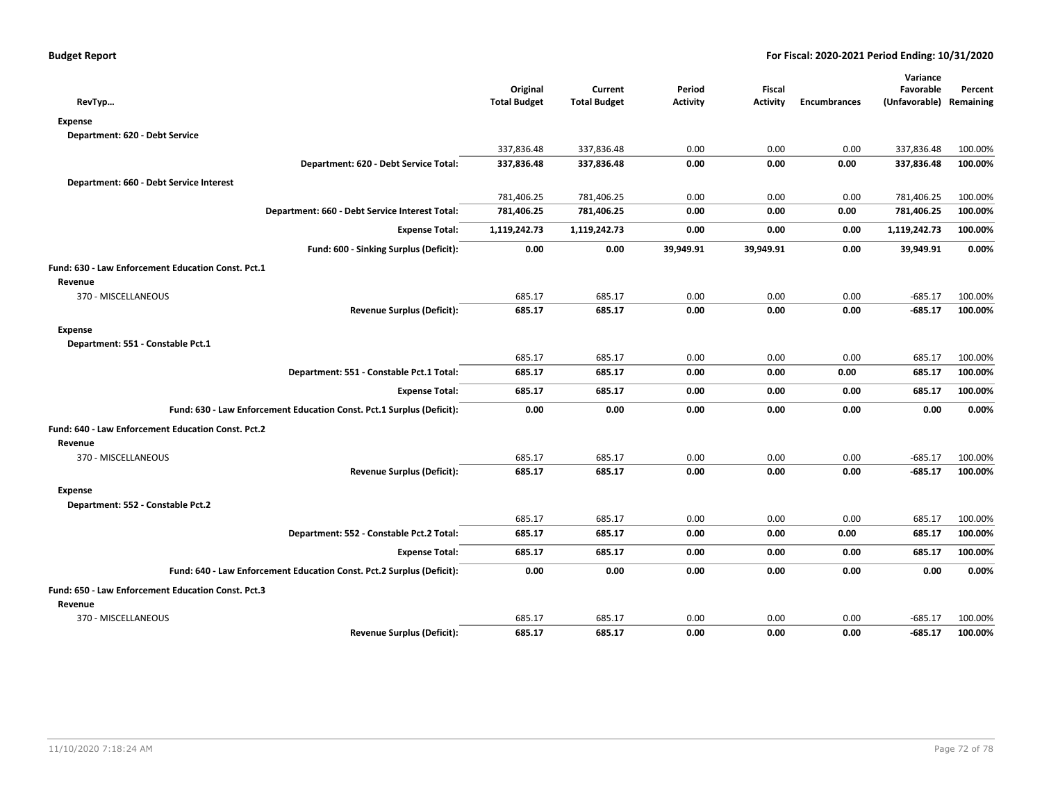|                                                                       |                     |                     |                 |                 |                     | Variance      |           |
|-----------------------------------------------------------------------|---------------------|---------------------|-----------------|-----------------|---------------------|---------------|-----------|
|                                                                       | Original            | Current             | Period          | Fiscal          |                     | Favorable     | Percent   |
| RevTyp                                                                | <b>Total Budget</b> | <b>Total Budget</b> | <b>Activity</b> | <b>Activity</b> | <b>Encumbrances</b> | (Unfavorable) | Remaining |
| <b>Expense</b>                                                        |                     |                     |                 |                 |                     |               |           |
| Department: 620 - Debt Service                                        |                     |                     |                 |                 |                     |               |           |
|                                                                       | 337,836.48          | 337,836.48          | 0.00            | 0.00            | 0.00                | 337,836.48    | 100.00%   |
| Department: 620 - Debt Service Total:                                 | 337,836.48          | 337,836.48          | 0.00            | 0.00            | 0.00                | 337,836.48    | 100.00%   |
| Department: 660 - Debt Service Interest                               |                     |                     |                 |                 |                     |               |           |
|                                                                       | 781,406.25          | 781,406.25          | 0.00            | 0.00            | 0.00                | 781,406.25    | 100.00%   |
| Department: 660 - Debt Service Interest Total:                        | 781,406.25          | 781,406.25          | 0.00            | 0.00            | 0.00                | 781,406.25    | 100.00%   |
| <b>Expense Total:</b>                                                 | 1,119,242.73        | 1,119,242.73        | 0.00            | 0.00            | 0.00                | 1,119,242.73  | 100.00%   |
| Fund: 600 - Sinking Surplus (Deficit):                                | 0.00                | 0.00                | 39,949.91       | 39,949.91       | 0.00                | 39,949.91     | 0.00%     |
| Fund: 630 - Law Enforcement Education Const. Pct.1                    |                     |                     |                 |                 |                     |               |           |
| Revenue                                                               |                     |                     |                 |                 |                     |               |           |
| 370 - MISCELLANEOUS                                                   | 685.17              | 685.17              | 0.00            | 0.00            | 0.00                | $-685.17$     | 100.00%   |
| <b>Revenue Surplus (Deficit):</b>                                     | 685.17              | 685.17              | 0.00            | 0.00            | 0.00                | $-685.17$     | 100.00%   |
| <b>Expense</b>                                                        |                     |                     |                 |                 |                     |               |           |
| Department: 551 - Constable Pct.1                                     |                     |                     |                 |                 |                     |               |           |
|                                                                       | 685.17              | 685.17              | 0.00            | 0.00            | 0.00                | 685.17        | 100.00%   |
| Department: 551 - Constable Pct.1 Total:                              | 685.17              | 685.17              | 0.00            | 0.00            | 0.00                | 685.17        | 100.00%   |
| <b>Expense Total:</b>                                                 | 685.17              | 685.17              | 0.00            | 0.00            | 0.00                | 685.17        | 100.00%   |
| Fund: 630 - Law Enforcement Education Const. Pct.1 Surplus (Deficit): | 0.00                | 0.00                | 0.00            | 0.00            | 0.00                | 0.00          | 0.00%     |
| <b>Fund: 640 - Law Enforcement Education Const. Pct.2</b>             |                     |                     |                 |                 |                     |               |           |
| Revenue                                                               |                     |                     |                 |                 |                     |               |           |
| 370 - MISCELLANEOUS                                                   | 685.17              | 685.17              | 0.00            | 0.00            | 0.00                | $-685.17$     | 100.00%   |
| <b>Revenue Surplus (Deficit):</b>                                     | 685.17              | 685.17              | 0.00            | 0.00            | 0.00                | $-685.17$     | 100.00%   |
| <b>Expense</b>                                                        |                     |                     |                 |                 |                     |               |           |
| Department: 552 - Constable Pct.2                                     |                     |                     |                 |                 |                     |               |           |
|                                                                       | 685.17              | 685.17              | 0.00            | 0.00            | 0.00                | 685.17        | 100.00%   |
| Department: 552 - Constable Pct.2 Total:                              | 685.17              | 685.17              | 0.00            | 0.00            | 0.00                | 685.17        | 100.00%   |
| <b>Expense Total:</b>                                                 | 685.17              | 685.17              | 0.00            | 0.00            | 0.00                | 685.17        | 100.00%   |
| Fund: 640 - Law Enforcement Education Const. Pct.2 Surplus (Deficit): | 0.00                | 0.00                | 0.00            | 0.00            | 0.00                | 0.00          | 0.00%     |
| Fund: 650 - Law Enforcement Education Const. Pct.3                    |                     |                     |                 |                 |                     |               |           |
| Revenue                                                               |                     |                     |                 |                 |                     |               |           |
| 370 - MISCELLANEOUS                                                   | 685.17              | 685.17              | 0.00            | 0.00            | 0.00                | $-685.17$     | 100.00%   |
| <b>Revenue Surplus (Deficit):</b>                                     | 685.17              | 685.17              | 0.00            | 0.00            | 0.00                | $-685.17$     | 100.00%   |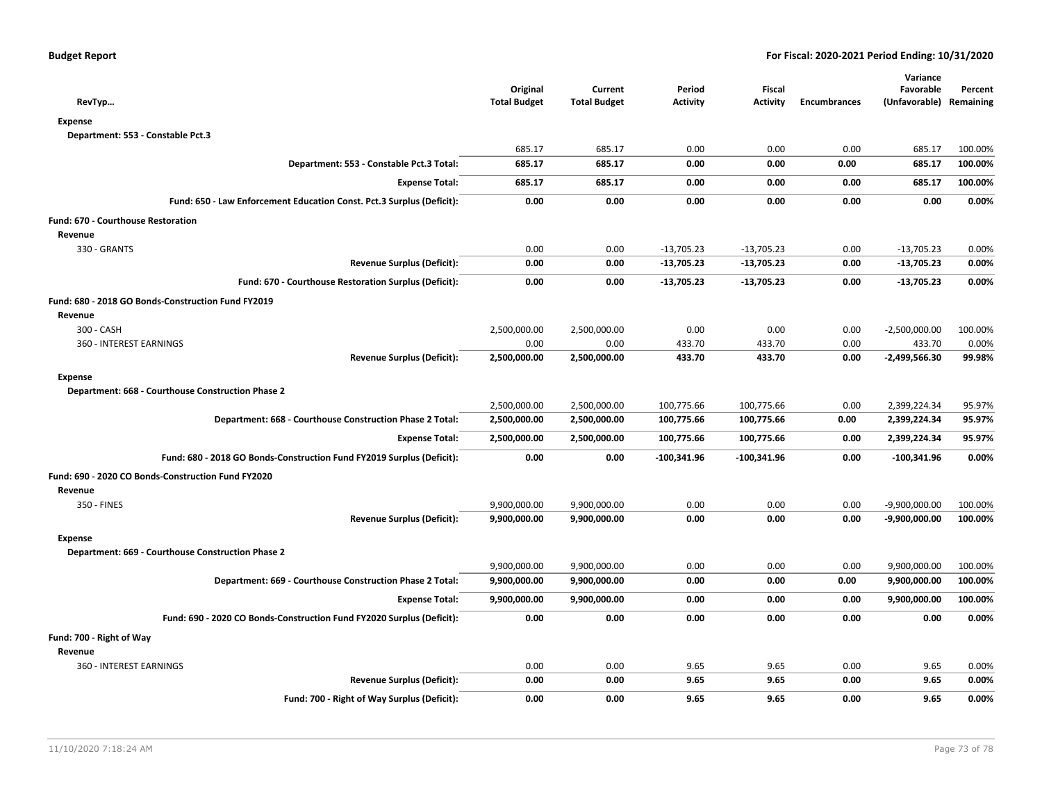| RevTyp                                                                | Original<br><b>Total Budget</b> | Current<br><b>Total Budget</b> | Period<br><b>Activity</b> | <b>Fiscal</b><br><b>Activity</b> | <b>Encumbrances</b> | Variance<br>Favorable<br>(Unfavorable) Remaining | Percent |
|-----------------------------------------------------------------------|---------------------------------|--------------------------------|---------------------------|----------------------------------|---------------------|--------------------------------------------------|---------|
| <b>Expense</b>                                                        |                                 |                                |                           |                                  |                     |                                                  |         |
| Department: 553 - Constable Pct.3                                     |                                 |                                |                           |                                  |                     |                                                  |         |
|                                                                       | 685.17                          | 685.17                         | 0.00                      | 0.00                             | 0.00                | 685.17                                           | 100.00% |
| Department: 553 - Constable Pct.3 Total:                              | 685.17                          | 685.17                         | 0.00                      | 0.00                             | 0.00                | 685.17                                           | 100.00% |
| <b>Expense Total:</b>                                                 | 685.17                          | 685.17                         | 0.00                      | 0.00                             | 0.00                | 685.17                                           | 100.00% |
| Fund: 650 - Law Enforcement Education Const. Pct.3 Surplus (Deficit): | 0.00                            | 0.00                           | 0.00                      | 0.00                             | 0.00                | 0.00                                             | 0.00%   |
| <b>Fund: 670 - Courthouse Restoration</b>                             |                                 |                                |                           |                                  |                     |                                                  |         |
| Revenue                                                               |                                 |                                |                           |                                  |                     |                                                  |         |
| 330 - GRANTS                                                          | 0.00                            | 0.00                           | $-13,705.23$              | $-13,705.23$                     | 0.00                | $-13,705.23$                                     | 0.00%   |
| <b>Revenue Surplus (Deficit):</b>                                     | 0.00                            | 0.00                           | $-13,705.23$              | $-13,705.23$                     | 0.00                | $-13,705.23$                                     | 0.00%   |
| Fund: 670 - Courthouse Restoration Surplus (Deficit):                 | 0.00                            | 0.00                           | $-13,705.23$              | $-13,705.23$                     | 0.00                | $-13,705.23$                                     | 0.00%   |
| Fund: 680 - 2018 GO Bonds-Construction Fund FY2019                    |                                 |                                |                           |                                  |                     |                                                  |         |
| Revenue                                                               |                                 |                                |                           |                                  |                     |                                                  |         |
| 300 - CASH                                                            | 2,500,000.00                    | 2,500,000.00                   | 0.00                      | 0.00                             | 0.00                | $-2,500,000.00$                                  | 100.00% |
| 360 - INTEREST EARNINGS                                               | 0.00                            | 0.00                           | 433.70                    | 433.70                           | 0.00                | 433.70                                           | 0.00%   |
| <b>Revenue Surplus (Deficit):</b>                                     | 2,500,000.00                    | 2,500,000.00                   | 433.70                    | 433.70                           | 0.00                | $-2,499,566.30$                                  | 99.98%  |
| <b>Expense</b>                                                        |                                 |                                |                           |                                  |                     |                                                  |         |
| Department: 668 - Courthouse Construction Phase 2                     |                                 |                                |                           |                                  |                     |                                                  |         |
|                                                                       | 2,500,000.00                    | 2,500,000.00                   | 100,775.66                | 100,775.66                       | 0.00                | 2,399,224.34                                     | 95.97%  |
| Department: 668 - Courthouse Construction Phase 2 Total:              | 2,500,000.00                    | 2,500,000.00                   | 100,775.66                | 100,775.66                       | 0.00                | 2,399,224.34                                     | 95.97%  |
| <b>Expense Total:</b>                                                 | 2,500,000.00                    | 2,500,000.00                   | 100,775.66                | 100,775.66                       | 0.00                | 2,399,224.34                                     | 95.97%  |
| Fund: 680 - 2018 GO Bonds-Construction Fund FY2019 Surplus (Deficit): | 0.00                            | 0.00                           | $-100,341.96$             | $-100,341.96$                    | 0.00                | $-100,341.96$                                    | 0.00%   |
| Fund: 690 - 2020 CO Bonds-Construction Fund FY2020                    |                                 |                                |                           |                                  |                     |                                                  |         |
| Revenue                                                               |                                 |                                |                           |                                  |                     |                                                  |         |
| 350 - FINES                                                           | 9,900,000.00                    | 9,900,000.00                   | 0.00                      | 0.00                             | 0.00                | $-9,900,000.00$                                  | 100.00% |
| <b>Revenue Surplus (Deficit):</b>                                     | 9,900,000.00                    | 9,900,000.00                   | 0.00                      | 0.00                             | 0.00                | $-9,900,000.00$                                  | 100.00% |
| <b>Expense</b>                                                        |                                 |                                |                           |                                  |                     |                                                  |         |
| Department: 669 - Courthouse Construction Phase 2                     |                                 |                                |                           |                                  |                     |                                                  |         |
|                                                                       | 9,900,000.00                    | 9,900,000.00                   | 0.00                      | 0.00                             | 0.00                | 9,900,000.00                                     | 100.00% |
| Department: 669 - Courthouse Construction Phase 2 Total:              | 9,900,000.00                    | 9,900,000.00                   | 0.00                      | 0.00                             | 0.00                | 9,900,000.00                                     | 100.00% |
| <b>Expense Total:</b>                                                 | 9,900,000.00                    | 9,900,000.00                   | 0.00                      | 0.00                             | 0.00                | 9,900,000.00                                     | 100.00% |
| Fund: 690 - 2020 CO Bonds-Construction Fund FY2020 Surplus (Deficit): | 0.00                            | 0.00                           | 0.00                      | 0.00                             | 0.00                | 0.00                                             | 0.00%   |
| Fund: 700 - Right of Way                                              |                                 |                                |                           |                                  |                     |                                                  |         |
| Revenue                                                               |                                 |                                |                           |                                  |                     |                                                  |         |
| 360 - INTEREST EARNINGS                                               | 0.00                            | 0.00                           | 9.65                      | 9.65                             | 0.00                | 9.65                                             | 0.00%   |
| <b>Revenue Surplus (Deficit):</b>                                     | 0.00                            | 0.00                           | 9.65                      | 9.65                             | 0.00                | 9.65                                             | 0.00%   |
| Fund: 700 - Right of Way Surplus (Deficit):                           | 0.00                            | 0.00                           | 9.65                      | 9.65                             | 0.00                | 9.65                                             | 0.00%   |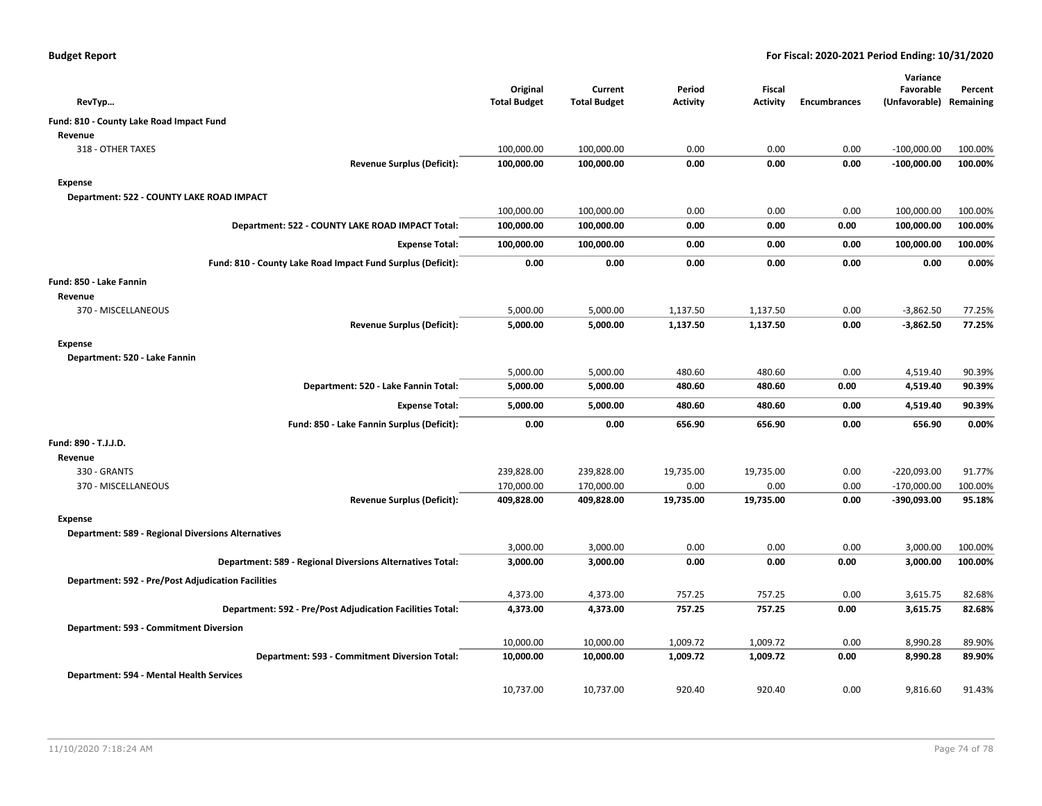| RevTyp                                                      | Original<br><b>Total Budget</b> | Current<br><b>Total Budget</b> | Period<br><b>Activity</b> | Fiscal<br>Activity | <b>Encumbrances</b> | Variance<br>Favorable<br>(Unfavorable) | Percent<br>Remaining |
|-------------------------------------------------------------|---------------------------------|--------------------------------|---------------------------|--------------------|---------------------|----------------------------------------|----------------------|
| Fund: 810 - County Lake Road Impact Fund                    |                                 |                                |                           |                    |                     |                                        |                      |
| Revenue                                                     |                                 |                                |                           |                    |                     |                                        |                      |
| 318 - OTHER TAXES                                           | 100,000.00                      | 100,000.00                     | 0.00                      | 0.00               | 0.00                | $-100,000.00$                          | 100.00%              |
| <b>Revenue Surplus (Deficit):</b>                           | 100,000.00                      | 100,000.00                     | 0.00                      | 0.00               | 0.00                | $-100,000.00$                          | 100.00%              |
| <b>Expense</b>                                              |                                 |                                |                           |                    |                     |                                        |                      |
| Department: 522 - COUNTY LAKE ROAD IMPACT                   |                                 |                                |                           |                    |                     |                                        |                      |
|                                                             | 100,000.00                      | 100,000.00                     | 0.00                      | 0.00               | 0.00                | 100,000.00                             | 100.00%              |
| Department: 522 - COUNTY LAKE ROAD IMPACT Total:            | 100,000.00                      | 100,000.00                     | 0.00                      | 0.00               | 0.00                | 100,000.00                             | 100.00%              |
| <b>Expense Total:</b>                                       | 100,000.00                      | 100,000.00                     | 0.00                      | 0.00               | 0.00                | 100,000.00                             | 100.00%              |
| Fund: 810 - County Lake Road Impact Fund Surplus (Deficit): | 0.00                            | 0.00                           | 0.00                      | 0.00               | 0.00                | 0.00                                   | 0.00%                |
| Fund: 850 - Lake Fannin                                     |                                 |                                |                           |                    |                     |                                        |                      |
| Revenue                                                     |                                 |                                |                           |                    |                     |                                        |                      |
| 370 - MISCELLANEOUS                                         | 5,000.00                        | 5,000.00                       | 1,137.50                  | 1,137.50           | 0.00                | $-3,862.50$                            | 77.25%               |
| <b>Revenue Surplus (Deficit):</b>                           | 5,000.00                        | 5,000.00                       | 1,137.50                  | 1,137.50           | 0.00                | $-3,862.50$                            | 77.25%               |
| <b>Expense</b>                                              |                                 |                                |                           |                    |                     |                                        |                      |
| Department: 520 - Lake Fannin                               |                                 |                                |                           |                    |                     |                                        |                      |
|                                                             | 5,000.00                        | 5,000.00                       | 480.60                    | 480.60             | 0.00                | 4,519.40                               | 90.39%               |
| Department: 520 - Lake Fannin Total:                        | 5,000.00                        | 5,000.00                       | 480.60                    | 480.60             | 0.00                | 4,519.40                               | 90.39%               |
| <b>Expense Total:</b>                                       | 5,000.00                        | 5,000.00                       | 480.60                    | 480.60             | 0.00                | 4,519.40                               | 90.39%               |
| Fund: 850 - Lake Fannin Surplus (Deficit):                  | 0.00                            | 0.00                           | 656.90                    | 656.90             | 0.00                | 656.90                                 | 0.00%                |
| Fund: 890 - T.J.J.D.                                        |                                 |                                |                           |                    |                     |                                        |                      |
| Revenue                                                     |                                 |                                |                           |                    |                     |                                        |                      |
| 330 - GRANTS                                                | 239,828.00                      | 239,828.00                     | 19,735.00                 | 19,735.00          | 0.00                | $-220,093.00$                          | 91.77%               |
| 370 - MISCELLANEOUS                                         | 170,000.00                      | 170,000.00                     | 0.00                      | 0.00               | 0.00                | $-170,000.00$                          | 100.00%              |
| <b>Revenue Surplus (Deficit):</b>                           | 409,828.00                      | 409,828.00                     | 19,735.00                 | 19,735.00          | 0.00                | $-390,093.00$                          | 95.18%               |
| <b>Expense</b>                                              |                                 |                                |                           |                    |                     |                                        |                      |
| <b>Department: 589 - Regional Diversions Alternatives</b>   |                                 |                                |                           |                    |                     |                                        |                      |
|                                                             | 3,000.00                        | 3,000.00                       | 0.00                      | 0.00               | 0.00                | 3,000.00                               | 100.00%              |
| Department: 589 - Regional Diversions Alternatives Total:   | 3,000.00                        | 3,000.00                       | 0.00                      | 0.00               | 0.00                | 3,000.00                               | 100.00%              |
| <b>Department: 592 - Pre/Post Adjudication Facilities</b>   |                                 |                                |                           |                    |                     |                                        |                      |
|                                                             | 4,373.00                        | 4,373.00                       | 757.25                    | 757.25             | 0.00                | 3,615.75                               | 82.68%               |
| Department: 592 - Pre/Post Adjudication Facilities Total:   | 4,373.00                        | 4,373.00                       | 757.25                    | 757.25             | 0.00                | 3,615.75                               | 82.68%               |
| Department: 593 - Commitment Diversion                      |                                 |                                |                           |                    |                     |                                        |                      |
|                                                             | 10,000.00                       | 10,000.00                      | 1,009.72                  | 1,009.72           | 0.00                | 8,990.28                               | 89.90%               |
| Department: 593 - Commitment Diversion Total:               | 10,000.00                       | 10,000.00                      | 1,009.72                  | 1,009.72           | 0.00                | 8,990.28                               | 89.90%               |
| Department: 594 - Mental Health Services                    |                                 |                                |                           |                    |                     |                                        |                      |
|                                                             | 10,737.00                       | 10,737.00                      | 920.40                    | 920.40             | 0.00                | 9,816.60                               | 91.43%               |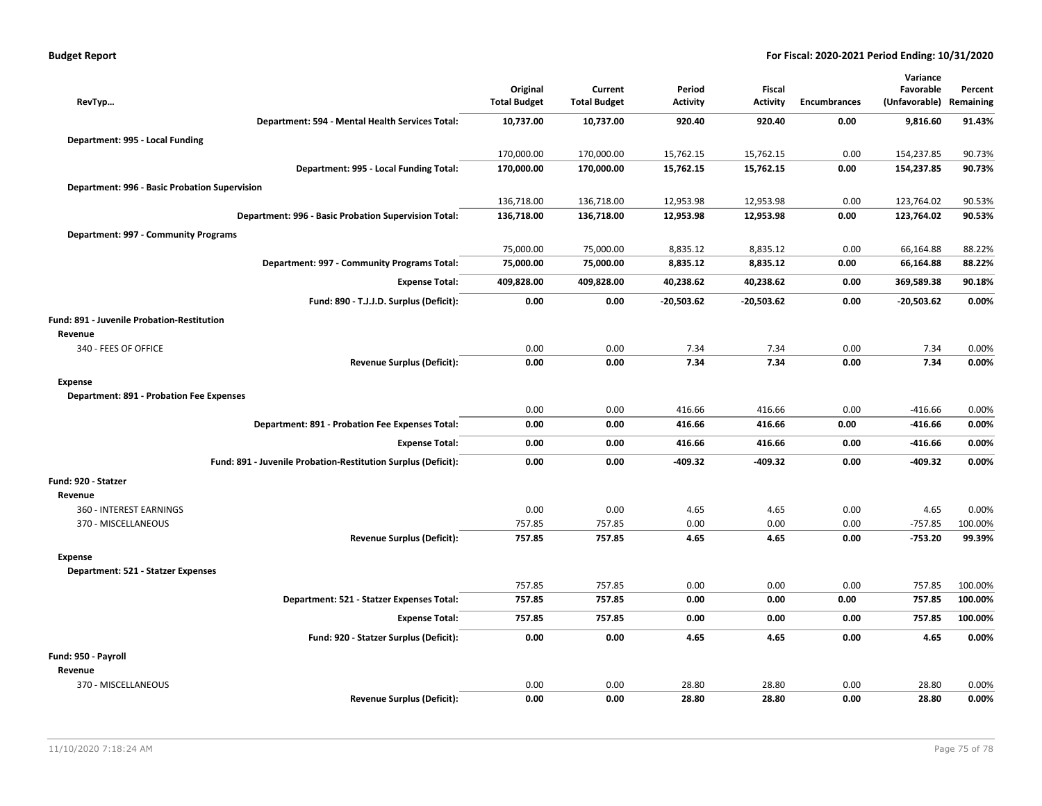|  | Budget Report |  |
|--|---------------|--|
|  |               |  |

|                                                               |                                 |                                |                           |                           |                     | Variance                   |                      |
|---------------------------------------------------------------|---------------------------------|--------------------------------|---------------------------|---------------------------|---------------------|----------------------------|----------------------|
| RevTyp                                                        | Original<br><b>Total Budget</b> | Current<br><b>Total Budget</b> | Period<br><b>Activity</b> | Fiscal<br><b>Activity</b> | <b>Encumbrances</b> | Favorable<br>(Unfavorable) | Percent<br>Remaining |
| Department: 594 - Mental Health Services Total:               | 10,737.00                       | 10,737.00                      | 920.40                    | 920.40                    | 0.00                | 9,816.60                   | 91.43%               |
| Department: 995 - Local Funding                               |                                 |                                |                           |                           |                     |                            |                      |
|                                                               | 170,000.00                      | 170,000.00                     | 15,762.15                 | 15,762.15                 | 0.00                | 154,237.85                 | 90.73%               |
| Department: 995 - Local Funding Total:                        | 170,000.00                      | 170,000.00                     | 15,762.15                 | 15,762.15                 | 0.00                | 154,237.85                 | 90.73%               |
| Department: 996 - Basic Probation Supervision                 |                                 |                                |                           |                           |                     |                            |                      |
|                                                               | 136,718.00                      | 136,718.00                     | 12,953.98                 | 12,953.98                 | 0.00                | 123,764.02                 | 90.53%               |
| Department: 996 - Basic Probation Supervision Total:          | 136,718.00                      | 136,718.00                     | 12,953.98                 | 12,953.98                 | 0.00                | 123,764.02                 | 90.53%               |
| Department: 997 - Community Programs                          |                                 |                                |                           |                           |                     |                            |                      |
|                                                               | 75,000.00                       | 75,000.00                      | 8,835.12                  | 8,835.12                  | 0.00                | 66,164.88                  | 88.22%               |
| Department: 997 - Community Programs Total:                   | 75,000.00                       | 75,000.00                      | 8,835.12                  | 8,835.12                  | 0.00                | 66,164.88                  | 88.22%               |
| <b>Expense Total:</b>                                         | 409,828.00                      | 409,828.00                     | 40,238.62                 | 40,238.62                 | 0.00                | 369,589.38                 | 90.18%               |
| Fund: 890 - T.J.J.D. Surplus (Deficit):                       | 0.00                            | 0.00                           | $-20,503.62$              | $-20,503.62$              | 0.00                | $-20,503.62$               | 0.00%                |
| Fund: 891 - Juvenile Probation-Restitution                    |                                 |                                |                           |                           |                     |                            |                      |
| Revenue                                                       |                                 |                                |                           |                           |                     |                            |                      |
| 340 - FEES OF OFFICE<br><b>Revenue Surplus (Deficit):</b>     | 0.00<br>0.00                    | 0.00<br>0.00                   | 7.34<br>7.34              | 7.34<br>7.34              | 0.00<br>0.00        | 7.34<br>7.34               | 0.00%<br>0.00%       |
|                                                               |                                 |                                |                           |                           |                     |                            |                      |
| <b>Expense</b>                                                |                                 |                                |                           |                           |                     |                            |                      |
| <b>Department: 891 - Probation Fee Expenses</b>               | 0.00                            | 0.00                           | 416.66                    | 416.66                    | 0.00                | $-416.66$                  | 0.00%                |
| Department: 891 - Probation Fee Expenses Total:               | 0.00                            | 0.00                           | 416.66                    | 416.66                    | 0.00                | $-416.66$                  | 0.00%                |
|                                                               |                                 |                                |                           |                           |                     |                            |                      |
| <b>Expense Total:</b>                                         | 0.00                            | 0.00                           | 416.66                    | 416.66                    | 0.00                | $-416.66$                  | 0.00%                |
| Fund: 891 - Juvenile Probation-Restitution Surplus (Deficit): | 0.00                            | 0.00                           | $-409.32$                 | $-409.32$                 | 0.00                | $-409.32$                  | 0.00%                |
| Fund: 920 - Statzer                                           |                                 |                                |                           |                           |                     |                            |                      |
| Revenue                                                       |                                 |                                |                           |                           |                     |                            |                      |
| 360 - INTEREST EARNINGS                                       | 0.00                            | 0.00                           | 4.65                      | 4.65                      | 0.00                | 4.65                       | 0.00%                |
| 370 - MISCELLANEOUS                                           | 757.85                          | 757.85                         | 0.00                      | 0.00                      | 0.00                | $-757.85$                  | 100.00%              |
| <b>Revenue Surplus (Deficit):</b>                             | 757.85                          | 757.85                         | 4.65                      | 4.65                      | 0.00                | $-753.20$                  | 99.39%               |
| <b>Expense</b>                                                |                                 |                                |                           |                           |                     |                            |                      |
| Department: 521 - Statzer Expenses                            |                                 |                                |                           |                           |                     |                            |                      |
| Department: 521 - Statzer Expenses Total:                     | 757.85<br>757.85                | 757.85<br>757.85               | 0.00<br>0.00              | 0.00<br>0.00              | 0.00<br>0.00        | 757.85<br>757.85           | 100.00%<br>100.00%   |
|                                                               |                                 |                                |                           |                           |                     |                            |                      |
| <b>Expense Total:</b>                                         | 757.85                          | 757.85                         | 0.00                      | 0.00                      | 0.00                | 757.85                     | 100.00%              |
| Fund: 920 - Statzer Surplus (Deficit):                        | 0.00                            | 0.00                           | 4.65                      | 4.65                      | 0.00                | 4.65                       | 0.00%                |
| Fund: 950 - Payroll                                           |                                 |                                |                           |                           |                     |                            |                      |
| Revenue                                                       |                                 |                                |                           |                           |                     |                            |                      |
| 370 - MISCELLANEOUS                                           | 0.00                            | 0.00                           | 28.80                     | 28.80                     | 0.00                | 28.80                      | 0.00%                |
| <b>Revenue Surplus (Deficit):</b>                             | 0.00                            | 0.00                           | 28.80                     | 28.80                     | 0.00                | 28.80                      | 0.00%                |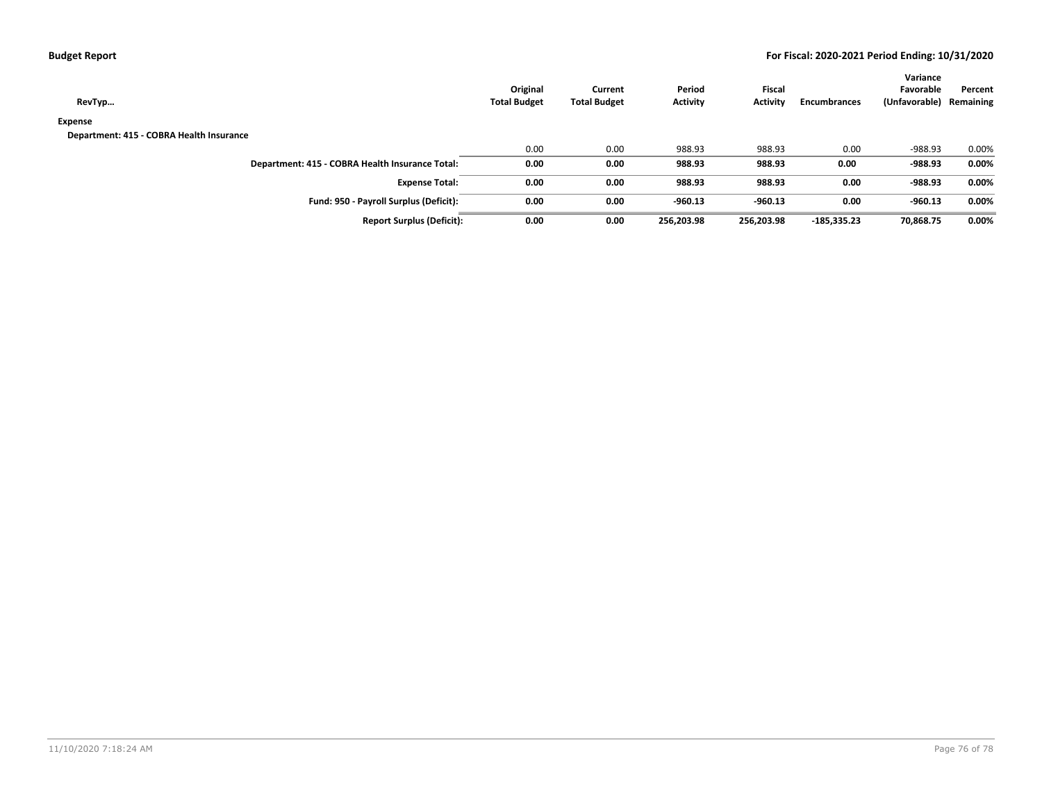| RevTyp                                          | Original<br><b>Total Budget</b> | Current<br><b>Total Budget</b> | Period<br><b>Activity</b> | <b>Fiscal</b><br><b>Activity</b> | <b>Encumbrances</b> | Variance<br>Favorable<br>(Unfavorable) | Percent<br>Remaining |
|-------------------------------------------------|---------------------------------|--------------------------------|---------------------------|----------------------------------|---------------------|----------------------------------------|----------------------|
| Expense                                         |                                 |                                |                           |                                  |                     |                                        |                      |
| Department: 415 - COBRA Health Insurance        |                                 |                                |                           |                                  |                     |                                        |                      |
|                                                 | 0.00                            | 0.00                           | 988.93                    | 988.93                           | 0.00                | -988.93                                | 0.00%                |
| Department: 415 - COBRA Health Insurance Total: | 0.00                            | 0.00                           | 988.93                    | 988.93                           | 0.00                | -988.93                                | 0.00%                |
| <b>Expense Total:</b>                           | 0.00                            | 0.00                           | 988.93                    | 988.93                           | 0.00                | -988.93                                | $0.00\%$             |
| Fund: 950 - Payroll Surplus (Deficit):          | 0.00                            | 0.00                           | $-960.13$                 | $-960.13$                        | 0.00                | $-960.13$                              | 0.00%                |
| <b>Report Surplus (Deficit):</b>                | 0.00                            | 0.00                           | 256.203.98                | 256,203.98                       | $-185.335.23$       | 70,868.75                              | 0.00%                |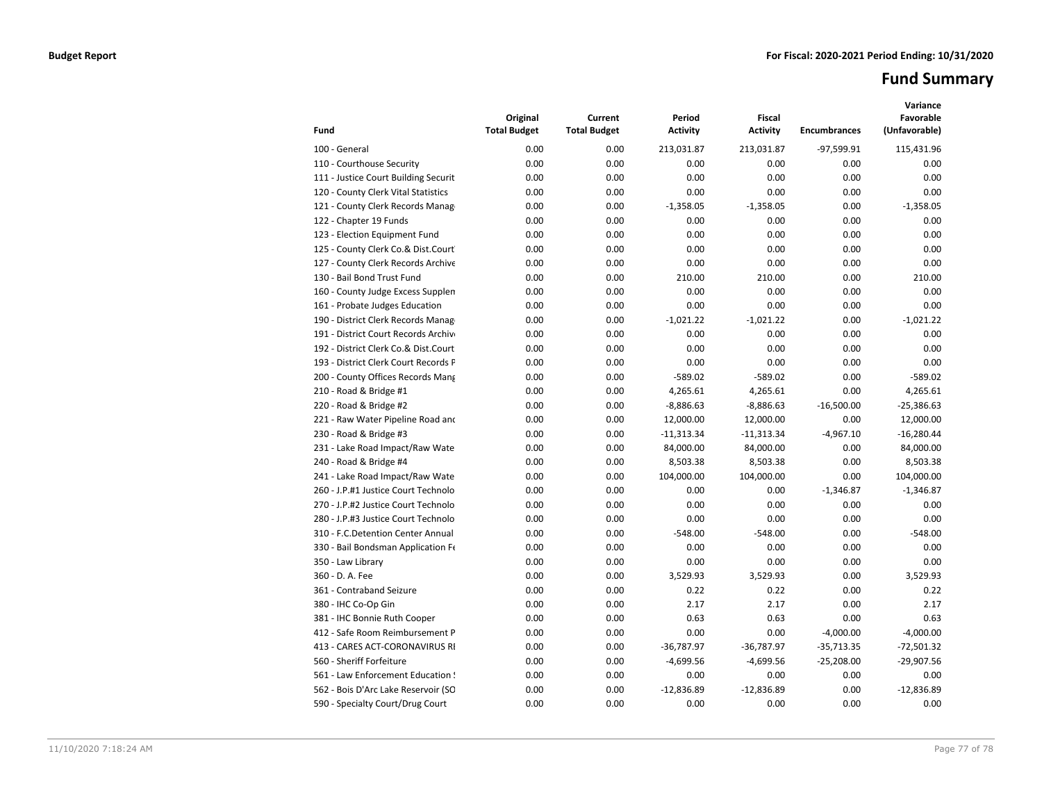# **Fund Summary**

| Fund                                 | Original<br><b>Total Budget</b> | Current<br><b>Total Budget</b> | Period<br><b>Activity</b> | Fiscal<br><b>Activity</b> | <b>Encumbrances</b> | Variance<br>Favorable<br>(Unfavorable) |
|--------------------------------------|---------------------------------|--------------------------------|---------------------------|---------------------------|---------------------|----------------------------------------|
| 100 - General                        | 0.00                            | 0.00                           | 213,031.87                | 213,031.87                | -97,599.91          | 115,431.96                             |
| 110 - Courthouse Security            | 0.00                            | 0.00                           | 0.00                      | 0.00                      | 0.00                | 0.00                                   |
| 111 - Justice Court Building Securit | 0.00                            | 0.00                           | 0.00                      | 0.00                      | 0.00                | 0.00                                   |
| 120 - County Clerk Vital Statistics  | 0.00                            | 0.00                           | 0.00                      | 0.00                      | 0.00                | 0.00                                   |
| 121 - County Clerk Records Manag     | 0.00                            | 0.00                           | $-1,358.05$               | $-1,358.05$               | 0.00                | $-1,358.05$                            |
| 122 - Chapter 19 Funds               | 0.00                            | 0.00                           | 0.00                      | 0.00                      | 0.00                | 0.00                                   |
| 123 - Election Equipment Fund        | 0.00                            | 0.00                           | 0.00                      | 0.00                      | 0.00                | 0.00                                   |
| 125 - County Clerk Co.& Dist.Court   | 0.00                            | 0.00                           | 0.00                      | 0.00                      | 0.00                | 0.00                                   |
| 127 - County Clerk Records Archive   | 0.00                            | 0.00                           | 0.00                      | 0.00                      | 0.00                | 0.00                                   |
| 130 - Bail Bond Trust Fund           | 0.00                            | 0.00                           | 210.00                    | 210.00                    | 0.00                | 210.00                                 |
| 160 - County Judge Excess Supplen    | 0.00                            | 0.00                           | 0.00                      | 0.00                      | 0.00                | 0.00                                   |
| 161 - Probate Judges Education       | 0.00                            | 0.00                           | 0.00                      | 0.00                      | 0.00                | 0.00                                   |
| 190 - District Clerk Records Manag   | 0.00                            | 0.00                           | $-1,021.22$               | $-1,021.22$               | 0.00                | $-1,021.22$                            |
| 191 - District Court Records Archive | 0.00                            | 0.00                           | 0.00                      | 0.00                      | 0.00                | 0.00                                   |
| 192 - District Clerk Co.& Dist.Court | 0.00                            | 0.00                           | 0.00                      | 0.00                      | 0.00                | 0.00                                   |
| 193 - District Clerk Court Records F | 0.00                            | 0.00                           | 0.00                      | 0.00                      | 0.00                | 0.00                                   |
| 200 - County Offices Records Mang    | 0.00                            | 0.00                           | $-589.02$                 | $-589.02$                 | 0.00                | $-589.02$                              |
| 210 - Road & Bridge #1               | 0.00                            | 0.00                           | 4,265.61                  | 4,265.61                  | 0.00                | 4,265.61                               |
| 220 - Road & Bridge #2               | 0.00                            | 0.00                           | $-8,886.63$               | $-8,886.63$               | $-16,500.00$        | $-25,386.63$                           |
| 221 - Raw Water Pipeline Road and    | 0.00                            | 0.00                           | 12,000.00                 | 12,000.00                 | 0.00                | 12,000.00                              |
| 230 - Road & Bridge #3               | 0.00                            | 0.00                           | $-11,313.34$              | $-11,313.34$              | $-4,967.10$         | $-16,280.44$                           |
| 231 - Lake Road Impact/Raw Wate      | 0.00                            | 0.00                           | 84,000.00                 | 84,000.00                 | 0.00                | 84,000.00                              |
| 240 - Road & Bridge #4               | 0.00                            | 0.00                           | 8,503.38                  | 8,503.38                  | 0.00                | 8,503.38                               |
| 241 - Lake Road Impact/Raw Wate      | 0.00                            | 0.00                           | 104,000.00                | 104,000.00                | 0.00                | 104,000.00                             |
| 260 - J.P.#1 Justice Court Technolo  | 0.00                            | 0.00                           | 0.00                      | 0.00                      | $-1,346.87$         | $-1.346.87$                            |
| 270 - J.P.#2 Justice Court Technolo  | 0.00                            | 0.00                           | 0.00                      | 0.00                      | 0.00                | 0.00                                   |
| 280 - J.P.#3 Justice Court Technolo  | 0.00                            | 0.00                           | 0.00                      | 0.00                      | 0.00                | 0.00                                   |
| 310 - F.C.Detention Center Annual    | 0.00                            | 0.00                           | $-548.00$                 | $-548.00$                 | 0.00                | $-548.00$                              |
| 330 - Bail Bondsman Application Fe   | 0.00                            | 0.00                           | 0.00                      | 0.00                      | 0.00                | 0.00                                   |
| 350 - Law Library                    | 0.00                            | 0.00                           | 0.00                      | 0.00                      | 0.00                | 0.00                                   |
| 360 - D. A. Fee                      | 0.00                            | 0.00                           | 3,529.93                  | 3,529.93                  | 0.00                | 3,529.93                               |
| 361 - Contraband Seizure             | 0.00                            | 0.00                           | 0.22                      | 0.22                      | 0.00                | 0.22                                   |
| 380 - IHC Co-Op Gin                  | 0.00                            | 0.00                           | 2.17                      | 2.17                      | 0.00                | 2.17                                   |
| 381 - IHC Bonnie Ruth Cooper         | 0.00                            | 0.00                           | 0.63                      | 0.63                      | 0.00                | 0.63                                   |
| 412 - Safe Room Reimbursement P      | 0.00                            | 0.00                           | 0.00                      | 0.00                      | $-4,000.00$         | $-4,000.00$                            |
| 413 - CARES ACT-CORONAVIRUS RI       | 0.00                            | 0.00                           | $-36,787.97$              | $-36,787.97$              | $-35,713.35$        | $-72,501.32$                           |
| 560 - Sheriff Forfeiture             | 0.00                            | 0.00                           | $-4,699.56$               | $-4,699.56$               | $-25,208.00$        | $-29,907.56$                           |
| 561 - Law Enforcement Education !    | 0.00                            | 0.00                           | 0.00                      | 0.00                      | 0.00                | 0.00                                   |
| 562 - Bois D'Arc Lake Reservoir (SO  | 0.00                            | 0.00                           | $-12,836.89$              | $-12,836.89$              | 0.00                | $-12,836.89$                           |
| 590 - Specialty Court/Drug Court     | 0.00                            | 0.00                           | 0.00                      | 0.00                      | 0.00                | 0.00                                   |